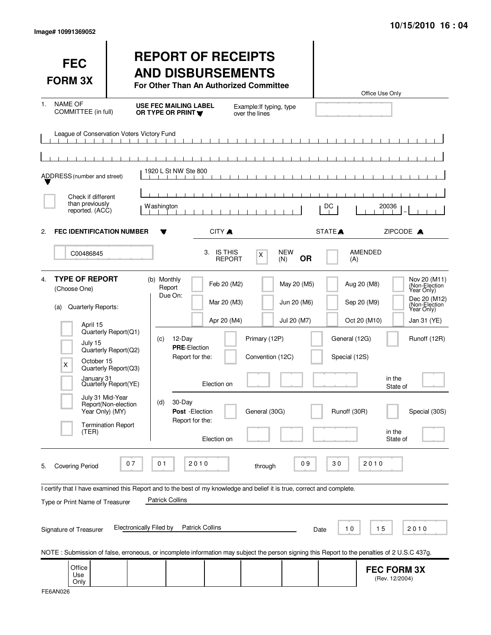| <b>FEC</b><br><b>FORM 3X</b>                                                                                                                               |                                                  | <b>REPORT OF RECEIPTS</b><br><b>AND DISBURSEMENTS</b><br>For Other Than An Authorized Committee |                             |                                            |                            |                                | Office Use Only                                                                                                                              |  |
|------------------------------------------------------------------------------------------------------------------------------------------------------------|--------------------------------------------------|-------------------------------------------------------------------------------------------------|-----------------------------|--------------------------------------------|----------------------------|--------------------------------|----------------------------------------------------------------------------------------------------------------------------------------------|--|
| <b>NAME OF</b><br>1.<br>COMMITTEE (in full)                                                                                                                |                                                  | <b>USE FEC MAILING LABEL</b><br>OR TYPE OR PRINT                                                |                             | Example: If typing, type<br>over the lines |                            |                                |                                                                                                                                              |  |
| League of Conservation Voters Victory Fund                                                                                                                 |                                                  |                                                                                                 |                             |                                            |                            |                                |                                                                                                                                              |  |
|                                                                                                                                                            |                                                  |                                                                                                 |                             |                                            |                            |                                |                                                                                                                                              |  |
| ADDRESS (number and street)                                                                                                                                |                                                  | 1920 L St NW Ste 800                                                                            |                             |                                            |                            |                                |                                                                                                                                              |  |
| Check if different                                                                                                                                         |                                                  |                                                                                                 |                             |                                            |                            |                                |                                                                                                                                              |  |
| than previously<br>reported. (ACC)                                                                                                                         |                                                  | Washington                                                                                      |                             |                                            |                            | DC                             | 20036                                                                                                                                        |  |
| <b>FEC IDENTIFICATION NUMBER</b><br>2.                                                                                                                     |                                                  |                                                                                                 | CITY A                      |                                            |                            | STATE <sup>A</sup>             | ZIPCODE A                                                                                                                                    |  |
| C00486845                                                                                                                                                  |                                                  |                                                                                                 | 3. IS THIS<br><b>REPORT</b> | X                                          | <b>NEW</b><br>0R<br>(N)    | (A)                            | <b>AMENDED</b>                                                                                                                               |  |
| <b>TYPE OF REPORT</b><br>4.<br>(Choose One)<br>Quarterly Reports:<br>(a)                                                                                   |                                                  | (b) Monthly<br>Report<br>Due On:                                                                | Feb 20 (M2)<br>Mar 20 (M3)  |                                            | May 20 (M5)<br>Jun 20 (M6) |                                | Nov 20 (M11)<br>Aug 20 (M8)<br>(Non-Election)<br>Year Only)<br>Dec 20 (M12)<br>Sep 20 (M9)<br>(Non-Election<br>Year Only)                    |  |
| April 15<br>July 15                                                                                                                                        | Quarterly Report(Q1)<br>Quarterly Report(Q2)     | 12-Day<br>(c)<br><b>PRE-Election</b><br>Report for the:                                         | Apr 20 (M4)                 | Primary (12P)<br>Convention (12C)          | Jul 20 (M7)                | General (12G)<br>Special (12S) | Oct 20 (M10)<br>Jan 31 (YE)<br>Runoff (12R)                                                                                                  |  |
| October 15<br>X<br>January 31                                                                                                                              | Quarterly Report(Q3)<br>Quarterly Report(YE)     |                                                                                                 | Election on                 |                                            |                            |                                | in the<br>State of                                                                                                                           |  |
| July 31 Mid-Year<br>Year Only) (MY)                                                                                                                        | Report(Non-election<br><b>Termination Report</b> | 30-Day<br>(d)<br>Post - Election<br>Report for the:                                             |                             | General (30G)                              |                            | Runoff (30R)                   | Special (30S)<br>in the                                                                                                                      |  |
| (TER)                                                                                                                                                      |                                                  |                                                                                                 | Election on                 |                                            |                            |                                | State of                                                                                                                                     |  |
| <b>Covering Period</b><br>5.                                                                                                                               | 07                                               | 01<br>2010                                                                                      |                             | through                                    | 09                         | 30                             | 2010                                                                                                                                         |  |
| I certify that I have examined this Report and to the best of my knowledge and belief it is true, correct and complete.<br>Type or Print Name of Treasurer |                                                  | <b>Patrick Collins</b>                                                                          |                             |                                            |                            |                                |                                                                                                                                              |  |
| Signature of Treasurer                                                                                                                                     | <b>Electronically Filed by</b>                   |                                                                                                 | <b>Patrick Collins</b>      |                                            |                            | 10<br>Date                     | 15<br>2010                                                                                                                                   |  |
|                                                                                                                                                            |                                                  |                                                                                                 |                             |                                            |                            |                                | NOTE: Submission of false, erroneous, or incomplete information may subject the person signing this Report to the penalties of 2 U.S.C 437g. |  |
| Office<br>Use<br>Only                                                                                                                                      |                                                  |                                                                                                 |                             |                                            |                            |                                | <b>FEC FORM 3X</b><br>(Rev. 12/2004)                                                                                                         |  |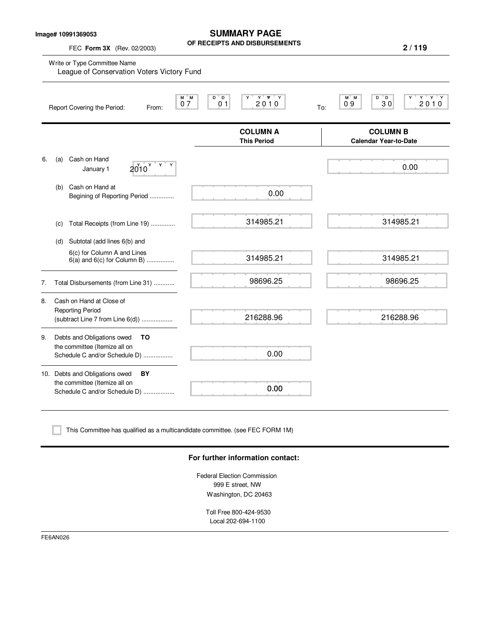**Image# 10991369053**

FEC **Form 3X** (Rev. 02/2003)

**SUMMARY PAGE OF RECEIPTS AND DISBURSEMENTS**

**2 / 119**

|           | M M<br>07<br>Report Covering the Period:<br>From:                     | $Y$ $W$ $Y$<br>$D^{\prime}D$<br>Ÿ<br>2010<br>0 <sub>1</sub> | $M^*$ M<br>$D^{\prime}D$<br>$Y$ $Y$ $Y$<br>Υ<br>09<br>30<br>2010<br>To: |
|-----------|-----------------------------------------------------------------------|-------------------------------------------------------------|-------------------------------------------------------------------------|
|           |                                                                       | <b>COLUMN A</b><br><b>This Period</b>                       | <b>COLUMN B</b><br><b>Calendar Year-to-Date</b>                         |
| 6.<br>(a) | Cash on Hand<br>$\mathsf{Y}$<br>2010 <sup>Y</sup><br>Υ<br>January 1   |                                                             | 0.00                                                                    |
| (b)       | Cash on Hand at<br>Begining of Reporting Period                       | 0.00                                                        |                                                                         |
| (C)       | Total Receipts (from Line 19)                                         | 314985.21                                                   | 314985.21                                                               |
| (d)       | Subtotal (add lines 6(b) and                                          |                                                             |                                                                         |
|           | 6(c) for Column A and Lines<br>$6(a)$ and $6(c)$ for Column B)        | 314985.21                                                   | 314985.21                                                               |
| 7.        | Total Disbursements (from Line 31)                                    | 98696.25                                                    | 98696.25                                                                |
| 8.        | Cash on Hand at Close of<br><b>Reporting Period</b>                   | 216288.96                                                   | 216288.96                                                               |
|           | (subtract Line 7 from Line 6(d))                                      |                                                             |                                                                         |
| 9.        | Debts and Obligations owed<br>TO                                      |                                                             |                                                                         |
|           | the committee (Itemize all on<br>Schedule C and/or Schedule D)        | 0.00                                                        |                                                                         |
|           | 10. Debts and Obligations owed<br>BY<br>the committee (Itemize all on |                                                             |                                                                         |
|           | Schedule C and/or Schedule D)                                         | 0.00                                                        |                                                                         |

### **For further information contact:**

Federal Election Commission 999 E street, NW Washington, DC 20463

Toll Free 800-424-9530 Local 202-694-1100

FE6AN026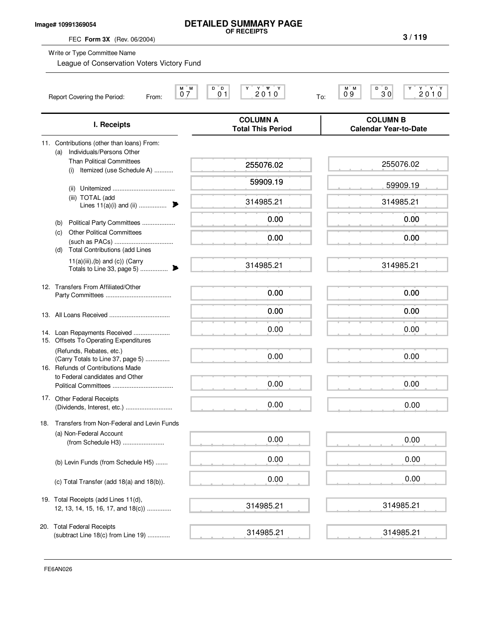## **Image# 10991369054**

# **DETAILED SUMMARY PAGE**

**OF RECEIPTS**

| FEC Form 3X (Rev. 06/2004)                                                                         | UF REUEIPIS                                 | 3/119                                                                                                         |
|----------------------------------------------------------------------------------------------------|---------------------------------------------|---------------------------------------------------------------------------------------------------------------|
| Write or Type Committee Name<br>League of Conservation Voters Victory Fund                         |                                             |                                                                                                               |
| М<br>07<br>Report Covering the Period:<br>From:                                                    | 2010<br>M<br>D D<br>0 <sub>1</sub><br>To:   | D<br>M M<br>D<br>$\begin{array}{c} \mathbf{Y} \ \mathbf{Y} \ \mathbf{Y} \ \mathbf{0} \end{array}$<br>09<br>30 |
| I. Receipts                                                                                        | <b>COLUMN A</b><br><b>Total This Period</b> | <b>COLUMN B</b><br><b>Calendar Year-to-Date</b>                                                               |
| 11. Contributions (other than loans) From:<br>Individuals/Persons Other                            |                                             |                                                                                                               |
| (a)<br><b>Than Political Committees</b><br>(i) Itemized (use Schedule A)                           | 255076.02                                   | 255076.02                                                                                                     |
|                                                                                                    | 59909.19                                    | 59909.19                                                                                                      |
| (iii) TOTAL (add<br>Lines $11(a)(i)$ and (ii)                                                      | 314985.21                                   | 314985.21                                                                                                     |
| Political Party Committees<br>(b)                                                                  | 0.00                                        | 0.00                                                                                                          |
| <b>Other Political Committees</b><br>(c)<br><b>Total Contributions (add Lines</b><br>(d)           | 0.00                                        | 0.00                                                                                                          |
| $11(a)(iii),(b)$ and $(c)$ ) (Carry                                                                | 314985.21                                   | 314985.21                                                                                                     |
| 12. Transfers From Affiliated/Other                                                                | 0.00                                        | 0.00                                                                                                          |
|                                                                                                    | 0.00                                        | 0.00                                                                                                          |
| 14. Loan Repayments Received<br>15. Offsets To Operating Expenditures                              | 0.00                                        | 0.00                                                                                                          |
| (Refunds, Rebates, etc.)<br>(Carry Totals to Line 37, page 5)<br>16. Refunds of Contributions Made | 0.00                                        | 0.00                                                                                                          |
| to Federal candidates and Other                                                                    | 0.00                                        | 0.00                                                                                                          |
| 17. Other Federal Receipts<br>(Dividends, Interest, etc.)                                          | 0.00                                        | 0.00                                                                                                          |
| Transfers from Non-Federal and Levin Funds<br>18.                                                  |                                             |                                                                                                               |
| (a) Non-Federal Account<br>(from Schedule H3)                                                      | 0.00                                        | 0.00                                                                                                          |
| (b) Levin Funds (from Schedule H5)                                                                 | 0.00                                        | 0.00                                                                                                          |
| (c) Total Transfer (add 18(a) and 18(b)).                                                          | 0.00                                        | 0.00                                                                                                          |
| 19. Total Receipts (add Lines 11(d),<br>12, 13, 14, 15, 16, 17, and 18(c))                         | 314985.21                                   | 314985.21                                                                                                     |
| 20. Total Federal Receipts<br>(subtract Line 18(c) from Line 19)                                   | 314985.21                                   | 314985.21                                                                                                     |

FE6AN026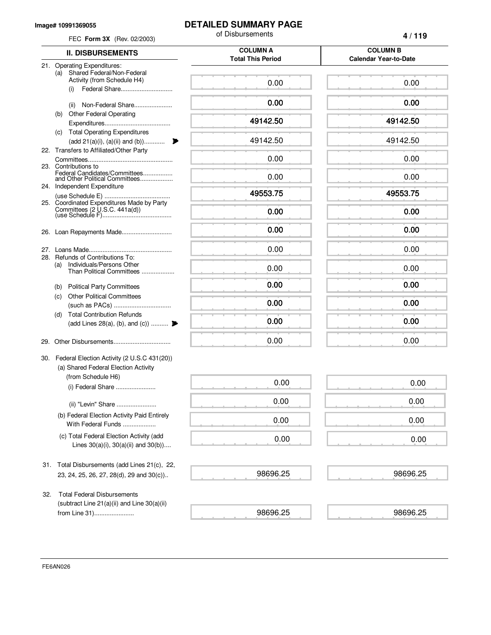#### **Image# 10991369055**

**DETAILED SUMMARY PAGE**

of Disbursements

**4 / 119**

| <b>II. DISBURSEMENTS</b>                                             | <b>COLUMN A</b><br><b>Total This Period</b> | <b>COLUMN B</b><br><b>Calendar Year-to-Date</b> |
|----------------------------------------------------------------------|---------------------------------------------|-------------------------------------------------|
| 21. Operating Expenditures:                                          |                                             |                                                 |
| Shared Federal/Non-Federal<br>(a)<br>Activity (from Schedule H4)     |                                             |                                                 |
| Federal Share                                                        | 0.00                                        | 0.00                                            |
| (i)                                                                  |                                             |                                                 |
| Non-Federal Share<br>(ii)                                            | 0.00                                        | 0.00                                            |
| (b) Other Federal Operating                                          |                                             |                                                 |
|                                                                      | 49142.50                                    | 49142.50                                        |
| (c) Total Operating Expenditures                                     |                                             |                                                 |
| $(\text{add } 21(a)(i), (a)(ii) \text{ and } (b)) \dots \dots \dots$ | 49142.50<br>₱                               | 49142.50                                        |
| 22. Transfers to Affiliated/Other Party                              |                                             |                                                 |
| 23. Contributions to                                                 | 0.00                                        | 0.00                                            |
| Federal Candidates/Committees<br>and Other Political Committees      | 0.00                                        | 0.00                                            |
| 24. Independent Expenditure                                          |                                             |                                                 |
|                                                                      | 49553.75                                    | 49553.75                                        |
| 25. Coordinated Expenditures Made by Party                           |                                             |                                                 |
|                                                                      | 0.00                                        | 0.00                                            |
|                                                                      |                                             |                                                 |
|                                                                      | 0.00                                        | 0.00                                            |
|                                                                      | 0.00                                        | 0.00                                            |
| 28. Refunds of Contributions To:                                     |                                             |                                                 |
| Individuals/Persons Other<br>(a)                                     | 0.00                                        | 0.00                                            |
| Than Political Committees                                            |                                             |                                                 |
| <b>Political Party Committees</b><br>(b)                             | 0.00                                        | 0.00                                            |
| <b>Other Political Committees</b><br>(c)                             |                                             |                                                 |
|                                                                      | 0.00                                        | 0.00                                            |
| <b>Total Contribution Refunds</b><br>(d)                             |                                             |                                                 |
| (add Lines 28(a), (b), and (c))                                      | 0.00                                        | 0.00                                            |
|                                                                      | 0.00                                        | 0.00                                            |
| 29.                                                                  |                                             |                                                 |
| 30. Federal Election Activity (2 U.S.C 431(20))                      |                                             |                                                 |
| (a) Shared Federal Election Activity                                 |                                             |                                                 |
| (from Schedule H6)                                                   |                                             |                                                 |
| (i) Federal Share                                                    | 0.00                                        | 0.00                                            |
|                                                                      | 0.00                                        | 0.00                                            |
| (ii) "Levin" Share                                                   |                                             |                                                 |
| (b) Federal Election Activity Paid Entirely                          | 0.00                                        | 0.00                                            |
| With Federal Funds                                                   |                                             |                                                 |
| (c) Total Federal Election Activity (add                             | 0.00                                        | 0.00                                            |
| Lines $30(a)(i)$ , $30(a)(ii)$ and $30(b)$ )                         |                                             |                                                 |
|                                                                      |                                             |                                                 |
| 31. Total Disbursements (add Lines 21(c), 22,                        |                                             |                                                 |
| 23, 24, 25, 26, 27, 28(d), 29 and 30(c))                             | 98696.25                                    | 98696.25                                        |
|                                                                      |                                             |                                                 |
| <b>Total Federal Disbursements</b><br>32.                            |                                             |                                                 |
| (subtract Line $21(a)(ii)$ and Line $30(a)(ii)$                      |                                             |                                                 |
| from Line 31)                                                        | 98696.25                                    | 98696.25                                        |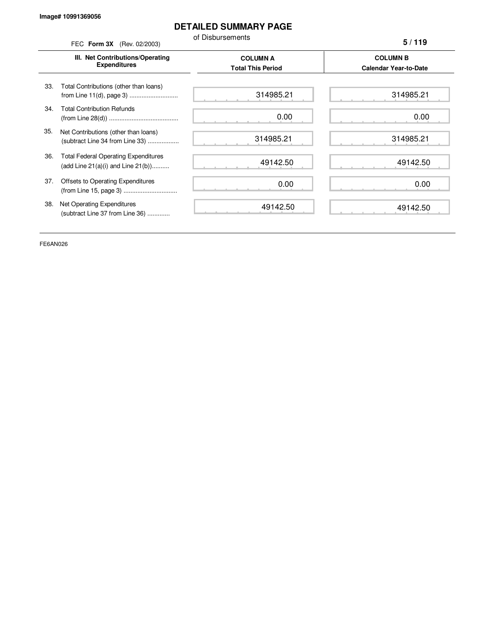# **DETAILED SUMMARY PAGE**

**5 / 119**

of Disbursements FEC **Form 3X** (Rev. 02/2003)

**III. Net Contributions/Operating Expenditures COLUMN A COLUMN B Total This Period Calendar Year-to-Date** from Line 11(d), page 3) ............................ 33. Total Contributions (other than loans) 34. Total Contribution Refunds (from Line 28(d)) ........................................ 35. Net Contributions (other than loans) (subtract Line 34 from Line 33) .................. 36. Total Federal Operating Expenditures (add Line 21(a)(i) and Line 21(b)).......... 37. Offsets to Operating Expenditures (from Line 15, page 3) ............................... 38. Net Operating Expenditures (subtract Line 37 from Line 36) ............. 314985.21 0.00 314985.21 49142.50 0.00 49142.50 314985.21 0.00 314985.21 49142.50 0.00 49142.50

FE6AN026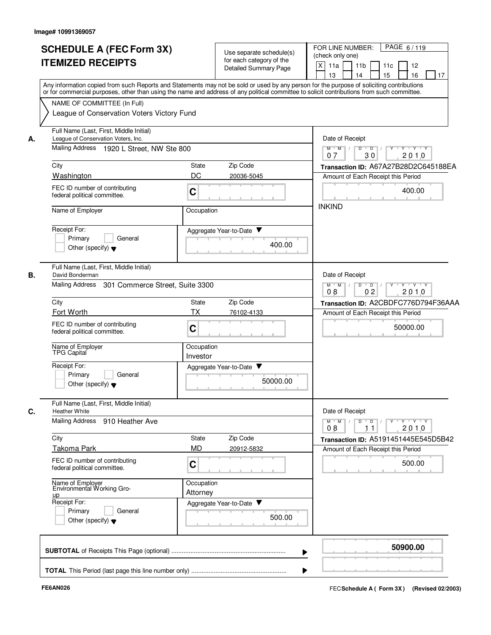|    | <b>SCHEDULE A (FEC Form 3X)</b><br><b>ITEMIZED RECEIPTS</b>                                                                                                                                                                                                                                                                                                          |                        | Use separate schedule(s)<br>for each category of the<br><b>Detailed Summary Page</b> | PAGE 6/119<br>FOR LINE NUMBER:<br>(check only one)<br>X<br>11a<br>11 <sub>b</sub><br>11c<br>12<br>15<br>16<br>13<br>14<br>17 |
|----|----------------------------------------------------------------------------------------------------------------------------------------------------------------------------------------------------------------------------------------------------------------------------------------------------------------------------------------------------------------------|------------------------|--------------------------------------------------------------------------------------|------------------------------------------------------------------------------------------------------------------------------|
|    | Any information copied from such Reports and Statements may not be sold or used by any person for the purpose of soliciting contributions<br>or for commercial purposes, other than using the name and address of any political committee to solicit contributions from such committee.<br>NAME OF COMMITTEE (In Full)<br>League of Conservation Voters Victory Fund |                        |                                                                                      |                                                                                                                              |
| А. | Full Name (Last, First, Middle Initial)<br>League of Conservation Voters, Inc.<br>Mailing Address<br>1920 L Street, NW Ste 800                                                                                                                                                                                                                                       |                        |                                                                                      | Date of Receipt<br>D<br>$M$ $M$ /<br>$\overline{D}$                                                                          |
|    |                                                                                                                                                                                                                                                                                                                                                                      |                        |                                                                                      | 30<br>2010<br>07                                                                                                             |
|    | City<br>Washington                                                                                                                                                                                                                                                                                                                                                   | State<br>DC            | Zip Code<br>20036-5045                                                               | Transaction ID: A67A27B28D2C645188EA                                                                                         |
|    | FEC ID number of contributing<br>federal political committee.                                                                                                                                                                                                                                                                                                        | $\mathbf C$            |                                                                                      | Amount of Each Receipt this Period<br>400.00                                                                                 |
|    | Name of Employer                                                                                                                                                                                                                                                                                                                                                     | Occupation             |                                                                                      | <b>INKIND</b>                                                                                                                |
|    | Receipt For:<br>General<br>Primary<br>Other (specify) $\blacktriangledown$                                                                                                                                                                                                                                                                                           |                        | Aggregate Year-to-Date<br>400.00                                                     |                                                                                                                              |
| В. | Full Name (Last, First, Middle Initial)<br>David Bonderman                                                                                                                                                                                                                                                                                                           |                        |                                                                                      | Date of Receipt                                                                                                              |
|    | Mailing Address<br>301 Commerce Street, Suite 3300                                                                                                                                                                                                                                                                                                                   |                        |                                                                                      | $M$ $M$<br>$D$ $D$<br><b>TY TY TY</b><br>$\prime$<br>0 <sub>2</sub><br>08<br>2010                                            |
|    | City                                                                                                                                                                                                                                                                                                                                                                 | State                  | Zip Code                                                                             | Transaction ID: A2CBDFC776D794F36AAA                                                                                         |
|    | Fort Worth                                                                                                                                                                                                                                                                                                                                                           | ТX                     | 76102-4133                                                                           | Amount of Each Receipt this Period                                                                                           |
|    | FEC ID number of contributing<br>federal political committee.                                                                                                                                                                                                                                                                                                        | $\mathbf C$            |                                                                                      | 50000.00                                                                                                                     |
|    | Name of Employer<br>TPG Capital                                                                                                                                                                                                                                                                                                                                      | Occupation<br>Investor |                                                                                      |                                                                                                                              |
|    | Receipt For:                                                                                                                                                                                                                                                                                                                                                         |                        | Aggregate Year-to-Date                                                               |                                                                                                                              |
|    | Primary<br>General<br>Other (specify) $\blacktriangledown$                                                                                                                                                                                                                                                                                                           |                        | 50000.00                                                                             |                                                                                                                              |
| С. | Full Name (Last, First, Middle Initial)<br><b>Heather White</b>                                                                                                                                                                                                                                                                                                      |                        |                                                                                      | Date of Receipt                                                                                                              |
|    | Mailing Address 910 Heather Ave                                                                                                                                                                                                                                                                                                                                      |                        |                                                                                      | $\mathsf{Y} \dashv \mathsf{Y} \dashv \mathsf{Y}$<br>$M$ M<br>D<br>$\overline{D}$<br>Y<br>2010<br>08<br>11                    |
|    | City                                                                                                                                                                                                                                                                                                                                                                 | State                  | Zip Code                                                                             | Transaction ID: A5191451445E545D5B42                                                                                         |
|    | <b>Takoma Park</b>                                                                                                                                                                                                                                                                                                                                                   | <b>MD</b>              | 20912-5832                                                                           | Amount of Each Receipt this Period                                                                                           |
|    | FEC ID number of contributing<br>federal political committee.                                                                                                                                                                                                                                                                                                        | $\mathbf C$            |                                                                                      | 500.00                                                                                                                       |
|    | Name of Employer<br>Environmental Working Gro-                                                                                                                                                                                                                                                                                                                       | Occupation<br>Attorney |                                                                                      |                                                                                                                              |
|    | $\mathsf{u}\mathsf{p}$<br>Receipt For:                                                                                                                                                                                                                                                                                                                               |                        | Aggregate Year-to-Date                                                               |                                                                                                                              |
|    | Primary<br>General<br>Other (specify) $\blacktriangledown$                                                                                                                                                                                                                                                                                                           |                        | 500.00                                                                               |                                                                                                                              |
|    |                                                                                                                                                                                                                                                                                                                                                                      |                        |                                                                                      | 50900.00                                                                                                                     |
|    |                                                                                                                                                                                                                                                                                                                                                                      |                        |                                                                                      |                                                                                                                              |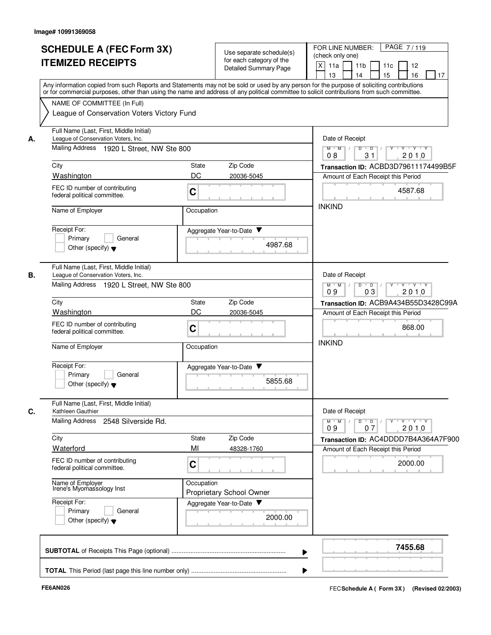|    | <b>SCHEDULE A (FEC Form 3X)</b><br><b>ITEMIZED RECEIPTS</b>                                                                 | Use separate schedule(s)<br>for each category of the<br>Detailed Summary Page                                                                                                                                                                                                           | PAGE 7/119<br>FOR LINE NUMBER:<br>(check only one)<br>X<br>11a<br>11 <sub>b</sub><br>11c<br>12<br>15<br>16<br>13<br>14<br>17                                                                                  |
|----|-----------------------------------------------------------------------------------------------------------------------------|-----------------------------------------------------------------------------------------------------------------------------------------------------------------------------------------------------------------------------------------------------------------------------------------|---------------------------------------------------------------------------------------------------------------------------------------------------------------------------------------------------------------|
|    | NAME OF COMMITTEE (In Full)                                                                                                 | Any information copied from such Reports and Statements may not be sold or used by any person for the purpose of soliciting contributions<br>or for commercial purposes, other than using the name and address of any political committee to solicit contributions from such committee. |                                                                                                                                                                                                               |
|    | League of Conservation Voters Victory Fund                                                                                  |                                                                                                                                                                                                                                                                                         |                                                                                                                                                                                                               |
| А. | Full Name (Last, First, Middle Initial)<br>League of Conservation Voters, Inc.                                              |                                                                                                                                                                                                                                                                                         | Date of Receipt                                                                                                                                                                                               |
|    | Mailing Address 1920 L Street, NW Ste 800                                                                                   |                                                                                                                                                                                                                                                                                         | $M$ $M$ /<br>D<br>$Y \rightarrow Y \rightarrow Y$<br>$\overline{D}$<br>2010<br>31<br>08                                                                                                                       |
|    | City                                                                                                                        | Zip Code<br>State                                                                                                                                                                                                                                                                       | Transaction ID: ACBD3D79611174499B5F                                                                                                                                                                          |
|    | Washington<br>FEC ID number of contributing<br>federal political committee.                                                 | DC<br>20036-5045<br>$\mathbf C$                                                                                                                                                                                                                                                         | Amount of Each Receipt this Period<br>4587.68                                                                                                                                                                 |
|    | Name of Employer                                                                                                            | Occupation                                                                                                                                                                                                                                                                              | <b>INKIND</b>                                                                                                                                                                                                 |
|    | Receipt For:<br>Primary<br>General<br>Other (specify) $\blacktriangledown$                                                  | Aggregate Year-to-Date ▼<br>4987.68                                                                                                                                                                                                                                                     |                                                                                                                                                                                                               |
| В. | Full Name (Last, First, Middle Initial)<br>League of Conservation Voters, Inc.<br>Mailing Address 1920 L Street, NW Ste 800 |                                                                                                                                                                                                                                                                                         | Date of Receipt<br>$M$ $M$ $/$<br>$D$ $D$<br>$\mathsf{L}^{\mathsf{L}}\mathsf{Y}^{\mathsf{L}}\mathsf{I}^{\mathsf{L}}\mathsf{Y}^{\mathsf{L}}\mathsf{I}^{\mathsf{L}}\mathsf{Y}^{\mathsf{L}}$<br>03<br>09<br>2010 |
|    | City                                                                                                                        | <b>State</b><br>Zip Code                                                                                                                                                                                                                                                                | Transaction ID: ACB9A434B55D3428C99A                                                                                                                                                                          |
|    | <b>Washington</b>                                                                                                           | DC<br>20036-5045                                                                                                                                                                                                                                                                        | Amount of Each Receipt this Period                                                                                                                                                                            |
|    | FEC ID number of contributing<br>federal political committee.                                                               | $\mathbf C$                                                                                                                                                                                                                                                                             | 868.00<br><b>INKIND</b>                                                                                                                                                                                       |
|    | Name of Employer                                                                                                            | Occupation                                                                                                                                                                                                                                                                              |                                                                                                                                                                                                               |
|    | Receipt For:<br>Primary<br>General<br>Other (specify) $\blacktriangledown$                                                  | Aggregate Year-to-Date<br>5855.68                                                                                                                                                                                                                                                       |                                                                                                                                                                                                               |
| C. | Full Name (Last, First, Middle Initial)<br>Kathleen Gauthier<br>Mailing Address 2548 Silverside Rd.                         |                                                                                                                                                                                                                                                                                         | Date of Receipt<br>$\mathsf{Y} \dashv \mathsf{Y} \dashv \mathsf{Y} \dashv \mathsf{Y}$<br>$M$ $M$ /<br>$D$ $D$ $/$<br>07<br>2010<br>09                                                                         |
|    | City                                                                                                                        | State<br>Zip Code                                                                                                                                                                                                                                                                       | Transaction ID: AC4DDDD7B4A364A7F900                                                                                                                                                                          |
|    | Waterford<br>FEC ID number of contributing                                                                                  | MI<br>48328-1760                                                                                                                                                                                                                                                                        | Amount of Each Receipt this Period                                                                                                                                                                            |
|    | federal political committee.                                                                                                | $\mathbf C$                                                                                                                                                                                                                                                                             | 2000.00                                                                                                                                                                                                       |
|    | Name of Employer<br>Irene's Myomassology Inst                                                                               | Occupation<br>Proprietary School Owner                                                                                                                                                                                                                                                  |                                                                                                                                                                                                               |
|    | Receipt For:<br>Primary<br>General<br>Other (specify) $\blacktriangledown$                                                  | Aggregate Year-to-Date<br>2000.00                                                                                                                                                                                                                                                       |                                                                                                                                                                                                               |
|    |                                                                                                                             |                                                                                                                                                                                                                                                                                         | 7455.68                                                                                                                                                                                                       |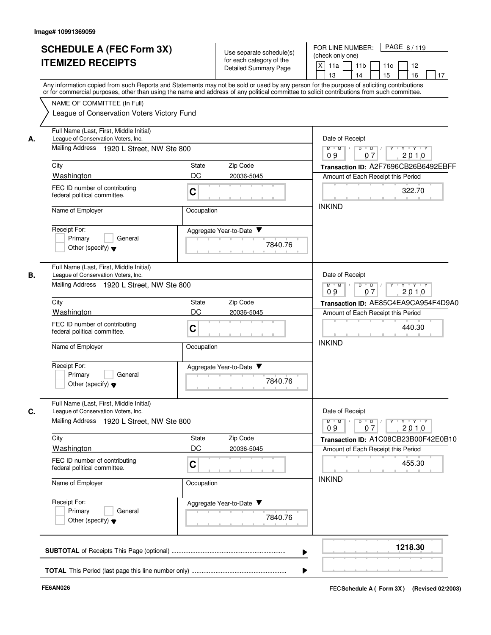|    | <b>SCHEDULE A (FEC Form 3X)</b><br><b>ITEMIZED RECEIPTS</b>                                                                                                                                                                                                                                                                                                          |             | Use separate schedule(s)<br>for each category of the<br>Detailed Summary Page | PAGE 8/119<br>FOR LINE NUMBER:<br>(check only one)<br>X<br>11a<br>11 <sub>b</sub><br>11c<br>12<br>16<br>13<br>14<br>15<br>17 |
|----|----------------------------------------------------------------------------------------------------------------------------------------------------------------------------------------------------------------------------------------------------------------------------------------------------------------------------------------------------------------------|-------------|-------------------------------------------------------------------------------|------------------------------------------------------------------------------------------------------------------------------|
|    | Any information copied from such Reports and Statements may not be sold or used by any person for the purpose of soliciting contributions<br>or for commercial purposes, other than using the name and address of any political committee to solicit contributions from such committee.<br>NAME OF COMMITTEE (In Full)<br>League of Conservation Voters Victory Fund |             |                                                                               |                                                                                                                              |
| А. | Full Name (Last, First, Middle Initial)<br>League of Conservation Voters, Inc.<br>Mailing Address 1920 L Street, NW Ste 800                                                                                                                                                                                                                                          |             |                                                                               | Date of Receipt<br>$M$ $M$ /<br>$D$ $D$                                                                                      |
|    |                                                                                                                                                                                                                                                                                                                                                                      |             |                                                                               | 2010<br>09<br>07                                                                                                             |
|    | City<br>Washington                                                                                                                                                                                                                                                                                                                                                   | State<br>DC | Zip Code<br>20036-5045                                                        | Transaction ID: A2F7696CB26B6492EBFF                                                                                         |
|    | FEC ID number of contributing<br>federal political committee.                                                                                                                                                                                                                                                                                                        | $\mathbf C$ |                                                                               | Amount of Each Receipt this Period<br>322.70                                                                                 |
|    | Name of Employer                                                                                                                                                                                                                                                                                                                                                     | Occupation  |                                                                               | <b>INKIND</b>                                                                                                                |
|    | Receipt For:<br>Primary<br>General<br>Other (specify) $\blacktriangledown$                                                                                                                                                                                                                                                                                           |             | Aggregate Year-to-Date ▼<br>7840.76                                           |                                                                                                                              |
| В. | Full Name (Last, First, Middle Initial)<br>League of Conservation Voters, Inc.<br>Mailing Address 1920 L Street, NW Ste 800                                                                                                                                                                                                                                          |             |                                                                               | Date of Receipt<br>$M$ $M$ /<br>$D$ $D$<br>Y<br>ץ יץ יש<br>09<br>2010<br>07                                                  |
|    | City                                                                                                                                                                                                                                                                                                                                                                 | State       | Zip Code                                                                      | Transaction ID: AE85C4EA9CA954F4D9A0                                                                                         |
|    | Washington                                                                                                                                                                                                                                                                                                                                                           | DC          | 20036-5045                                                                    | Amount of Each Receipt this Period                                                                                           |
|    | FEC ID number of contributing<br>federal political committee.                                                                                                                                                                                                                                                                                                        | $\mathbf C$ |                                                                               | 440.30                                                                                                                       |
|    | Name of Employer                                                                                                                                                                                                                                                                                                                                                     | Occupation  |                                                                               | <b>INKIND</b>                                                                                                                |
|    | Receipt For:<br>Primary<br>General<br>Other (specify) $\blacktriangledown$                                                                                                                                                                                                                                                                                           |             | Aggregate Year-to-Date<br>7840.76                                             |                                                                                                                              |
| С. | Full Name (Last, First, Middle Initial)<br>League of Conservation Voters, Inc.                                                                                                                                                                                                                                                                                       |             |                                                                               | Date of Receipt                                                                                                              |
|    | Mailing Address 1920 L Street, NW Ste 800                                                                                                                                                                                                                                                                                                                            |             |                                                                               | $Y$ $Y$ $Y$<br>$M$ M<br>$D$ $D$<br>2010<br>09<br>07                                                                          |
|    | City                                                                                                                                                                                                                                                                                                                                                                 | State       | Zip Code                                                                      | Transaction ID: A1C08CB23B00F42E0B10                                                                                         |
|    | Washington                                                                                                                                                                                                                                                                                                                                                           | DC          | 20036-5045                                                                    | Amount of Each Receipt this Period                                                                                           |
|    | FEC ID number of contributing<br>federal political committee.                                                                                                                                                                                                                                                                                                        | $\mathbf C$ |                                                                               | 455.30                                                                                                                       |
|    | Name of Employer                                                                                                                                                                                                                                                                                                                                                     | Occupation  |                                                                               | <b>INKIND</b>                                                                                                                |
|    | Receipt For:<br>Primary<br>General<br>Other (specify) $\blacktriangledown$                                                                                                                                                                                                                                                                                           |             | Aggregate Year-to-Date<br>7840.76                                             |                                                                                                                              |
|    |                                                                                                                                                                                                                                                                                                                                                                      |             |                                                                               | 1218.30                                                                                                                      |
|    |                                                                                                                                                                                                                                                                                                                                                                      |             |                                                                               |                                                                                                                              |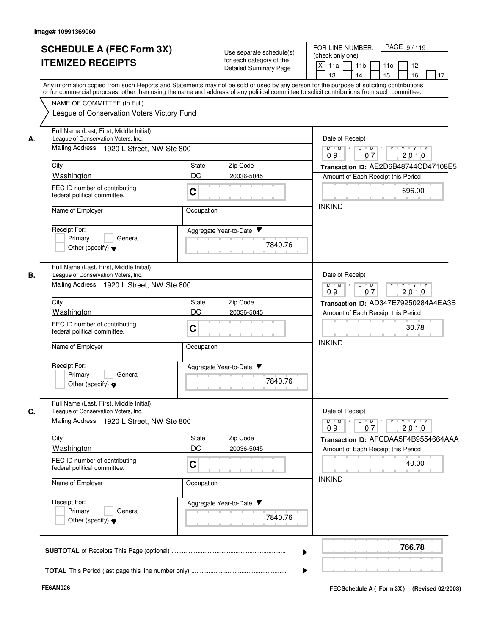|    | <b>SCHEDULE A (FEC Form 3X)</b><br><b>ITEMIZED RECEIPTS</b>                                                                 | Use separate schedule(s)<br>for each category of the<br>Detailed Summary Page | PAGE 9/119<br>FOR LINE NUMBER:<br>(check only one)<br>X<br>11a<br>11 <sub>b</sub><br>11c<br>12<br>16<br>13<br>14<br>15<br>17                                                                                                                                                            |
|----|-----------------------------------------------------------------------------------------------------------------------------|-------------------------------------------------------------------------------|-----------------------------------------------------------------------------------------------------------------------------------------------------------------------------------------------------------------------------------------------------------------------------------------|
|    | NAME OF COMMITTEE (In Full)<br>League of Conservation Voters Victory Fund                                                   |                                                                               | Any information copied from such Reports and Statements may not be sold or used by any person for the purpose of soliciting contributions<br>or for commercial purposes, other than using the name and address of any political committee to solicit contributions from such committee. |
| А. | Full Name (Last, First, Middle Initial)<br>League of Conservation Voters, Inc.<br>Mailing Address 1920 L Street, NW Ste 800 |                                                                               | Date of Receipt<br>$M$ $M$ /<br>$D$ $D$<br>2010<br>09<br>07                                                                                                                                                                                                                             |
|    | City                                                                                                                        | State<br>Zip Code                                                             | Transaction ID: AE2D6B48744CD47108E5                                                                                                                                                                                                                                                    |
|    | Washington                                                                                                                  | DC<br>20036-5045                                                              | Amount of Each Receipt this Period                                                                                                                                                                                                                                                      |
|    | FEC ID number of contributing<br>federal political committee.                                                               | $\mathbf C$                                                                   | 696.00                                                                                                                                                                                                                                                                                  |
|    | Name of Employer                                                                                                            | Occupation                                                                    | <b>INKIND</b>                                                                                                                                                                                                                                                                           |
|    | Receipt For:<br>Primary<br>General<br>Other (specify) $\blacktriangledown$                                                  | Aggregate Year-to-Date ▼                                                      | 7840.76                                                                                                                                                                                                                                                                                 |
| В. | Full Name (Last, First, Middle Initial)<br>League of Conservation Voters, Inc.<br>Mailing Address 1920 L Street, NW Ste 800 |                                                                               | Date of Receipt<br>$M$ $M$<br>$D$ $D$<br>Y<br>πγππγππγ<br>$\overline{1}$                                                                                                                                                                                                                |
|    | City                                                                                                                        | Zip Code<br>State                                                             | 09<br>2010<br>07                                                                                                                                                                                                                                                                        |
|    | Washington                                                                                                                  | DC<br>20036-5045                                                              | Transaction ID: AD347E79250284A4EA3B<br>Amount of Each Receipt this Period                                                                                                                                                                                                              |
|    | FEC ID number of contributing<br>federal political committee.                                                               | $\mathbf C$                                                                   | 30.78                                                                                                                                                                                                                                                                                   |
|    | Name of Employer                                                                                                            | Occupation                                                                    | <b>INKIND</b>                                                                                                                                                                                                                                                                           |
|    | Receipt For:<br>Primary<br>General<br>Other (specify) $\blacktriangledown$                                                  | Aggregate Year-to-Date                                                        | 7840.76                                                                                                                                                                                                                                                                                 |
| C. | Full Name (Last, First, Middle Initial)<br>League of Conservation Voters, Inc.                                              |                                                                               | Date of Receipt                                                                                                                                                                                                                                                                         |
|    | Mailing Address 1920 L Street, NW Ste 800                                                                                   |                                                                               | $Y$ $Y$ $Y$<br>$D$ $D$<br>$M$ $M$<br>2010<br>09<br>07                                                                                                                                                                                                                                   |
|    | City                                                                                                                        | State<br>Zip Code                                                             | Transaction ID: AFCDAA5F4B9554664AAA                                                                                                                                                                                                                                                    |
|    | Washington                                                                                                                  | DC<br>20036-5045                                                              | Amount of Each Receipt this Period                                                                                                                                                                                                                                                      |
|    | FEC ID number of contributing<br>federal political committee.                                                               | $\mathbf C$                                                                   | 40.00<br><b>INKIND</b>                                                                                                                                                                                                                                                                  |
|    | Name of Employer                                                                                                            | Occupation                                                                    |                                                                                                                                                                                                                                                                                         |
|    | Receipt For:<br>Primary<br>General<br>Other (specify) $\blacktriangledown$                                                  | Aggregate Year-to-Date                                                        | 7840.76                                                                                                                                                                                                                                                                                 |
|    |                                                                                                                             |                                                                               | 766.78                                                                                                                                                                                                                                                                                  |
|    |                                                                                                                             |                                                                               |                                                                                                                                                                                                                                                                                         |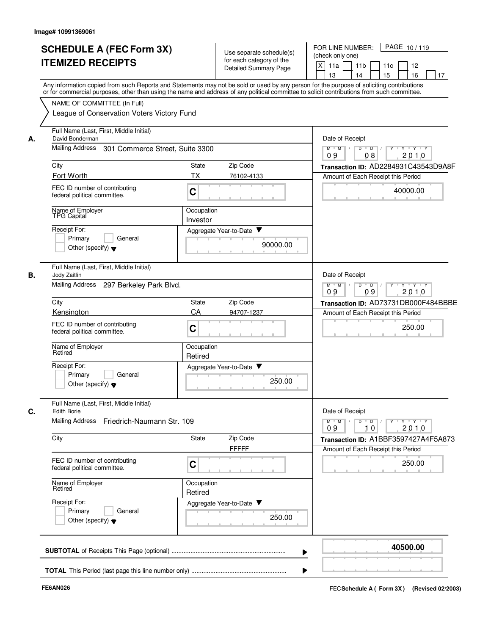|    | <b>SCHEDULE A (FEC Form 3X)</b><br><b>ITEMIZED RECEIPTS</b>               | Use separate schedule(s)<br>for each category of the<br><b>Detailed Summary Page</b>                                                                                                                                                                                                    | FOR LINE NUMBER:<br>PAGE 10/119<br>(check only one)<br>$\times$<br>11a<br>11 <sub>b</sub><br>11c<br>12<br>15<br>16<br>13<br>17<br>14 |
|----|---------------------------------------------------------------------------|-----------------------------------------------------------------------------------------------------------------------------------------------------------------------------------------------------------------------------------------------------------------------------------------|--------------------------------------------------------------------------------------------------------------------------------------|
|    |                                                                           | Any information copied from such Reports and Statements may not be sold or used by any person for the purpose of soliciting contributions<br>or for commercial purposes, other than using the name and address of any political committee to solicit contributions from such committee. |                                                                                                                                      |
|    | NAME OF COMMITTEE (In Full)<br>League of Conservation Voters Victory Fund |                                                                                                                                                                                                                                                                                         |                                                                                                                                      |
| А. | Full Name (Last, First, Middle Initial)<br>David Bonderman                |                                                                                                                                                                                                                                                                                         | Date of Receipt                                                                                                                      |
|    | <b>Mailing Address</b><br>301 Commerce Street, Suite 3300                 |                                                                                                                                                                                                                                                                                         | $M$ $M$ $/$<br>$D$ $D$ $/$<br>$T$ $\rightarrow$ $T$ $\rightarrow$ $T$ $\rightarrow$ $T$ $\rightarrow$ $T$<br>08<br>2010<br>09        |
|    | City                                                                      | State<br>Zip Code                                                                                                                                                                                                                                                                       | Transaction ID: AD2284931C43543D9A8F                                                                                                 |
|    | Fort Worth                                                                | <b>TX</b><br>76102-4133                                                                                                                                                                                                                                                                 | Amount of Each Receipt this Period                                                                                                   |
|    | FEC ID number of contributing<br>federal political committee.             | C                                                                                                                                                                                                                                                                                       | 40000.00                                                                                                                             |
|    | Name of Employer<br>TPG Capital                                           | Occupation<br>Investor                                                                                                                                                                                                                                                                  |                                                                                                                                      |
|    | Receipt For:                                                              | Aggregate Year-to-Date ▼                                                                                                                                                                                                                                                                |                                                                                                                                      |
|    | Primary<br>General<br>Other (specify) $\blacktriangledown$                | 90000.00                                                                                                                                                                                                                                                                                |                                                                                                                                      |
| В. | Full Name (Last, First, Middle Initial)<br>Jody Zaitlin                   |                                                                                                                                                                                                                                                                                         | Date of Receipt                                                                                                                      |
|    | Mailing Address 297 Berkeley Park Blvd.                                   |                                                                                                                                                                                                                                                                                         | D<br>י ץ י ץ י<br>$M$ M<br>$\overline{D}$<br>$\sqrt{ }$<br>09<br>09<br>2010                                                          |
|    | City                                                                      | Zip Code<br>State                                                                                                                                                                                                                                                                       | Transaction ID: AD73731DB000F484BBBE                                                                                                 |
|    | Kensington                                                                | CA<br>94707-1237                                                                                                                                                                                                                                                                        | Amount of Each Receipt this Period                                                                                                   |
|    | FEC ID number of contributing<br>federal political committee.             | C                                                                                                                                                                                                                                                                                       | 250.00                                                                                                                               |
|    | Name of Employer<br>Retired                                               | Occupation<br>Retired                                                                                                                                                                                                                                                                   |                                                                                                                                      |
|    | Receipt For:                                                              | Aggregate Year-to-Date ▼                                                                                                                                                                                                                                                                |                                                                                                                                      |
|    | General<br>Primary<br>Other (specify) $\blacktriangledown$                | 250.00                                                                                                                                                                                                                                                                                  |                                                                                                                                      |
| С. | Full Name (Last, First, Middle Initial)<br><b>Edith Borie</b>             |                                                                                                                                                                                                                                                                                         | Date of Receipt                                                                                                                      |
|    | Mailing Address Friedrich-Naumann Str. 109                                |                                                                                                                                                                                                                                                                                         | $Y$ $Y$ $Y$<br>$M$ $M$ /<br>D<br>$\overline{D}$<br>2010<br>09<br>10                                                                  |
|    | City                                                                      | State<br>Zip Code<br><b>FFFFF</b>                                                                                                                                                                                                                                                       | Transaction ID: A1BBF3597427A4F5A873<br>Amount of Each Receipt this Period                                                           |
|    | FEC ID number of contributing<br>federal political committee.             | C                                                                                                                                                                                                                                                                                       | 250.00                                                                                                                               |
|    | Name of Employer<br>Retired                                               | Occupation<br>Retired                                                                                                                                                                                                                                                                   |                                                                                                                                      |
|    | Receipt For:                                                              | Aggregate Year-to-Date                                                                                                                                                                                                                                                                  |                                                                                                                                      |
|    | Primary<br>General<br>Other (specify) $\blacktriangledown$                | 250.00                                                                                                                                                                                                                                                                                  |                                                                                                                                      |
|    |                                                                           |                                                                                                                                                                                                                                                                                         | 40500.00                                                                                                                             |
|    |                                                                           |                                                                                                                                                                                                                                                                                         |                                                                                                                                      |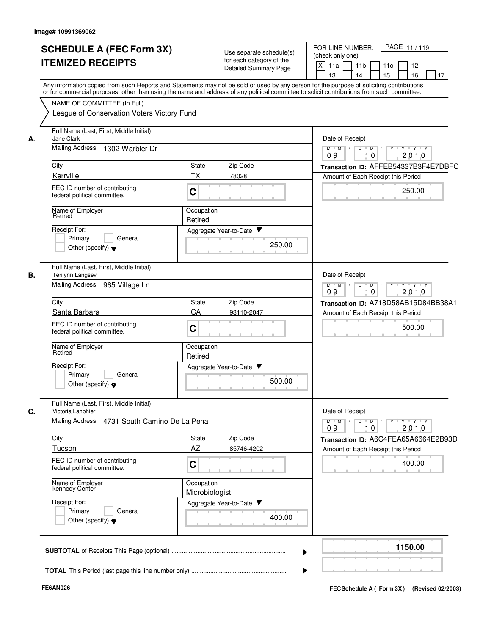|    | <b>SCHEDULE A (FEC Form 3X)</b><br><b>ITEMIZED RECEIPTS</b>                | Use separate schedule(s)<br>for each category of the<br>Detailed Summary Page                                                                                                                                                                                                           | PAGE 11/119<br>FOR LINE NUMBER:<br>(check only one)<br>X<br>12<br>11a<br>11 <sub>b</sub><br>11c<br>16<br>15<br>13<br>14<br>17 |
|----|----------------------------------------------------------------------------|-----------------------------------------------------------------------------------------------------------------------------------------------------------------------------------------------------------------------------------------------------------------------------------------|-------------------------------------------------------------------------------------------------------------------------------|
|    | NAME OF COMMITTEE (In Full)                                                | Any information copied from such Reports and Statements may not be sold or used by any person for the purpose of soliciting contributions<br>or for commercial purposes, other than using the name and address of any political committee to solicit contributions from such committee. |                                                                                                                               |
|    | League of Conservation Voters Victory Fund                                 |                                                                                                                                                                                                                                                                                         |                                                                                                                               |
| А. | Full Name (Last, First, Middle Initial)<br>Jane Clark                      |                                                                                                                                                                                                                                                                                         | Date of Receipt                                                                                                               |
|    | <b>Mailing Address</b><br>1302 Warbler Dr                                  |                                                                                                                                                                                                                                                                                         | $M$ $M$<br>ਦਾγ≕⊏γ≕∽γ<br>$\overline{D}$<br>$\overline{D}$<br>10<br>2010<br>09                                                  |
|    | City                                                                       | State<br>Zip Code                                                                                                                                                                                                                                                                       | Transaction ID: AFFEB54337B3F4E7DBFC                                                                                          |
|    | Kerrville                                                                  | ТX<br>78028                                                                                                                                                                                                                                                                             | Amount of Each Receipt this Period                                                                                            |
|    | FEC ID number of contributing<br>federal political committee.              | $\mathbf C$                                                                                                                                                                                                                                                                             | 250.00                                                                                                                        |
|    | Name of Employer<br>Retired                                                | Occupation<br>Retired                                                                                                                                                                                                                                                                   |                                                                                                                               |
|    | Receipt For:                                                               | Aggregate Year-to-Date                                                                                                                                                                                                                                                                  |                                                                                                                               |
|    | Primary<br>General<br>Other (specify) $\blacktriangledown$                 | 250.00                                                                                                                                                                                                                                                                                  |                                                                                                                               |
| В. | Full Name (Last, First, Middle Initial)<br><b>Terilynn Langsev</b>         |                                                                                                                                                                                                                                                                                         | Date of Receipt                                                                                                               |
|    | <b>Mailing Address</b><br>965 Village Ln                                   |                                                                                                                                                                                                                                                                                         | D<br>$M$ M<br>$\overline{D}$<br>$Y + Y + Y$<br>09<br>10<br>2010                                                               |
|    | City                                                                       | Zip Code<br>State                                                                                                                                                                                                                                                                       | Transaction ID: A718D58AB15D84BB38A1                                                                                          |
|    | Santa Barbara                                                              | CA<br>93110-2047                                                                                                                                                                                                                                                                        | Amount of Each Receipt this Period                                                                                            |
|    | FEC ID number of contributing<br>federal political committee.              | $\mathbf C$                                                                                                                                                                                                                                                                             | 500.00                                                                                                                        |
|    | Name of Employer<br>Retired                                                | Occupation<br>Retired                                                                                                                                                                                                                                                                   |                                                                                                                               |
|    | Receipt For:<br>Primary<br>General<br>Other (specify) $\blacktriangledown$ | Aggregate Year-to-Date<br>500.00                                                                                                                                                                                                                                                        |                                                                                                                               |
| C. | Full Name (Last, First, Middle Initial)<br>Victoria Lanphier               |                                                                                                                                                                                                                                                                                         | Date of Receipt                                                                                                               |
|    | <b>Mailing Address</b><br>4731 South Camino De La Pena                     |                                                                                                                                                                                                                                                                                         | $\mathsf{Y} \dashv \mathsf{Y} \dashv \mathsf{Y} \dashv \mathsf{Y}$<br>$M^+$ $M^-$<br>$D$ $D$ $I$<br>09<br>10<br>2010          |
|    | City                                                                       | Zip Code<br>State                                                                                                                                                                                                                                                                       | Transaction ID: A6C4FEA65A6664E2B93D                                                                                          |
|    | Tucson                                                                     | AZ<br>85746-4202                                                                                                                                                                                                                                                                        | Amount of Each Receipt this Period                                                                                            |
|    | FEC ID number of contributing<br>federal political committee.              | C                                                                                                                                                                                                                                                                                       | 400.00                                                                                                                        |
|    | Name of Employer<br>kennedy Center                                         | Occupation<br>Microbiologist                                                                                                                                                                                                                                                            |                                                                                                                               |
|    | Receipt For:<br>Primary<br>General<br>Other (specify) $\blacktriangledown$ | Aggregate Year-to-Date<br>400.00                                                                                                                                                                                                                                                        |                                                                                                                               |
|    |                                                                            |                                                                                                                                                                                                                                                                                         | 1150.00                                                                                                                       |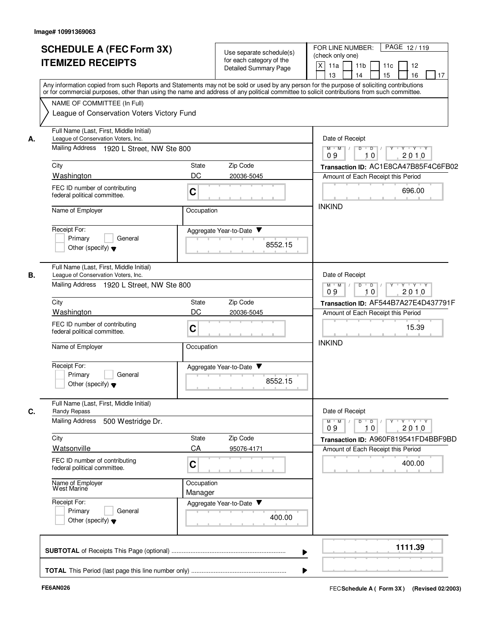|    | <b>SCHEDULE A (FEC Form 3X)</b><br><b>ITEMIZED RECEIPTS</b>                                                                                                                                                                                                                             |                       | Use separate schedule(s)<br>for each category of the<br><b>Detailed Summary Page</b> | PAGE 12/119<br>FOR LINE NUMBER:<br>(check only one)<br>$\vert x \vert$<br>11a<br>11 <sub>b</sub><br>11c<br>12<br>16<br>13<br>15<br>14<br>17 |
|----|-----------------------------------------------------------------------------------------------------------------------------------------------------------------------------------------------------------------------------------------------------------------------------------------|-----------------------|--------------------------------------------------------------------------------------|---------------------------------------------------------------------------------------------------------------------------------------------|
|    | Any information copied from such Reports and Statements may not be sold or used by any person for the purpose of soliciting contributions<br>or for commercial purposes, other than using the name and address of any political committee to solicit contributions from such committee. |                       |                                                                                      |                                                                                                                                             |
|    | NAME OF COMMITTEE (In Full)                                                                                                                                                                                                                                                             |                       |                                                                                      |                                                                                                                                             |
|    | League of Conservation Voters Victory Fund                                                                                                                                                                                                                                              |                       |                                                                                      |                                                                                                                                             |
| А. | Full Name (Last, First, Middle Initial)<br>League of Conservation Voters, Inc.                                                                                                                                                                                                          |                       |                                                                                      | Date of Receipt                                                                                                                             |
|    | Mailing Address 1920 L Street, NW Ste 800                                                                                                                                                                                                                                               |                       |                                                                                      | $M$ $M$ /<br>D<br>$\overline{D}$<br>10<br>2010<br>09                                                                                        |
|    | City                                                                                                                                                                                                                                                                                    | State                 | Zip Code                                                                             | Transaction ID: AC1E8CA47B85F4C6FB02                                                                                                        |
|    | Washington                                                                                                                                                                                                                                                                              | DC                    | 20036-5045                                                                           | Amount of Each Receipt this Period                                                                                                          |
|    | FEC ID number of contributing<br>federal political committee.                                                                                                                                                                                                                           | $\mathbf C$           |                                                                                      | 696.00                                                                                                                                      |
|    | Name of Employer                                                                                                                                                                                                                                                                        | Occupation            |                                                                                      | <b>INKIND</b>                                                                                                                               |
|    | Receipt For:                                                                                                                                                                                                                                                                            |                       | Aggregate Year-to-Date ▼                                                             |                                                                                                                                             |
|    | Primary<br>General                                                                                                                                                                                                                                                                      |                       | 8552.15                                                                              |                                                                                                                                             |
|    | Other (specify) $\blacktriangledown$                                                                                                                                                                                                                                                    |                       |                                                                                      |                                                                                                                                             |
| В. | Full Name (Last, First, Middle Initial)<br>League of Conservation Voters, Inc.                                                                                                                                                                                                          |                       |                                                                                      | Date of Receipt                                                                                                                             |
|    | Mailing Address 1920 L Street, NW Ste 800                                                                                                                                                                                                                                               |                       |                                                                                      | $M$ $M$ $/$<br>$D$ $D$ $/$<br>Y<br>ਦਾγ≕⊏γ≕∽γ                                                                                                |
|    | City                                                                                                                                                                                                                                                                                    | State                 | Zip Code                                                                             | 09<br>10<br>2010<br>Transaction ID: AF544B7A27E4D437791F                                                                                    |
|    | Washington                                                                                                                                                                                                                                                                              | DC                    | 20036-5045                                                                           | Amount of Each Receipt this Period                                                                                                          |
|    | FEC ID number of contributing                                                                                                                                                                                                                                                           |                       |                                                                                      | 15.39                                                                                                                                       |
|    | federal political committee.                                                                                                                                                                                                                                                            | $\mathbf C$           |                                                                                      |                                                                                                                                             |
|    | Name of Employer                                                                                                                                                                                                                                                                        | Occupation            |                                                                                      | <b>INKIND</b>                                                                                                                               |
|    | Receipt For:                                                                                                                                                                                                                                                                            |                       | Aggregate Year-to-Date                                                               |                                                                                                                                             |
|    | Primary<br>General<br>Other (specify) $\blacktriangledown$                                                                                                                                                                                                                              |                       | 8552.15                                                                              |                                                                                                                                             |
| C. | Full Name (Last, First, Middle Initial)<br>Randy Repass                                                                                                                                                                                                                                 |                       |                                                                                      | Date of Receipt                                                                                                                             |
|    | <b>Mailing Address</b><br>500 Westridge Dr.                                                                                                                                                                                                                                             |                       |                                                                                      | түтгүтгү<br>$M$ $M$ /<br>$D$ $D$ $1$<br>Y<br>10<br>2010<br>09                                                                               |
|    | City                                                                                                                                                                                                                                                                                    | State                 | Zip Code                                                                             | Transaction ID: A960F819541FD4BBF9BD                                                                                                        |
|    | Watsonville                                                                                                                                                                                                                                                                             | CA                    | 95076-4171                                                                           | Amount of Each Receipt this Period                                                                                                          |
|    | FEC ID number of contributing<br>federal political committee.                                                                                                                                                                                                                           | $\mathbf C$           |                                                                                      | 400.00                                                                                                                                      |
|    | Name of Employer<br>West Marine                                                                                                                                                                                                                                                         | Occupation<br>Manager |                                                                                      |                                                                                                                                             |
|    | Receipt For:                                                                                                                                                                                                                                                                            |                       | Aggregate Year-to-Date                                                               |                                                                                                                                             |
|    | Primary<br>General<br>Other (specify) $\blacktriangledown$                                                                                                                                                                                                                              |                       | 400.00                                                                               |                                                                                                                                             |
|    |                                                                                                                                                                                                                                                                                         |                       |                                                                                      | 1111.39                                                                                                                                     |
|    |                                                                                                                                                                                                                                                                                         |                       |                                                                                      |                                                                                                                                             |
|    |                                                                                                                                                                                                                                                                                         |                       |                                                                                      |                                                                                                                                             |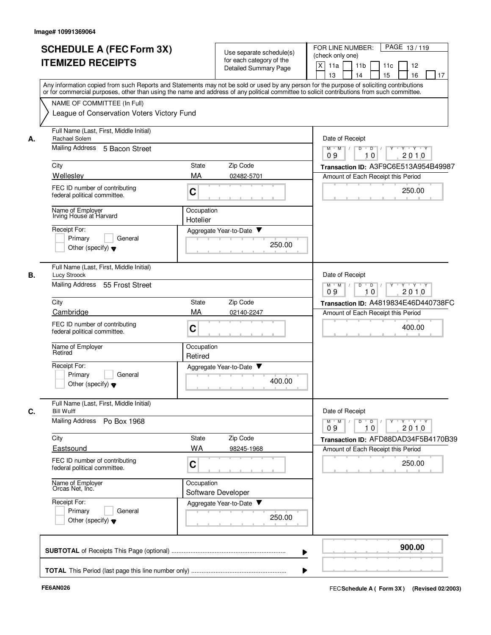|    | <b>SCHEDULE A (FEC Form 3X)</b><br><b>ITEMIZED RECEIPTS</b>                | Use separate schedule(s)<br>for each category of the<br>Detailed Summary Page                                                                                                                                                                                                           | FOR LINE NUMBER:<br>PAGE 13/119<br>(check only one)<br>$x \mid$<br>11a<br>11 <sub>b</sub><br>11c<br>12<br>15<br>16<br>13<br>14<br>17 |
|----|----------------------------------------------------------------------------|-----------------------------------------------------------------------------------------------------------------------------------------------------------------------------------------------------------------------------------------------------------------------------------------|--------------------------------------------------------------------------------------------------------------------------------------|
|    | NAME OF COMMITTEE (In Full)                                                | Any information copied from such Reports and Statements may not be sold or used by any person for the purpose of soliciting contributions<br>or for commercial purposes, other than using the name and address of any political committee to solicit contributions from such committee. |                                                                                                                                      |
|    | League of Conservation Voters Victory Fund                                 |                                                                                                                                                                                                                                                                                         |                                                                                                                                      |
| А. | Full Name (Last, First, Middle Initial)<br>Rachael Solem                   |                                                                                                                                                                                                                                                                                         | Date of Receipt                                                                                                                      |
|    | <b>Mailing Address</b><br>5 Bacon Street                                   |                                                                                                                                                                                                                                                                                         | Y Y Y Y<br>$M$ $M$ $/$<br>D<br>$\overline{D}$<br>10<br>2010<br>09                                                                    |
|    | City                                                                       | Zip Code<br>State                                                                                                                                                                                                                                                                       | Transaction ID: A3F9C6E513A954B49987                                                                                                 |
|    | Wellesley                                                                  | MA<br>02482-5701                                                                                                                                                                                                                                                                        | Amount of Each Receipt this Period                                                                                                   |
|    | FEC ID number of contributing<br>federal political committee.              | C                                                                                                                                                                                                                                                                                       | 250.00                                                                                                                               |
|    | Name of Employer<br>Irving House at Harvard                                | Occupation<br>Hotelier                                                                                                                                                                                                                                                                  |                                                                                                                                      |
|    | Receipt For:                                                               | Aggregate Year-to-Date ▼                                                                                                                                                                                                                                                                |                                                                                                                                      |
|    | Primary<br>General<br>Other (specify) $\blacktriangledown$                 | 250.00                                                                                                                                                                                                                                                                                  |                                                                                                                                      |
| В. | Full Name (Last, First, Middle Initial)<br>Lucy Stroock                    |                                                                                                                                                                                                                                                                                         | Date of Receipt                                                                                                                      |
|    | Mailing Address 55 Frost Street                                            |                                                                                                                                                                                                                                                                                         | D<br>$\overline{D}$ /<br><b>TY TY TY</b><br>$M$ M<br>$\Box$<br>09<br>2010<br>10                                                      |
|    | City                                                                       | <b>State</b><br>Zip Code                                                                                                                                                                                                                                                                | Transaction ID: A4819834E46D440738FC                                                                                                 |
|    | Cambridge                                                                  | MA<br>02140-2247                                                                                                                                                                                                                                                                        | Amount of Each Receipt this Period                                                                                                   |
|    | FEC ID number of contributing<br>federal political committee.              | C                                                                                                                                                                                                                                                                                       | 400.00                                                                                                                               |
|    | Name of Employer<br>Retired                                                | Occupation<br>Retired                                                                                                                                                                                                                                                                   |                                                                                                                                      |
|    | Receipt For:<br>Primary<br>General<br>Other (specify) $\blacktriangledown$ | Aggregate Year-to-Date<br>400.00                                                                                                                                                                                                                                                        |                                                                                                                                      |
|    | Full Name (Last, First, Middle Initial)<br><b>Bill Wulff</b>               |                                                                                                                                                                                                                                                                                         | Date of Receipt                                                                                                                      |
|    | Mailing Address Po Box 1968                                                |                                                                                                                                                                                                                                                                                         | <b>TY TY TY</b><br>$M$ $M$ $/$<br>D<br>$\overline{D}$ $\overline{I}$<br>Y<br>2010<br>09<br>10                                        |
|    | City                                                                       | State<br>Zip Code                                                                                                                                                                                                                                                                       | Transaction ID: AFD88DAD34F5B4170B39                                                                                                 |
|    | Eastsound                                                                  | <b>WA</b><br>98245-1968                                                                                                                                                                                                                                                                 | Amount of Each Receipt this Period                                                                                                   |
|    | FEC ID number of contributing<br>federal political committee.              | C                                                                                                                                                                                                                                                                                       | 250.00                                                                                                                               |
|    | Name of Employer<br>Orcas Net, Inc.                                        | Occupation<br>Software Developer                                                                                                                                                                                                                                                        |                                                                                                                                      |
|    | Receipt For:<br>Primary<br>General<br>Other (specify) $\blacktriangledown$ | Aggregate Year-to-Date<br>250.00                                                                                                                                                                                                                                                        |                                                                                                                                      |
|    |                                                                            |                                                                                                                                                                                                                                                                                         | 900.00<br>▶                                                                                                                          |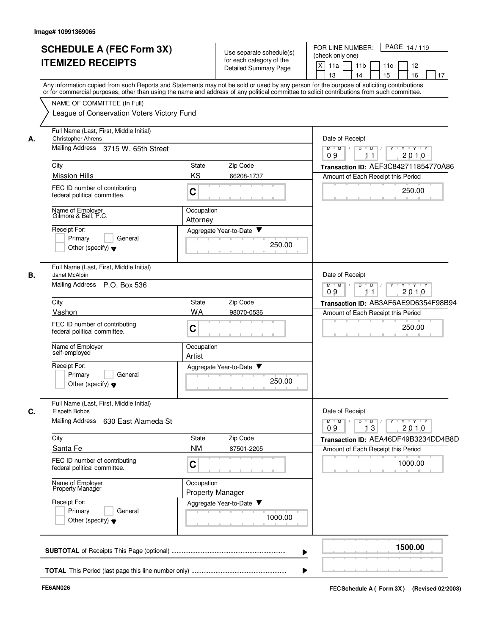|    | <b>SCHEDULE A (FEC Form 3X)</b><br><b>ITEMIZED RECEIPTS</b>                                                                                                                                                                                                                                                            |                                       | Use separate schedule(s)<br>for each category of the<br><b>Detailed Summary Page</b> | PAGE 14/119<br>FOR LINE NUMBER:<br>(check only one)<br>$X$ 11a<br>11 <sub>b</sub><br>11c<br>12<br>16<br>13<br>14<br>15<br>17 |
|----|------------------------------------------------------------------------------------------------------------------------------------------------------------------------------------------------------------------------------------------------------------------------------------------------------------------------|---------------------------------------|--------------------------------------------------------------------------------------|------------------------------------------------------------------------------------------------------------------------------|
|    | Any information copied from such Reports and Statements may not be sold or used by any person for the purpose of soliciting contributions<br>or for commercial purposes, other than using the name and address of any political committee to solicit contributions from such committee.<br>NAME OF COMMITTEE (In Full) |                                       |                                                                                      |                                                                                                                              |
|    | League of Conservation Voters Victory Fund                                                                                                                                                                                                                                                                             |                                       |                                                                                      |                                                                                                                              |
| А. | Full Name (Last, First, Middle Initial)<br><b>Christopher Ahrens</b>                                                                                                                                                                                                                                                   |                                       |                                                                                      | Date of Receipt                                                                                                              |
|    | Mailing Address 3715 W. 65th Street                                                                                                                                                                                                                                                                                    |                                       |                                                                                      | $M$ $M$ $/$<br>D<br>יץ ייץ ייד<br>$\overline{D}$<br>2010<br>09<br>11                                                         |
|    | City                                                                                                                                                                                                                                                                                                                   | State                                 | Zip Code                                                                             | Transaction ID: AEF3C842711854770A86                                                                                         |
|    | <b>Mission Hills</b>                                                                                                                                                                                                                                                                                                   | KS                                    | 66208-1737                                                                           | Amount of Each Receipt this Period                                                                                           |
|    | FEC ID number of contributing<br>federal political committee.                                                                                                                                                                                                                                                          | C                                     |                                                                                      | 250.00                                                                                                                       |
|    | Name of Employer<br>Gilmore & Bell, P.C.                                                                                                                                                                                                                                                                               | Occupation                            |                                                                                      |                                                                                                                              |
|    | Receipt For:                                                                                                                                                                                                                                                                                                           | Attorney                              | Aggregate Year-to-Date ▼                                                             |                                                                                                                              |
|    | Primary<br>General<br>Other (specify) $\blacktriangledown$                                                                                                                                                                                                                                                             |                                       | 250.00                                                                               |                                                                                                                              |
| В. | Full Name (Last, First, Middle Initial)<br>Janet McAlpin                                                                                                                                                                                                                                                               |                                       |                                                                                      | Date of Receipt                                                                                                              |
|    | Mailing Address P.O. Box 536                                                                                                                                                                                                                                                                                           |                                       |                                                                                      | $M$ $M$<br>$D$ $D$<br><b>TY TY TY</b><br>$\sqrt{ }$<br>$\overline{1}$<br>Y<br>09<br>2010<br>11                               |
|    | City                                                                                                                                                                                                                                                                                                                   | State                                 | Zip Code                                                                             | Transaction ID: AB3AF6AE9D6354F98B94                                                                                         |
|    | Vashon                                                                                                                                                                                                                                                                                                                 | WA                                    | 98070-0536                                                                           | Amount of Each Receipt this Period                                                                                           |
|    | FEC ID number of contributing<br>federal political committee.                                                                                                                                                                                                                                                          | $\mathbf C$                           |                                                                                      | 250.00                                                                                                                       |
|    | Name of Employer<br>self-employed                                                                                                                                                                                                                                                                                      | Occupation<br>Artist                  |                                                                                      |                                                                                                                              |
|    | Receipt For:                                                                                                                                                                                                                                                                                                           |                                       | Aggregate Year-to-Date                                                               |                                                                                                                              |
|    | Primary<br>General<br>Other (specify) $\blacktriangledown$                                                                                                                                                                                                                                                             |                                       | 250.00                                                                               |                                                                                                                              |
| C. | Full Name (Last, First, Middle Initial)<br>Elspeth Bobbs                                                                                                                                                                                                                                                               |                                       |                                                                                      | Date of Receipt                                                                                                              |
|    | Mailing Address 630 East Alameda St                                                                                                                                                                                                                                                                                    |                                       |                                                                                      | $Y$ $Y$ $Y$<br>$M$ $M$<br>$D$ $D$<br>Y<br>13<br>2010<br>09                                                                   |
|    | City                                                                                                                                                                                                                                                                                                                   | State                                 | Zip Code                                                                             | Transaction ID: AEA46DF49B3234DD4B8D                                                                                         |
|    | Santa Fe                                                                                                                                                                                                                                                                                                               | <b>NM</b>                             | 87501-2205                                                                           | Amount of Each Receipt this Period                                                                                           |
|    | FEC ID number of contributing<br>federal political committee.                                                                                                                                                                                                                                                          | $\mathbf C$                           |                                                                                      | 1000.00                                                                                                                      |
|    | Name of Employer<br>Property Manager                                                                                                                                                                                                                                                                                   | Occupation<br><b>Property Manager</b> |                                                                                      |                                                                                                                              |
|    | Receipt For:                                                                                                                                                                                                                                                                                                           |                                       | Aggregate Year-to-Date                                                               |                                                                                                                              |
|    | Primary<br>General<br>Other (specify) $\blacktriangledown$                                                                                                                                                                                                                                                             |                                       | 1000.00                                                                              |                                                                                                                              |
|    |                                                                                                                                                                                                                                                                                                                        |                                       |                                                                                      | 1500.00                                                                                                                      |
|    |                                                                                                                                                                                                                                                                                                                        |                                       |                                                                                      |                                                                                                                              |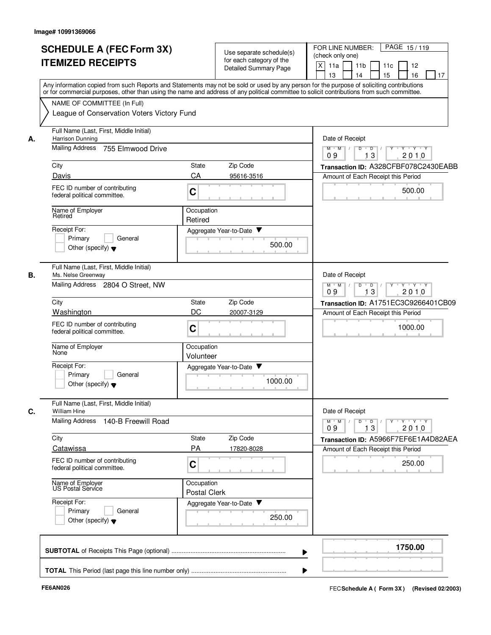|    | <b>SCHEDULE A (FEC Form 3X)</b><br><b>ITEMIZED RECEIPTS</b>                                                                                                                                                                                                                                                            | Use separate schedule(s)<br>for each category of the<br><b>Detailed Summary Page</b> | FOR LINE NUMBER:<br>PAGE 15/119<br>(check only one)<br>$\times$<br>11a<br>11 <sub>b</sub><br>11c<br>12<br>16<br>13<br>14<br>15<br>17 |  |  |
|----|------------------------------------------------------------------------------------------------------------------------------------------------------------------------------------------------------------------------------------------------------------------------------------------------------------------------|--------------------------------------------------------------------------------------|--------------------------------------------------------------------------------------------------------------------------------------|--|--|
|    | Any information copied from such Reports and Statements may not be sold or used by any person for the purpose of soliciting contributions<br>or for commercial purposes, other than using the name and address of any political committee to solicit contributions from such committee.<br>NAME OF COMMITTEE (In Full) |                                                                                      |                                                                                                                                      |  |  |
|    | League of Conservation Voters Victory Fund                                                                                                                                                                                                                                                                             |                                                                                      |                                                                                                                                      |  |  |
| А. | Full Name (Last, First, Middle Initial)<br>Harrison Dunning                                                                                                                                                                                                                                                            |                                                                                      | Date of Receipt                                                                                                                      |  |  |
|    | Mailing Address<br>755 Elmwood Drive                                                                                                                                                                                                                                                                                   |                                                                                      | $M$ $M$ /<br>$\overline{D}$<br>$Y \vdash Y \vdash Y$<br>D<br>13<br>2010<br>09                                                        |  |  |
|    | City                                                                                                                                                                                                                                                                                                                   | State<br>Zip Code                                                                    | Transaction ID: A328CFBF078C2430EABB                                                                                                 |  |  |
|    | Davis                                                                                                                                                                                                                                                                                                                  | CA<br>95616-3516                                                                     | Amount of Each Receipt this Period                                                                                                   |  |  |
|    | FEC ID number of contributing<br>federal political committee.                                                                                                                                                                                                                                                          | C                                                                                    | 500.00                                                                                                                               |  |  |
|    | Name of Employer<br>Retired                                                                                                                                                                                                                                                                                            | Occupation<br>Retired                                                                |                                                                                                                                      |  |  |
|    | Receipt For:                                                                                                                                                                                                                                                                                                           | Aggregate Year-to-Date ▼                                                             |                                                                                                                                      |  |  |
|    | Primary<br>General<br>Other (specify) $\blacktriangledown$                                                                                                                                                                                                                                                             | 500.00                                                                               |                                                                                                                                      |  |  |
| В. | Full Name (Last, First, Middle Initial)<br>Ms. Nelse Greenway                                                                                                                                                                                                                                                          |                                                                                      | Date of Receipt                                                                                                                      |  |  |
|    | Mailing Address 2804 O Street, NW                                                                                                                                                                                                                                                                                      | D<br><b>TY TY TY</b><br>$M^+$ M<br>$\overline{D}$<br>$\sqrt{ }$<br>13<br>09<br>2010  |                                                                                                                                      |  |  |
|    | City                                                                                                                                                                                                                                                                                                                   | Zip Code<br>State                                                                    | Transaction ID: A1751EC3C9266401CB09                                                                                                 |  |  |
|    | Washington                                                                                                                                                                                                                                                                                                             | DC<br>20007-3129                                                                     | Amount of Each Receipt this Period                                                                                                   |  |  |
|    | FEC ID number of contributing<br>federal political committee.                                                                                                                                                                                                                                                          | C                                                                                    | 1000.00                                                                                                                              |  |  |
|    | Name of Employer<br>None                                                                                                                                                                                                                                                                                               | Occupation<br>Volunteer                                                              |                                                                                                                                      |  |  |
|    | Receipt For:<br>Primary<br>General<br>Other (specify) $\blacktriangledown$                                                                                                                                                                                                                                             | Aggregate Year-to-Date<br>1000.00                                                    |                                                                                                                                      |  |  |
| C. | Full Name (Last, First, Middle Initial)<br>William Hine                                                                                                                                                                                                                                                                |                                                                                      | Date of Receipt                                                                                                                      |  |  |
|    | Mailing Address 140-B Freewill Road                                                                                                                                                                                                                                                                                    |                                                                                      |                                                                                                                                      |  |  |
|    | City                                                                                                                                                                                                                                                                                                                   | State<br>Zip Code                                                                    | Transaction ID: A5966F7EF6E1A4D82AEA                                                                                                 |  |  |
|    | Catawissa                                                                                                                                                                                                                                                                                                              | PA<br>17820-8028                                                                     | Amount of Each Receipt this Period                                                                                                   |  |  |
|    | FEC ID number of contributing<br>federal political committee.                                                                                                                                                                                                                                                          | C                                                                                    | 250.00                                                                                                                               |  |  |
|    | Name of Employer<br>US Postal Service                                                                                                                                                                                                                                                                                  | Occupation<br><b>Postal Clerk</b>                                                    |                                                                                                                                      |  |  |
|    | Receipt For:<br>Primary<br>General<br>Other (specify) $\blacktriangledown$                                                                                                                                                                                                                                             | Aggregate Year-to-Date<br>250.00                                                     |                                                                                                                                      |  |  |
|    |                                                                                                                                                                                                                                                                                                                        |                                                                                      | 1750.00<br>▶                                                                                                                         |  |  |
|    |                                                                                                                                                                                                                                                                                                                        |                                                                                      | ▶                                                                                                                                    |  |  |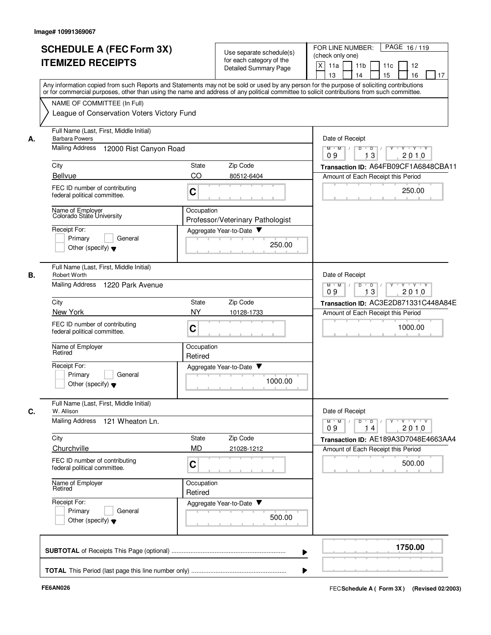|    | <b>SCHEDULE A (FEC Form 3X)</b><br><b>ITEMIZED RECEIPTS</b>                                                                                                                                                                                                                             |                       | Use separate schedule(s)<br>for each category of the<br>Detailed Summary Page | FOR LINE NUMBER:<br>PAGE 16/119<br>(check only one)<br>$\times$<br>11a<br>11 <sub>b</sub><br>11c<br>12 |  |  |  |
|----|-----------------------------------------------------------------------------------------------------------------------------------------------------------------------------------------------------------------------------------------------------------------------------------------|-----------------------|-------------------------------------------------------------------------------|--------------------------------------------------------------------------------------------------------|--|--|--|
|    | Any information copied from such Reports and Statements may not be sold or used by any person for the purpose of soliciting contributions<br>or for commercial purposes, other than using the name and address of any political committee to solicit contributions from such committee. |                       |                                                                               | 15<br>16<br>13<br>14<br>17                                                                             |  |  |  |
|    | NAME OF COMMITTEE (In Full)<br>League of Conservation Voters Victory Fund                                                                                                                                                                                                               |                       |                                                                               |                                                                                                        |  |  |  |
| А. | Full Name (Last, First, Middle Initial)<br><b>Barbara Powers</b>                                                                                                                                                                                                                        |                       |                                                                               | Date of Receipt                                                                                        |  |  |  |
|    | <b>Mailing Address</b><br>12000 Rist Canyon Road                                                                                                                                                                                                                                        |                       |                                                                               | Y TY TY TY<br>$M$ $M$ /<br>$D$ $D$ $/$<br>13<br>2010<br>09                                             |  |  |  |
|    | City                                                                                                                                                                                                                                                                                    | State                 | Zip Code                                                                      | Transaction ID: A64FB09CF1A6848CBA11                                                                   |  |  |  |
|    | Bellvue                                                                                                                                                                                                                                                                                 | CO                    | 80512-6404                                                                    | Amount of Each Receipt this Period                                                                     |  |  |  |
|    | FEC ID number of contributing<br>federal political committee.                                                                                                                                                                                                                           | C                     |                                                                               | 250.00                                                                                                 |  |  |  |
|    | Name of Employer<br>Colorado State University                                                                                                                                                                                                                                           | Occupation            | Professor/Veterinary Pathologist                                              |                                                                                                        |  |  |  |
|    | Receipt For:                                                                                                                                                                                                                                                                            |                       | Aggregate Year-to-Date                                                        |                                                                                                        |  |  |  |
|    | Primary<br>General<br>Other (specify) $\blacktriangledown$                                                                                                                                                                                                                              |                       | 250.00                                                                        |                                                                                                        |  |  |  |
| В. | Full Name (Last, First, Middle Initial)<br><b>Robert Worth</b>                                                                                                                                                                                                                          |                       |                                                                               | Date of Receipt                                                                                        |  |  |  |
|    | Mailing Address 1220 Park Avenue                                                                                                                                                                                                                                                        |                       |                                                                               | $M$ $M$ $/$<br>D<br>$\overline{D}$<br>י ץ י ץ י <i>ץ</i><br>Y<br>$\top$<br>13<br>2010<br>09            |  |  |  |
|    | City                                                                                                                                                                                                                                                                                    | State                 | Zip Code                                                                      | Transaction ID: AC3E2D871331C448A84E                                                                   |  |  |  |
|    | New York                                                                                                                                                                                                                                                                                | NY                    | 10128-1733                                                                    | Amount of Each Receipt this Period                                                                     |  |  |  |
|    | FEC ID number of contributing<br>federal political committee.                                                                                                                                                                                                                           | C                     |                                                                               | 1000.00                                                                                                |  |  |  |
|    | Name of Employer<br>Retired                                                                                                                                                                                                                                                             | Occupation<br>Retired |                                                                               |                                                                                                        |  |  |  |
|    | Receipt For:<br>General<br>Primary<br>Other (specify) $\blacktriangledown$                                                                                                                                                                                                              |                       | Aggregate Year-to-Date ▼<br>1000.00                                           |                                                                                                        |  |  |  |
|    | Full Name (Last, First, Middle Initial)<br>W. Allison                                                                                                                                                                                                                                   |                       |                                                                               | Date of Receipt                                                                                        |  |  |  |
|    | Mailing Address 121 Wheaton Ln.                                                                                                                                                                                                                                                         |                       |                                                                               | $Y$ $Y$ $Y$<br>$M$ $M$ $/$<br>$\overline{D}$<br>Y<br>D<br>2010<br>09<br>14                             |  |  |  |
|    | City                                                                                                                                                                                                                                                                                    | <b>State</b>          | Zip Code                                                                      | Transaction ID: AE189A3D7048E4663AA4                                                                   |  |  |  |
|    | Churchville                                                                                                                                                                                                                                                                             | <b>MD</b>             | 21028-1212                                                                    | Amount of Each Receipt this Period                                                                     |  |  |  |
|    | FEC ID number of contributing<br>federal political committee.                                                                                                                                                                                                                           | $\mathbf C$           |                                                                               | 500.00                                                                                                 |  |  |  |
|    | Name of Employer<br>Retired                                                                                                                                                                                                                                                             | Occupation<br>Retired |                                                                               |                                                                                                        |  |  |  |
|    | Receipt For:<br>General<br>Primary<br>Other (specify) $\blacktriangledown$                                                                                                                                                                                                              |                       | Aggregate Year-to-Date<br>500.00                                              |                                                                                                        |  |  |  |
|    |                                                                                                                                                                                                                                                                                         |                       |                                                                               | 1750.00                                                                                                |  |  |  |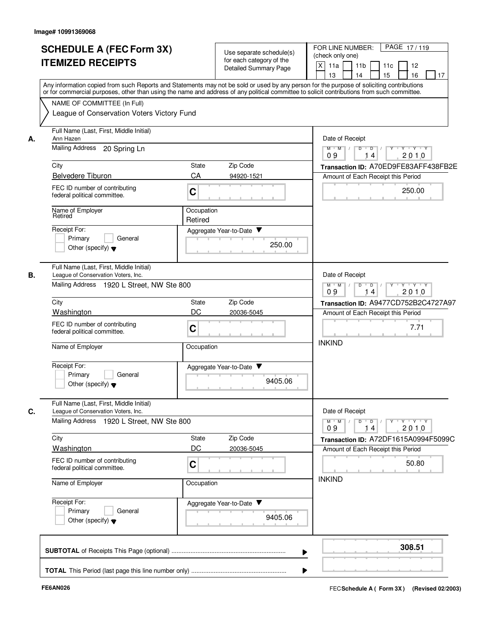| <b>SCHEDULE A (FEC Form 3X)</b>                                                                                                            |              |                                                      | PAGE 17/119<br>FOR LINE NUMBER:                                                                                    |  |  |
|--------------------------------------------------------------------------------------------------------------------------------------------|--------------|------------------------------------------------------|--------------------------------------------------------------------------------------------------------------------|--|--|
|                                                                                                                                            |              | Use separate schedule(s)<br>for each category of the | (check only one)                                                                                                   |  |  |
| <b>ITEMIZED RECEIPTS</b>                                                                                                                   |              | <b>Detailed Summary Page</b>                         | x<br>11a<br>11 <sub>b</sub><br>11c<br>12                                                                           |  |  |
|                                                                                                                                            |              |                                                      | 16<br>13<br>14<br>15<br>17                                                                                         |  |  |
| Any information copied from such Reports and Statements may not be sold or used by any person for the purpose of soliciting contributions  |              |                                                      |                                                                                                                    |  |  |
| or for commercial purposes, other than using the name and address of any political committee to solicit contributions from such committee. |              |                                                      |                                                                                                                    |  |  |
| NAME OF COMMITTEE (In Full)                                                                                                                |              |                                                      |                                                                                                                    |  |  |
| League of Conservation Voters Victory Fund                                                                                                 |              |                                                      |                                                                                                                    |  |  |
| Full Name (Last, First, Middle Initial)<br>Ann Hazen                                                                                       |              |                                                      | Date of Receipt                                                                                                    |  |  |
| Mailing Address<br>20 Spring Ln                                                                                                            |              |                                                      | $M-M$ /<br>$\overline{D}$ /<br>י ץ י ץ י<br>$\overline{D}$<br>2010<br>09<br>14                                     |  |  |
| City                                                                                                                                       | <b>State</b> | Zip Code                                             | Transaction ID: A70ED9FE83AFF438FB2E                                                                               |  |  |
| <b>Belvedere Tiburon</b>                                                                                                                   | CA           | 94920-1521                                           | Amount of Each Receipt this Period                                                                                 |  |  |
|                                                                                                                                            |              |                                                      |                                                                                                                    |  |  |
| FEC ID number of contributing<br>federal political committee.                                                                              | C            |                                                      | 250.00                                                                                                             |  |  |
| Name of Employer<br>Retired                                                                                                                | Occupation   |                                                      |                                                                                                                    |  |  |
|                                                                                                                                            | Retired      |                                                      |                                                                                                                    |  |  |
| Receipt For:<br>Primary<br>General                                                                                                         |              | Aggregate Year-to-Date ▼                             |                                                                                                                    |  |  |
| Other (specify) $\blacktriangledown$                                                                                                       |              | 250.00                                               |                                                                                                                    |  |  |
|                                                                                                                                            |              |                                                      |                                                                                                                    |  |  |
| Full Name (Last, First, Middle Initial)<br>League of Conservation Voters, Inc.                                                             |              |                                                      | Date of Receipt                                                                                                    |  |  |
| Mailing Address 1920 L Street, NW Ste 800                                                                                                  |              |                                                      | D<br>$M$ $M$ /<br>$\overline{D}$<br>Y 'Y 'Y<br>2010<br>09<br>14                                                    |  |  |
| City                                                                                                                                       | State        | Zip Code                                             | Transaction ID: A9477CD752B2C4727A97                                                                               |  |  |
| Washington                                                                                                                                 | DC           | 20036-5045                                           |                                                                                                                    |  |  |
|                                                                                                                                            |              |                                                      | Amount of Each Receipt this Period                                                                                 |  |  |
| FEC ID number of contributing<br>federal political committee.                                                                              | C            |                                                      | 7.71                                                                                                               |  |  |
|                                                                                                                                            |              |                                                      |                                                                                                                    |  |  |
| Name of Employer                                                                                                                           | Occupation   |                                                      | <b>INKIND</b>                                                                                                      |  |  |
| Receipt For:                                                                                                                               |              | Aggregate Year-to-Date ▼                             |                                                                                                                    |  |  |
| Primary<br>General                                                                                                                         |              |                                                      |                                                                                                                    |  |  |
| Other (specify) $\blacktriangledown$                                                                                                       |              | 9405.06                                              |                                                                                                                    |  |  |
| Full Name (Last, First, Middle Initial)                                                                                                    |              |                                                      |                                                                                                                    |  |  |
| League of Conservation Voters, Inc.                                                                                                        |              |                                                      | Date of Receipt                                                                                                    |  |  |
| Mailing Address 1920 L Street, NW Ste 800                                                                                                  |              |                                                      | $\mathsf{Y} \dashv \mathsf{Y} \dashv \mathsf{Y} \dashv \mathsf{Y}$<br>$D$ $D$ $/$<br>$M$ $M$ /<br>2010<br>09<br>14 |  |  |
| City                                                                                                                                       | State        | Zip Code                                             | Transaction ID: A72DF1615A0994F5099C                                                                               |  |  |
| Washington                                                                                                                                 | DC           | 20036-5045                                           | Amount of Each Receipt this Period                                                                                 |  |  |
| FEC ID number of contributing                                                                                                              |              |                                                      |                                                                                                                    |  |  |
| federal political committee.                                                                                                               | C            |                                                      | 50.80                                                                                                              |  |  |
| Name of Employer                                                                                                                           | Occupation   |                                                      | <b>INKIND</b>                                                                                                      |  |  |
| Receipt For:                                                                                                                               |              | Aggregate Year-to-Date                               |                                                                                                                    |  |  |
| Primary<br>General                                                                                                                         |              |                                                      |                                                                                                                    |  |  |
| Other (specify) $\blacktriangledown$                                                                                                       |              | 9405.06                                              |                                                                                                                    |  |  |
|                                                                                                                                            |              |                                                      |                                                                                                                    |  |  |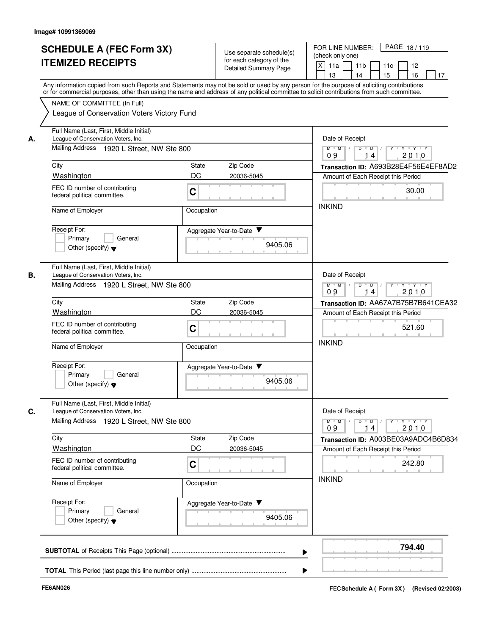|    | <b>SCHEDULE A (FEC Form 3X)</b><br><b>ITEMIZED RECEIPTS</b>                                                                                                                                                                                                                                                            |                                                                     | Use separate schedule(s)<br>for each category of the<br><b>Detailed Summary Page</b> | PAGE 18/119<br>FOR LINE NUMBER:<br>(check only one)<br>X<br>11a<br>11 <sub>b</sub><br>11c<br>12<br>15<br>16<br>13<br>14<br>17 |  |
|----|------------------------------------------------------------------------------------------------------------------------------------------------------------------------------------------------------------------------------------------------------------------------------------------------------------------------|---------------------------------------------------------------------|--------------------------------------------------------------------------------------|-------------------------------------------------------------------------------------------------------------------------------|--|
|    | Any information copied from such Reports and Statements may not be sold or used by any person for the purpose of soliciting contributions<br>or for commercial purposes, other than using the name and address of any political committee to solicit contributions from such committee.<br>NAME OF COMMITTEE (In Full) |                                                                     |                                                                                      |                                                                                                                               |  |
|    | League of Conservation Voters Victory Fund                                                                                                                                                                                                                                                                             |                                                                     |                                                                                      |                                                                                                                               |  |
| А. | Full Name (Last, First, Middle Initial)<br>League of Conservation Voters, Inc.                                                                                                                                                                                                                                         |                                                                     |                                                                                      | Date of Receipt                                                                                                               |  |
|    | Mailing Address 1920 L Street, NW Ste 800                                                                                                                                                                                                                                                                              |                                                                     |                                                                                      | $M$ $M$ /<br>$D$ $D$ $/$<br><b>TY TY TY</b><br>2010<br>09<br>14                                                               |  |
|    | City                                                                                                                                                                                                                                                                                                                   | State                                                               | Zip Code                                                                             | Transaction ID: A693B28E4F56E4EF8AD2                                                                                          |  |
|    | Washington                                                                                                                                                                                                                                                                                                             | DC                                                                  | 20036-5045                                                                           | Amount of Each Receipt this Period                                                                                            |  |
|    | FEC ID number of contributing<br>federal political committee.                                                                                                                                                                                                                                                          | $\mathbf C$                                                         |                                                                                      | 30.00                                                                                                                         |  |
|    | Name of Employer<br>Occupation                                                                                                                                                                                                                                                                                         |                                                                     |                                                                                      | <b>INKIND</b>                                                                                                                 |  |
|    | Receipt For:                                                                                                                                                                                                                                                                                                           |                                                                     | Aggregate Year-to-Date                                                               |                                                                                                                               |  |
|    | Primary<br>General<br>Other (specify) $\blacktriangledown$                                                                                                                                                                                                                                                             |                                                                     | 9405.06                                                                              |                                                                                                                               |  |
| В. | Full Name (Last, First, Middle Initial)<br>League of Conservation Voters, Inc.                                                                                                                                                                                                                                         |                                                                     |                                                                                      | Date of Receipt                                                                                                               |  |
|    | Mailing Address 1920 L Street, NW Ste 800                                                                                                                                                                                                                                                                              | $M$ $M$<br>$D$ $D$ $/$<br>Y Y Y Y Y Y<br>$\top$<br>09<br>2010<br>14 |                                                                                      |                                                                                                                               |  |
|    | City                                                                                                                                                                                                                                                                                                                   | State                                                               | Zip Code                                                                             | Transaction ID: AA67A7B75B7B641CEA32                                                                                          |  |
|    | Washington                                                                                                                                                                                                                                                                                                             | DC                                                                  | 20036-5045                                                                           | Amount of Each Receipt this Period                                                                                            |  |
|    | FEC ID number of contributing<br>$\mathbf C$<br>federal political committee.                                                                                                                                                                                                                                           |                                                                     |                                                                                      | 521.60                                                                                                                        |  |
|    | Name of Employer                                                                                                                                                                                                                                                                                                       | Occupation                                                          |                                                                                      | <b>INKIND</b>                                                                                                                 |  |
|    | Receipt For:                                                                                                                                                                                                                                                                                                           |                                                                     | Aggregate Year-to-Date                                                               |                                                                                                                               |  |
|    | Primary<br>General<br>Other (specify) $\blacktriangledown$                                                                                                                                                                                                                                                             |                                                                     | 9405.06                                                                              |                                                                                                                               |  |
| C. | Full Name (Last, First, Middle Initial)<br>League of Conservation Voters, Inc.                                                                                                                                                                                                                                         |                                                                     |                                                                                      |                                                                                                                               |  |
|    | Mailing Address 1920 L Street, NW Ste 800                                                                                                                                                                                                                                                                              |                                                                     |                                                                                      | $\mathsf{Y} \dashv \mathsf{Y} \dashv \mathsf{Y}$<br>$M$ $M$ /<br>D<br>$\overline{D}$<br>Y<br>2010<br>09<br>14                 |  |
|    | City                                                                                                                                                                                                                                                                                                                   | State                                                               | Zip Code                                                                             | Transaction ID: A003BE03A9ADC4B6D834                                                                                          |  |
|    | Washington                                                                                                                                                                                                                                                                                                             | DC                                                                  | 20036-5045                                                                           | Amount of Each Receipt this Period                                                                                            |  |
|    | FEC ID number of contributing<br>federal political committee.                                                                                                                                                                                                                                                          | $\mathbf C$                                                         |                                                                                      | 242.80                                                                                                                        |  |
|    | Name of Employer                                                                                                                                                                                                                                                                                                       | Occupation                                                          |                                                                                      | <b>INKIND</b>                                                                                                                 |  |
|    | Receipt For:                                                                                                                                                                                                                                                                                                           |                                                                     | Aggregate Year-to-Date                                                               |                                                                                                                               |  |
|    | Primary<br>General<br>Other (specify) $\blacktriangledown$                                                                                                                                                                                                                                                             |                                                                     | 9405.06                                                                              |                                                                                                                               |  |
|    |                                                                                                                                                                                                                                                                                                                        |                                                                     |                                                                                      | 794.40                                                                                                                        |  |
|    |                                                                                                                                                                                                                                                                                                                        |                                                                     |                                                                                      |                                                                                                                               |  |
|    |                                                                                                                                                                                                                                                                                                                        |                                                                     |                                                                                      |                                                                                                                               |  |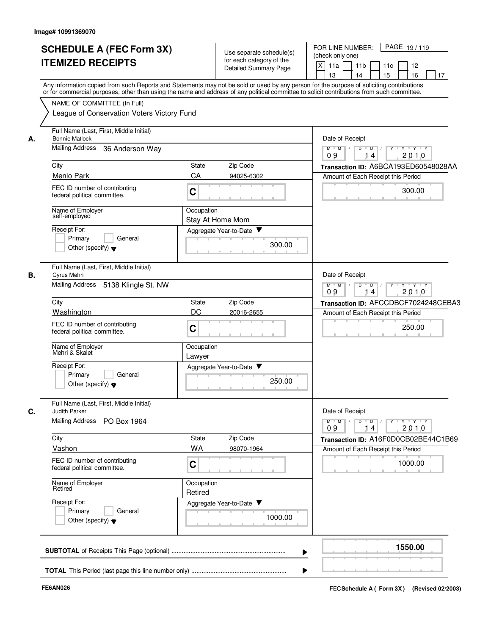|    | <b>SCHEDULE A (FEC Form 3X)</b><br><b>ITEMIZED RECEIPTS</b>                                                                                                                                                                                                                                                                                                          |                                                                                                                  | Use separate schedule(s)<br>for each category of the<br>Detailed Summary Page | FOR LINE NUMBER:<br>PAGE 19/119<br>(check only one)<br>$\times$<br>11a<br>11 <sub>b</sub><br>11c<br>12<br>16<br>13<br>14<br>15<br>17 |
|----|----------------------------------------------------------------------------------------------------------------------------------------------------------------------------------------------------------------------------------------------------------------------------------------------------------------------------------------------------------------------|------------------------------------------------------------------------------------------------------------------|-------------------------------------------------------------------------------|--------------------------------------------------------------------------------------------------------------------------------------|
|    | Any information copied from such Reports and Statements may not be sold or used by any person for the purpose of soliciting contributions<br>or for commercial purposes, other than using the name and address of any political committee to solicit contributions from such committee.<br>NAME OF COMMITTEE (In Full)<br>League of Conservation Voters Victory Fund |                                                                                                                  |                                                                               |                                                                                                                                      |
| А. | Full Name (Last, First, Middle Initial)<br><b>Bonnie Matlock</b>                                                                                                                                                                                                                                                                                                     |                                                                                                                  |                                                                               | Date of Receipt                                                                                                                      |
|    | Mailing Address<br>36 Anderson Way                                                                                                                                                                                                                                                                                                                                   |                                                                                                                  |                                                                               | $M$ $M$ /<br>$Y - Y - Y$<br>D<br>$\overline{D}$<br>2010<br>09<br>14                                                                  |
|    | City                                                                                                                                                                                                                                                                                                                                                                 | State                                                                                                            | Zip Code                                                                      | Transaction ID: A6BCA193ED60548028AA                                                                                                 |
|    | Menlo Park                                                                                                                                                                                                                                                                                                                                                           | CA                                                                                                               | 94025-6302                                                                    | Amount of Each Receipt this Period                                                                                                   |
|    | FEC ID number of contributing<br>federal political committee.                                                                                                                                                                                                                                                                                                        | C                                                                                                                |                                                                               | 300.00                                                                                                                               |
|    | Name of Employer<br>self-employed                                                                                                                                                                                                                                                                                                                                    | Occupation                                                                                                       | Stay At Home Mom                                                              |                                                                                                                                      |
|    | Receipt For:<br>General                                                                                                                                                                                                                                                                                                                                              |                                                                                                                  | Aggregate Year-to-Date                                                        |                                                                                                                                      |
|    | Primary<br>Other (specify) $\blacktriangledown$                                                                                                                                                                                                                                                                                                                      |                                                                                                                  | 300.00                                                                        |                                                                                                                                      |
| В. | Full Name (Last, First, Middle Initial)<br>Cyrus Mehri                                                                                                                                                                                                                                                                                                               |                                                                                                                  |                                                                               | Date of Receipt                                                                                                                      |
|    | Mailing Address<br>5138 Klingle St. NW                                                                                                                                                                                                                                                                                                                               | $M$ $M$ /<br>$Y \vdash Y \vdash Y$<br>D<br>$\overline{\phantom{a}}$ D<br>Y<br>$\overline{1}$<br>2010<br>09<br>14 |                                                                               |                                                                                                                                      |
|    | City                                                                                                                                                                                                                                                                                                                                                                 | State                                                                                                            | Zip Code                                                                      | Transaction ID: AFCCDBCF7024248CEBA3                                                                                                 |
|    | Washington                                                                                                                                                                                                                                                                                                                                                           | DC                                                                                                               | 20016-2655                                                                    | Amount of Each Receipt this Period                                                                                                   |
|    | FEC ID number of contributing<br>federal political committee.                                                                                                                                                                                                                                                                                                        | $\mathbf C$                                                                                                      |                                                                               | 250.00                                                                                                                               |
|    | Name of Employer<br>Mehri & Skalet                                                                                                                                                                                                                                                                                                                                   | Occupation<br>Lawyer                                                                                             |                                                                               |                                                                                                                                      |
|    | Receipt For:<br>Primary<br>General<br>Other (specify) $\blacktriangledown$                                                                                                                                                                                                                                                                                           |                                                                                                                  | Aggregate Year-to-Date<br>250.00                                              |                                                                                                                                      |
| C. | Full Name (Last, First, Middle Initial)<br>Judith Parker                                                                                                                                                                                                                                                                                                             |                                                                                                                  |                                                                               | Date of Receipt                                                                                                                      |
|    | Mailing Address PO Box 1964                                                                                                                                                                                                                                                                                                                                          |                                                                                                                  |                                                                               | M<br>$D$ $D$ $l$<br>$M$ <sup><math>+</math></sup><br>14<br>2010<br>09                                                                |
|    | City                                                                                                                                                                                                                                                                                                                                                                 | State                                                                                                            | Zip Code                                                                      | Transaction ID: A16F0D0CB02BE44C1B69                                                                                                 |
|    | Vashon                                                                                                                                                                                                                                                                                                                                                               | <b>WA</b>                                                                                                        | 98070-1964                                                                    | Amount of Each Receipt this Period                                                                                                   |
|    | FEC ID number of contributing<br>federal political committee.                                                                                                                                                                                                                                                                                                        | $\mathbf C$                                                                                                      |                                                                               | 1000.00                                                                                                                              |
|    | Name of Employer<br>Retired                                                                                                                                                                                                                                                                                                                                          | Occupation<br>Retired                                                                                            |                                                                               |                                                                                                                                      |
|    | Receipt For:<br>General<br>Primary<br>Other (specify) $\blacktriangledown$                                                                                                                                                                                                                                                                                           |                                                                                                                  | Aggregate Year-to-Date<br>1000.00                                             |                                                                                                                                      |
|    |                                                                                                                                                                                                                                                                                                                                                                      |                                                                                                                  |                                                                               | 1550.00                                                                                                                              |
|    |                                                                                                                                                                                                                                                                                                                                                                      |                                                                                                                  |                                                                               |                                                                                                                                      |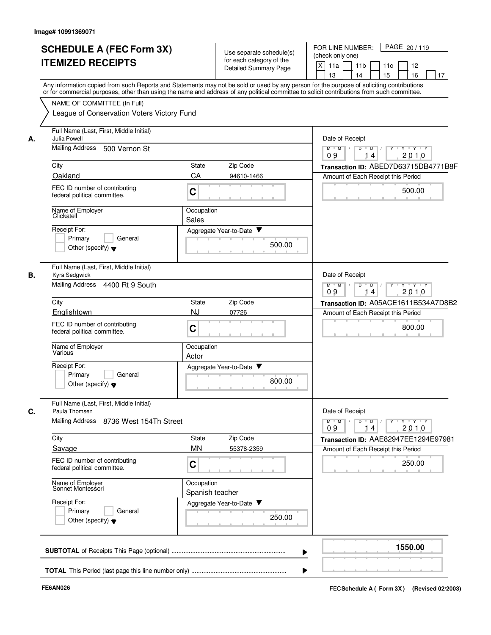|    | <b>SCHEDULE A (FEC Form 3X)</b>                                                                                                                                                                                                                                                         | Use separate schedule(s)       |        | FOR LINE NUMBER:<br>PAGE 20/119                                                                                               |  |  |
|----|-----------------------------------------------------------------------------------------------------------------------------------------------------------------------------------------------------------------------------------------------------------------------------------------|--------------------------------|--------|-------------------------------------------------------------------------------------------------------------------------------|--|--|
|    | <b>ITEMIZED RECEIPTS</b>                                                                                                                                                                                                                                                                | for each category of the       |        | (check only one)                                                                                                              |  |  |
|    |                                                                                                                                                                                                                                                                                         | <b>Detailed Summary Page</b>   |        | $\times$<br>11a<br>11 <sub>b</sub><br>11c<br>12                                                                               |  |  |
|    |                                                                                                                                                                                                                                                                                         |                                |        | 15<br>16<br>13<br>14<br>17                                                                                                    |  |  |
|    | Any information copied from such Reports and Statements may not be sold or used by any person for the purpose of soliciting contributions<br>or for commercial purposes, other than using the name and address of any political committee to solicit contributions from such committee. |                                |        |                                                                                                                               |  |  |
|    | NAME OF COMMITTEE (In Full)                                                                                                                                                                                                                                                             |                                |        |                                                                                                                               |  |  |
|    | League of Conservation Voters Victory Fund                                                                                                                                                                                                                                              |                                |        |                                                                                                                               |  |  |
|    |                                                                                                                                                                                                                                                                                         |                                |        |                                                                                                                               |  |  |
|    | Full Name (Last, First, Middle Initial)                                                                                                                                                                                                                                                 |                                |        |                                                                                                                               |  |  |
| А. | <b>Julia Powell</b>                                                                                                                                                                                                                                                                     |                                |        | Date of Receipt                                                                                                               |  |  |
|    | <b>Mailing Address</b><br>500 Vernon St                                                                                                                                                                                                                                                 |                                |        | $M$ $M$<br>$\overline{Y}$ $\overline{Y}$ $\overline{Y}$<br>$\overline{D}$<br>D<br>$\overline{\mathsf{Y}}$<br>2010<br>09<br>14 |  |  |
|    | City                                                                                                                                                                                                                                                                                    | State<br>Zip Code              |        | Transaction ID: ABED7D63715DB4771B8F                                                                                          |  |  |
|    | Oakland                                                                                                                                                                                                                                                                                 | CA<br>94610-1466               |        | Amount of Each Receipt this Period                                                                                            |  |  |
|    | FEC ID number of contributing                                                                                                                                                                                                                                                           |                                |        |                                                                                                                               |  |  |
|    | federal political committee.                                                                                                                                                                                                                                                            | C                              |        | 500.00                                                                                                                        |  |  |
|    |                                                                                                                                                                                                                                                                                         |                                |        |                                                                                                                               |  |  |
|    | Name of Employer<br>Clickatell                                                                                                                                                                                                                                                          | Occupation<br>Sales            |        |                                                                                                                               |  |  |
|    | Receipt For:                                                                                                                                                                                                                                                                            | Aggregate Year-to-Date         |        |                                                                                                                               |  |  |
|    | Primary<br>General                                                                                                                                                                                                                                                                      |                                |        |                                                                                                                               |  |  |
|    | Other (specify) $\blacktriangledown$                                                                                                                                                                                                                                                    |                                | 500.00 |                                                                                                                               |  |  |
|    |                                                                                                                                                                                                                                                                                         |                                |        |                                                                                                                               |  |  |
|    | Full Name (Last, First, Middle Initial)                                                                                                                                                                                                                                                 |                                |        |                                                                                                                               |  |  |
| В. | Kyra Sedgwick                                                                                                                                                                                                                                                                           |                                |        | Date of Receipt                                                                                                               |  |  |
|    | Mailing Address 4400 Rt 9 South                                                                                                                                                                                                                                                         |                                |        | $M$ M<br>D<br>$\overline{D}$<br>$Y + Y + Y$<br>2010<br>09<br>14                                                               |  |  |
|    | City                                                                                                                                                                                                                                                                                    | Zip Code<br>State              |        | Transaction ID: A05ACE1611B534A7D8B2                                                                                          |  |  |
|    | Englishtown                                                                                                                                                                                                                                                                             | NJ<br>07726                    |        | Amount of Each Receipt this Period                                                                                            |  |  |
|    |                                                                                                                                                                                                                                                                                         |                                |        |                                                                                                                               |  |  |
|    | FEC ID number of contributing<br>federal political committee.                                                                                                                                                                                                                           | C                              |        | 800.00                                                                                                                        |  |  |
|    |                                                                                                                                                                                                                                                                                         |                                |        |                                                                                                                               |  |  |
|    | Name of Employer<br>Various                                                                                                                                                                                                                                                             | Occupation                     |        |                                                                                                                               |  |  |
|    | Receipt For:                                                                                                                                                                                                                                                                            | Actor                          |        |                                                                                                                               |  |  |
|    | Primary<br>General                                                                                                                                                                                                                                                                      | Aggregate Year-to-Date ▼       |        |                                                                                                                               |  |  |
|    | Other (specify) $\blacktriangledown$                                                                                                                                                                                                                                                    |                                | 800.00 |                                                                                                                               |  |  |
|    |                                                                                                                                                                                                                                                                                         |                                |        |                                                                                                                               |  |  |
|    | Full Name (Last, First, Middle Initial)                                                                                                                                                                                                                                                 |                                |        |                                                                                                                               |  |  |
| C. | Paula Thomsen                                                                                                                                                                                                                                                                           |                                |        | Date of Receipt                                                                                                               |  |  |
|    |                                                                                                                                                                                                                                                                                         |                                |        | $\mathsf{Y} \dashv \mathsf{Y} \dashv \mathsf{Y} \dashv \mathsf{Y}$<br>$M$ $M$ $/$<br>$D$ $D$ $1$                              |  |  |
|    | Mailing Address 8736 West 154Th Street                                                                                                                                                                                                                                                  |                                |        |                                                                                                                               |  |  |
|    |                                                                                                                                                                                                                                                                                         |                                |        | 09<br>2010<br>14                                                                                                              |  |  |
|    | City                                                                                                                                                                                                                                                                                    | Zip Code<br>State<br><b>MN</b> |        | Transaction ID: AAE82947EE1294E97981                                                                                          |  |  |
|    | Savage                                                                                                                                                                                                                                                                                  | 55378-2359                     |        | Amount of Each Receipt this Period                                                                                            |  |  |
|    | FEC ID number of contributing<br>federal political committee.                                                                                                                                                                                                                           | C                              |        | 250.00                                                                                                                        |  |  |
|    |                                                                                                                                                                                                                                                                                         |                                |        |                                                                                                                               |  |  |
|    | Name of Employer<br>Sonnet Montessori                                                                                                                                                                                                                                                   | Occupation                     |        |                                                                                                                               |  |  |
|    |                                                                                                                                                                                                                                                                                         | Spanish teacher                |        |                                                                                                                               |  |  |
|    | Receipt For:<br>General                                                                                                                                                                                                                                                                 | Aggregate Year-to-Date         |        |                                                                                                                               |  |  |
|    | Primary<br>Other (specify) $\blacktriangledown$                                                                                                                                                                                                                                         |                                | 250.00 |                                                                                                                               |  |  |
|    |                                                                                                                                                                                                                                                                                         |                                |        |                                                                                                                               |  |  |
|    |                                                                                                                                                                                                                                                                                         |                                |        |                                                                                                                               |  |  |
|    |                                                                                                                                                                                                                                                                                         |                                | ▶      | 1550.00                                                                                                                       |  |  |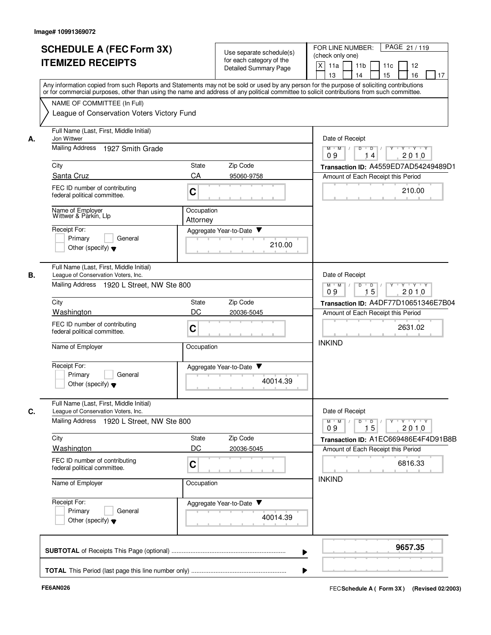|    | <b>SCHEDULE A (FEC Form 3X)</b>                                                                                                            |                                               | Use separate schedule(s) | PAGE 21 / 119<br>FOR LINE NUMBER:                                                                                                         |  |  |
|----|--------------------------------------------------------------------------------------------------------------------------------------------|-----------------------------------------------|--------------------------|-------------------------------------------------------------------------------------------------------------------------------------------|--|--|
|    |                                                                                                                                            |                                               | for each category of the | (check only one)                                                                                                                          |  |  |
|    | <b>ITEMIZED RECEIPTS</b>                                                                                                                   |                                               | Detailed Summary Page    | $\mathsf{X}$<br>11a<br>11 <sub>b</sub><br>11c<br>12                                                                                       |  |  |
|    |                                                                                                                                            |                                               |                          | 16<br>13<br>14<br>15<br>17                                                                                                                |  |  |
|    |                                                                                                                                            |                                               |                          | Any information copied from such Reports and Statements may not be sold or used by any person for the purpose of soliciting contributions |  |  |
|    | or for commercial purposes, other than using the name and address of any political committee to solicit contributions from such committee. |                                               |                          |                                                                                                                                           |  |  |
|    | NAME OF COMMITTEE (In Full)                                                                                                                |                                               |                          |                                                                                                                                           |  |  |
|    | League of Conservation Voters Victory Fund                                                                                                 |                                               |                          |                                                                                                                                           |  |  |
| А. | Full Name (Last, First, Middle Initial)<br>Jon Wittwer                                                                                     |                                               |                          | Date of Receipt                                                                                                                           |  |  |
|    | Mailing Address<br>1927 Smith Grade                                                                                                        |                                               |                          | $\overline{D}$<br>ਦ γ≕⊏γ≕∽γ<br>$M$ $M$ /<br>$\overline{D}$<br>2010<br>09<br>14                                                            |  |  |
|    | City                                                                                                                                       | <b>State</b>                                  | Zip Code                 | Transaction ID: A4559ED7AD54249489D1                                                                                                      |  |  |
|    | Santa Cruz                                                                                                                                 | CA                                            | 95060-9758               | Amount of Each Receipt this Period                                                                                                        |  |  |
|    | FEC ID number of contributing                                                                                                              |                                               |                          |                                                                                                                                           |  |  |
|    | federal political committee.                                                                                                               | $\mathbf C$                                   |                          | 210.00                                                                                                                                    |  |  |
|    | Name of Employer<br>Wittwer & Parkin, Llp                                                                                                  | Occupation                                    |                          |                                                                                                                                           |  |  |
|    | Receipt For:                                                                                                                               | Attorney                                      |                          |                                                                                                                                           |  |  |
|    | Primary<br>General                                                                                                                         |                                               | Aggregate Year-to-Date ▼ |                                                                                                                                           |  |  |
|    | Other (specify) $\blacktriangledown$                                                                                                       |                                               | 210.00                   |                                                                                                                                           |  |  |
|    |                                                                                                                                            |                                               |                          |                                                                                                                                           |  |  |
| В. | Full Name (Last, First, Middle Initial)<br>League of Conservation Voters, Inc.                                                             |                                               |                          | Date of Receipt                                                                                                                           |  |  |
|    | Mailing Address 1920 L Street, NW Ste 800                                                                                                  | D<br>$M$ $M$<br>$\overline{D}$<br>$Y + Y + Y$ |                          |                                                                                                                                           |  |  |
|    |                                                                                                                                            |                                               |                          | 15<br>09<br>2010                                                                                                                          |  |  |
|    | City                                                                                                                                       | <b>State</b>                                  | Zip Code                 | Transaction ID: A4DF77D10651346E7B04                                                                                                      |  |  |
|    | Washington                                                                                                                                 | DC                                            | 20036-5045               | Amount of Each Receipt this Period                                                                                                        |  |  |
|    | FEC ID number of contributing                                                                                                              |                                               |                          |                                                                                                                                           |  |  |
|    | federal political committee.                                                                                                               | C                                             |                          | 2631.02                                                                                                                                   |  |  |
|    | Name of Employer                                                                                                                           | Occupation                                    |                          | <b>INKIND</b>                                                                                                                             |  |  |
|    |                                                                                                                                            |                                               |                          |                                                                                                                                           |  |  |
|    | Receipt For:                                                                                                                               |                                               | Aggregate Year-to-Date ▼ |                                                                                                                                           |  |  |
|    | Primary<br>General                                                                                                                         |                                               |                          |                                                                                                                                           |  |  |
|    | Other (specify) $\bullet$                                                                                                                  |                                               | 40014.39                 |                                                                                                                                           |  |  |
|    | Full Name (Last, First, Middle Initial)                                                                                                    |                                               |                          |                                                                                                                                           |  |  |
| C. | League of Conservation Voters, Inc.                                                                                                        |                                               |                          | Date of Receipt                                                                                                                           |  |  |
|    | Mailing Address 1920 L Street, NW Ste 800                                                                                                  |                                               |                          | $\mathsf{Y} \dashv \mathsf{Y} \dashv \mathsf{Y}$<br>$D$ $D$ $/$<br>$Y$ <sup>U</sup><br>$M$ $M$ /<br>2010<br>09<br>15                      |  |  |
|    | City                                                                                                                                       | State                                         | Zip Code                 | Transaction ID: A1EC669486E4F4D91B8B                                                                                                      |  |  |
|    | Washington                                                                                                                                 | DC                                            | 20036-5045               | Amount of Each Receipt this Period                                                                                                        |  |  |
|    | FEC ID number of contributing<br>federal political committee.                                                                              | $\mathbf C$                                   |                          | 6816.33                                                                                                                                   |  |  |
|    | Name of Employer                                                                                                                           | Occupation                                    |                          | <b>INKIND</b>                                                                                                                             |  |  |
|    |                                                                                                                                            |                                               |                          |                                                                                                                                           |  |  |
|    | Receipt For:                                                                                                                               |                                               | Aggregate Year-to-Date   |                                                                                                                                           |  |  |
|    | Primary<br>General                                                                                                                         |                                               |                          |                                                                                                                                           |  |  |
|    | Other (specify) $\blacktriangledown$                                                                                                       |                                               | 40014.39                 |                                                                                                                                           |  |  |
|    |                                                                                                                                            |                                               |                          |                                                                                                                                           |  |  |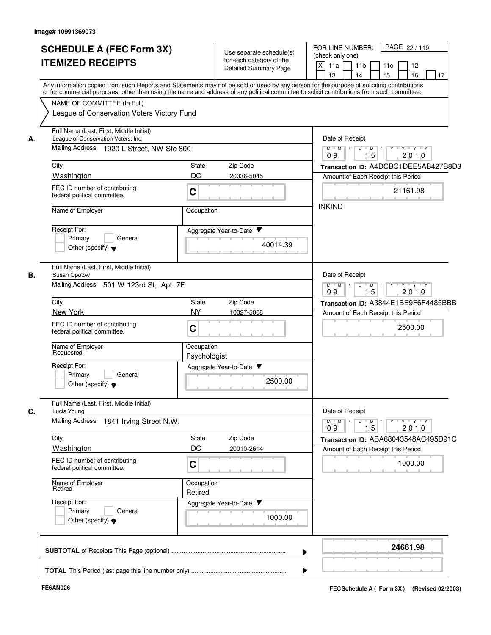|    | <b>SCHEDULE A (FEC Form 3X)</b><br><b>ITEMIZED RECEIPTS</b>                                                                                                                                                                                                                                                            |                            | Use separate schedule(s)<br>for each category of the<br><b>Detailed Summary Page</b> | PAGE 22/119<br>FOR LINE NUMBER:<br>(check only one)<br>$\mathsf{X}$<br>11a<br>11 <sub>b</sub><br>11c<br>12<br>15<br>16<br>13<br>14<br>17 |
|----|------------------------------------------------------------------------------------------------------------------------------------------------------------------------------------------------------------------------------------------------------------------------------------------------------------------------|----------------------------|--------------------------------------------------------------------------------------|------------------------------------------------------------------------------------------------------------------------------------------|
|    | Any information copied from such Reports and Statements may not be sold or used by any person for the purpose of soliciting contributions<br>or for commercial purposes, other than using the name and address of any political committee to solicit contributions from such committee.<br>NAME OF COMMITTEE (In Full) |                            |                                                                                      |                                                                                                                                          |
|    | League of Conservation Voters Victory Fund                                                                                                                                                                                                                                                                             |                            |                                                                                      |                                                                                                                                          |
| А. | Full Name (Last, First, Middle Initial)<br>League of Conservation Voters, Inc.                                                                                                                                                                                                                                         |                            |                                                                                      | Date of Receipt                                                                                                                          |
|    | Mailing Address 1920 L Street, NW Ste 800                                                                                                                                                                                                                                                                              |                            |                                                                                      | $M$ $M$ /<br>$\overline{D}$<br>Y 'Y 'Y<br>D<br>15<br>2010<br>09                                                                          |
|    | City                                                                                                                                                                                                                                                                                                                   | State                      | Zip Code                                                                             | Transaction ID: A4DCBC1DEE5AB427B8D3                                                                                                     |
|    | Washington<br>FEC ID number of contributing<br>federal political committee.                                                                                                                                                                                                                                            | DC<br>C                    | 20036-5045                                                                           | Amount of Each Receipt this Period<br>21161.98                                                                                           |
|    | Name of Employer                                                                                                                                                                                                                                                                                                       | Occupation                 |                                                                                      | <b>INKIND</b>                                                                                                                            |
|    | Receipt For:<br>Primary<br>General<br>Other (specify) $\blacktriangledown$                                                                                                                                                                                                                                             |                            | Aggregate Year-to-Date<br>40014.39                                                   |                                                                                                                                          |
| В. | Full Name (Last, First, Middle Initial)<br>Susan Opotow<br>Mailing Address 501 W 123rd St, Apt. 7F                                                                                                                                                                                                                     |                            |                                                                                      | Date of Receipt<br>$M$ $M$ /<br>$Y - Y - Y$<br>D<br>$\overline{D}$<br>$\mathbb{L}$                                                       |
|    |                                                                                                                                                                                                                                                                                                                        | 15<br>09<br>2010           |                                                                                      |                                                                                                                                          |
|    | City<br>New York                                                                                                                                                                                                                                                                                                       | State<br><b>NY</b>         | Zip Code<br>10027-5008                                                               | Transaction ID: A3844E1BE9F6F4485BBB                                                                                                     |
|    | FEC ID number of contributing<br>federal political committee.                                                                                                                                                                                                                                                          | C                          |                                                                                      | Amount of Each Receipt this Period<br>2500.00<br><b>CONTRACTOR</b>                                                                       |
|    | Name of Employer<br>Requested                                                                                                                                                                                                                                                                                          | Occupation<br>Psychologist |                                                                                      |                                                                                                                                          |
|    | Receipt For:<br>Primary<br>General<br>Other (specify) $\blacktriangledown$                                                                                                                                                                                                                                             |                            | Aggregate Year-to-Date<br>2500.00                                                    |                                                                                                                                          |
| C. | Full Name (Last, First, Middle Initial)<br>Lucia Young<br>Mailing Address 1841 Irving Street N.W.                                                                                                                                                                                                                      |                            |                                                                                      | Date of Receipt<br>$Y + Y + Y$<br>$M$ M<br>$D$ $D$ $I$<br>$Y$ <sup>U</sup><br>15<br>2010<br>09                                           |
|    | City                                                                                                                                                                                                                                                                                                                   | State                      | Zip Code                                                                             | Transaction ID: ABA68043548AC495D91C                                                                                                     |
|    | Washington                                                                                                                                                                                                                                                                                                             | DC                         | 20010-2614                                                                           | Amount of Each Receipt this Period                                                                                                       |
|    | FEC ID number of contributing<br>federal political committee.                                                                                                                                                                                                                                                          | C                          |                                                                                      | 1000.00                                                                                                                                  |
|    | Name of Employer<br>Retired                                                                                                                                                                                                                                                                                            | Occupation<br>Retired      |                                                                                      |                                                                                                                                          |
|    | Receipt For:<br>Primary<br>General<br>Other (specify) $\blacktriangledown$                                                                                                                                                                                                                                             |                            | Aggregate Year-to-Date<br>1000.00                                                    |                                                                                                                                          |
|    |                                                                                                                                                                                                                                                                                                                        |                            |                                                                                      | 24661.98                                                                                                                                 |
|    |                                                                                                                                                                                                                                                                                                                        |                            |                                                                                      |                                                                                                                                          |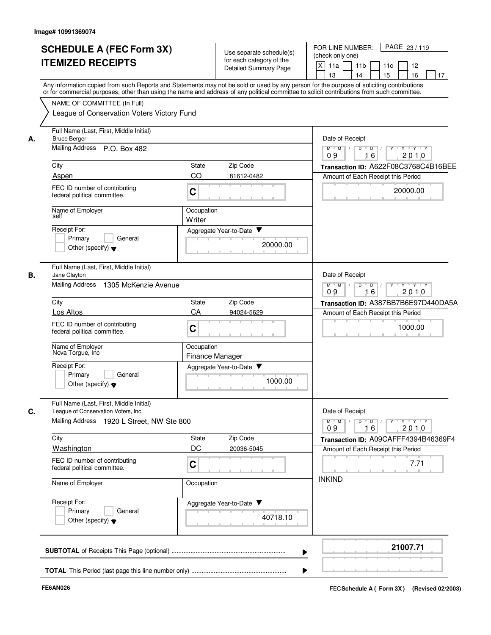|    | <b>SCHEDULE A (FEC Form 3X)</b><br><b>ITEMIZED RECEIPTS</b>                    | Use separate schedule(s)<br>for each category of the<br><b>Detailed Summary Page</b>                                                                                                                                                                                                    | FOR LINE NUMBER:<br>PAGE 23/119<br>(check only one)<br>$\times$<br>11a<br>12<br>11 <sub>b</sub><br>11c<br>15<br>16<br>13<br>14<br>17 |  |
|----|--------------------------------------------------------------------------------|-----------------------------------------------------------------------------------------------------------------------------------------------------------------------------------------------------------------------------------------------------------------------------------------|--------------------------------------------------------------------------------------------------------------------------------------|--|
|    |                                                                                | Any information copied from such Reports and Statements may not be sold or used by any person for the purpose of soliciting contributions<br>or for commercial purposes, other than using the name and address of any political committee to solicit contributions from such committee. |                                                                                                                                      |  |
|    | NAME OF COMMITTEE (In Full)<br>League of Conservation Voters Victory Fund      |                                                                                                                                                                                                                                                                                         |                                                                                                                                      |  |
| А. | Full Name (Last, First, Middle Initial)<br><b>Bruce Berger</b>                 |                                                                                                                                                                                                                                                                                         | Date of Receipt                                                                                                                      |  |
|    | Mailing Address P.O. Box 482                                                   |                                                                                                                                                                                                                                                                                         | $M$ $M$<br>ਦ γ≕⊏γ≕∽γ<br>$\overline{D}$<br>D<br>09<br>16<br>2010                                                                      |  |
|    | City                                                                           | State<br>Zip Code                                                                                                                                                                                                                                                                       | Transaction ID: A622F08C3768C4B16BEE                                                                                                 |  |
|    | Aspen                                                                          | CO<br>81612-0482                                                                                                                                                                                                                                                                        | Amount of Each Receipt this Period                                                                                                   |  |
|    | FEC ID number of contributing<br>federal political committee.                  | $\mathbf C$                                                                                                                                                                                                                                                                             | 20000.00                                                                                                                             |  |
|    | Name of Employer<br>self                                                       | Occupation<br>Writer                                                                                                                                                                                                                                                                    |                                                                                                                                      |  |
|    | Receipt For:                                                                   | Aggregate Year-to-Date                                                                                                                                                                                                                                                                  |                                                                                                                                      |  |
|    | Primary<br>General<br>Other (specify) $\bullet$                                | 20000.00                                                                                                                                                                                                                                                                                |                                                                                                                                      |  |
| В. | Full Name (Last, First, Middle Initial)<br>Jane Clayton                        |                                                                                                                                                                                                                                                                                         | Date of Receipt                                                                                                                      |  |
|    | <b>Mailing Address</b><br>1305 McKenzie Avenue                                 |                                                                                                                                                                                                                                                                                         | $M$ M<br>D<br>$\overline{D}$<br>$Y + Y + Y$<br>16<br>09<br>2010                                                                      |  |
|    | City                                                                           | State<br>Zip Code                                                                                                                                                                                                                                                                       | Transaction ID: A387BB7B6E97D440DA5A                                                                                                 |  |
|    | Los Altos                                                                      | CA<br>94024-5629                                                                                                                                                                                                                                                                        | Amount of Each Receipt this Period                                                                                                   |  |
|    | FEC ID number of contributing<br>federal political committee.                  | $\mathbf C$                                                                                                                                                                                                                                                                             | 1000.00                                                                                                                              |  |
|    | Name of Employer<br>Nova Torgue, Inc                                           | Occupation<br>Finance Manager                                                                                                                                                                                                                                                           |                                                                                                                                      |  |
|    | Receipt For:<br>Primary<br>General<br>Other (specify) $\blacktriangledown$     | Aggregate Year-to-Date<br>1000.00                                                                                                                                                                                                                                                       |                                                                                                                                      |  |
| C. | Full Name (Last, First, Middle Initial)<br>League of Conservation Voters, Inc. |                                                                                                                                                                                                                                                                                         | Date of Receipt                                                                                                                      |  |
|    | Mailing Address 1920 L Street, NW Ste 800                                      |                                                                                                                                                                                                                                                                                         | $D \quad D \quad / \quad   \quad Y \quad + \quad Y \quad + \quad Y \quad + \quad Y$<br>$M$ $M$<br>16<br>2010<br>09                   |  |
|    | City<br>Washington                                                             | Zip Code<br>State<br>DC<br>20036-5045                                                                                                                                                                                                                                                   | Transaction ID: A09CAFFF4394B46369F4<br>Amount of Each Receipt this Period                                                           |  |
|    | FEC ID number of contributing<br>federal political committee.                  | C                                                                                                                                                                                                                                                                                       | 7.71                                                                                                                                 |  |
|    | Name of Employer                                                               | Occupation                                                                                                                                                                                                                                                                              | <b>INKIND</b>                                                                                                                        |  |
|    | Receipt For:<br>Primary<br>General<br>Other (specify) $\blacktriangledown$     | Aggregate Year-to-Date<br>40718.10                                                                                                                                                                                                                                                      |                                                                                                                                      |  |
|    |                                                                                |                                                                                                                                                                                                                                                                                         | 21007.71                                                                                                                             |  |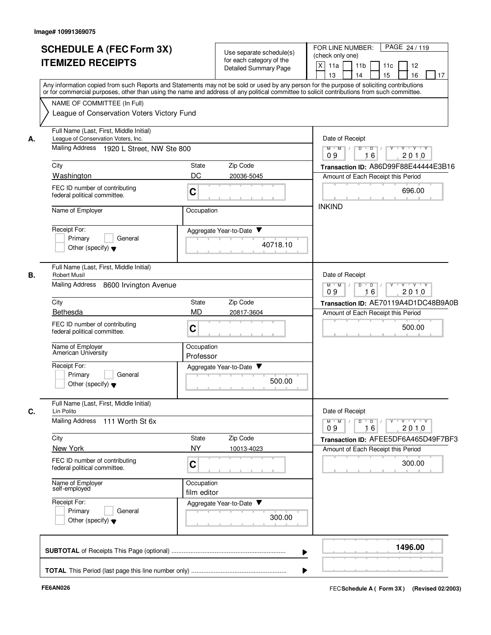|    | <b>SCHEDULE A (FEC Form 3X)</b><br><b>ITEMIZED RECEIPTS</b>                                                                  | Use separate schedule(s)<br>for each category of the<br><b>Detailed Summary Page</b>                                                                                                                                                                                                    | PAGE 24 / 119<br>FOR LINE NUMBER:<br>(check only one)<br>X<br>11a<br>11 <sub>b</sub><br>11c<br>12<br>15<br>16<br>13<br>14<br>17 |  |
|----|------------------------------------------------------------------------------------------------------------------------------|-----------------------------------------------------------------------------------------------------------------------------------------------------------------------------------------------------------------------------------------------------------------------------------------|---------------------------------------------------------------------------------------------------------------------------------|--|
|    | NAME OF COMMITTEE (In Full)                                                                                                  | Any information copied from such Reports and Statements may not be sold or used by any person for the purpose of soliciting contributions<br>or for commercial purposes, other than using the name and address of any political committee to solicit contributions from such committee. |                                                                                                                                 |  |
| А. | League of Conservation Voters Victory Fund<br>Full Name (Last, First, Middle Initial)<br>League of Conservation Voters, Inc. |                                                                                                                                                                                                                                                                                         | Date of Receipt                                                                                                                 |  |
|    | Mailing Address 1920 L Street, NW Ste 800                                                                                    |                                                                                                                                                                                                                                                                                         | $M$ $M$ /<br>$D$ $D$ $/$<br><b>TY TY TY</b><br>16<br>2010<br>09                                                                 |  |
|    | City                                                                                                                         | Zip Code<br>State                                                                                                                                                                                                                                                                       | Transaction ID: A86D99F88E44444E3B16                                                                                            |  |
|    | Washington                                                                                                                   | DC<br>20036-5045                                                                                                                                                                                                                                                                        | Amount of Each Receipt this Period                                                                                              |  |
|    | FEC ID number of contributing<br>federal political committee.                                                                | $\mathbf C$                                                                                                                                                                                                                                                                             | 696.00                                                                                                                          |  |
|    | Name of Employer                                                                                                             | Occupation                                                                                                                                                                                                                                                                              | <b>INKIND</b>                                                                                                                   |  |
|    | Receipt For:<br>Primary<br>General                                                                                           | Aggregate Year-to-Date ▼                                                                                                                                                                                                                                                                |                                                                                                                                 |  |
|    | Other (specify) $\blacktriangledown$                                                                                         | 40718.10                                                                                                                                                                                                                                                                                |                                                                                                                                 |  |
| В. | Full Name (Last, First, Middle Initial)<br><b>Robert Musil</b>                                                               |                                                                                                                                                                                                                                                                                         | Date of Receipt                                                                                                                 |  |
|    | <b>Mailing Address</b><br>8600 Irvington Avenue                                                                              | $M^+$ M<br>$D$ $D$<br>Y Y Y Y Y Y<br>$\mathbb{L}$<br>$\mathbb{L}$<br>09<br>16<br>2010                                                                                                                                                                                                   |                                                                                                                                 |  |
|    | City                                                                                                                         | Zip Code<br>State                                                                                                                                                                                                                                                                       | Transaction ID: AE70119A4D1DC48B9A0B<br>Amount of Each Receipt this Period                                                      |  |
|    | Bethesda                                                                                                                     | <b>MD</b><br>20817-3604                                                                                                                                                                                                                                                                 |                                                                                                                                 |  |
|    | FEC ID number of contributing<br>federal political committee.                                                                | $\mathbf C$                                                                                                                                                                                                                                                                             | 500.00                                                                                                                          |  |
|    | Name of Employer<br>American University                                                                                      | Occupation<br>Professor                                                                                                                                                                                                                                                                 |                                                                                                                                 |  |
|    | Receipt For:                                                                                                                 | Aggregate Year-to-Date                                                                                                                                                                                                                                                                  |                                                                                                                                 |  |
|    | Primary<br>General<br>Other (specify) $\blacktriangledown$                                                                   | 500.00                                                                                                                                                                                                                                                                                  |                                                                                                                                 |  |
| С. | Full Name (Last, First, Middle Initial)<br>Lin Polito                                                                        |                                                                                                                                                                                                                                                                                         | Date of Receipt                                                                                                                 |  |
|    | Mailing Address 111 Worth St 6x                                                                                              |                                                                                                                                                                                                                                                                                         | $Y$ $Y$ $Y$<br>$M$ M<br>$\overline{D}$<br>D<br>16<br>2010<br>09                                                                 |  |
|    | City                                                                                                                         | State<br>Zip Code                                                                                                                                                                                                                                                                       | Transaction ID: AFEE5DF6A465D49F7BF3                                                                                            |  |
|    | New York                                                                                                                     | <b>NY</b><br>10013-4023                                                                                                                                                                                                                                                                 | Amount of Each Receipt this Period                                                                                              |  |
|    | FEC ID number of contributing<br>federal political committee.                                                                | $\mathbf C$                                                                                                                                                                                                                                                                             | 300.00                                                                                                                          |  |
|    | Name of Employer<br>self-employed                                                                                            | Occupation<br>film editor                                                                                                                                                                                                                                                               |                                                                                                                                 |  |
|    | Receipt For:                                                                                                                 | Aggregate Year-to-Date                                                                                                                                                                                                                                                                  |                                                                                                                                 |  |
|    | Primary<br>General<br>Other (specify) $\blacktriangledown$                                                                   | 300.00                                                                                                                                                                                                                                                                                  |                                                                                                                                 |  |
|    |                                                                                                                              |                                                                                                                                                                                                                                                                                         | 1496.00                                                                                                                         |  |
|    |                                                                                                                              |                                                                                                                                                                                                                                                                                         |                                                                                                                                 |  |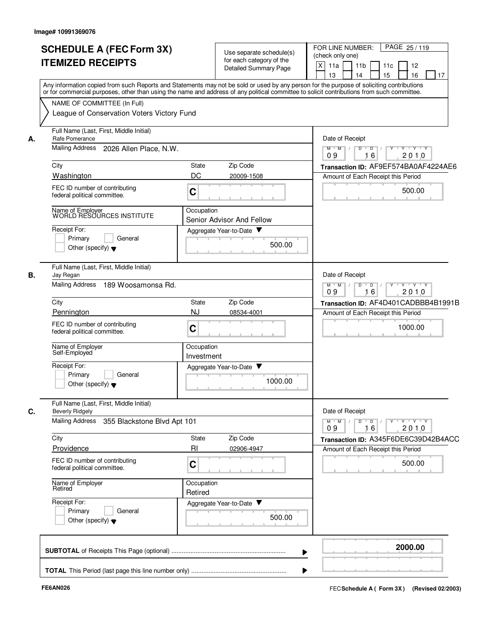|    | <b>SCHEDULE A (FEC Form 3X)</b><br><b>ITEMIZED RECEIPTS</b>                                                                                                                                                                                                                                                                                                          |                                                        | Use separate schedule(s)<br>for each category of the<br>Detailed Summary Page | FOR LINE NUMBER:<br>PAGE 25/119<br>(check only one)<br>X<br>11a<br>11 <sub>b</sub><br>11c<br>12<br>15<br>16<br>13<br>14<br>17                                                                                                                                            |
|----|----------------------------------------------------------------------------------------------------------------------------------------------------------------------------------------------------------------------------------------------------------------------------------------------------------------------------------------------------------------------|--------------------------------------------------------|-------------------------------------------------------------------------------|--------------------------------------------------------------------------------------------------------------------------------------------------------------------------------------------------------------------------------------------------------------------------|
|    | Any information copied from such Reports and Statements may not be sold or used by any person for the purpose of soliciting contributions<br>or for commercial purposes, other than using the name and address of any political committee to solicit contributions from such committee.<br>NAME OF COMMITTEE (In Full)<br>League of Conservation Voters Victory Fund |                                                        |                                                                               |                                                                                                                                                                                                                                                                          |
| А. | Full Name (Last, First, Middle Initial)<br>Rafe Pomerance<br>Mailing Address<br>2026 Allen Place, N.W.<br>City<br>Washington<br>FEC ID number of contributing<br>federal political committee.<br>Name of Employer<br>WORLD RESOURCES INSTITUTE<br>Receipt For:<br>Primary<br>General                                                                                 | State<br>DC<br>C<br>Occupation                         | Zip Code<br>20009-1508<br>Senior Advisor And Fellow<br>Aggregate Year-to-Date | Date of Receipt<br>$M$ $M$ $/$<br>$Y + Y + Y$<br>D<br>$\overline{D}$<br>16<br>2010<br>09<br>Transaction ID: AF9EF574BA0AF4224AE6<br>Amount of Each Receipt this Period<br>500.00                                                                                         |
| В. | Other (specify) $\blacktriangledown$<br>Full Name (Last, First, Middle Initial)<br>Jay Regan<br><b>Mailing Address</b><br>189 Woosamonsa Rd.<br>City<br>Pennington<br>FEC ID number of contributing<br>federal political committee.<br>Name of Employer<br>Self-Employed<br>Receipt For:<br>Primary<br>General                                                       | State<br>NJ<br>$\mathbf C$<br>Occupation<br>Investment | 500.00<br>Zip Code<br>08534-4001<br>Aggregate Year-to-Date<br>1000.00         | Date of Receipt<br>$M$ $M$<br>$D$ $D$<br>$\vdash$ $\mathsf{Y}$ $\vdash$ $\mathsf{Y}$ $\vdash$ $\mathsf{Y}$<br>$\sqrt{ }$<br>Y<br>$\prime$<br>09<br>16<br>2010<br>Transaction ID: AF4D401CADBBB4B1991B<br>Amount of Each Receipt this Period<br>1000.00<br><b>COLLANS</b> |
| C. | Other (specify) $\blacktriangledown$<br>Full Name (Last, First, Middle Initial)<br><b>Beverly Ridgely</b><br>Mailing Address 355 Blackstone Blvd Apt 101<br>City<br>Providence<br>FEC ID number of contributing<br>federal political committee.<br>Name of Employer<br>Retired<br>Receipt For:<br>Primary<br>General<br>Other (specify) $\blacktriangledown$         | State<br>RI<br>$\mathbf C$<br>Occupation<br>Retired    | Zip Code<br>02906-4947<br>Aggregate Year-to-Date<br>500.00                    | Date of Receipt<br>$\mathsf{Y} \dashv \mathsf{Y} \dashv \mathsf{Y} \dashv \mathsf{Y}$<br>$M$ $M$<br>D<br>$\overline{D}$<br>16<br>2010<br>09<br>Transaction ID: A345F6DE6C39D42B4ACC<br>Amount of Each Receipt this Period<br>500.00                                      |
|    |                                                                                                                                                                                                                                                                                                                                                                      |                                                        |                                                                               | 2000.00<br>▶<br>▶                                                                                                                                                                                                                                                        |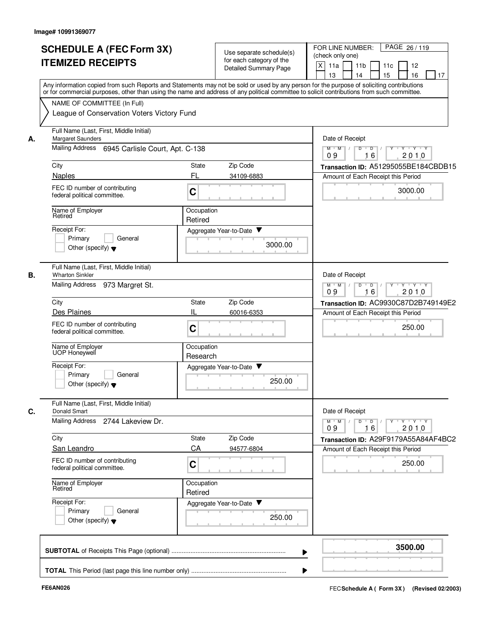| <b>SCHEDULE A (FEC Form 3X)</b> |                                                                                                                                                                                                                                                                                         |                                                   | Use separate schedule(s)           |                                      | FOR LINE NUMBER:<br>PAGE 26/119<br>(check only one) |           |   |                      |   |          |                                                          |    |  |
|---------------------------------|-----------------------------------------------------------------------------------------------------------------------------------------------------------------------------------------------------------------------------------------------------------------------------------------|---------------------------------------------------|------------------------------------|--------------------------------------|-----------------------------------------------------|-----------|---|----------------------|---|----------|----------------------------------------------------------|----|--|
|                                 | <b>ITEMIZED RECEIPTS</b>                                                                                                                                                                                                                                                                | for each category of the<br>Detailed Summary Page |                                    | $\mathsf{X}$<br>11a<br>13            |                                                     | 11b<br>14 |   | 11c<br>15            |   | 12<br>16 |                                                          | 17 |  |
|                                 | Any information copied from such Reports and Statements may not be sold or used by any person for the purpose of soliciting contributions<br>or for commercial purposes, other than using the name and address of any political committee to solicit contributions from such committee. |                                                   |                                    |                                      |                                                     |           |   |                      |   |          |                                                          |    |  |
|                                 | NAME OF COMMITTEE (In Full)<br>League of Conservation Voters Victory Fund                                                                                                                                                                                                               |                                                   |                                    |                                      |                                                     |           |   |                      |   |          |                                                          |    |  |
| А.                              | Full Name (Last, First, Middle Initial)<br><b>Margaret Saunders</b>                                                                                                                                                                                                                     |                                                   |                                    |                                      | Date of Receipt                                     |           |   |                      |   |          |                                                          |    |  |
|                                 | Mailing Address 6945 Carlisle Court, Apt. C-138                                                                                                                                                                                                                                         |                                                   |                                    |                                      | $M$ $M$ /<br>09                                     |           | D | $\overline{D}$<br>16 |   |          | $Y \cup Y \cup Y$<br>2010                                |    |  |
|                                 | City                                                                                                                                                                                                                                                                                    | State                                             | Zip Code                           |                                      | Transaction ID: A51295055BE184CBDB15                |           |   |                      |   |          |                                                          |    |  |
|                                 | Naples                                                                                                                                                                                                                                                                                  | FL                                                | 34109-6883                         |                                      | Amount of Each Receipt this Period                  |           |   |                      |   |          |                                                          |    |  |
|                                 | FEC ID number of contributing<br>federal political committee.                                                                                                                                                                                                                           | C                                                 |                                    |                                      |                                                     |           |   |                      |   |          | 3000.00                                                  |    |  |
|                                 | Name of Employer<br>Retired                                                                                                                                                                                                                                                             | Occupation<br>Retired                             |                                    |                                      |                                                     |           |   |                      |   |          |                                                          |    |  |
|                                 | Receipt For:                                                                                                                                                                                                                                                                            |                                                   | Aggregate Year-to-Date             |                                      |                                                     |           |   |                      |   |          |                                                          |    |  |
|                                 | Primary<br>General<br>Other (specify) $\blacktriangledown$                                                                                                                                                                                                                              |                                                   | 3000.00                            |                                      |                                                     |           |   |                      |   |          |                                                          |    |  |
| В.                              | Full Name (Last, First, Middle Initial)<br><b>Wharton Sinkler</b>                                                                                                                                                                                                                       |                                                   |                                    |                                      | Date of Receipt                                     |           |   |                      |   |          |                                                          |    |  |
|                                 | <b>Mailing Address</b><br>973 Margret St.                                                                                                                                                                                                                                               |                                                   |                                    |                                      | $M$ $M$<br>09                                       |           | D | $\overline{D}$<br>16 |   |          | $Y - Y - Y$<br>2010                                      |    |  |
|                                 | City                                                                                                                                                                                                                                                                                    | Zip Code                                          |                                    | Transaction ID: AC9930C87D2B749149E2 |                                                     |           |   |                      |   |          |                                                          |    |  |
|                                 | Des Plaines                                                                                                                                                                                                                                                                             |                                                   | 60016-6353                         |                                      | Amount of Each Receipt this Period                  |           |   |                      |   |          |                                                          |    |  |
|                                 | FEC ID number of contributing<br>federal political committee.                                                                                                                                                                                                                           | C                                                 |                                    |                                      |                                                     |           |   |                      |   |          | 250.00                                                   |    |  |
|                                 | Name of Employer<br>UOP Honeywell                                                                                                                                                                                                                                                       | Occupation<br>Research                            |                                    |                                      |                                                     |           |   |                      |   |          |                                                          |    |  |
|                                 | Receipt For:<br>General<br>Primary<br>Other (specify) $\blacktriangledown$                                                                                                                                                                                                              |                                                   | Aggregate Year-to-Date ▼<br>250.00 |                                      |                                                     |           |   |                      |   |          |                                                          |    |  |
|                                 | Full Name (Last, First, Middle Initial)<br>Donald Smart                                                                                                                                                                                                                                 |                                                   |                                    |                                      | Date of Receipt                                     |           |   |                      |   |          |                                                          |    |  |
|                                 | Mailing Address 2744 Lakeview Dr.                                                                                                                                                                                                                                                       |                                                   |                                    |                                      | $M$ $M$ /<br>09                                     |           | D | $\overline{D}$<br>16 | Y |          | $\mathsf{Y} \dashv \mathsf{Y} \dashv \mathsf{Y}$<br>2010 |    |  |
|                                 | City                                                                                                                                                                                                                                                                                    | <b>State</b><br>CA                                | Zip Code                           |                                      | Transaction ID: A29F9179A55A84AF4BC2                |           |   |                      |   |          |                                                          |    |  |
|                                 | San Leandro<br>FEC ID number of contributing<br>federal political committee.                                                                                                                                                                                                            | C                                                 | 94577-6804                         |                                      | Amount of Each Receipt this Period                  |           |   |                      |   |          | 250.00                                                   |    |  |
|                                 | Name of Employer<br>Retired                                                                                                                                                                                                                                                             | Occupation<br>Retired                             |                                    |                                      |                                                     |           |   |                      |   |          |                                                          |    |  |
|                                 | Receipt For:<br>Primary<br>General<br>Other (specify) $\blacktriangledown$                                                                                                                                                                                                              |                                                   | Aggregate Year-to-Date<br>250.00   |                                      |                                                     |           |   |                      |   |          |                                                          |    |  |
|                                 |                                                                                                                                                                                                                                                                                         |                                                   |                                    |                                      |                                                     |           |   |                      |   |          | 3500.00                                                  |    |  |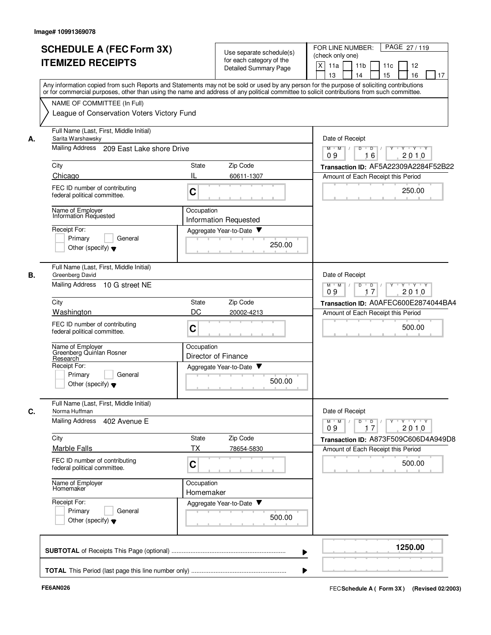| <b>SCHEDULE A (FEC Form 3X)</b><br><b>ITEMIZED RECEIPTS</b> |                                                                                                                                                                           |                                                                   | Use separate schedule(s)<br>for each category of the<br>Detailed Summary Page | FOR LINE NUMBER:<br>PAGE 27/119<br>(check only one)<br>$\mathsf{X}$<br>11a<br>11 <sub>b</sub><br>11c<br>12 |    |  |  |  |  |  |  |
|-------------------------------------------------------------|---------------------------------------------------------------------------------------------------------------------------------------------------------------------------|-------------------------------------------------------------------|-------------------------------------------------------------------------------|------------------------------------------------------------------------------------------------------------|----|--|--|--|--|--|--|
|                                                             | Any information copied from such Reports and Statements may not be sold or used by any person for the purpose of soliciting contributions                                 |                                                                   |                                                                               | 15<br>16<br>13<br>14                                                                                       | 17 |  |  |  |  |  |  |
|                                                             | or for commercial purposes, other than using the name and address of any political committee to solicit contributions from such committee.<br>NAME OF COMMITTEE (In Full) |                                                                   |                                                                               |                                                                                                            |    |  |  |  |  |  |  |
|                                                             | League of Conservation Voters Victory Fund                                                                                                                                |                                                                   |                                                                               |                                                                                                            |    |  |  |  |  |  |  |
| А.                                                          | Full Name (Last, First, Middle Initial)<br>Sarita Warshawsky                                                                                                              |                                                                   |                                                                               | Date of Receipt                                                                                            |    |  |  |  |  |  |  |
|                                                             | Mailing Address 209 East Lake shore Drive                                                                                                                                 |                                                                   |                                                                               | $M$ $M$ /<br>D<br>$\overline{D}$<br>$Y \cup Y \cup Y$<br>2010<br>16<br>09                                  |    |  |  |  |  |  |  |
|                                                             | City                                                                                                                                                                      | State                                                             | Zip Code                                                                      | Transaction ID: AF5A22309A2284F52B22                                                                       |    |  |  |  |  |  |  |
|                                                             | Chicago                                                                                                                                                                   | Ш                                                                 | 60611-1307                                                                    | Amount of Each Receipt this Period                                                                         |    |  |  |  |  |  |  |
|                                                             | FEC ID number of contributing<br>federal political committee.                                                                                                             | $\mathbf C$                                                       |                                                                               | 250.00                                                                                                     |    |  |  |  |  |  |  |
|                                                             | Name of Employer<br>Information Requested                                                                                                                                 | Occupation                                                        |                                                                               |                                                                                                            |    |  |  |  |  |  |  |
|                                                             | Receipt For:                                                                                                                                                              |                                                                   | Information Requested<br>Aggregate Year-to-Date                               |                                                                                                            |    |  |  |  |  |  |  |
|                                                             | General<br>Primary<br>Other (specify) $\blacktriangledown$                                                                                                                |                                                                   | 250.00                                                                        |                                                                                                            |    |  |  |  |  |  |  |
| В.                                                          | Full Name (Last, First, Middle Initial)<br>Greenberg David                                                                                                                |                                                                   |                                                                               | Date of Receipt                                                                                            |    |  |  |  |  |  |  |
|                                                             | <b>Mailing Address</b><br>10 G street NE                                                                                                                                  | $\overline{D}$<br>$Y - Y - Y$<br>$M$ $M$<br>D<br>2010<br>09<br>17 |                                                                               |                                                                                                            |    |  |  |  |  |  |  |
|                                                             | City                                                                                                                                                                      | State                                                             | Zip Code                                                                      | Transaction ID: A0AFEC600E2874044BA4                                                                       |    |  |  |  |  |  |  |
|                                                             | <b>Washington</b>                                                                                                                                                         | DC                                                                | 20002-4213                                                                    | Amount of Each Receipt this Period                                                                         |    |  |  |  |  |  |  |
|                                                             | FEC ID number of contributing<br>federal political committee.                                                                                                             | $\mathbf C$                                                       |                                                                               | 500.00                                                                                                     |    |  |  |  |  |  |  |
|                                                             | Name of Employer<br>Greenberg Quinlan Rosner<br>Research                                                                                                                  | Occupation                                                        | Director of Finance                                                           |                                                                                                            |    |  |  |  |  |  |  |
|                                                             | Receipt For:                                                                                                                                                              |                                                                   | Aggregate Year-to-Date                                                        |                                                                                                            |    |  |  |  |  |  |  |
|                                                             | General<br>Primary<br>Other (specify) $\blacktriangledown$                                                                                                                |                                                                   | 500.00                                                                        |                                                                                                            |    |  |  |  |  |  |  |
| С.                                                          | Full Name (Last, First, Middle Initial)<br>Norma Huffman                                                                                                                  |                                                                   |                                                                               | Date of Receipt                                                                                            |    |  |  |  |  |  |  |
|                                                             | Mailing Address 402 Avenue E                                                                                                                                              |                                                                   |                                                                               | $Y \dashv Y \dashv Y$<br>$M$ $M$ /<br>D<br>$\overline{D}$<br>2010<br>09<br>17                              |    |  |  |  |  |  |  |
|                                                             | City                                                                                                                                                                      | <b>State</b>                                                      | Zip Code                                                                      | Transaction ID: A873F509C606D4A949D8                                                                       |    |  |  |  |  |  |  |
|                                                             | <b>Marble Falls</b>                                                                                                                                                       | <b>TX</b>                                                         | 78654-5830                                                                    | Amount of Each Receipt this Period                                                                         |    |  |  |  |  |  |  |
|                                                             | FEC ID number of contributing<br>federal political committee.                                                                                                             | C                                                                 |                                                                               | 500.00                                                                                                     |    |  |  |  |  |  |  |
|                                                             | Name of Employer<br>Homemaker                                                                                                                                             | Occupation<br>Homemaker                                           |                                                                               |                                                                                                            |    |  |  |  |  |  |  |
|                                                             | Receipt For:                                                                                                                                                              |                                                                   | Aggregate Year-to-Date                                                        |                                                                                                            |    |  |  |  |  |  |  |
|                                                             | Primary<br>General<br>Other (specify) $\blacktriangledown$                                                                                                                |                                                                   | 500.00                                                                        |                                                                                                            |    |  |  |  |  |  |  |
|                                                             |                                                                                                                                                                           |                                                                   |                                                                               | 1250.00                                                                                                    |    |  |  |  |  |  |  |
|                                                             |                                                                                                                                                                           |                                                                   |                                                                               |                                                                                                            |    |  |  |  |  |  |  |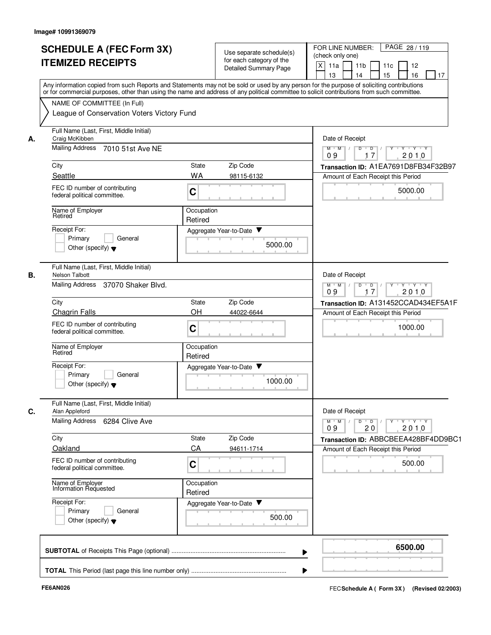|    | <b>SCHEDULE A (FEC Form 3X)</b><br><b>ITEMIZED RECEIPTS</b>                                                                                                                                                                                                                                                                                                          |                                                            | Use separate schedule(s)<br>for each category of the<br><b>Detailed Summary Page</b> | FOR LINE NUMBER:<br>PAGE 28/119<br>(check only one)<br>$\times$<br>11a<br>11 <sub>b</sub><br>11c<br>12<br>16<br>13<br>14<br>15<br>17                                                                                                  |
|----|----------------------------------------------------------------------------------------------------------------------------------------------------------------------------------------------------------------------------------------------------------------------------------------------------------------------------------------------------------------------|------------------------------------------------------------|--------------------------------------------------------------------------------------|---------------------------------------------------------------------------------------------------------------------------------------------------------------------------------------------------------------------------------------|
|    | Any information copied from such Reports and Statements may not be sold or used by any person for the purpose of soliciting contributions<br>or for commercial purposes, other than using the name and address of any political committee to solicit contributions from such committee.<br>NAME OF COMMITTEE (In Full)<br>League of Conservation Voters Victory Fund |                                                            |                                                                                      |                                                                                                                                                                                                                                       |
| А. | Full Name (Last, First, Middle Initial)<br>Craig McKibben<br><b>Mailing Address</b><br>7010 51st Ave NE<br>City<br>Seattle<br>FEC ID number of contributing<br>federal political committee.<br>Name of Employer<br>Retired<br>Receipt For:<br>Primary<br>General<br>Other (specify) $\blacktriangledown$                                                             | State<br><b>WA</b><br>C<br>Occupation<br>Retired           | Zip Code<br>98115-6132<br>Aggregate Year-to-Date ▼<br>5000.00                        | Date of Receipt<br>$M$ $M$<br>$Y - Y - Y$<br>D<br>$\overline{D}$<br>2010<br>17<br>09<br>Transaction ID: A1EA7691D8FB34F32B97<br>Amount of Each Receipt this Period<br>5000.00                                                         |
| В. | Full Name (Last, First, Middle Initial)<br><b>Nelson Talbott</b><br>Mailing Address 37070 Shaker Blvd.<br>City<br><b>Chagrin Falls</b><br>FEC ID number of contributing<br>federal political committee.<br>Name of Employer<br>Retired<br>Receipt For:<br>Primary<br>General<br>Other (specify) $\blacktriangledown$                                                 | <b>State</b><br>OH<br>$\mathbf C$<br>Occupation<br>Retired | Zip Code<br>44022-6644<br>Aggregate Year-to-Date<br>1000.00                          | Date of Receipt<br>$M$ $M$ /<br>Y Y Y Y Y<br>$\overline{D}$<br>$\blacksquare$ D $\blacksquare$ /<br>09<br>2010<br>17<br>Transaction ID: A131452CCAD434EF5A1F<br>Amount of Each Receipt this Period<br>1000.00<br><b>All Contracts</b> |
| C. | Full Name (Last, First, Middle Initial)<br>Alan Appleford<br>Mailing Address 6284 Clive Ave<br>City<br>Oakland<br>FEC ID number of contributing<br>federal political committee.<br>Name of Employer<br>Information Requested<br>Receipt For:<br>Primary<br>General<br>Other (specify) $\blacktriangledown$                                                           | State<br>CA<br>$\mathbf C$<br>Occupation<br>Retired        | Zip Code<br>94611-1714<br>Aggregate Year-to-Date<br>500.00                           | Date of Receipt<br>$Y - Y - Y$<br>M<br>$D$ $D$ $/$<br>$Y$ <sup>U</sup><br>$M$ <sup><math>+</math></sup><br>2010<br>09<br>20<br>Transaction ID: ABBCBEEA428BF4DD9BC1<br>Amount of Each Receipt this Period<br>500.00                   |
|    |                                                                                                                                                                                                                                                                                                                                                                      |                                                            | ▶<br>▶                                                                               | 6500.00                                                                                                                                                                                                                               |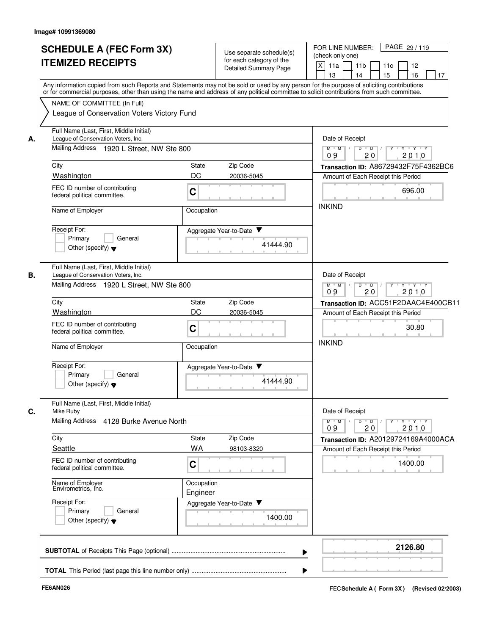|    | <b>SCHEDULE A (FEC Form 3X)</b><br><b>ITEMIZED RECEIPTS</b>                                                                                                                                                                                                                                                            |                                                                     | Use separate schedule(s)<br>for each category of the<br>Detailed Summary Page | PAGE 29 / 119<br>FOR LINE NUMBER:<br>(check only one)<br>X<br>11a<br>11 <sub>b</sub><br>11c<br>12<br>13<br>15<br>16<br>14<br>17 |  |  |  |  |
|----|------------------------------------------------------------------------------------------------------------------------------------------------------------------------------------------------------------------------------------------------------------------------------------------------------------------------|---------------------------------------------------------------------|-------------------------------------------------------------------------------|---------------------------------------------------------------------------------------------------------------------------------|--|--|--|--|
|    | Any information copied from such Reports and Statements may not be sold or used by any person for the purpose of soliciting contributions<br>or for commercial purposes, other than using the name and address of any political committee to solicit contributions from such committee.<br>NAME OF COMMITTEE (In Full) |                                                                     |                                                                               |                                                                                                                                 |  |  |  |  |
|    | League of Conservation Voters Victory Fund<br>Full Name (Last, First, Middle Initial)                                                                                                                                                                                                                                  |                                                                     |                                                                               |                                                                                                                                 |  |  |  |  |
| А. | League of Conservation Voters, Inc.                                                                                                                                                                                                                                                                                    |                                                                     |                                                                               | Date of Receipt                                                                                                                 |  |  |  |  |
|    | Mailing Address 1920 L Street, NW Ste 800                                                                                                                                                                                                                                                                              |                                                                     |                                                                               | $M$ $M$ /<br>$D$ $D$ $/$<br>Y Y Y Y Y<br>20<br>2010<br>09                                                                       |  |  |  |  |
|    | City                                                                                                                                                                                                                                                                                                                   | State                                                               | Zip Code                                                                      | Transaction ID: A86729432F75F4362BC6                                                                                            |  |  |  |  |
|    | Washington                                                                                                                                                                                                                                                                                                             | DC                                                                  | 20036-5045                                                                    | Amount of Each Receipt this Period                                                                                              |  |  |  |  |
|    | FEC ID number of contributing<br>federal political committee.                                                                                                                                                                                                                                                          | C                                                                   |                                                                               | 696.00                                                                                                                          |  |  |  |  |
|    | Name of Employer                                                                                                                                                                                                                                                                                                       | Occupation                                                          |                                                                               | <b>INKIND</b>                                                                                                                   |  |  |  |  |
|    | Receipt For:                                                                                                                                                                                                                                                                                                           |                                                                     | Aggregate Year-to-Date                                                        |                                                                                                                                 |  |  |  |  |
|    | General<br>Primary<br>Other (specify) $\blacktriangledown$                                                                                                                                                                                                                                                             |                                                                     | 41444.90                                                                      |                                                                                                                                 |  |  |  |  |
| В. | Full Name (Last, First, Middle Initial)<br>League of Conservation Voters, Inc.                                                                                                                                                                                                                                         |                                                                     |                                                                               | Date of Receipt                                                                                                                 |  |  |  |  |
|    | Mailing Address 1920 L Street, NW Ste 800                                                                                                                                                                                                                                                                              | $M$ $M$<br>$D$ $D$<br>Y * Y * Y * Y<br>$\prime$<br>20<br>09<br>2010 |                                                                               |                                                                                                                                 |  |  |  |  |
|    | City                                                                                                                                                                                                                                                                                                                   | State                                                               | Zip Code                                                                      | Transaction ID: ACC51F2DAAC4E400CB11                                                                                            |  |  |  |  |
|    | <b>Washington</b>                                                                                                                                                                                                                                                                                                      | DC                                                                  | 20036-5045                                                                    | Amount of Each Receipt this Period                                                                                              |  |  |  |  |
|    | FEC ID number of contributing<br>$\mathbf C$<br>federal political committee.                                                                                                                                                                                                                                           |                                                                     |                                                                               | 30.80                                                                                                                           |  |  |  |  |
|    | Name of Employer                                                                                                                                                                                                                                                                                                       | Occupation                                                          |                                                                               | <b>INKIND</b>                                                                                                                   |  |  |  |  |
|    | Receipt For:                                                                                                                                                                                                                                                                                                           |                                                                     | Aggregate Year-to-Date                                                        |                                                                                                                                 |  |  |  |  |
|    | Primary<br>General<br>Other (specify) $\blacktriangledown$                                                                                                                                                                                                                                                             |                                                                     | 41444.90                                                                      |                                                                                                                                 |  |  |  |  |
| C. | Full Name (Last, First, Middle Initial)<br>Mike Ruby                                                                                                                                                                                                                                                                   |                                                                     |                                                                               | Date of Receipt                                                                                                                 |  |  |  |  |
|    | Mailing Address 4128 Burke Avenue North                                                                                                                                                                                                                                                                                |                                                                     |                                                                               | $Y$ $Y$ $Y$<br>$D$ $D$<br>$M$ $M$<br>Y<br>2010<br>20<br>09                                                                      |  |  |  |  |
|    | City                                                                                                                                                                                                                                                                                                                   | <b>State</b>                                                        | Zip Code                                                                      | Transaction ID: A20129724169A4000ACA                                                                                            |  |  |  |  |
|    | Seattle                                                                                                                                                                                                                                                                                                                | WA                                                                  | 98103-8320                                                                    | Amount of Each Receipt this Period                                                                                              |  |  |  |  |
|    | FEC ID number of contributing<br>federal political committee.                                                                                                                                                                                                                                                          | $\mathbf C$                                                         |                                                                               | 1400.00                                                                                                                         |  |  |  |  |
|    | Name of Employer<br>Envirometrics, Inc.                                                                                                                                                                                                                                                                                | Occupation<br>Engineer                                              |                                                                               |                                                                                                                                 |  |  |  |  |
|    | Receipt For:                                                                                                                                                                                                                                                                                                           |                                                                     | Aggregate Year-to-Date                                                        |                                                                                                                                 |  |  |  |  |
|    | General<br>Primary<br>Other (specify) $\blacktriangledown$                                                                                                                                                                                                                                                             |                                                                     | 1400.00                                                                       |                                                                                                                                 |  |  |  |  |
|    |                                                                                                                                                                                                                                                                                                                        |                                                                     |                                                                               | 2126.80                                                                                                                         |  |  |  |  |
|    |                                                                                                                                                                                                                                                                                                                        |                                                                     |                                                                               |                                                                                                                                 |  |  |  |  |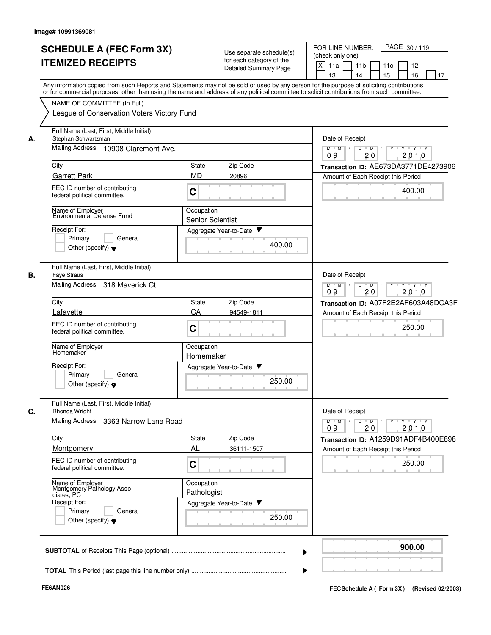|    | <b>SCHEDULE A (FEC Form 3X)</b><br><b>ITEMIZED RECEIPTS</b>                | Use separate schedule(s)<br>for each category of the<br>Detailed Summary Page                                                                                                                                                                                                           | FOR LINE NUMBER:<br>PAGE 30/119<br>(check only one)<br>$x \mid$<br>11a<br>11 <sub>b</sub><br>11c<br>12<br>15<br>16<br>13<br>17<br>14 |
|----|----------------------------------------------------------------------------|-----------------------------------------------------------------------------------------------------------------------------------------------------------------------------------------------------------------------------------------------------------------------------------------|--------------------------------------------------------------------------------------------------------------------------------------|
|    | NAME OF COMMITTEE (In Full)                                                | Any information copied from such Reports and Statements may not be sold or used by any person for the purpose of soliciting contributions<br>or for commercial purposes, other than using the name and address of any political committee to solicit contributions from such committee. |                                                                                                                                      |
|    | League of Conservation Voters Victory Fund                                 |                                                                                                                                                                                                                                                                                         |                                                                                                                                      |
| А. | Full Name (Last, First, Middle Initial)<br>Stephan Schwartzman             |                                                                                                                                                                                                                                                                                         | Date of Receipt                                                                                                                      |
|    | Mailing Address<br>10908 Claremont Ave.                                    |                                                                                                                                                                                                                                                                                         | $Y \rightarrow Y \rightarrow Y$<br>$M$ $M$ $/$<br>D<br>$\overline{D}$<br>20<br>2010<br>09                                            |
|    | City                                                                       | State<br>Zip Code                                                                                                                                                                                                                                                                       | Transaction ID: AE673DA3771DE4273906                                                                                                 |
|    | <b>Garrett Park</b>                                                        | <b>MD</b><br>20896                                                                                                                                                                                                                                                                      | Amount of Each Receipt this Period                                                                                                   |
|    | FEC ID number of contributing<br>federal political committee.              | C                                                                                                                                                                                                                                                                                       | 400.00                                                                                                                               |
|    | Name of Employer<br>Environmental Defense Fund                             | Occupation<br><b>Senior Scientist</b>                                                                                                                                                                                                                                                   |                                                                                                                                      |
|    | Receipt For:                                                               | Aggregate Year-to-Date ▼                                                                                                                                                                                                                                                                |                                                                                                                                      |
|    | Primary<br>General<br>Other (specify) $\blacktriangledown$                 | 400.00                                                                                                                                                                                                                                                                                  |                                                                                                                                      |
|    | Full Name (Last, First, Middle Initial)<br><b>Faye Straus</b>              |                                                                                                                                                                                                                                                                                         | Date of Receipt                                                                                                                      |
|    | Mailing Address 318 Maverick Ct                                            |                                                                                                                                                                                                                                                                                         | $\overline{D}$<br>$Y \vdash Y \vdash Y$<br>$M$ M<br>$\overline{D}$<br>$\mathbb{L}$<br>2010<br>09<br>20                               |
|    | City                                                                       | State<br>Zip Code                                                                                                                                                                                                                                                                       | Transaction ID: A07F2E2AF603A48DCA3F                                                                                                 |
|    | Lafayette                                                                  | СA<br>94549-1811                                                                                                                                                                                                                                                                        | Amount of Each Receipt this Period                                                                                                   |
|    | FEC ID number of contributing<br>federal political committee.              | C                                                                                                                                                                                                                                                                                       | 250.00                                                                                                                               |
|    | Name of Employer<br>Homemaker                                              | Occupation<br>Homemaker                                                                                                                                                                                                                                                                 |                                                                                                                                      |
|    | Receipt For:<br>Primary<br>General<br>Other (specify) $\blacktriangledown$ | Aggregate Year-to-Date<br>250.00                                                                                                                                                                                                                                                        |                                                                                                                                      |
|    | Full Name (Last, First, Middle Initial)<br>Rhonda Wright                   |                                                                                                                                                                                                                                                                                         | Date of Receipt                                                                                                                      |
|    | Mailing Address 3363 Narrow Lane Road                                      |                                                                                                                                                                                                                                                                                         | $Y$ $Y$ $Y$<br>$M$ $M$ $/$<br>D<br>$\overline{D}$<br>Y<br>20<br>2010<br>09                                                           |
|    | City                                                                       | State<br>Zip Code                                                                                                                                                                                                                                                                       | Transaction ID: A1259D91ADF4B400E898                                                                                                 |
|    | Montgomery                                                                 | AL<br>36111-1507                                                                                                                                                                                                                                                                        | Amount of Each Receipt this Period                                                                                                   |
|    | FEC ID number of contributing<br>federal political committee.              | C                                                                                                                                                                                                                                                                                       | 250.00                                                                                                                               |
|    | Name of Employer<br>Montgomery Pathology Asso-<br>ciates, PC               | Occupation<br>Pathologist                                                                                                                                                                                                                                                               |                                                                                                                                      |
|    | Receipt For:<br>Primary<br>General<br>Other (specify) $\blacktriangledown$ | Aggregate Year-to-Date<br>250.00                                                                                                                                                                                                                                                        |                                                                                                                                      |
|    |                                                                            | ▶                                                                                                                                                                                                                                                                                       | 900.00                                                                                                                               |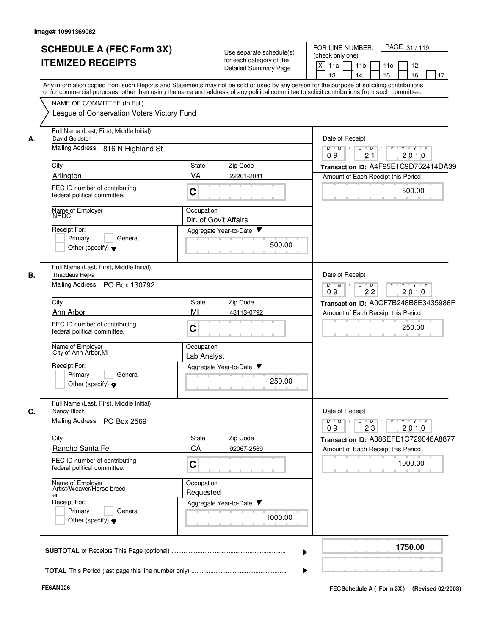| <b>SCHEDULE A (FEC Form 3X)</b> |                                                                                                                                                                                                                                                                                         |                           | Use separate schedule(s)                          |                                      |                                                                            | FOR LINE NUMBER:<br>PAGE 31/119<br>(check only one)               |                       |                      |           |        |                               |         |    |  |
|---------------------------------|-----------------------------------------------------------------------------------------------------------------------------------------------------------------------------------------------------------------------------------------------------------------------------------------|---------------------------|---------------------------------------------------|--------------------------------------|----------------------------------------------------------------------------|-------------------------------------------------------------------|-----------------------|----------------------|-----------|--------|-------------------------------|---------|----|--|
|                                 | <b>ITEMIZED RECEIPTS</b>                                                                                                                                                                                                                                                                |                           | for each category of the<br>Detailed Summary Page |                                      | $\mathsf{X}$<br>11a<br>13                                                  |                                                                   | 11 <sub>b</sub><br>14 |                      | 11c<br>15 |        | 12<br>16                      |         | 17 |  |
|                                 | Any information copied from such Reports and Statements may not be sold or used by any person for the purpose of soliciting contributions<br>or for commercial purposes, other than using the name and address of any political committee to solicit contributions from such committee. |                           |                                                   |                                      |                                                                            |                                                                   |                       |                      |           |        |                               |         |    |  |
|                                 | NAME OF COMMITTEE (In Full)<br>League of Conservation Voters Victory Fund                                                                                                                                                                                                               |                           |                                                   |                                      |                                                                            |                                                                   |                       |                      |           |        |                               |         |    |  |
| А.                              | Full Name (Last, First, Middle Initial)<br>David Goldston                                                                                                                                                                                                                               |                           |                                                   |                                      | Date of Receipt                                                            |                                                                   |                       |                      |           |        |                               |         |    |  |
|                                 | <b>Mailing Address</b><br>816 N Highland St                                                                                                                                                                                                                                             |                           |                                                   |                                      | $M$ $M$ /<br>09                                                            |                                                                   | $\overline{D}$        | $\overline{D}$<br>21 |           |        | $Y \cup Y \cup Y$<br>2010     |         |    |  |
|                                 | City                                                                                                                                                                                                                                                                                    | State                     | Zip Code                                          |                                      | Transaction ID: A4F95E1C9D752414DA39                                       |                                                                   |                       |                      |           |        |                               |         |    |  |
|                                 | Arlington<br>FEC ID number of contributing<br>federal political committee.                                                                                                                                                                                                              | VA<br>C                   | 22201-2041                                        |                                      | Amount of Each Receipt this Period                                         |                                                                   |                       |                      |           |        | 500.00                        |         |    |  |
|                                 | Name of Employer<br>NRDC                                                                                                                                                                                                                                                                | Occupation                |                                                   |                                      |                                                                            |                                                                   |                       |                      |           |        |                               |         |    |  |
|                                 |                                                                                                                                                                                                                                                                                         |                           | Dir. of Gov't Affairs                             |                                      |                                                                            |                                                                   |                       |                      |           |        |                               |         |    |  |
|                                 | Receipt For:<br>General<br>Primary<br>Other (specify) $\blacktriangledown$                                                                                                                                                                                                              |                           | Aggregate Year-to-Date<br>500.00                  |                                      |                                                                            |                                                                   |                       |                      |           |        |                               |         |    |  |
| В.                              | Full Name (Last, First, Middle Initial)<br>Thaddeus Hejka                                                                                                                                                                                                                               |                           |                                                   |                                      | Date of Receipt                                                            |                                                                   |                       |                      |           |        |                               |         |    |  |
|                                 | <b>Mailing Address</b><br>PO Box 130792                                                                                                                                                                                                                                                 |                           |                                                   |                                      |                                                                            | $Y - Y - Y$<br>$M$ $M$<br>D<br>$\overline{D}$<br>22<br>2010<br>09 |                       |                      |           |        |                               |         |    |  |
|                                 | City                                                                                                                                                                                                                                                                                    | Zip Code                  |                                                   | Transaction ID: A0CF7B248B8E3435986F |                                                                            |                                                                   |                       |                      |           |        |                               |         |    |  |
|                                 | Ann Arbor                                                                                                                                                                                                                                                                               | MI                        | 48113-0792                                        |                                      | Amount of Each Receipt this Period                                         |                                                                   |                       |                      |           |        |                               |         |    |  |
|                                 | FEC ID number of contributing<br>federal political committee.                                                                                                                                                                                                                           |                           |                                                   |                                      |                                                                            |                                                                   |                       |                      |           | 250.00 |                               |         |    |  |
|                                 | Name of Employer<br>City of Ann Arbor, MI                                                                                                                                                                                                                                               | Occupation<br>Lab Analyst |                                                   |                                      |                                                                            |                                                                   |                       |                      |           |        |                               |         |    |  |
|                                 | Receipt For:<br>General<br>Primary<br>Other (specify) $\blacktriangledown$                                                                                                                                                                                                              |                           | Aggregate Year-to-Date<br>250.00                  |                                      |                                                                            |                                                                   |                       |                      |           |        |                               |         |    |  |
| C.                              | Full Name (Last, First, Middle Initial)<br>Nancy Bloch                                                                                                                                                                                                                                  |                           |                                                   |                                      | Date of Receipt                                                            |                                                                   |                       |                      |           |        |                               |         |    |  |
|                                 | Mailing Address PO Box 2569                                                                                                                                                                                                                                                             |                           |                                                   |                                      | $M$ $M$<br>09                                                              |                                                                   | D                     | $\overline{D}$<br>23 |           |        | $Y \dashv Y \dashv Y$<br>2010 |         |    |  |
|                                 | City<br>Rancho Santa Fe                                                                                                                                                                                                                                                                 | <b>State</b><br>CA        | Zip Code<br>92067-2569                            |                                      | Transaction ID: A386EFE1C729046A8877<br>Amount of Each Receipt this Period |                                                                   |                       |                      |           |        |                               |         |    |  |
|                                 | FEC ID number of contributing<br>federal political committee.                                                                                                                                                                                                                           | $\mathbf C$               |                                                   |                                      |                                                                            |                                                                   |                       |                      |           |        | 1000.00                       |         |    |  |
|                                 | Name of Employer<br>Artist/Weaver/Horse breed-<br>er                                                                                                                                                                                                                                    | Occupation<br>Requested   |                                                   |                                      |                                                                            |                                                                   |                       |                      |           |        |                               |         |    |  |
|                                 | Receipt For:<br>Primary<br>General<br>Other (specify) $\blacktriangledown$                                                                                                                                                                                                              |                           | Aggregate Year-to-Date<br>1000.00                 |                                      |                                                                            |                                                                   |                       |                      |           |        |                               |         |    |  |
|                                 |                                                                                                                                                                                                                                                                                         |                           |                                                   |                                      |                                                                            |                                                                   |                       |                      |           |        |                               | 1750.00 |    |  |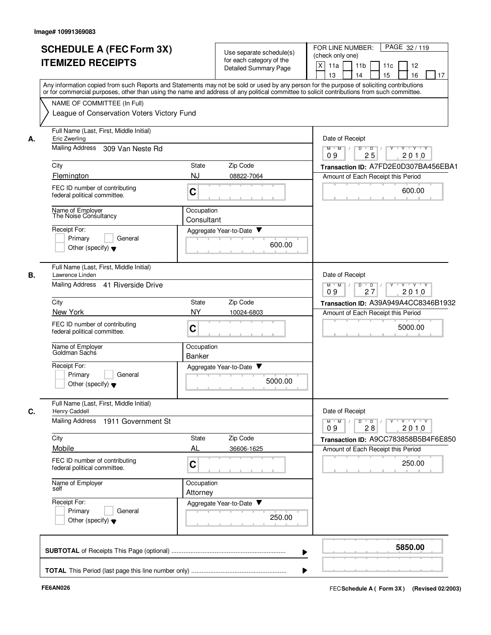|    | <b>SCHEDULE A (FEC Form 3X)</b><br><b>ITEMIZED RECEIPTS</b>                | Use separate schedule(s)<br>for each category of the                                                                                                                                                                                                                                    | FOR LINE NUMBER:<br>PAGE 32/119<br>(check only one)<br>X<br>12<br>11a<br>11 <sub>b</sub><br>11c                    |
|----|----------------------------------------------------------------------------|-----------------------------------------------------------------------------------------------------------------------------------------------------------------------------------------------------------------------------------------------------------------------------------------|--------------------------------------------------------------------------------------------------------------------|
|    |                                                                            | Detailed Summary Page                                                                                                                                                                                                                                                                   | 15<br>16<br>13<br>17<br>14                                                                                         |
|    |                                                                            | Any information copied from such Reports and Statements may not be sold or used by any person for the purpose of soliciting contributions<br>or for commercial purposes, other than using the name and address of any political committee to solicit contributions from such committee. |                                                                                                                    |
|    | NAME OF COMMITTEE (In Full)                                                |                                                                                                                                                                                                                                                                                         |                                                                                                                    |
|    | League of Conservation Voters Victory Fund                                 |                                                                                                                                                                                                                                                                                         |                                                                                                                    |
| А. | Full Name (Last, First, Middle Initial)<br>Eric Zwerling                   |                                                                                                                                                                                                                                                                                         | Date of Receipt                                                                                                    |
|    | <b>Mailing Address</b><br>309 Van Neste Rd                                 |                                                                                                                                                                                                                                                                                         | ਦਾγ≕⊏γ≕∽γ<br>$M$ $M$ /<br>D<br>$\overline{D}$<br>25<br>2010<br>09                                                  |
|    | City                                                                       | State<br>Zip Code                                                                                                                                                                                                                                                                       | Transaction ID: A7FD2E0D307BA456EBA1                                                                               |
|    | Flemington                                                                 | <b>NJ</b><br>08822-7064                                                                                                                                                                                                                                                                 | Amount of Each Receipt this Period                                                                                 |
|    | FEC ID number of contributing<br>federal political committee.              | C                                                                                                                                                                                                                                                                                       | 600.00                                                                                                             |
|    | Name of Employer<br>The Noise Consultancy                                  | Occupation<br>Consultant                                                                                                                                                                                                                                                                |                                                                                                                    |
|    | Receipt For:                                                               | Aggregate Year-to-Date                                                                                                                                                                                                                                                                  |                                                                                                                    |
|    | Primary<br>General<br>Other (specify) $\blacktriangledown$                 | 600.00                                                                                                                                                                                                                                                                                  |                                                                                                                    |
| В. | Full Name (Last, First, Middle Initial)<br>Lawrence Linden                 |                                                                                                                                                                                                                                                                                         | Date of Receipt                                                                                                    |
|    | <b>Mailing Address</b><br>41 Riverside Drive                               |                                                                                                                                                                                                                                                                                         | D<br>$M$ $M$<br>$\overline{D}$<br>Y Y Y Y<br>09<br>27<br>2010                                                      |
|    | City                                                                       | State<br>Zip Code                                                                                                                                                                                                                                                                       | Transaction ID: A39A949A4CC8346B1932                                                                               |
|    | New York                                                                   | <b>NY</b><br>10024-6803                                                                                                                                                                                                                                                                 | Amount of Each Receipt this Period                                                                                 |
|    | FEC ID number of contributing<br>federal political committee.              | $\mathbf C$                                                                                                                                                                                                                                                                             | 5000.00                                                                                                            |
|    | Name of Employer<br>Goldman Sachs                                          | Occupation<br><b>Banker</b>                                                                                                                                                                                                                                                             |                                                                                                                    |
|    | Receipt For:<br>Primary<br>General<br>Other (specify) $\blacktriangledown$ | Aggregate Year-to-Date<br>5000.00                                                                                                                                                                                                                                                       |                                                                                                                    |
| C. | Full Name (Last, First, Middle Initial)<br>Henry Caddell                   |                                                                                                                                                                                                                                                                                         | Date of Receipt                                                                                                    |
|    | <b>Mailing Address</b><br>1911 Government St                               |                                                                                                                                                                                                                                                                                         | $\mathsf{Y} \dashv \mathsf{Y} \dashv \mathsf{Y} \dashv \mathsf{Y}$<br>$M$ $M$ /<br>$D$ $D$ $/$<br>28<br>2010<br>09 |
|    | City                                                                       | Zip Code<br>State                                                                                                                                                                                                                                                                       | Transaction ID: A9CC783858B5B4F6E850                                                                               |
|    | Mobile                                                                     | AL<br>36606-1625                                                                                                                                                                                                                                                                        | Amount of Each Receipt this Period                                                                                 |
|    | FEC ID number of contributing<br>federal political committee.              | C                                                                                                                                                                                                                                                                                       | 250.00                                                                                                             |
|    | Name of Employer<br>self                                                   | Occupation<br>Attorney                                                                                                                                                                                                                                                                  |                                                                                                                    |
|    | Receipt For:<br>Primary<br>General                                         | Aggregate Year-to-Date                                                                                                                                                                                                                                                                  |                                                                                                                    |
|    | Other (specify) $\blacktriangledown$                                       | 250.00                                                                                                                                                                                                                                                                                  |                                                                                                                    |
|    |                                                                            |                                                                                                                                                                                                                                                                                         |                                                                                                                    |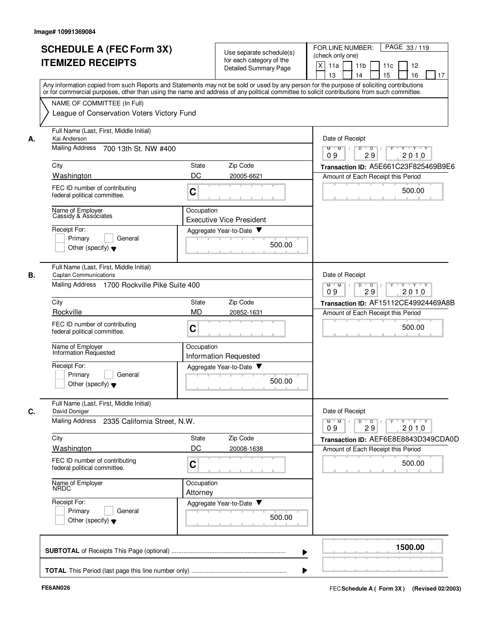|    | <b>SCHEDULE A (FEC Form 3X)</b><br><b>ITEMIZED RECEIPTS</b>             | Use separate schedule(s)<br>for each category of the<br>Detailed Summary Page<br>Any information copied from such Reports and Statements may not be sold or used by any person for the purpose of soliciting contributions | FOR LINE NUMBER:<br>PAGE 33/119<br>(check only one)<br>X<br>11a<br>11 <sub>b</sub><br>11c<br>12<br>16<br>13<br>15<br>17<br>14 |
|----|-------------------------------------------------------------------------|----------------------------------------------------------------------------------------------------------------------------------------------------------------------------------------------------------------------------|-------------------------------------------------------------------------------------------------------------------------------|
|    | NAME OF COMMITTEE (In Full)                                             | or for commercial purposes, other than using the name and address of any political committee to solicit contributions from such committee.                                                                                 |                                                                                                                               |
|    | League of Conservation Voters Victory Fund                              |                                                                                                                                                                                                                            |                                                                                                                               |
| А. | Full Name (Last, First, Middle Initial)<br>Kai Anderson                 |                                                                                                                                                                                                                            | Date of Receipt                                                                                                               |
|    | <b>Mailing Address</b><br>700 13th St. NW #400                          |                                                                                                                                                                                                                            | $M$ $M$ /<br>$\mathsf{Y} \dashv \mathsf{Y} \dashv \mathsf{Y}$<br>D<br>$\overline{D}$<br>29<br>2010<br>09                      |
|    | City                                                                    | State<br>Zip Code                                                                                                                                                                                                          | Transaction ID: A5E661C23F825469B9E6                                                                                          |
|    | Washington                                                              | DC<br>20005-6621                                                                                                                                                                                                           | Amount of Each Receipt this Period                                                                                            |
|    | FEC ID number of contributing<br>federal political committee.           | C                                                                                                                                                                                                                          | 500.00                                                                                                                        |
|    | Name of Employer<br>Cassidy & Associates                                | Occupation                                                                                                                                                                                                                 |                                                                                                                               |
|    | Receipt For:                                                            | <b>Executive Vice President</b><br>Aggregate Year-to-Date                                                                                                                                                                  |                                                                                                                               |
|    | Primary<br>General<br>Other (specify) $\blacktriangledown$              | 500.00                                                                                                                                                                                                                     |                                                                                                                               |
| В. | Full Name (Last, First, Middle Initial)<br><b>Caplan Communications</b> |                                                                                                                                                                                                                            | Date of Receipt                                                                                                               |
|    | Mailing Address 1700 Rockville Pike Suite 400                           |                                                                                                                                                                                                                            | $M$ $M$<br>D<br><b>TY TY TY</b><br>$\sqrt{ }$<br>$\overline{D}$<br>Y<br>09<br>29<br>2010                                      |
|    | City                                                                    | Zip Code<br>State                                                                                                                                                                                                          | Transaction ID: AF15112CE49924469A8B                                                                                          |
|    | Rockville                                                               | <b>MD</b><br>20852-1631                                                                                                                                                                                                    | Amount of Each Receipt this Period                                                                                            |
|    | FEC ID number of contributing<br>federal political committee.           | C                                                                                                                                                                                                                          | 500.00                                                                                                                        |
|    | Name of Employer<br>Information Requested                               | Occupation<br><b>Information Requested</b>                                                                                                                                                                                 |                                                                                                                               |
|    | Receipt For:                                                            | Aggregate Year-to-Date                                                                                                                                                                                                     |                                                                                                                               |
|    | Primary<br>General<br>Other (specify) $\blacktriangledown$              | 500.00                                                                                                                                                                                                                     |                                                                                                                               |
| C. | Full Name (Last, First, Middle Initial)<br>David Doniger                |                                                                                                                                                                                                                            | Date of Receipt                                                                                                               |
|    | Mailing Address 2335 California Street, N.W.                            |                                                                                                                                                                                                                            | $Y$ $Y$ $Y$ $Y$<br>$M$ M<br>$D$ $D$<br>Y<br>29<br>2010<br>09                                                                  |
|    | City                                                                    | State<br>Zip Code                                                                                                                                                                                                          | Transaction ID: AEF6E8E8843D349CDA0D                                                                                          |
|    | Washington                                                              | DC<br>20008-1638                                                                                                                                                                                                           | Amount of Each Receipt this Period                                                                                            |
|    | FEC ID number of contributing<br>federal political committee.           | C                                                                                                                                                                                                                          | 500.00                                                                                                                        |
|    | Name of Employer<br><b>NRDC</b>                                         | Occupation<br>Attorney                                                                                                                                                                                                     |                                                                                                                               |
|    | Receipt For:                                                            | Aggregate Year-to-Date                                                                                                                                                                                                     |                                                                                                                               |
|    | Primary<br>General<br>Other (specify) $\blacktriangledown$              | 500.00                                                                                                                                                                                                                     |                                                                                                                               |
|    |                                                                         |                                                                                                                                                                                                                            | 1500.00                                                                                                                       |
|    |                                                                         |                                                                                                                                                                                                                            |                                                                                                                               |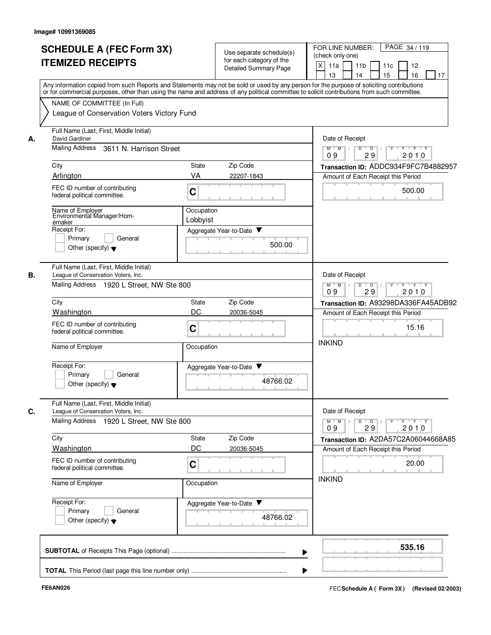|    |                                                                                       | for each category of the<br><b>Detailed Summary Page</b>                    | $X$ 11a<br>11c<br>12<br>11b<br>16<br>13<br>14<br>15<br>17                                                                                                                                                                                                                               |
|----|---------------------------------------------------------------------------------------|-----------------------------------------------------------------------------|-----------------------------------------------------------------------------------------------------------------------------------------------------------------------------------------------------------------------------------------------------------------------------------------|
|    | NAME OF COMMITTEE (In Full)                                                           |                                                                             | Any information copied from such Reports and Statements may not be sold or used by any person for the purpose of soliciting contributions<br>or for commercial purposes, other than using the name and address of any political committee to solicit contributions from such committee. |
|    | League of Conservation Voters Victory Fund<br>Full Name (Last, First, Middle Initial) |                                                                             |                                                                                                                                                                                                                                                                                         |
| А. | David Gardiner                                                                        |                                                                             | Date of Receipt                                                                                                                                                                                                                                                                         |
|    | Mailing Address<br>3611 N. Harrison Street                                            | $M$ $M$ $/$<br>$\mathsf D$<br>$\overline{D}$<br>Y Y Y Y<br>09<br>29<br>2010 |                                                                                                                                                                                                                                                                                         |
|    | City                                                                                  | State<br>Zip Code                                                           | Transaction ID: ADDC934F9FC7B4882957                                                                                                                                                                                                                                                    |
|    | Arlington                                                                             | VA<br>22207-1843                                                            | Amount of Each Receipt this Period                                                                                                                                                                                                                                                      |
|    | FEC ID number of contributing<br>federal political committee.                         | $\mathbf C$                                                                 | 500.00                                                                                                                                                                                                                                                                                  |
|    | Name of Employer<br>Environmental Manager/Hom-                                        | Occupation                                                                  |                                                                                                                                                                                                                                                                                         |
|    | emaker<br>Receipt For:                                                                | Lobbyist                                                                    |                                                                                                                                                                                                                                                                                         |
|    | General<br>Primary<br>Other (specify) $\blacktriangledown$                            | Aggregate Year-to-Date<br>500.00                                            |                                                                                                                                                                                                                                                                                         |
| В. | Full Name (Last, First, Middle Initial)<br>League of Conservation Voters, Inc.        |                                                                             | Date of Receipt                                                                                                                                                                                                                                                                         |
|    | Mailing Address 1920 L Street, NW Ste 800                                             | D<br>$\overline{D}$<br>$Y - Y - Y$<br>$M$ $M$<br>09<br>2010<br>29           |                                                                                                                                                                                                                                                                                         |
|    | City                                                                                  | Zip Code<br><b>State</b>                                                    | Transaction ID: A93298DA336FA45ADB92                                                                                                                                                                                                                                                    |
|    | <b>Washington</b>                                                                     | DC<br>20036-5045                                                            | Amount of Each Receipt this Period                                                                                                                                                                                                                                                      |
|    | FEC ID number of contributing<br>federal political committee.                         | $\mathbf C$                                                                 | 15.16<br><b>INKIND</b>                                                                                                                                                                                                                                                                  |
|    | Name of Employer                                                                      | Occupation                                                                  |                                                                                                                                                                                                                                                                                         |
|    | Receipt For:<br>General                                                               | Aggregate Year-to-Date                                                      |                                                                                                                                                                                                                                                                                         |
|    | Primary<br>Other (specify) $\blacktriangledown$                                       | 48766.02                                                                    |                                                                                                                                                                                                                                                                                         |
| C. | Full Name (Last, First, Middle Initial)<br>League of Conservation Voters, Inc.        |                                                                             | Date of Receipt                                                                                                                                                                                                                                                                         |
|    | Mailing Address 1920 L Street, NW Ste 800                                             |                                                                             | $Y \dashv Y \dashv Y$<br>$M$ $M$ /<br>D<br>$\overline{D}$<br>Y<br>2010<br>09<br>29                                                                                                                                                                                                      |
|    | City                                                                                  | State<br>Zip Code                                                           | Transaction ID: A2DA57C2A06044668A85                                                                                                                                                                                                                                                    |
|    | Washington                                                                            | DC<br>20036-5045                                                            | Amount of Each Receipt this Period                                                                                                                                                                                                                                                      |
|    | FEC ID number of contributing<br>federal political committee.                         | C                                                                           | 20.00                                                                                                                                                                                                                                                                                   |
|    | Name of Employer                                                                      | Occupation                                                                  | <b>INKIND</b>                                                                                                                                                                                                                                                                           |
|    | Receipt For:<br>Primary<br>General<br>Other (specify) $\blacktriangledown$            | Aggregate Year-to-Date<br>48766.02                                          |                                                                                                                                                                                                                                                                                         |
|    |                                                                                       |                                                                             | 535.16                                                                                                                                                                                                                                                                                  |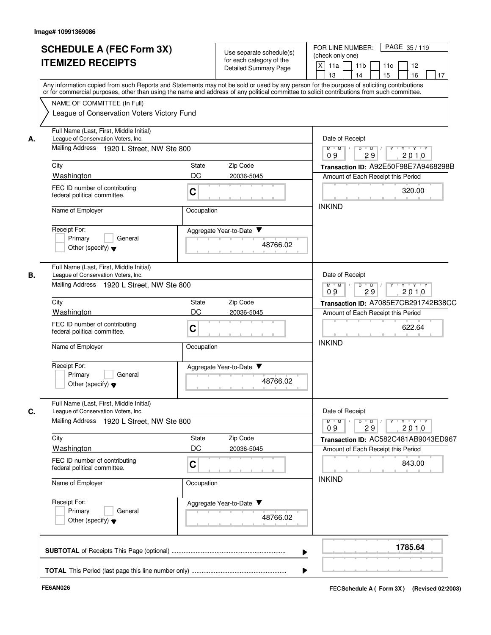|    | <b>SCHEDULE A (FEC Form 3X)</b><br><b>ITEMIZED RECEIPTS</b>                                                                                                                                                                                                                             |                                                           | Use separate schedule(s)<br>for each category of the<br>Detailed Summary Page | FOR LINE NUMBER:<br>PAGE 35/119<br>(check only one)<br>$X$ 11a<br>11 <sub>b</sub><br>11c<br>12           |  |  |  |  |
|----|-----------------------------------------------------------------------------------------------------------------------------------------------------------------------------------------------------------------------------------------------------------------------------------------|-----------------------------------------------------------|-------------------------------------------------------------------------------|----------------------------------------------------------------------------------------------------------|--|--|--|--|
|    | Any information copied from such Reports and Statements may not be sold or used by any person for the purpose of soliciting contributions<br>or for commercial purposes, other than using the name and address of any political committee to solicit contributions from such committee. | 13<br>15<br>16<br>14<br>17                                |                                                                               |                                                                                                          |  |  |  |  |
|    | NAME OF COMMITTEE (In Full)<br>League of Conservation Voters Victory Fund                                                                                                                                                                                                               |                                                           |                                                                               |                                                                                                          |  |  |  |  |
| А. | Full Name (Last, First, Middle Initial)<br>League of Conservation Voters, Inc.                                                                                                                                                                                                          |                                                           |                                                                               | Date of Receipt                                                                                          |  |  |  |  |
|    | Mailing Address 1920 L Street, NW Ste 800                                                                                                                                                                                                                                               |                                                           |                                                                               | $M$ $M$ $/$<br>$\overline{D}$<br>$\overline{\phantom{0}}$<br>y y y y y<br>2010<br>09<br>29               |  |  |  |  |
|    | City                                                                                                                                                                                                                                                                                    | State                                                     | Zip Code                                                                      | Transaction ID: A92E50F98E7A9468298B                                                                     |  |  |  |  |
|    | Washington                                                                                                                                                                                                                                                                              | DC                                                        | 20036-5045                                                                    | Amount of Each Receipt this Period                                                                       |  |  |  |  |
|    | FEC ID number of contributing<br>federal political committee.                                                                                                                                                                                                                           | C                                                         |                                                                               | 320.00                                                                                                   |  |  |  |  |
|    | Name of Employer                                                                                                                                                                                                                                                                        | Occupation                                                |                                                                               | <b>INKIND</b>                                                                                            |  |  |  |  |
|    | Receipt For:<br>Primary<br>General                                                                                                                                                                                                                                                      |                                                           | Aggregate Year-to-Date ▼                                                      |                                                                                                          |  |  |  |  |
|    | Other (specify) $\blacktriangledown$                                                                                                                                                                                                                                                    |                                                           |                                                                               |                                                                                                          |  |  |  |  |
| В. | Full Name (Last, First, Middle Initial)<br>League of Conservation Voters, Inc.                                                                                                                                                                                                          | Date of Receipt                                           |                                                                               |                                                                                                          |  |  |  |  |
|    | Mailing Address 1920 L Street, NW Ste 800                                                                                                                                                                                                                                               | $M$ $M$<br>$D$ $D$<br><b>TY TY TY</b><br>2010<br>09<br>29 |                                                                               |                                                                                                          |  |  |  |  |
|    | City                                                                                                                                                                                                                                                                                    | State                                                     | Zip Code                                                                      | Transaction ID: A7085E7CB291742B38CC                                                                     |  |  |  |  |
|    | <b>Washington</b>                                                                                                                                                                                                                                                                       | DC                                                        | 20036-5045                                                                    | Amount of Each Receipt this Period                                                                       |  |  |  |  |
|    | FEC ID number of contributing<br>federal political committee.                                                                                                                                                                                                                           | C                                                         |                                                                               | 622.64<br><b>INKIND</b>                                                                                  |  |  |  |  |
|    | Name of Employer                                                                                                                                                                                                                                                                        | Occupation                                                |                                                                               |                                                                                                          |  |  |  |  |
|    | Receipt For:                                                                                                                                                                                                                                                                            |                                                           | Aggregate Year-to-Date                                                        |                                                                                                          |  |  |  |  |
|    | Primary<br>General<br>Other (specify) $\blacktriangledown$                                                                                                                                                                                                                              |                                                           | 48766.02                                                                      |                                                                                                          |  |  |  |  |
| C. | Full Name (Last, First, Middle Initial)<br>League of Conservation Voters, Inc.                                                                                                                                                                                                          |                                                           |                                                                               | Date of Receipt                                                                                          |  |  |  |  |
|    | Mailing Address 1920 L Street, NW Ste 800                                                                                                                                                                                                                                               |                                                           |                                                                               | $\mathsf{Y} \dashv \mathsf{Y} \dashv \mathsf{Y}$<br>$M$ $M$ /<br>D<br>$\overline{D}$<br>2010<br>09<br>29 |  |  |  |  |
|    | City                                                                                                                                                                                                                                                                                    | <b>State</b>                                              | Zip Code                                                                      | Transaction ID: AC582C481AB9043ED967                                                                     |  |  |  |  |
|    | Washington                                                                                                                                                                                                                                                                              | DC                                                        | 20036-5045                                                                    | Amount of Each Receipt this Period                                                                       |  |  |  |  |
|    | FEC ID number of contributing<br>federal political committee.                                                                                                                                                                                                                           | $\mathbf C$                                               |                                                                               | 843.00<br><b>INKIND</b>                                                                                  |  |  |  |  |
|    | Name of Employer                                                                                                                                                                                                                                                                        | Occupation                                                |                                                                               |                                                                                                          |  |  |  |  |
|    | Receipt For:<br>Primary<br>General                                                                                                                                                                                                                                                      |                                                           | Aggregate Year-to-Date<br>48766.02                                            |                                                                                                          |  |  |  |  |
|    | Other (specify) $\blacktriangledown$                                                                                                                                                                                                                                                    |                                                           |                                                                               |                                                                                                          |  |  |  |  |
|    |                                                                                                                                                                                                                                                                                         |                                                           |                                                                               | 1785.64                                                                                                  |  |  |  |  |
|    |                                                                                                                                                                                                                                                                                         |                                                           |                                                                               |                                                                                                          |  |  |  |  |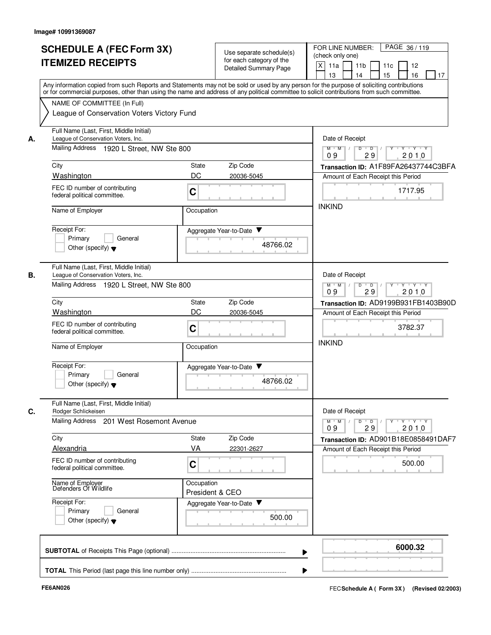|    | <b>SCHEDULE A (FEC Form 3X)</b><br><b>ITEMIZED RECEIPTS</b>                                                                                                                                                                                                                                                            |                 | Use separate schedule(s)<br>for each category of the<br>Detailed Summary Page | FOR LINE NUMBER:<br>PAGE 36/119<br>(check only one)<br> X <br>11a<br>11c<br>11b<br>12<br>15<br>16<br>13<br>14<br>17 |
|----|------------------------------------------------------------------------------------------------------------------------------------------------------------------------------------------------------------------------------------------------------------------------------------------------------------------------|-----------------|-------------------------------------------------------------------------------|---------------------------------------------------------------------------------------------------------------------|
|    | Any information copied from such Reports and Statements may not be sold or used by any person for the purpose of soliciting contributions<br>or for commercial purposes, other than using the name and address of any political committee to solicit contributions from such committee.<br>NAME OF COMMITTEE (In Full) |                 |                                                                               |                                                                                                                     |
|    | League of Conservation Voters Victory Fund                                                                                                                                                                                                                                                                             |                 |                                                                               |                                                                                                                     |
| А. | Full Name (Last, First, Middle Initial)<br>League of Conservation Voters, Inc.                                                                                                                                                                                                                                         |                 |                                                                               | Date of Receipt                                                                                                     |
|    | Mailing Address 1920 L Street, NW Ste 800                                                                                                                                                                                                                                                                              |                 |                                                                               | $M$ $M$ /<br>$\overline{D}$<br>$\overline{D}$<br>$Y - Y - Y$<br>2010<br>29<br>09                                    |
|    | City                                                                                                                                                                                                                                                                                                                   | <b>State</b>    | Zip Code                                                                      | Transaction ID: A1F89FA26437744C3BFA                                                                                |
|    | Washington                                                                                                                                                                                                                                                                                                             | DC              | 20036-5045                                                                    | Amount of Each Receipt this Period                                                                                  |
|    | FEC ID number of contributing<br>federal political committee.                                                                                                                                                                                                                                                          | $\mathbf C$     |                                                                               | 1717.95                                                                                                             |
|    | Name of Employer                                                                                                                                                                                                                                                                                                       | Occupation      |                                                                               | <b>INKIND</b>                                                                                                       |
|    | Receipt For:<br>Primary<br>General                                                                                                                                                                                                                                                                                     |                 | Aggregate Year-to-Date ▼                                                      |                                                                                                                     |
|    | Other (specify) $\blacktriangledown$                                                                                                                                                                                                                                                                                   |                 | 48766.02                                                                      |                                                                                                                     |
| В. | Full Name (Last, First, Middle Initial)<br>League of Conservation Voters, Inc.                                                                                                                                                                                                                                         | Date of Receipt |                                                                               |                                                                                                                     |
|    | Mailing Address 1920 L Street, NW Ste 800                                                                                                                                                                                                                                                                              |                 |                                                                               | D<br>$M$ $M$<br>$\overline{D}$<br>$Y \rightarrow Y \rightarrow Y$<br>09<br>2010<br>29                               |
|    | City                                                                                                                                                                                                                                                                                                                   | <b>State</b>    | Zip Code                                                                      | Transaction ID: AD9199B931FB1403B90D                                                                                |
|    | <b>Washington</b>                                                                                                                                                                                                                                                                                                      | DC              | 20036-5045                                                                    | Amount of Each Receipt this Period                                                                                  |
|    | FEC ID number of contributing<br>federal political committee.                                                                                                                                                                                                                                                          | C               |                                                                               | 3782.37<br><b>INKIND</b>                                                                                            |
|    | Name of Employer                                                                                                                                                                                                                                                                                                       | Occupation      |                                                                               |                                                                                                                     |
|    | Receipt For:                                                                                                                                                                                                                                                                                                           |                 | Aggregate Year-to-Date ▼                                                      |                                                                                                                     |
|    | Primary<br>General<br>Other (specify) $\blacktriangledown$                                                                                                                                                                                                                                                             |                 | 48766.02                                                                      |                                                                                                                     |
| C. | Full Name (Last, First, Middle Initial)<br>Rodger Schlickeisen                                                                                                                                                                                                                                                         |                 |                                                                               | Date of Receipt                                                                                                     |
|    | Mailing Address 201 West Rosemont Avenue                                                                                                                                                                                                                                                                               |                 |                                                                               | Y Y Y Y<br>$M$ $M$ /<br>D<br>$\overline{D}$<br>29<br>2010<br>09                                                     |
|    | City                                                                                                                                                                                                                                                                                                                   | State           | Zip Code                                                                      | Transaction ID: AD901B18E0858491DAF7                                                                                |
|    | Alexandria                                                                                                                                                                                                                                                                                                             | VA              | 22301-2627                                                                    | Amount of Each Receipt this Period                                                                                  |
|    | FEC ID number of contributing<br>federal political committee.                                                                                                                                                                                                                                                          | $\mathbf C$     |                                                                               | 500.00                                                                                                              |
|    | Name of Employer<br>Defenders Of Wildlife                                                                                                                                                                                                                                                                              | Occupation      | President & CEO                                                               |                                                                                                                     |
|    | Receipt For:<br>Primary<br>General                                                                                                                                                                                                                                                                                     |                 | Aggregate Year-to-Date                                                        |                                                                                                                     |
|    | Other (specify) $\blacktriangledown$                                                                                                                                                                                                                                                                                   | 500.00          |                                                                               |                                                                                                                     |
|    |                                                                                                                                                                                                                                                                                                                        |                 |                                                                               | 6000.32                                                                                                             |
|    |                                                                                                                                                                                                                                                                                                                        |                 |                                                                               | ▶                                                                                                                   |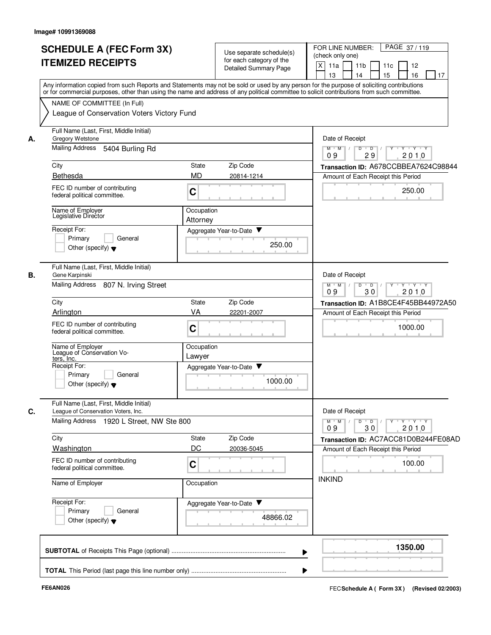|    | <b>SCHEDULE A (FEC Form 3X)</b><br><b>ITEMIZED RECEIPTS</b>                                                                                                                                                                                                                                                                                                          |                           | Use separate schedule(s)<br>for each category of the<br><b>Detailed Summary Page</b> | PAGE 37/119<br>FOR LINE NUMBER:<br>(check only one)<br>$\times$<br>11a<br>11 <sub>b</sub><br>11c<br>12<br>15<br>16<br>13<br>14<br>17 |
|----|----------------------------------------------------------------------------------------------------------------------------------------------------------------------------------------------------------------------------------------------------------------------------------------------------------------------------------------------------------------------|---------------------------|--------------------------------------------------------------------------------------|--------------------------------------------------------------------------------------------------------------------------------------|
|    | Any information copied from such Reports and Statements may not be sold or used by any person for the purpose of soliciting contributions<br>or for commercial purposes, other than using the name and address of any political committee to solicit contributions from such committee.<br>NAME OF COMMITTEE (In Full)<br>League of Conservation Voters Victory Fund |                           |                                                                                      |                                                                                                                                      |
| А. | Full Name (Last, First, Middle Initial)<br>Gregory Wetstone<br>Mailing Address<br>5404 Burling Rd                                                                                                                                                                                                                                                                    |                           |                                                                                      | Date of Receipt<br>$M$ $M$ /<br>Y Y Y Y<br>D<br>$\overline{\phantom{0}}$ D                                                           |
|    |                                                                                                                                                                                                                                                                                                                                                                      |                           |                                                                                      | 29<br>2010<br>09                                                                                                                     |
|    | City<br>Bethesda                                                                                                                                                                                                                                                                                                                                                     | <b>State</b><br><b>MD</b> | Zip Code<br>20814-1214                                                               | Transaction ID: A678CCBBEA7624C98844<br>Amount of Each Receipt this Period                                                           |
|    | FEC ID number of contributing<br>federal political committee.                                                                                                                                                                                                                                                                                                        | C                         |                                                                                      | 250.00                                                                                                                               |
|    | Name of Emplover<br>Legislative Director                                                                                                                                                                                                                                                                                                                             | Occupation<br>Attorney    |                                                                                      |                                                                                                                                      |
|    | Receipt For:<br>Primary<br>General<br>Other (specify) $\blacktriangledown$                                                                                                                                                                                                                                                                                           |                           | Aggregate Year-to-Date ▼<br>250.00                                                   |                                                                                                                                      |
| В. | Full Name (Last, First, Middle Initial)<br>Gene Karpinski                                                                                                                                                                                                                                                                                                            |                           |                                                                                      | Date of Receipt                                                                                                                      |
|    | Mailing Address 807 N. Irving Street                                                                                                                                                                                                                                                                                                                                 |                           |                                                                                      | $M^+M^-$ /<br>$D$ $D$<br>$Y \vdash Y \vdash Y$<br>Y<br>$\sqrt{ }$<br>2010<br>09<br>30                                                |
|    | City                                                                                                                                                                                                                                                                                                                                                                 | <b>State</b>              | Zip Code                                                                             | Transaction ID: A1B8CE4F45BB44972A50                                                                                                 |
|    | Arlington                                                                                                                                                                                                                                                                                                                                                            | VA                        | 22201-2007                                                                           | Amount of Each Receipt this Period                                                                                                   |
|    | FEC ID number of contributing<br>federal political committee.                                                                                                                                                                                                                                                                                                        | $\mathbf C$               |                                                                                      | 1000.00<br><b>COLLA</b>                                                                                                              |
|    | Name of Employer<br>League of Conservation Vo-<br>ters, Inc.                                                                                                                                                                                                                                                                                                         | Occupation<br>Lawyer      |                                                                                      |                                                                                                                                      |
|    | Receipt For:<br>General<br>Primary<br>Other (specify) $\blacktriangledown$                                                                                                                                                                                                                                                                                           |                           | Aggregate Year-to-Date<br>1000.00                                                    |                                                                                                                                      |
| C. | Full Name (Last, First, Middle Initial)<br>League of Conservation Voters, Inc.<br>Mailing Address 1920 L Street, NW Ste 800                                                                                                                                                                                                                                          |                           |                                                                                      | Date of Receipt<br>$Y + Y + Y$<br>$M^{\prime}$ M $\rightarrow$ /<br>$D$ $D$ $l$<br>$Y^+$<br>2010<br>30<br>09                         |
|    | City                                                                                                                                                                                                                                                                                                                                                                 | State                     | Zip Code                                                                             | Transaction ID: AC7ACC81D0B244FE08AD                                                                                                 |
|    | Washington                                                                                                                                                                                                                                                                                                                                                           | DC                        | 20036-5045                                                                           | Amount of Each Receipt this Period                                                                                                   |
|    | FEC ID number of contributing<br>federal political committee.                                                                                                                                                                                                                                                                                                        | $\mathbf C$               |                                                                                      | 100.00                                                                                                                               |
|    | Name of Employer                                                                                                                                                                                                                                                                                                                                                     | Occupation                |                                                                                      | <b>INKIND</b>                                                                                                                        |
|    | Receipt For:<br>Primary<br>General<br>Other (specify) $\blacktriangledown$                                                                                                                                                                                                                                                                                           |                           | Aggregate Year-to-Date<br>48866.02                                                   |                                                                                                                                      |
|    |                                                                                                                                                                                                                                                                                                                                                                      |                           |                                                                                      | 1350.00                                                                                                                              |
|    |                                                                                                                                                                                                                                                                                                                                                                      |                           |                                                                                      |                                                                                                                                      |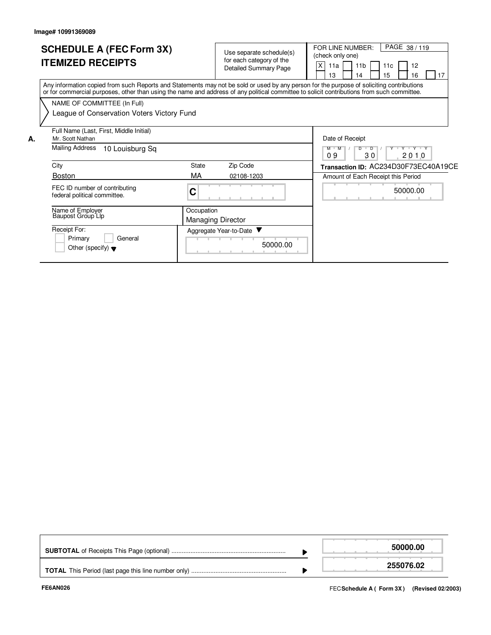|    | <b>SCHEDULE A (FEC Form 3X)</b><br><b>ITEMIZED RECEIPTS</b>                                                                                                                                                                                                                             |            | Use separate schedule(s)<br>for each category of the<br><b>Detailed Summary Page</b> | PAGE 38/119<br>FOR LINE NUMBER:<br>(check only one)<br>X<br>12<br>11 <sub>b</sub><br>11a<br>11c<br>16<br>17<br>13<br>15<br>4 |
|----|-----------------------------------------------------------------------------------------------------------------------------------------------------------------------------------------------------------------------------------------------------------------------------------------|------------|--------------------------------------------------------------------------------------|------------------------------------------------------------------------------------------------------------------------------|
|    | Any information copied from such Reports and Statements may not be sold or used by any person for the purpose of soliciting contributions<br>or for commercial purposes, other than using the name and address of any political committee to solicit contributions from such committee. |            |                                                                                      |                                                                                                                              |
|    | NAME OF COMMITTEE (In Full)                                                                                                                                                                                                                                                             |            |                                                                                      |                                                                                                                              |
|    | League of Conservation Voters Victory Fund                                                                                                                                                                                                                                              |            |                                                                                      |                                                                                                                              |
| А. | Full Name (Last, First, Middle Initial)<br>Mr. Scott Nathan                                                                                                                                                                                                                             |            |                                                                                      | Date of Receipt                                                                                                              |
|    | <b>Mailing Address</b><br>10 Louisburg Sq                                                                                                                                                                                                                                               |            |                                                                                      | D<br>$\overline{Y}$ $\overline{Y}$ $\overline{Y}$<br>$M$ $M$<br>$\blacksquare$<br>09<br>30<br>2010                           |
|    | City                                                                                                                                                                                                                                                                                    | State      | Zip Code                                                                             | Transaction ID: AC234D30F73EC40A19CE                                                                                         |
|    | <b>Boston</b>                                                                                                                                                                                                                                                                           | МA         | 02108-1203                                                                           | Amount of Each Receipt this Period                                                                                           |
|    | FEC ID number of contributing<br>federal political committee.                                                                                                                                                                                                                           | C          |                                                                                      | 50000.00                                                                                                                     |
|    | Name of Employer<br>Baupost Group Llp                                                                                                                                                                                                                                                   | Occupation | <b>Managing Director</b>                                                             |                                                                                                                              |
|    | Receipt For:<br>Primary<br>General<br>Other (specify) $\blacktriangledown$                                                                                                                                                                                                              |            | Aggregate Year-to-Date<br>50000.00<br>.                                              |                                                                                                                              |

|  | 50000.00  |
|--|-----------|
|  | 255076.02 |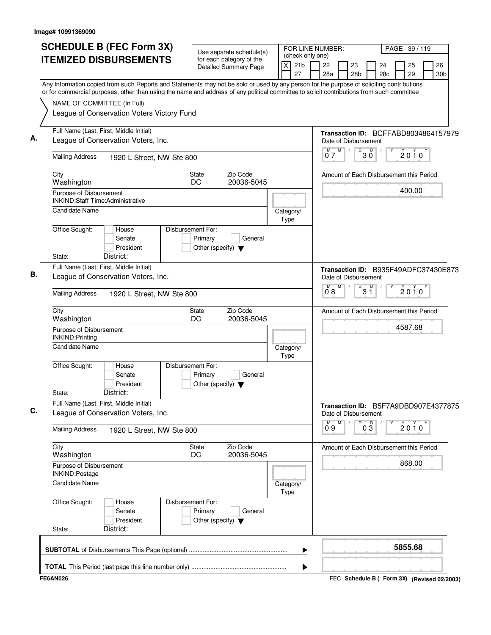| (check only one)<br><b>ITEMIZED DISBURSEMENTS</b><br>for each category of the<br>21 <sub>b</sub><br>X<br>22<br>23<br>25<br>24<br><b>Detailed Summary Page</b><br>27<br>28a<br>28 <sub>b</sub><br>28c<br>29<br>Any Information copied from such Reports and Statements may not be sold or used by any person for the purpose of soliciting contributions<br>or for commercial purposes, other than using the name and address of any political committee to solicit contributions from such committee<br>NAME OF COMMITTEE (In Full)<br>League of Conservation Voters Victory Fund<br>Full Name (Last, First, Middle Initial)<br>Transaction ID: BCFFABD8034864157979<br>League of Conservation Voters, Inc.<br>Date of Disbursement<br>M<br>M<br>D<br>D<br>$2010^y$<br>ЗŐ<br>07<br><b>Mailing Address</b><br>1920 L Street, NW Ste 800<br>Zip Code<br>City<br>Amount of Each Disbursement this Period<br>State<br>DC<br>20036-5045<br>Washington<br>400.00<br>Purpose of Disbursement<br><b>INKIND:Staff Time:Administrative</b><br><b>Candidate Name</b><br>Category/<br>Type<br>Office Sought:<br>Disbursement For:<br>House<br>Primary<br>Senate<br>General<br>President<br>Other (specify) $\blacktriangledown$<br>District:<br>State:<br>Full Name (Last, First, Middle Initial)<br>Transaction ID: B935F49ADFC37430E873<br>League of Conservation Voters, Inc.<br>Date of Disbursement<br>M<br>$3^{\circ}$<br>M<br>D<br>$2010^y$<br>08<br><b>Mailing Address</b><br>1920 L Street, NW Ste 800<br>Zip Code<br>City<br>State<br>Amount of Each Disbursement this Period<br>DC<br>20036-5045<br>Washington<br>4587.68<br>Purpose of Disbursement<br>INKIND: Printing<br>Candidate Name<br>Category/<br>Type<br>Office Sought:<br>Disbursement For:<br>House<br>Primary<br>General<br>Senate<br>President<br>Other (specify) $\blacktriangledown$<br>District:<br>State:<br>Full Name (Last, First, Middle Initial)<br>Transaction ID: B5F7A9DBD907E4377875<br>League of Conservation Voters, Inc.<br>Date of Disbursement<br>$0\overline{3}$<br>м<br>Μ<br>D<br>$2010^y$<br>0.9<br><b>Mailing Address</b><br>1920 L Street, NW Ste 800<br>City<br>Zip Code<br>Amount of Each Disbursement this Period<br><b>State</b><br>20036-5045<br>Washington<br>DC.<br>868.00<br>Purpose of Disbursement<br>INKIND:Postage<br><b>Candidate Name</b><br>Category/<br>Type<br>Office Sought:<br>Disbursement For:<br>House<br>Primary<br>Senate<br>General<br>President<br>Other (specify) $\blacktriangledown$<br>District:<br>State:<br>5855.68 | <b>SCHEDULE B (FEC Form 3X)</b> | Use separate schedule(s) | FOR LINE NUMBER: |  | PAGE 39 / 119 |                       |
|----------------------------------------------------------------------------------------------------------------------------------------------------------------------------------------------------------------------------------------------------------------------------------------------------------------------------------------------------------------------------------------------------------------------------------------------------------------------------------------------------------------------------------------------------------------------------------------------------------------------------------------------------------------------------------------------------------------------------------------------------------------------------------------------------------------------------------------------------------------------------------------------------------------------------------------------------------------------------------------------------------------------------------------------------------------------------------------------------------------------------------------------------------------------------------------------------------------------------------------------------------------------------------------------------------------------------------------------------------------------------------------------------------------------------------------------------------------------------------------------------------------------------------------------------------------------------------------------------------------------------------------------------------------------------------------------------------------------------------------------------------------------------------------------------------------------------------------------------------------------------------------------------------------------------------------------------------------------------------------------------------------------------------------------------------------------------------------------------------------------------------------------------------------------------------------------------------------------------------------------------------------------------------------------------------------------------------------------------------------------------------------------------------------------------------------------------------------------------------------------------------------------------------------|---------------------------------|--------------------------|------------------|--|---------------|-----------------------|
|                                                                                                                                                                                                                                                                                                                                                                                                                                                                                                                                                                                                                                                                                                                                                                                                                                                                                                                                                                                                                                                                                                                                                                                                                                                                                                                                                                                                                                                                                                                                                                                                                                                                                                                                                                                                                                                                                                                                                                                                                                                                                                                                                                                                                                                                                                                                                                                                                                                                                                                                        |                                 |                          |                  |  |               | 26<br>30 <sub>b</sub> |
|                                                                                                                                                                                                                                                                                                                                                                                                                                                                                                                                                                                                                                                                                                                                                                                                                                                                                                                                                                                                                                                                                                                                                                                                                                                                                                                                                                                                                                                                                                                                                                                                                                                                                                                                                                                                                                                                                                                                                                                                                                                                                                                                                                                                                                                                                                                                                                                                                                                                                                                                        |                                 |                          |                  |  |               |                       |
|                                                                                                                                                                                                                                                                                                                                                                                                                                                                                                                                                                                                                                                                                                                                                                                                                                                                                                                                                                                                                                                                                                                                                                                                                                                                                                                                                                                                                                                                                                                                                                                                                                                                                                                                                                                                                                                                                                                                                                                                                                                                                                                                                                                                                                                                                                                                                                                                                                                                                                                                        |                                 |                          |                  |  |               |                       |
|                                                                                                                                                                                                                                                                                                                                                                                                                                                                                                                                                                                                                                                                                                                                                                                                                                                                                                                                                                                                                                                                                                                                                                                                                                                                                                                                                                                                                                                                                                                                                                                                                                                                                                                                                                                                                                                                                                                                                                                                                                                                                                                                                                                                                                                                                                                                                                                                                                                                                                                                        |                                 |                          |                  |  |               |                       |
|                                                                                                                                                                                                                                                                                                                                                                                                                                                                                                                                                                                                                                                                                                                                                                                                                                                                                                                                                                                                                                                                                                                                                                                                                                                                                                                                                                                                                                                                                                                                                                                                                                                                                                                                                                                                                                                                                                                                                                                                                                                                                                                                                                                                                                                                                                                                                                                                                                                                                                                                        |                                 |                          |                  |  |               |                       |
|                                                                                                                                                                                                                                                                                                                                                                                                                                                                                                                                                                                                                                                                                                                                                                                                                                                                                                                                                                                                                                                                                                                                                                                                                                                                                                                                                                                                                                                                                                                                                                                                                                                                                                                                                                                                                                                                                                                                                                                                                                                                                                                                                                                                                                                                                                                                                                                                                                                                                                                                        |                                 |                          |                  |  |               |                       |
|                                                                                                                                                                                                                                                                                                                                                                                                                                                                                                                                                                                                                                                                                                                                                                                                                                                                                                                                                                                                                                                                                                                                                                                                                                                                                                                                                                                                                                                                                                                                                                                                                                                                                                                                                                                                                                                                                                                                                                                                                                                                                                                                                                                                                                                                                                                                                                                                                                                                                                                                        |                                 |                          |                  |  |               |                       |
|                                                                                                                                                                                                                                                                                                                                                                                                                                                                                                                                                                                                                                                                                                                                                                                                                                                                                                                                                                                                                                                                                                                                                                                                                                                                                                                                                                                                                                                                                                                                                                                                                                                                                                                                                                                                                                                                                                                                                                                                                                                                                                                                                                                                                                                                                                                                                                                                                                                                                                                                        |                                 |                          |                  |  |               |                       |
|                                                                                                                                                                                                                                                                                                                                                                                                                                                                                                                                                                                                                                                                                                                                                                                                                                                                                                                                                                                                                                                                                                                                                                                                                                                                                                                                                                                                                                                                                                                                                                                                                                                                                                                                                                                                                                                                                                                                                                                                                                                                                                                                                                                                                                                                                                                                                                                                                                                                                                                                        |                                 |                          |                  |  |               |                       |
|                                                                                                                                                                                                                                                                                                                                                                                                                                                                                                                                                                                                                                                                                                                                                                                                                                                                                                                                                                                                                                                                                                                                                                                                                                                                                                                                                                                                                                                                                                                                                                                                                                                                                                                                                                                                                                                                                                                                                                                                                                                                                                                                                                                                                                                                                                                                                                                                                                                                                                                                        |                                 |                          |                  |  |               |                       |
|                                                                                                                                                                                                                                                                                                                                                                                                                                                                                                                                                                                                                                                                                                                                                                                                                                                                                                                                                                                                                                                                                                                                                                                                                                                                                                                                                                                                                                                                                                                                                                                                                                                                                                                                                                                                                                                                                                                                                                                                                                                                                                                                                                                                                                                                                                                                                                                                                                                                                                                                        |                                 |                          |                  |  |               |                       |
|                                                                                                                                                                                                                                                                                                                                                                                                                                                                                                                                                                                                                                                                                                                                                                                                                                                                                                                                                                                                                                                                                                                                                                                                                                                                                                                                                                                                                                                                                                                                                                                                                                                                                                                                                                                                                                                                                                                                                                                                                                                                                                                                                                                                                                                                                                                                                                                                                                                                                                                                        |                                 |                          |                  |  |               |                       |
|                                                                                                                                                                                                                                                                                                                                                                                                                                                                                                                                                                                                                                                                                                                                                                                                                                                                                                                                                                                                                                                                                                                                                                                                                                                                                                                                                                                                                                                                                                                                                                                                                                                                                                                                                                                                                                                                                                                                                                                                                                                                                                                                                                                                                                                                                                                                                                                                                                                                                                                                        |                                 |                          |                  |  |               |                       |
|                                                                                                                                                                                                                                                                                                                                                                                                                                                                                                                                                                                                                                                                                                                                                                                                                                                                                                                                                                                                                                                                                                                                                                                                                                                                                                                                                                                                                                                                                                                                                                                                                                                                                                                                                                                                                                                                                                                                                                                                                                                                                                                                                                                                                                                                                                                                                                                                                                                                                                                                        |                                 |                          |                  |  |               |                       |
|                                                                                                                                                                                                                                                                                                                                                                                                                                                                                                                                                                                                                                                                                                                                                                                                                                                                                                                                                                                                                                                                                                                                                                                                                                                                                                                                                                                                                                                                                                                                                                                                                                                                                                                                                                                                                                                                                                                                                                                                                                                                                                                                                                                                                                                                                                                                                                                                                                                                                                                                        |                                 |                          |                  |  |               |                       |
|                                                                                                                                                                                                                                                                                                                                                                                                                                                                                                                                                                                                                                                                                                                                                                                                                                                                                                                                                                                                                                                                                                                                                                                                                                                                                                                                                                                                                                                                                                                                                                                                                                                                                                                                                                                                                                                                                                                                                                                                                                                                                                                                                                                                                                                                                                                                                                                                                                                                                                                                        |                                 |                          |                  |  |               |                       |
|                                                                                                                                                                                                                                                                                                                                                                                                                                                                                                                                                                                                                                                                                                                                                                                                                                                                                                                                                                                                                                                                                                                                                                                                                                                                                                                                                                                                                                                                                                                                                                                                                                                                                                                                                                                                                                                                                                                                                                                                                                                                                                                                                                                                                                                                                                                                                                                                                                                                                                                                        |                                 |                          |                  |  |               |                       |
|                                                                                                                                                                                                                                                                                                                                                                                                                                                                                                                                                                                                                                                                                                                                                                                                                                                                                                                                                                                                                                                                                                                                                                                                                                                                                                                                                                                                                                                                                                                                                                                                                                                                                                                                                                                                                                                                                                                                                                                                                                                                                                                                                                                                                                                                                                                                                                                                                                                                                                                                        |                                 |                          |                  |  |               |                       |
|                                                                                                                                                                                                                                                                                                                                                                                                                                                                                                                                                                                                                                                                                                                                                                                                                                                                                                                                                                                                                                                                                                                                                                                                                                                                                                                                                                                                                                                                                                                                                                                                                                                                                                                                                                                                                                                                                                                                                                                                                                                                                                                                                                                                                                                                                                                                                                                                                                                                                                                                        |                                 |                          |                  |  |               |                       |
|                                                                                                                                                                                                                                                                                                                                                                                                                                                                                                                                                                                                                                                                                                                                                                                                                                                                                                                                                                                                                                                                                                                                                                                                                                                                                                                                                                                                                                                                                                                                                                                                                                                                                                                                                                                                                                                                                                                                                                                                                                                                                                                                                                                                                                                                                                                                                                                                                                                                                                                                        |                                 |                          |                  |  |               |                       |
|                                                                                                                                                                                                                                                                                                                                                                                                                                                                                                                                                                                                                                                                                                                                                                                                                                                                                                                                                                                                                                                                                                                                                                                                                                                                                                                                                                                                                                                                                                                                                                                                                                                                                                                                                                                                                                                                                                                                                                                                                                                                                                                                                                                                                                                                                                                                                                                                                                                                                                                                        |                                 |                          |                  |  |               |                       |
|                                                                                                                                                                                                                                                                                                                                                                                                                                                                                                                                                                                                                                                                                                                                                                                                                                                                                                                                                                                                                                                                                                                                                                                                                                                                                                                                                                                                                                                                                                                                                                                                                                                                                                                                                                                                                                                                                                                                                                                                                                                                                                                                                                                                                                                                                                                                                                                                                                                                                                                                        |                                 |                          | ▶                |  |               |                       |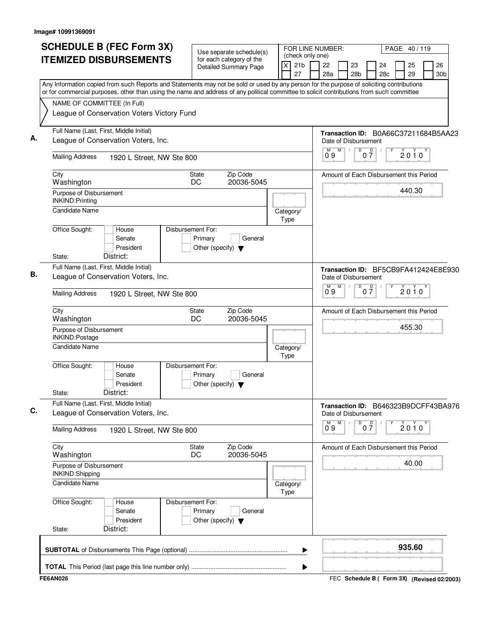| Use separate schedule(s)<br>(check only one)<br><b>ITEMIZED DISBURSEMENTS</b><br>for each category of the<br>21 <sub>b</sub><br>X<br>22<br>23<br>24<br><b>Detailed Summary Page</b><br>27<br>28a<br>28c<br>28 <sub>b</sub><br>Any Information copied from such Reports and Statements may not be sold or used by any person for the purpose of soliciting contributions<br>or for commercial purposes, other than using the name and address of any political committee to solicit contributions from such committee<br>NAME OF COMMITTEE (In Full)<br>League of Conservation Voters Victory Fund<br>Full Name (Last, First, Middle Initial)<br>Transaction ID: B0A66C37211684B5AA23<br>А.<br>League of Conservation Voters, Inc.<br>Date of Disbursement<br>M<br>D<br>$0\frac{D}{7}$<br>м<br>09<br><b>Mailing Address</b><br>1920 L Street, NW Ste 800<br>Zip Code<br>City<br><b>State</b><br>Amount of Each Disbursement this Period<br>DC<br>20036-5045<br>Washington<br>Purpose of Disbursement<br>INKIND: Printing<br>Candidate Name<br>Category/<br>Type<br>Office Sought:<br>Disbursement For:<br>House<br>Senate<br>Primary<br>General<br>President<br>Other (specify) $\blacktriangledown$<br>District:<br>State:<br>Full Name (Last, First, Middle Initial)<br>Transaction ID: BF5CB9FA412424E8E930<br>В.<br>League of Conservation Voters, Inc.<br>Date of Disbursement<br>M<br>0 <sup>0</sup><br>$0^{\circ}9$<br>D<br><b>Mailing Address</b><br>1920 L Street, NW Ste 800<br>Zip Code<br>City<br>State<br>Amount of Each Disbursement this Period<br>DC<br>20036-5045<br>Washington<br>Purpose of Disbursement<br>INKIND:Postage<br><b>Candidate Name</b><br>Category/<br>Type<br>Office Sought:<br>Disbursement For:<br>House<br>Primary<br>General<br>Senate<br>President<br>Other (specify) $\blacktriangledown$<br>District:<br>State:<br>Full Name (Last, First, Middle Initial)<br>Transaction ID: B646323B9DCFF43BA976<br>C.<br>League of Conservation Voters, Inc.<br>Date of Disbursement<br>M<br>M<br>D<br>$0\frac{D}{7}$<br>09<br><b>Mailing Address</b><br>1920 L Street, NW Ste 800<br>Zip Code<br>City<br><b>State</b><br>Amount of Each Disbursement this Period<br>Washington<br>DC<br>20036-5045<br>Purpose of Disbursement<br>INKIND:Shipping<br>Candidate Name<br>Category/<br>Type<br>Office Sought:<br>Disbursement For:<br>House<br>Senate<br>Primary<br>General<br>President<br>Other (specify) $\blacktriangledown$<br>District:<br>State: | PAGE 40/119                       |
|--------------------------------------------------------------------------------------------------------------------------------------------------------------------------------------------------------------------------------------------------------------------------------------------------------------------------------------------------------------------------------------------------------------------------------------------------------------------------------------------------------------------------------------------------------------------------------------------------------------------------------------------------------------------------------------------------------------------------------------------------------------------------------------------------------------------------------------------------------------------------------------------------------------------------------------------------------------------------------------------------------------------------------------------------------------------------------------------------------------------------------------------------------------------------------------------------------------------------------------------------------------------------------------------------------------------------------------------------------------------------------------------------------------------------------------------------------------------------------------------------------------------------------------------------------------------------------------------------------------------------------------------------------------------------------------------------------------------------------------------------------------------------------------------------------------------------------------------------------------------------------------------------------------------------------------------------------------------------------------------------------------------------------------------------------------------------------------------------------------------------------------------------------------------------------------------------------------------------------------------------------------------------------------------------------------------------------------------------------------------------------------------------------------------------------------------------------------------------------|-----------------------------------|
|                                                                                                                                                                                                                                                                                                                                                                                                                                                                                                                                                                                                                                                                                                                                                                                                                                                                                                                                                                                                                                                                                                                                                                                                                                                                                                                                                                                                                                                                                                                                                                                                                                                                                                                                                                                                                                                                                                                                                                                                                                                                                                                                                                                                                                                                                                                                                                                                                                                                                | 26<br>25<br>29<br>30 <sub>b</sub> |
|                                                                                                                                                                                                                                                                                                                                                                                                                                                                                                                                                                                                                                                                                                                                                                                                                                                                                                                                                                                                                                                                                                                                                                                                                                                                                                                                                                                                                                                                                                                                                                                                                                                                                                                                                                                                                                                                                                                                                                                                                                                                                                                                                                                                                                                                                                                                                                                                                                                                                |                                   |
|                                                                                                                                                                                                                                                                                                                                                                                                                                                                                                                                                                                                                                                                                                                                                                                                                                                                                                                                                                                                                                                                                                                                                                                                                                                                                                                                                                                                                                                                                                                                                                                                                                                                                                                                                                                                                                                                                                                                                                                                                                                                                                                                                                                                                                                                                                                                                                                                                                                                                |                                   |
|                                                                                                                                                                                                                                                                                                                                                                                                                                                                                                                                                                                                                                                                                                                                                                                                                                                                                                                                                                                                                                                                                                                                                                                                                                                                                                                                                                                                                                                                                                                                                                                                                                                                                                                                                                                                                                                                                                                                                                                                                                                                                                                                                                                                                                                                                                                                                                                                                                                                                |                                   |
|                                                                                                                                                                                                                                                                                                                                                                                                                                                                                                                                                                                                                                                                                                                                                                                                                                                                                                                                                                                                                                                                                                                                                                                                                                                                                                                                                                                                                                                                                                                                                                                                                                                                                                                                                                                                                                                                                                                                                                                                                                                                                                                                                                                                                                                                                                                                                                                                                                                                                |                                   |
|                                                                                                                                                                                                                                                                                                                                                                                                                                                                                                                                                                                                                                                                                                                                                                                                                                                                                                                                                                                                                                                                                                                                                                                                                                                                                                                                                                                                                                                                                                                                                                                                                                                                                                                                                                                                                                                                                                                                                                                                                                                                                                                                                                                                                                                                                                                                                                                                                                                                                |                                   |
|                                                                                                                                                                                                                                                                                                                                                                                                                                                                                                                                                                                                                                                                                                                                                                                                                                                                                                                                                                                                                                                                                                                                                                                                                                                                                                                                                                                                                                                                                                                                                                                                                                                                                                                                                                                                                                                                                                                                                                                                                                                                                                                                                                                                                                                                                                                                                                                                                                                                                | $2010^y$                          |
|                                                                                                                                                                                                                                                                                                                                                                                                                                                                                                                                                                                                                                                                                                                                                                                                                                                                                                                                                                                                                                                                                                                                                                                                                                                                                                                                                                                                                                                                                                                                                                                                                                                                                                                                                                                                                                                                                                                                                                                                                                                                                                                                                                                                                                                                                                                                                                                                                                                                                |                                   |
|                                                                                                                                                                                                                                                                                                                                                                                                                                                                                                                                                                                                                                                                                                                                                                                                                                                                                                                                                                                                                                                                                                                                                                                                                                                                                                                                                                                                                                                                                                                                                                                                                                                                                                                                                                                                                                                                                                                                                                                                                                                                                                                                                                                                                                                                                                                                                                                                                                                                                | 440.30                            |
|                                                                                                                                                                                                                                                                                                                                                                                                                                                                                                                                                                                                                                                                                                                                                                                                                                                                                                                                                                                                                                                                                                                                                                                                                                                                                                                                                                                                                                                                                                                                                                                                                                                                                                                                                                                                                                                                                                                                                                                                                                                                                                                                                                                                                                                                                                                                                                                                                                                                                |                                   |
|                                                                                                                                                                                                                                                                                                                                                                                                                                                                                                                                                                                                                                                                                                                                                                                                                                                                                                                                                                                                                                                                                                                                                                                                                                                                                                                                                                                                                                                                                                                                                                                                                                                                                                                                                                                                                                                                                                                                                                                                                                                                                                                                                                                                                                                                                                                                                                                                                                                                                |                                   |
|                                                                                                                                                                                                                                                                                                                                                                                                                                                                                                                                                                                                                                                                                                                                                                                                                                                                                                                                                                                                                                                                                                                                                                                                                                                                                                                                                                                                                                                                                                                                                                                                                                                                                                                                                                                                                                                                                                                                                                                                                                                                                                                                                                                                                                                                                                                                                                                                                                                                                |                                   |
|                                                                                                                                                                                                                                                                                                                                                                                                                                                                                                                                                                                                                                                                                                                                                                                                                                                                                                                                                                                                                                                                                                                                                                                                                                                                                                                                                                                                                                                                                                                                                                                                                                                                                                                                                                                                                                                                                                                                                                                                                                                                                                                                                                                                                                                                                                                                                                                                                                                                                |                                   |
|                                                                                                                                                                                                                                                                                                                                                                                                                                                                                                                                                                                                                                                                                                                                                                                                                                                                                                                                                                                                                                                                                                                                                                                                                                                                                                                                                                                                                                                                                                                                                                                                                                                                                                                                                                                                                                                                                                                                                                                                                                                                                                                                                                                                                                                                                                                                                                                                                                                                                | $2010^y$                          |
|                                                                                                                                                                                                                                                                                                                                                                                                                                                                                                                                                                                                                                                                                                                                                                                                                                                                                                                                                                                                                                                                                                                                                                                                                                                                                                                                                                                                                                                                                                                                                                                                                                                                                                                                                                                                                                                                                                                                                                                                                                                                                                                                                                                                                                                                                                                                                                                                                                                                                |                                   |
|                                                                                                                                                                                                                                                                                                                                                                                                                                                                                                                                                                                                                                                                                                                                                                                                                                                                                                                                                                                                                                                                                                                                                                                                                                                                                                                                                                                                                                                                                                                                                                                                                                                                                                                                                                                                                                                                                                                                                                                                                                                                                                                                                                                                                                                                                                                                                                                                                                                                                | 455.30                            |
|                                                                                                                                                                                                                                                                                                                                                                                                                                                                                                                                                                                                                                                                                                                                                                                                                                                                                                                                                                                                                                                                                                                                                                                                                                                                                                                                                                                                                                                                                                                                                                                                                                                                                                                                                                                                                                                                                                                                                                                                                                                                                                                                                                                                                                                                                                                                                                                                                                                                                |                                   |
|                                                                                                                                                                                                                                                                                                                                                                                                                                                                                                                                                                                                                                                                                                                                                                                                                                                                                                                                                                                                                                                                                                                                                                                                                                                                                                                                                                                                                                                                                                                                                                                                                                                                                                                                                                                                                                                                                                                                                                                                                                                                                                                                                                                                                                                                                                                                                                                                                                                                                |                                   |
|                                                                                                                                                                                                                                                                                                                                                                                                                                                                                                                                                                                                                                                                                                                                                                                                                                                                                                                                                                                                                                                                                                                                                                                                                                                                                                                                                                                                                                                                                                                                                                                                                                                                                                                                                                                                                                                                                                                                                                                                                                                                                                                                                                                                                                                                                                                                                                                                                                                                                |                                   |
|                                                                                                                                                                                                                                                                                                                                                                                                                                                                                                                                                                                                                                                                                                                                                                                                                                                                                                                                                                                                                                                                                                                                                                                                                                                                                                                                                                                                                                                                                                                                                                                                                                                                                                                                                                                                                                                                                                                                                                                                                                                                                                                                                                                                                                                                                                                                                                                                                                                                                | $2010^y$                          |
|                                                                                                                                                                                                                                                                                                                                                                                                                                                                                                                                                                                                                                                                                                                                                                                                                                                                                                                                                                                                                                                                                                                                                                                                                                                                                                                                                                                                                                                                                                                                                                                                                                                                                                                                                                                                                                                                                                                                                                                                                                                                                                                                                                                                                                                                                                                                                                                                                                                                                |                                   |
|                                                                                                                                                                                                                                                                                                                                                                                                                                                                                                                                                                                                                                                                                                                                                                                                                                                                                                                                                                                                                                                                                                                                                                                                                                                                                                                                                                                                                                                                                                                                                                                                                                                                                                                                                                                                                                                                                                                                                                                                                                                                                                                                                                                                                                                                                                                                                                                                                                                                                | 40.00                             |
|                                                                                                                                                                                                                                                                                                                                                                                                                                                                                                                                                                                                                                                                                                                                                                                                                                                                                                                                                                                                                                                                                                                                                                                                                                                                                                                                                                                                                                                                                                                                                                                                                                                                                                                                                                                                                                                                                                                                                                                                                                                                                                                                                                                                                                                                                                                                                                                                                                                                                |                                   |
|                                                                                                                                                                                                                                                                                                                                                                                                                                                                                                                                                                                                                                                                                                                                                                                                                                                                                                                                                                                                                                                                                                                                                                                                                                                                                                                                                                                                                                                                                                                                                                                                                                                                                                                                                                                                                                                                                                                                                                                                                                                                                                                                                                                                                                                                                                                                                                                                                                                                                |                                   |
|                                                                                                                                                                                                                                                                                                                                                                                                                                                                                                                                                                                                                                                                                                                                                                                                                                                                                                                                                                                                                                                                                                                                                                                                                                                                                                                                                                                                                                                                                                                                                                                                                                                                                                                                                                                                                                                                                                                                                                                                                                                                                                                                                                                                                                                                                                                                                                                                                                                                                |                                   |
| ▶                                                                                                                                                                                                                                                                                                                                                                                                                                                                                                                                                                                                                                                                                                                                                                                                                                                                                                                                                                                                                                                                                                                                                                                                                                                                                                                                                                                                                                                                                                                                                                                                                                                                                                                                                                                                                                                                                                                                                                                                                                                                                                                                                                                                                                                                                                                                                                                                                                                                              | 935.60                            |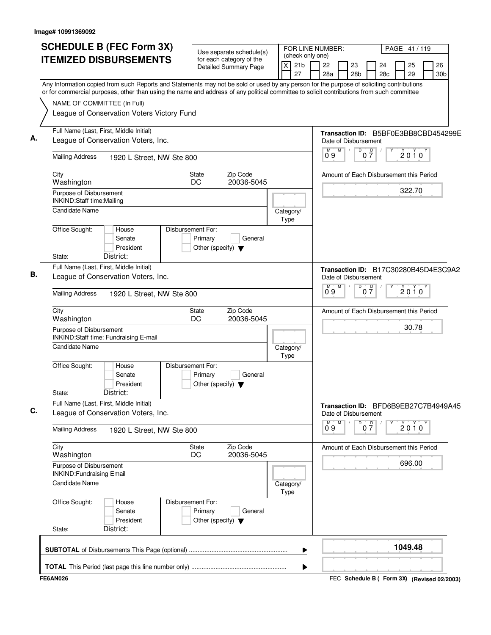| <b>SCHEDULE B (FEC Form 3X)</b>                                                                                                                                                                                                                                                        | Use separate schedule(s)                                                        |                            | FOR LINE NUMBER:<br>PAGE 41/119<br>(check only one) |                                                |  |  |  |  |  |  |  |  |
|----------------------------------------------------------------------------------------------------------------------------------------------------------------------------------------------------------------------------------------------------------------------------------------|---------------------------------------------------------------------------------|----------------------------|-----------------------------------------------------|------------------------------------------------|--|--|--|--|--|--|--|--|
| <b>ITEMIZED DISBURSEMENTS</b>                                                                                                                                                                                                                                                          | for each category of the<br><b>Detailed Summary Page</b>                        | 21 <sub>b</sub><br>X<br>27 | 22<br>23<br>28a<br>28b                              | 24<br>25<br>26<br>28c<br>29<br>30 <sub>b</sub> |  |  |  |  |  |  |  |  |
| Any Information copied from such Reports and Statements may not be sold or used by any person for the purpose of soliciting contributions<br>or for commercial purposes, other than using the name and address of any political committee to solicit contributions from such committee |                                                                                 |                            |                                                     |                                                |  |  |  |  |  |  |  |  |
| NAME OF COMMITTEE (In Full)                                                                                                                                                                                                                                                            |                                                                                 |                            |                                                     |                                                |  |  |  |  |  |  |  |  |
| League of Conservation Voters Victory Fund                                                                                                                                                                                                                                             |                                                                                 |                            |                                                     |                                                |  |  |  |  |  |  |  |  |
|                                                                                                                                                                                                                                                                                        |                                                                                 |                            |                                                     |                                                |  |  |  |  |  |  |  |  |
| Full Name (Last, First, Middle Initial)<br>League of Conservation Voters, Inc.                                                                                                                                                                                                         |                                                                                 |                            |                                                     |                                                |  |  |  |  |  |  |  |  |
| <b>Mailing Address</b><br>1920 L Street, NW Ste 800                                                                                                                                                                                                                                    |                                                                                 |                            | M<br>D<br>M<br>09                                   | $0\overline{7}$<br>2010                        |  |  |  |  |  |  |  |  |
| City<br>Washington                                                                                                                                                                                                                                                                     | Zip Code<br>State<br>DC<br>20036-5045                                           |                            |                                                     | Amount of Each Disbursement this Period        |  |  |  |  |  |  |  |  |
| Purpose of Disbursement<br>INKIND:Staff time:Mailing                                                                                                                                                                                                                                   |                                                                                 |                            |                                                     | 322.70                                         |  |  |  |  |  |  |  |  |
| <b>Candidate Name</b>                                                                                                                                                                                                                                                                  |                                                                                 | Category/<br>Type          |                                                     |                                                |  |  |  |  |  |  |  |  |
| Office Sought:<br>House<br>Senate<br>President                                                                                                                                                                                                                                         | Disbursement For:<br>Primary<br>General<br>Other (specify) $\blacktriangledown$ |                            |                                                     |                                                |  |  |  |  |  |  |  |  |
| District:<br>State:                                                                                                                                                                                                                                                                    |                                                                                 |                            |                                                     |                                                |  |  |  |  |  |  |  |  |
| Full Name (Last, First, Middle Initial)<br>League of Conservation Voters, Inc.                                                                                                                                                                                                         |                                                                                 |                            | Date of Disbursement                                | Transaction ID: B17C30280B45D4E3C9A2           |  |  |  |  |  |  |  |  |
| <b>Mailing Address</b><br>1920 L Street, NW Ste 800                                                                                                                                                                                                                                    |                                                                                 |                            | D<br>M<br>$0^{\circ}9$                              | $0\frac{D}{7}$<br>$2010^y$                     |  |  |  |  |  |  |  |  |
| City<br>Washington                                                                                                                                                                                                                                                                     | Zip Code<br>State<br>DC<br>20036-5045                                           |                            |                                                     | Amount of Each Disbursement this Period        |  |  |  |  |  |  |  |  |
| Purpose of Disbursement<br>INKIND:Staff time: Fundraising E-mail                                                                                                                                                                                                                       |                                                                                 |                            |                                                     | 30.78                                          |  |  |  |  |  |  |  |  |
| Candidate Name                                                                                                                                                                                                                                                                         |                                                                                 | Category/<br>Type          |                                                     |                                                |  |  |  |  |  |  |  |  |
| Office Sought:<br>House<br>Senate<br>President<br>District:<br>State:                                                                                                                                                                                                                  | Disbursement For:<br>General<br>Primary<br>Other (specify) $\blacktriangledown$ |                            |                                                     |                                                |  |  |  |  |  |  |  |  |
| Full Name (Last, First, Middle Initial)<br>League of Conservation Voters, Inc.                                                                                                                                                                                                         |                                                                                 | Date of Disbursement       | Transaction ID: BFD6B9EB27C7B4949A45                |                                                |  |  |  |  |  |  |  |  |
| <b>Mailing Address</b><br>1920 L Street, NW Ste 800                                                                                                                                                                                                                                    |                                                                                 |                            | M<br>D<br>09                                        | $0\overline{7}$<br>$2010^y$                    |  |  |  |  |  |  |  |  |
| City<br>Washington                                                                                                                                                                                                                                                                     | Zip Code<br>State<br>DC<br>20036-5045                                           |                            |                                                     | Amount of Each Disbursement this Period        |  |  |  |  |  |  |  |  |
| Purpose of Disbursement<br><b>INKIND:Fundraising Email</b>                                                                                                                                                                                                                             |                                                                                 |                            |                                                     | 696.00                                         |  |  |  |  |  |  |  |  |
| <b>Candidate Name</b>                                                                                                                                                                                                                                                                  |                                                                                 | Category/                  |                                                     |                                                |  |  |  |  |  |  |  |  |
| Office Sought:<br>House<br>Senate<br>President<br>District:<br>State:                                                                                                                                                                                                                  | Disbursement For:<br>Primary<br>General<br>Other (specify) $\blacktriangledown$ | Type                       |                                                     |                                                |  |  |  |  |  |  |  |  |
|                                                                                                                                                                                                                                                                                        |                                                                                 | ▶                          |                                                     | 1049.48                                        |  |  |  |  |  |  |  |  |
|                                                                                                                                                                                                                                                                                        |                                                                                 |                            |                                                     |                                                |  |  |  |  |  |  |  |  |
|                                                                                                                                                                                                                                                                                        |                                                                                 | ▶                          |                                                     |                                                |  |  |  |  |  |  |  |  |
| <b>FE6AN026</b>                                                                                                                                                                                                                                                                        |                                                                                 |                            |                                                     | FEC Schedule B ( Form 3X) (Revised 02/2003)    |  |  |  |  |  |  |  |  |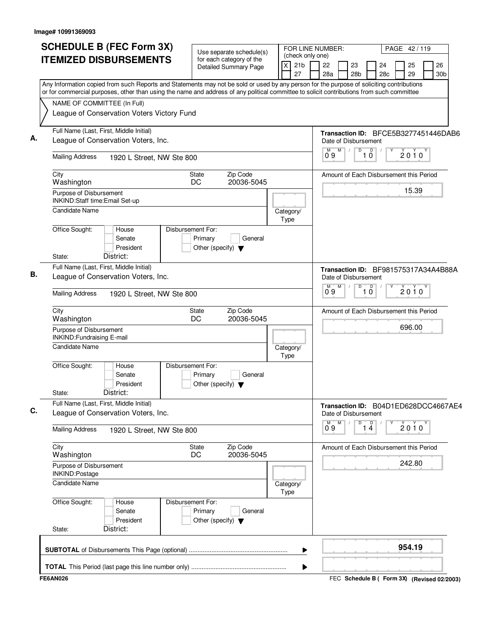| (check only one)<br><b>ITEMIZED DISBURSEMENTS</b><br>for each category of the<br>X<br>21 <sub>b</sub><br>22<br>23<br>25<br>24<br><b>Detailed Summary Page</b><br>28a<br>28 <sub>b</sub><br>28c<br>29<br>27<br>Any Information copied from such Reports and Statements may not be sold or used by any person for the purpose of soliciting contributions<br>or for commercial purposes, other than using the name and address of any political committee to solicit contributions from such committee<br>NAME OF COMMITTEE (In Full)<br>League of Conservation Voters Victory Fund<br>Full Name (Last, First, Middle Initial)<br>Transaction ID: BFCE5B3277451446DAB6<br>League of Conservation Voters, Inc.<br>Date of Disbursement<br>M<br>D<br>M<br>$\overline{10}$<br>$2010^y$<br>09<br><b>Mailing Address</b><br>1920 L Street, NW Ste 800<br>Zip Code<br>City<br>Amount of Each Disbursement this Period<br>State<br>20036-5045<br>Washington<br>DC<br>15.39<br>Purpose of Disbursement<br>INKIND:Staff time:Email Set-up<br><b>Candidate Name</b><br>Category/<br>Type<br>Office Sought:<br>Disbursement For:<br>House<br>Primary<br>Senate<br>General<br>President<br>Other (specify) $\blacktriangledown$<br>District:<br>State:<br>Full Name (Last, First, Middle Initial)<br>Transaction ID: BF981575317A34A4B88A<br>League of Conservation Voters, Inc.<br>Date of Disbursement<br>M<br>D<br>$\overline{\overline{\overline{0}}}$<br>M<br>2010<br>0.9<br>1.<br><b>Mailing Address</b><br>1920 L Street, NW Ste 800<br>Zip Code<br>City<br>State<br>Amount of Each Disbursement this Period<br>DC<br>20036-5045<br>Washington<br>696.00<br>Purpose of Disbursement<br><b>INKIND:Fundraising E-mail</b><br><b>Candidate Name</b><br>Category/<br>Type<br>Office Sought:<br>Disbursement For:<br>House<br>Senate<br>Primary<br>General<br>President<br>Other (specify) $\blacktriangledown$<br>District:<br>State:<br>Full Name (Last, First, Middle Initial)<br>Transaction ID: B04D1ED628DCC4667AE4<br>League of Conservation Voters, Inc.<br>Date of Disbursement<br>1 <sup>D</sup><br>M<br>D<br>$0^{\circ}9$<br>$2010^y$<br><b>Mailing Address</b><br>1920 L Street, NW Ste 800<br>City<br>Zip Code<br>State<br>Amount of Each Disbursement this Period<br>20036-5045<br>Washington<br>DC.<br>242.80<br>Purpose of Disbursement<br>INKIND:Postage<br><b>Candidate Name</b><br>Category/<br>Type<br>Office Sought:<br>Disbursement For:<br>House<br>Primary<br>Senate<br>General<br>President<br>Other (specify) $\blacktriangledown$<br>District:<br>State: | <b>SCHEDULE B (FEC Form 3X)</b> | Use separate schedule(s) |  | FOR LINE NUMBER: |  |  |  |  | PAGE 42/119 |                       |
|-------------------------------------------------------------------------------------------------------------------------------------------------------------------------------------------------------------------------------------------------------------------------------------------------------------------------------------------------------------------------------------------------------------------------------------------------------------------------------------------------------------------------------------------------------------------------------------------------------------------------------------------------------------------------------------------------------------------------------------------------------------------------------------------------------------------------------------------------------------------------------------------------------------------------------------------------------------------------------------------------------------------------------------------------------------------------------------------------------------------------------------------------------------------------------------------------------------------------------------------------------------------------------------------------------------------------------------------------------------------------------------------------------------------------------------------------------------------------------------------------------------------------------------------------------------------------------------------------------------------------------------------------------------------------------------------------------------------------------------------------------------------------------------------------------------------------------------------------------------------------------------------------------------------------------------------------------------------------------------------------------------------------------------------------------------------------------------------------------------------------------------------------------------------------------------------------------------------------------------------------------------------------------------------------------------------------------------------------------------------------------------------------------------------------------------------------------------------------------------------------------------------------------------------------------------------------|---------------------------------|--------------------------|--|------------------|--|--|--|--|-------------|-----------------------|
|                                                                                                                                                                                                                                                                                                                                                                                                                                                                                                                                                                                                                                                                                                                                                                                                                                                                                                                                                                                                                                                                                                                                                                                                                                                                                                                                                                                                                                                                                                                                                                                                                                                                                                                                                                                                                                                                                                                                                                                                                                                                                                                                                                                                                                                                                                                                                                                                                                                                                                                                                                         |                                 |                          |  |                  |  |  |  |  |             | 26<br>30 <sub>b</sub> |
|                                                                                                                                                                                                                                                                                                                                                                                                                                                                                                                                                                                                                                                                                                                                                                                                                                                                                                                                                                                                                                                                                                                                                                                                                                                                                                                                                                                                                                                                                                                                                                                                                                                                                                                                                                                                                                                                                                                                                                                                                                                                                                                                                                                                                                                                                                                                                                                                                                                                                                                                                                         |                                 |                          |  |                  |  |  |  |  |             |                       |
|                                                                                                                                                                                                                                                                                                                                                                                                                                                                                                                                                                                                                                                                                                                                                                                                                                                                                                                                                                                                                                                                                                                                                                                                                                                                                                                                                                                                                                                                                                                                                                                                                                                                                                                                                                                                                                                                                                                                                                                                                                                                                                                                                                                                                                                                                                                                                                                                                                                                                                                                                                         |                                 |                          |  |                  |  |  |  |  |             |                       |
|                                                                                                                                                                                                                                                                                                                                                                                                                                                                                                                                                                                                                                                                                                                                                                                                                                                                                                                                                                                                                                                                                                                                                                                                                                                                                                                                                                                                                                                                                                                                                                                                                                                                                                                                                                                                                                                                                                                                                                                                                                                                                                                                                                                                                                                                                                                                                                                                                                                                                                                                                                         |                                 |                          |  |                  |  |  |  |  |             |                       |
|                                                                                                                                                                                                                                                                                                                                                                                                                                                                                                                                                                                                                                                                                                                                                                                                                                                                                                                                                                                                                                                                                                                                                                                                                                                                                                                                                                                                                                                                                                                                                                                                                                                                                                                                                                                                                                                                                                                                                                                                                                                                                                                                                                                                                                                                                                                                                                                                                                                                                                                                                                         |                                 |                          |  |                  |  |  |  |  |             |                       |
|                                                                                                                                                                                                                                                                                                                                                                                                                                                                                                                                                                                                                                                                                                                                                                                                                                                                                                                                                                                                                                                                                                                                                                                                                                                                                                                                                                                                                                                                                                                                                                                                                                                                                                                                                                                                                                                                                                                                                                                                                                                                                                                                                                                                                                                                                                                                                                                                                                                                                                                                                                         |                                 |                          |  |                  |  |  |  |  |             |                       |
|                                                                                                                                                                                                                                                                                                                                                                                                                                                                                                                                                                                                                                                                                                                                                                                                                                                                                                                                                                                                                                                                                                                                                                                                                                                                                                                                                                                                                                                                                                                                                                                                                                                                                                                                                                                                                                                                                                                                                                                                                                                                                                                                                                                                                                                                                                                                                                                                                                                                                                                                                                         |                                 |                          |  |                  |  |  |  |  |             |                       |
|                                                                                                                                                                                                                                                                                                                                                                                                                                                                                                                                                                                                                                                                                                                                                                                                                                                                                                                                                                                                                                                                                                                                                                                                                                                                                                                                                                                                                                                                                                                                                                                                                                                                                                                                                                                                                                                                                                                                                                                                                                                                                                                                                                                                                                                                                                                                                                                                                                                                                                                                                                         |                                 |                          |  |                  |  |  |  |  |             |                       |
|                                                                                                                                                                                                                                                                                                                                                                                                                                                                                                                                                                                                                                                                                                                                                                                                                                                                                                                                                                                                                                                                                                                                                                                                                                                                                                                                                                                                                                                                                                                                                                                                                                                                                                                                                                                                                                                                                                                                                                                                                                                                                                                                                                                                                                                                                                                                                                                                                                                                                                                                                                         |                                 |                          |  |                  |  |  |  |  |             |                       |
|                                                                                                                                                                                                                                                                                                                                                                                                                                                                                                                                                                                                                                                                                                                                                                                                                                                                                                                                                                                                                                                                                                                                                                                                                                                                                                                                                                                                                                                                                                                                                                                                                                                                                                                                                                                                                                                                                                                                                                                                                                                                                                                                                                                                                                                                                                                                                                                                                                                                                                                                                                         |                                 |                          |  |                  |  |  |  |  |             |                       |
|                                                                                                                                                                                                                                                                                                                                                                                                                                                                                                                                                                                                                                                                                                                                                                                                                                                                                                                                                                                                                                                                                                                                                                                                                                                                                                                                                                                                                                                                                                                                                                                                                                                                                                                                                                                                                                                                                                                                                                                                                                                                                                                                                                                                                                                                                                                                                                                                                                                                                                                                                                         |                                 |                          |  |                  |  |  |  |  |             |                       |
|                                                                                                                                                                                                                                                                                                                                                                                                                                                                                                                                                                                                                                                                                                                                                                                                                                                                                                                                                                                                                                                                                                                                                                                                                                                                                                                                                                                                                                                                                                                                                                                                                                                                                                                                                                                                                                                                                                                                                                                                                                                                                                                                                                                                                                                                                                                                                                                                                                                                                                                                                                         |                                 |                          |  |                  |  |  |  |  |             |                       |
|                                                                                                                                                                                                                                                                                                                                                                                                                                                                                                                                                                                                                                                                                                                                                                                                                                                                                                                                                                                                                                                                                                                                                                                                                                                                                                                                                                                                                                                                                                                                                                                                                                                                                                                                                                                                                                                                                                                                                                                                                                                                                                                                                                                                                                                                                                                                                                                                                                                                                                                                                                         |                                 |                          |  |                  |  |  |  |  |             |                       |
|                                                                                                                                                                                                                                                                                                                                                                                                                                                                                                                                                                                                                                                                                                                                                                                                                                                                                                                                                                                                                                                                                                                                                                                                                                                                                                                                                                                                                                                                                                                                                                                                                                                                                                                                                                                                                                                                                                                                                                                                                                                                                                                                                                                                                                                                                                                                                                                                                                                                                                                                                                         |                                 |                          |  |                  |  |  |  |  |             |                       |
|                                                                                                                                                                                                                                                                                                                                                                                                                                                                                                                                                                                                                                                                                                                                                                                                                                                                                                                                                                                                                                                                                                                                                                                                                                                                                                                                                                                                                                                                                                                                                                                                                                                                                                                                                                                                                                                                                                                                                                                                                                                                                                                                                                                                                                                                                                                                                                                                                                                                                                                                                                         |                                 |                          |  |                  |  |  |  |  |             |                       |
|                                                                                                                                                                                                                                                                                                                                                                                                                                                                                                                                                                                                                                                                                                                                                                                                                                                                                                                                                                                                                                                                                                                                                                                                                                                                                                                                                                                                                                                                                                                                                                                                                                                                                                                                                                                                                                                                                                                                                                                                                                                                                                                                                                                                                                                                                                                                                                                                                                                                                                                                                                         |                                 |                          |  |                  |  |  |  |  |             |                       |
|                                                                                                                                                                                                                                                                                                                                                                                                                                                                                                                                                                                                                                                                                                                                                                                                                                                                                                                                                                                                                                                                                                                                                                                                                                                                                                                                                                                                                                                                                                                                                                                                                                                                                                                                                                                                                                                                                                                                                                                                                                                                                                                                                                                                                                                                                                                                                                                                                                                                                                                                                                         |                                 |                          |  |                  |  |  |  |  |             |                       |
|                                                                                                                                                                                                                                                                                                                                                                                                                                                                                                                                                                                                                                                                                                                                                                                                                                                                                                                                                                                                                                                                                                                                                                                                                                                                                                                                                                                                                                                                                                                                                                                                                                                                                                                                                                                                                                                                                                                                                                                                                                                                                                                                                                                                                                                                                                                                                                                                                                                                                                                                                                         |                                 |                          |  |                  |  |  |  |  |             |                       |
|                                                                                                                                                                                                                                                                                                                                                                                                                                                                                                                                                                                                                                                                                                                                                                                                                                                                                                                                                                                                                                                                                                                                                                                                                                                                                                                                                                                                                                                                                                                                                                                                                                                                                                                                                                                                                                                                                                                                                                                                                                                                                                                                                                                                                                                                                                                                                                                                                                                                                                                                                                         |                                 |                          |  |                  |  |  |  |  |             |                       |
|                                                                                                                                                                                                                                                                                                                                                                                                                                                                                                                                                                                                                                                                                                                                                                                                                                                                                                                                                                                                                                                                                                                                                                                                                                                                                                                                                                                                                                                                                                                                                                                                                                                                                                                                                                                                                                                                                                                                                                                                                                                                                                                                                                                                                                                                                                                                                                                                                                                                                                                                                                         |                                 |                          |  |                  |  |  |  |  |             |                       |
|                                                                                                                                                                                                                                                                                                                                                                                                                                                                                                                                                                                                                                                                                                                                                                                                                                                                                                                                                                                                                                                                                                                                                                                                                                                                                                                                                                                                                                                                                                                                                                                                                                                                                                                                                                                                                                                                                                                                                                                                                                                                                                                                                                                                                                                                                                                                                                                                                                                                                                                                                                         |                                 |                          |  |                  |  |  |  |  |             |                       |
|                                                                                                                                                                                                                                                                                                                                                                                                                                                                                                                                                                                                                                                                                                                                                                                                                                                                                                                                                                                                                                                                                                                                                                                                                                                                                                                                                                                                                                                                                                                                                                                                                                                                                                                                                                                                                                                                                                                                                                                                                                                                                                                                                                                                                                                                                                                                                                                                                                                                                                                                                                         |                                 |                          |  |                  |  |  |  |  |             |                       |
|                                                                                                                                                                                                                                                                                                                                                                                                                                                                                                                                                                                                                                                                                                                                                                                                                                                                                                                                                                                                                                                                                                                                                                                                                                                                                                                                                                                                                                                                                                                                                                                                                                                                                                                                                                                                                                                                                                                                                                                                                                                                                                                                                                                                                                                                                                                                                                                                                                                                                                                                                                         |                                 |                          |  |                  |  |  |  |  |             |                       |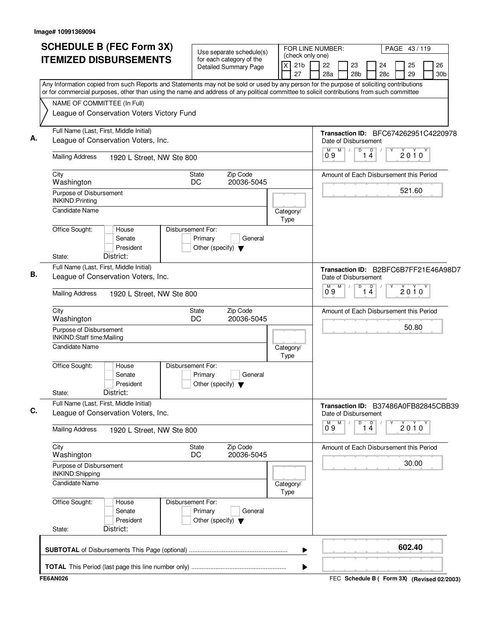| <b>SCHEDULE B (FEC Form 3X)</b><br><b>ITEMIZED DISBURSEMENTS</b>                                                                                                                                                                                                                       |                              | Use separate schedule(s)<br>for each category of the<br><b>Detailed Summary Page</b> | (check only one)<br>21 <sub>b</sub><br>X | FOR LINE NUMBER:<br>22<br>23<br>28a    | PAGE 43/119<br>25<br>26<br>24<br>28c<br>29<br>30 <sub>b</sub> |
|----------------------------------------------------------------------------------------------------------------------------------------------------------------------------------------------------------------------------------------------------------------------------------------|------------------------------|--------------------------------------------------------------------------------------|------------------------------------------|----------------------------------------|---------------------------------------------------------------|
| Any Information copied from such Reports and Statements may not be sold or used by any person for the purpose of soliciting contributions<br>or for commercial purposes, other than using the name and address of any political committee to solicit contributions from such committee |                              |                                                                                      | 27                                       | 28 <sub>b</sub>                        |                                                               |
| NAME OF COMMITTEE (In Full)<br>League of Conservation Voters Victory Fund                                                                                                                                                                                                              |                              |                                                                                      |                                          |                                        |                                                               |
| Full Name (Last, First, Middle Initial)<br>League of Conservation Voters, Inc.                                                                                                                                                                                                         |                              |                                                                                      |                                          | Date of Disbursement                   | Transaction ID: BFC674262951C4220978                          |
| <b>Mailing Address</b>                                                                                                                                                                                                                                                                 | 1920 L Street, NW Ste 800    |                                                                                      |                                          | D<br>M<br>M<br>09<br>14                | D<br>2010                                                     |
| City<br>Washington                                                                                                                                                                                                                                                                     | State<br>DC                  | Zip Code<br>20036-5045                                                               |                                          |                                        | Amount of Each Disbursement this Period                       |
| Purpose of Disbursement<br><b>INKIND:Printing</b>                                                                                                                                                                                                                                      |                              |                                                                                      |                                          |                                        | 521.60                                                        |
| <b>Candidate Name</b>                                                                                                                                                                                                                                                                  |                              |                                                                                      | Category/<br>Type                        |                                        |                                                               |
| Office Sought:<br>House<br>Senate<br>President<br>District:<br>State:                                                                                                                                                                                                                  | Disbursement For:<br>Primary | General<br>Other (specify) $\blacktriangledown$                                      |                                          |                                        |                                                               |
| Full Name (Last, First, Middle Initial)<br>League of Conservation Voters, Inc.                                                                                                                                                                                                         |                              |                                                                                      |                                          | Date of Disbursement                   | Transaction ID: B2BFC6B7FF21E46A98D7                          |
| <b>Mailing Address</b>                                                                                                                                                                                                                                                                 | 1920 L Street, NW Ste 800    |                                                                                      |                                          | M<br>D<br>$\overline{0}^M$ 9           | $\overline{4}$<br>$2010^y$                                    |
| City<br>Washington                                                                                                                                                                                                                                                                     | State<br>DC                  | Zip Code<br>20036-5045                                                               |                                          |                                        | Amount of Each Disbursement this Period                       |
| Purpose of Disbursement<br>INKIND:Staff time:Mailing                                                                                                                                                                                                                                   |                              |                                                                                      |                                          |                                        | 50.80                                                         |
| <b>Candidate Name</b>                                                                                                                                                                                                                                                                  |                              |                                                                                      | Category/<br>Type                        |                                        |                                                               |
| Office Sought:<br>House<br>Senate<br>President<br>District:<br>State:                                                                                                                                                                                                                  | Disbursement For:<br>Primary | General<br>Other (specify) $\blacktriangledown$                                      |                                          |                                        |                                                               |
| Full Name (Last, First, Middle Initial)<br>League of Conservation Voters, Inc.                                                                                                                                                                                                         |                              |                                                                                      |                                          | Date of Disbursement                   | Transaction ID: B37486A0FB82845CBB39                          |
| <b>Mailing Address</b>                                                                                                                                                                                                                                                                 | 1920 L Street, NW Ste 800    |                                                                                      |                                          | М<br>M<br>D<br>$\overline{1\ 4}$<br>09 | $2010^y$                                                      |
| City<br>Washington                                                                                                                                                                                                                                                                     | <b>State</b><br>DC           | Zip Code<br>20036-5045                                                               |                                          |                                        | Amount of Each Disbursement this Period                       |
| Purpose of Disbursement<br>INKIND:Shipping                                                                                                                                                                                                                                             |                              |                                                                                      |                                          |                                        | 30.00                                                         |
| Candidate Name                                                                                                                                                                                                                                                                         |                              |                                                                                      | Category/<br>Type                        |                                        |                                                               |
| Office Sought:<br>House<br>Senate<br>President                                                                                                                                                                                                                                         | Disbursement For:<br>Primary | General<br>Other (specify) $\blacktriangledown$                                      |                                          |                                        |                                                               |
| District:<br>State:                                                                                                                                                                                                                                                                    |                              |                                                                                      |                                          |                                        |                                                               |
|                                                                                                                                                                                                                                                                                        |                              |                                                                                      | ▶                                        |                                        | 602.40                                                        |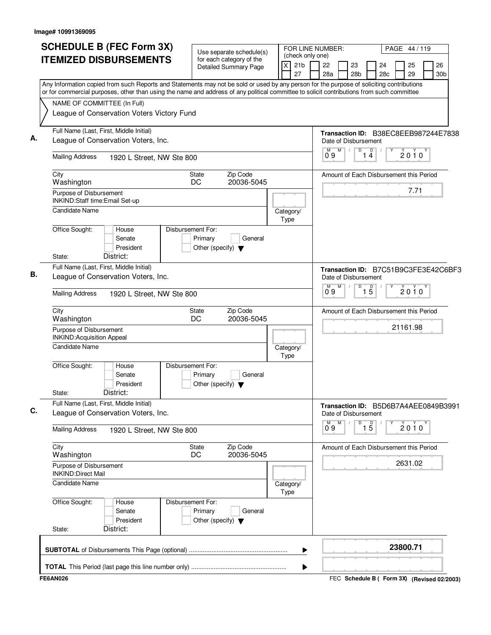| Use separate schedule(s)<br>(check only one)<br><b>ITEMIZED DISBURSEMENTS</b><br>for each category of the<br>X<br>21 <sub>b</sub><br>22<br>23<br><b>Detailed Summary Page</b><br>28a<br>28 <sub>b</sub><br>27<br>Any Information copied from such Reports and Statements may not be sold or used by any person for the purpose of soliciting contributions<br>or for commercial purposes, other than using the name and address of any political committee to solicit contributions from such committee<br>NAME OF COMMITTEE (In Full)<br>League of Conservation Voters Victory Fund<br>Full Name (Last, First, Middle Initial)<br>А.<br>League of Conservation Voters, Inc.<br>Date of Disbursement<br>D<br>M<br>M<br>$\overline{1\ 4}$<br>09<br><b>Mailing Address</b><br>1920 L Street, NW Ste 800<br>Zip Code<br>City<br><b>State</b><br>DC<br>20036-5045<br>Washington<br>Purpose of Disbursement<br>INKIND:Staff time:Email Set-up<br>Candidate Name<br>Category/<br>Type<br>Office Sought:<br>Disbursement For:<br>House<br>Senate<br>Primary<br>General<br>President<br>Other (specify) $\blacktriangledown$<br>District:<br>State:<br>Full Name (Last, First, Middle Initial)<br>В.<br>League of Conservation Voters, Inc.<br>Date of Disbursement<br>M<br>D<br>M.<br>0.9<br><b>Mailing Address</b><br>1920 L Street, NW Ste 800<br>Zip Code<br>City<br>State<br>DC<br>20036-5045<br>Washington<br>Purpose of Disbursement<br><b>INKIND:Acquisition Appeal</b><br>Candidate Name<br>Category/<br>Type<br>Office Sought:<br>Disbursement For:<br>House<br>Senate<br>Primary<br>General<br>President<br>Other (specify) $\blacktriangledown$<br>District:<br>State:<br>Full Name (Last, First, Middle Initial)<br>C.<br>League of Conservation Voters, Inc.<br>Date of Disbursement<br>D<br>$\overline{1\,5}$<br>$0^{\circ}9$<br>M<br><b>Mailing Address</b><br>1920 L Street, NW Ste 800<br>City<br>Zip Code<br><b>State</b><br>Washington<br>DC<br>20036-5045<br>Purpose of Disbursement<br><b>INKIND:Direct Mail</b> | PAGE 44 / 119                           |
|--------------------------------------------------------------------------------------------------------------------------------------------------------------------------------------------------------------------------------------------------------------------------------------------------------------------------------------------------------------------------------------------------------------------------------------------------------------------------------------------------------------------------------------------------------------------------------------------------------------------------------------------------------------------------------------------------------------------------------------------------------------------------------------------------------------------------------------------------------------------------------------------------------------------------------------------------------------------------------------------------------------------------------------------------------------------------------------------------------------------------------------------------------------------------------------------------------------------------------------------------------------------------------------------------------------------------------------------------------------------------------------------------------------------------------------------------------------------------------------------------------------------------------------------------------------------------------------------------------------------------------------------------------------------------------------------------------------------------------------------------------------------------------------------------------------------------------------------------------------------------------------------------------------------------------------------------------------------------------------------------------------------------------|-----------------------------------------|
|                                                                                                                                                                                                                                                                                                                                                                                                                                                                                                                                                                                                                                                                                                                                                                                                                                                                                                                                                                                                                                                                                                                                                                                                                                                                                                                                                                                                                                                                                                                                                                                                                                                                                                                                                                                                                                                                                                                                                                                                                                | 25<br>26<br>24                          |
|                                                                                                                                                                                                                                                                                                                                                                                                                                                                                                                                                                                                                                                                                                                                                                                                                                                                                                                                                                                                                                                                                                                                                                                                                                                                                                                                                                                                                                                                                                                                                                                                                                                                                                                                                                                                                                                                                                                                                                                                                                | 28c<br>29<br>30 <sub>b</sub>            |
|                                                                                                                                                                                                                                                                                                                                                                                                                                                                                                                                                                                                                                                                                                                                                                                                                                                                                                                                                                                                                                                                                                                                                                                                                                                                                                                                                                                                                                                                                                                                                                                                                                                                                                                                                                                                                                                                                                                                                                                                                                |                                         |
|                                                                                                                                                                                                                                                                                                                                                                                                                                                                                                                                                                                                                                                                                                                                                                                                                                                                                                                                                                                                                                                                                                                                                                                                                                                                                                                                                                                                                                                                                                                                                                                                                                                                                                                                                                                                                                                                                                                                                                                                                                | Transaction ID: B38EC8EEB987244E7838    |
|                                                                                                                                                                                                                                                                                                                                                                                                                                                                                                                                                                                                                                                                                                                                                                                                                                                                                                                                                                                                                                                                                                                                                                                                                                                                                                                                                                                                                                                                                                                                                                                                                                                                                                                                                                                                                                                                                                                                                                                                                                | $2010^y$                                |
|                                                                                                                                                                                                                                                                                                                                                                                                                                                                                                                                                                                                                                                                                                                                                                                                                                                                                                                                                                                                                                                                                                                                                                                                                                                                                                                                                                                                                                                                                                                                                                                                                                                                                                                                                                                                                                                                                                                                                                                                                                | Amount of Each Disbursement this Period |
|                                                                                                                                                                                                                                                                                                                                                                                                                                                                                                                                                                                                                                                                                                                                                                                                                                                                                                                                                                                                                                                                                                                                                                                                                                                                                                                                                                                                                                                                                                                                                                                                                                                                                                                                                                                                                                                                                                                                                                                                                                | 7.71                                    |
|                                                                                                                                                                                                                                                                                                                                                                                                                                                                                                                                                                                                                                                                                                                                                                                                                                                                                                                                                                                                                                                                                                                                                                                                                                                                                                                                                                                                                                                                                                                                                                                                                                                                                                                                                                                                                                                                                                                                                                                                                                |                                         |
|                                                                                                                                                                                                                                                                                                                                                                                                                                                                                                                                                                                                                                                                                                                                                                                                                                                                                                                                                                                                                                                                                                                                                                                                                                                                                                                                                                                                                                                                                                                                                                                                                                                                                                                                                                                                                                                                                                                                                                                                                                |                                         |
|                                                                                                                                                                                                                                                                                                                                                                                                                                                                                                                                                                                                                                                                                                                                                                                                                                                                                                                                                                                                                                                                                                                                                                                                                                                                                                                                                                                                                                                                                                                                                                                                                                                                                                                                                                                                                                                                                                                                                                                                                                | Transaction ID: B7C51B9C3FE3E42C6BF3    |
|                                                                                                                                                                                                                                                                                                                                                                                                                                                                                                                                                                                                                                                                                                                                                                                                                                                                                                                                                                                                                                                                                                                                                                                                                                                                                                                                                                                                                                                                                                                                                                                                                                                                                                                                                                                                                                                                                                                                                                                                                                | $\overline{5}$<br>$2010^y$              |
|                                                                                                                                                                                                                                                                                                                                                                                                                                                                                                                                                                                                                                                                                                                                                                                                                                                                                                                                                                                                                                                                                                                                                                                                                                                                                                                                                                                                                                                                                                                                                                                                                                                                                                                                                                                                                                                                                                                                                                                                                                | Amount of Each Disbursement this Period |
|                                                                                                                                                                                                                                                                                                                                                                                                                                                                                                                                                                                                                                                                                                                                                                                                                                                                                                                                                                                                                                                                                                                                                                                                                                                                                                                                                                                                                                                                                                                                                                                                                                                                                                                                                                                                                                                                                                                                                                                                                                | 21161.98                                |
|                                                                                                                                                                                                                                                                                                                                                                                                                                                                                                                                                                                                                                                                                                                                                                                                                                                                                                                                                                                                                                                                                                                                                                                                                                                                                                                                                                                                                                                                                                                                                                                                                                                                                                                                                                                                                                                                                                                                                                                                                                |                                         |
|                                                                                                                                                                                                                                                                                                                                                                                                                                                                                                                                                                                                                                                                                                                                                                                                                                                                                                                                                                                                                                                                                                                                                                                                                                                                                                                                                                                                                                                                                                                                                                                                                                                                                                                                                                                                                                                                                                                                                                                                                                |                                         |
|                                                                                                                                                                                                                                                                                                                                                                                                                                                                                                                                                                                                                                                                                                                                                                                                                                                                                                                                                                                                                                                                                                                                                                                                                                                                                                                                                                                                                                                                                                                                                                                                                                                                                                                                                                                                                                                                                                                                                                                                                                | Transaction ID: B5D6B7A4AEE0849B3991    |
|                                                                                                                                                                                                                                                                                                                                                                                                                                                                                                                                                                                                                                                                                                                                                                                                                                                                                                                                                                                                                                                                                                                                                                                                                                                                                                                                                                                                                                                                                                                                                                                                                                                                                                                                                                                                                                                                                                                                                                                                                                | $2010^y$                                |
|                                                                                                                                                                                                                                                                                                                                                                                                                                                                                                                                                                                                                                                                                                                                                                                                                                                                                                                                                                                                                                                                                                                                                                                                                                                                                                                                                                                                                                                                                                                                                                                                                                                                                                                                                                                                                                                                                                                                                                                                                                | Amount of Each Disbursement this Period |
|                                                                                                                                                                                                                                                                                                                                                                                                                                                                                                                                                                                                                                                                                                                                                                                                                                                                                                                                                                                                                                                                                                                                                                                                                                                                                                                                                                                                                                                                                                                                                                                                                                                                                                                                                                                                                                                                                                                                                                                                                                | 2631.02                                 |
| <b>Candidate Name</b><br>Category/<br>Type                                                                                                                                                                                                                                                                                                                                                                                                                                                                                                                                                                                                                                                                                                                                                                                                                                                                                                                                                                                                                                                                                                                                                                                                                                                                                                                                                                                                                                                                                                                                                                                                                                                                                                                                                                                                                                                                                                                                                                                     |                                         |
| Office Sought:<br>Disbursement For:<br>House<br>Primary<br>Senate<br>General<br>President<br>Other (specify) $\blacktriangledown$<br>District:<br>State:                                                                                                                                                                                                                                                                                                                                                                                                                                                                                                                                                                                                                                                                                                                                                                                                                                                                                                                                                                                                                                                                                                                                                                                                                                                                                                                                                                                                                                                                                                                                                                                                                                                                                                                                                                                                                                                                       |                                         |
| ▶                                                                                                                                                                                                                                                                                                                                                                                                                                                                                                                                                                                                                                                                                                                                                                                                                                                                                                                                                                                                                                                                                                                                                                                                                                                                                                                                                                                                                                                                                                                                                                                                                                                                                                                                                                                                                                                                                                                                                                                                                              | 23800.71                                |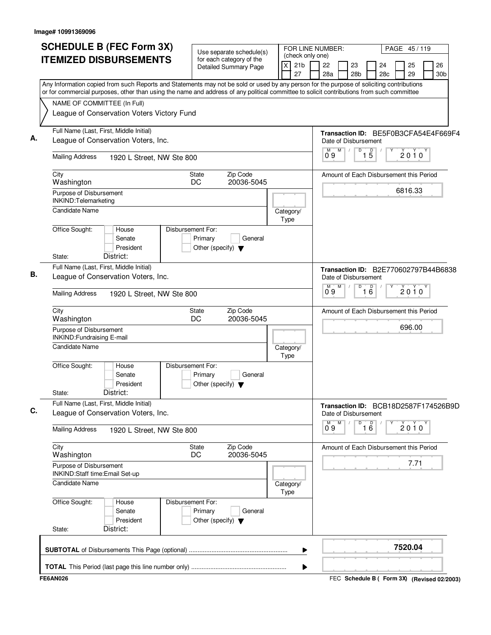|                                                             | <b>SCHEDULE B (FEC Form 3X)</b>                                                                                                                                                                                                                                                        |                                                                      | Use separate schedule(s)                                 |                   | FOR LINE NUMBER:<br>(check only one) |           |                                                              |                                   |           |   | PAGE 45/119 |                       |
|-------------------------------------------------------------|----------------------------------------------------------------------------------------------------------------------------------------------------------------------------------------------------------------------------------------------------------------------------------------|----------------------------------------------------------------------|----------------------------------------------------------|-------------------|--------------------------------------|-----------|--------------------------------------------------------------|-----------------------------------|-----------|---|-------------|-----------------------|
|                                                             | <b>ITEMIZED DISBURSEMENTS</b>                                                                                                                                                                                                                                                          |                                                                      | for each category of the<br><b>Detailed Summary Page</b> | X                 | 21 <sub>b</sub><br>27                | 22<br>28a | 23<br>28 <sub>b</sub>                                        |                                   | 24<br>28c |   | 25<br>29    | 26<br>30 <sub>b</sub> |
|                                                             | Any Information copied from such Reports and Statements may not be sold or used by any person for the purpose of soliciting contributions<br>or for commercial purposes, other than using the name and address of any political committee to solicit contributions from such committee |                                                                      |                                                          |                   |                                      |           |                                                              |                                   |           |   |             |                       |
| NAME OF COMMITTEE (In Full)                                 |                                                                                                                                                                                                                                                                                        |                                                                      |                                                          |                   |                                      |           |                                                              |                                   |           |   |             |                       |
|                                                             | League of Conservation Voters Victory Fund                                                                                                                                                                                                                                             |                                                                      |                                                          |                   |                                      |           |                                                              |                                   |           |   |             |                       |
|                                                             | Full Name (Last, First, Middle Initial)<br>League of Conservation Voters, Inc.                                                                                                                                                                                                         |                                                                      |                                                          |                   |                                      |           | Transaction ID: BE5F0B3CFA54E4F669F4<br>Date of Disbursement |                                   |           |   |             |                       |
| <b>Mailing Address</b>                                      | 1920 L Street, NW Ste 800                                                                                                                                                                                                                                                              |                                                                      |                                                          |                   |                                      | M<br>09   | M                                                            | $\overline{D}$<br>$1\overline{5}$ |           |   | $2010^y$    |                       |
| City<br>Washington                                          |                                                                                                                                                                                                                                                                                        | <b>State</b><br>DC                                                   | Zip Code<br>20036-5045                                   |                   |                                      |           | Amount of Each Disbursement this Period                      |                                   |           |   |             |                       |
| Purpose of Disbursement<br>INKIND: Telemarketing            |                                                                                                                                                                                                                                                                                        |                                                                      |                                                          |                   |                                      |           |                                                              |                                   |           |   | 6816.33     |                       |
| Candidate Name                                              |                                                                                                                                                                                                                                                                                        |                                                                      |                                                          | Category/<br>Type |                                      |           |                                                              |                                   |           |   |             |                       |
| Office Sought:                                              | House<br>Senate<br>President                                                                                                                                                                                                                                                           | Disbursement For:<br>Primary<br>Other (specify) $\blacktriangledown$ | General                                                  |                   |                                      |           |                                                              |                                   |           |   |             |                       |
| State:                                                      | District:<br>Full Name (Last, First, Middle Initial)                                                                                                                                                                                                                                   |                                                                      |                                                          |                   |                                      |           | Transaction ID: B2E770602797B44B6838                         |                                   |           |   |             |                       |
|                                                             | League of Conservation Voters, Inc.                                                                                                                                                                                                                                                    |                                                                      |                                                          |                   |                                      |           | Date of Disbursement                                         |                                   |           |   |             |                       |
| <b>Mailing Address</b>                                      | 1920 L Street, NW Ste 800                                                                                                                                                                                                                                                              |                                                                      |                                                          |                   |                                      | 0.9       | M                                                            | D<br>16                           |           | Υ | $2010^y$    |                       |
| City<br>Washington                                          |                                                                                                                                                                                                                                                                                        | State<br>DC                                                          | Zip Code<br>20036-5045                                   |                   |                                      |           | Amount of Each Disbursement this Period                      |                                   |           |   |             |                       |
| Purpose of Disbursement<br><b>INKIND:Fundraising E-mail</b> |                                                                                                                                                                                                                                                                                        |                                                                      |                                                          |                   |                                      |           |                                                              |                                   |           |   | 696.00      |                       |
| Candidate Name                                              |                                                                                                                                                                                                                                                                                        |                                                                      |                                                          | Category/<br>Type |                                      |           |                                                              |                                   |           |   |             |                       |
| Office Sought:<br>State:                                    | House<br>Senate<br>President<br>District:                                                                                                                                                                                                                                              | Disbursement For:<br>Primary<br>Other (specify) $\blacktriangledown$ | General                                                  |                   |                                      |           |                                                              |                                   |           |   |             |                       |
|                                                             | Full Name (Last, First, Middle Initial)<br>League of Conservation Voters, Inc.                                                                                                                                                                                                         |                                                                      |                                                          |                   |                                      |           | Transaction ID: BCB18D2587F174526B9D<br>Date of Disbursement |                                   |           |   |             |                       |
| <b>Mailing Address</b>                                      | 1920 L Street, NW Ste 800                                                                                                                                                                                                                                                              |                                                                      |                                                          |                   |                                      | M<br>09   | M                                                            | D<br>16                           |           |   | $2010^y$    |                       |
| City<br>Washington                                          |                                                                                                                                                                                                                                                                                        | <b>State</b><br>DC                                                   | Zip Code<br>20036-5045                                   |                   |                                      |           | Amount of Each Disbursement this Period                      |                                   |           |   |             |                       |
| Purpose of Disbursement<br>INKIND:Staff time:Email Set-up   |                                                                                                                                                                                                                                                                                        |                                                                      |                                                          |                   |                                      |           |                                                              |                                   |           |   | 7.71        |                       |
| <b>Candidate Name</b>                                       |                                                                                                                                                                                                                                                                                        |                                                                      |                                                          | Category/<br>Type |                                      |           |                                                              |                                   |           |   |             |                       |
| Office Sought:                                              | House<br>Senate<br>President                                                                                                                                                                                                                                                           | Disbursement For:<br>Primary<br>Other (specify) $\blacktriangledown$ | General                                                  |                   |                                      |           |                                                              |                                   |           |   |             |                       |
| State:                                                      | District:                                                                                                                                                                                                                                                                              |                                                                      |                                                          |                   |                                      |           |                                                              |                                   |           |   |             |                       |
|                                                             |                                                                                                                                                                                                                                                                                        |                                                                      |                                                          |                   | ▶                                    |           |                                                              |                                   |           |   | 7520.04     |                       |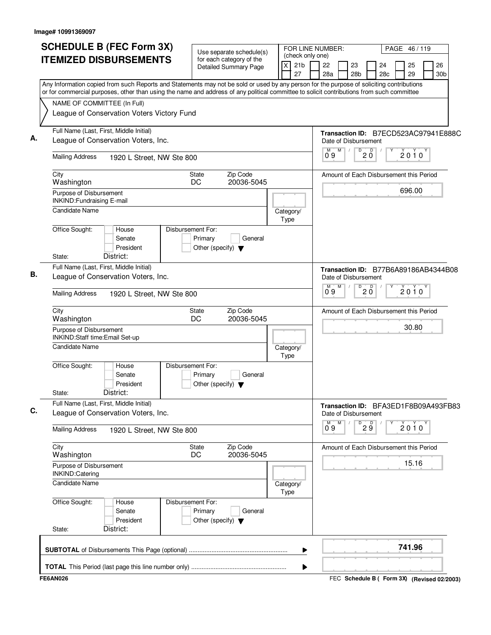| <b>SCHEDULE B (FEC Form 3X)</b><br><b>ITEMIZED DISBURSEMENTS</b>                                                                                                                                                                                                                       | Use separate schedule(s)<br>for each category of the                            | (check only one)           | FOR LINE NUMBER:<br>PAGE 46/119                                                              |
|----------------------------------------------------------------------------------------------------------------------------------------------------------------------------------------------------------------------------------------------------------------------------------------|---------------------------------------------------------------------------------|----------------------------|----------------------------------------------------------------------------------------------|
|                                                                                                                                                                                                                                                                                        | <b>Detailed Summary Page</b>                                                    | 21 <sub>b</sub><br>X<br>27 | 22<br>23<br>24<br>25<br>26<br>28a<br>28 <sub>b</sub><br>28c<br>29<br>30 <sub>b</sub>         |
| Any Information copied from such Reports and Statements may not be sold or used by any person for the purpose of soliciting contributions<br>or for commercial purposes, other than using the name and address of any political committee to solicit contributions from such committee |                                                                                 |                            |                                                                                              |
| NAME OF COMMITTEE (In Full)                                                                                                                                                                                                                                                            |                                                                                 |                            |                                                                                              |
| League of Conservation Voters Victory Fund                                                                                                                                                                                                                                             |                                                                                 |                            |                                                                                              |
| Full Name (Last, First, Middle Initial)<br>League of Conservation Voters, Inc.                                                                                                                                                                                                         |                                                                                 |                            | Transaction ID: B7ECD523AC97941E888C                                                         |
|                                                                                                                                                                                                                                                                                        |                                                                                 |                            | Date of Disbursement<br>D<br>M<br>$\overline{R}$<br>M                                        |
| <b>Mailing Address</b><br>1920 L Street, NW Ste 800                                                                                                                                                                                                                                    |                                                                                 |                            | 2010<br>20<br>09                                                                             |
| City<br>Washington                                                                                                                                                                                                                                                                     | Zip Code<br>State<br>20036-5045<br>DC                                           |                            | Amount of Each Disbursement this Period                                                      |
| Purpose of Disbursement<br>INKIND: Fundraising E-mail                                                                                                                                                                                                                                  |                                                                                 |                            | 696.00                                                                                       |
| Candidate Name                                                                                                                                                                                                                                                                         |                                                                                 | Category/<br>Type          |                                                                                              |
| Office Sought:<br>House<br>Senate<br>President                                                                                                                                                                                                                                         | Disbursement For:<br>Primary<br>General<br>Other (specify) $\blacktriangledown$ |                            |                                                                                              |
| District:<br>State:                                                                                                                                                                                                                                                                    |                                                                                 |                            |                                                                                              |
| Full Name (Last, First, Middle Initial)<br>League of Conservation Voters, Inc.                                                                                                                                                                                                         |                                                                                 |                            | Transaction ID: B77B6A89186AB4344B08<br>Date of Disbursement                                 |
| <b>Mailing Address</b><br>1920 L Street, NW Ste 800                                                                                                                                                                                                                                    |                                                                                 |                            | M<br>D<br>$\overline{D}$<br>$\overline{0}^M$ 9<br>$2010^y$<br>$2\overset{\shortparallel}{0}$ |
| City<br>Washington                                                                                                                                                                                                                                                                     | Zip Code<br>State<br>DC<br>20036-5045                                           |                            | Amount of Each Disbursement this Period                                                      |
| Purpose of Disbursement<br>INKIND:Staff time:Email Set-up                                                                                                                                                                                                                              |                                                                                 |                            | 30.80                                                                                        |
| Candidate Name                                                                                                                                                                                                                                                                         |                                                                                 | Category/<br>Type          |                                                                                              |
| Office Sought:<br>House<br>Senate<br>President<br>District:<br>State:                                                                                                                                                                                                                  | Disbursement For:<br>General<br>Primary<br>Other (specify) $\blacktriangledown$ |                            |                                                                                              |
| Full Name (Last, First, Middle Initial)<br>League of Conservation Voters, Inc.                                                                                                                                                                                                         |                                                                                 |                            | Transaction ID: BFA3ED1F8B09A493FB83<br>Date of Disbursement                                 |
| <b>Mailing Address</b><br>1920 L Street, NW Ste 800                                                                                                                                                                                                                                    |                                                                                 |                            | M<br>M<br>D<br>29<br>$2010^y$<br>09                                                          |
| City<br>Washington                                                                                                                                                                                                                                                                     | Zip Code<br>State<br>DC<br>20036-5045                                           |                            | Amount of Each Disbursement this Period                                                      |
| Purpose of Disbursement<br>INKIND:Catering                                                                                                                                                                                                                                             |                                                                                 |                            | 15.16                                                                                        |
| Candidate Name                                                                                                                                                                                                                                                                         |                                                                                 | Category/<br>Type          |                                                                                              |
| Office Sought:<br>House<br>Senate<br>President                                                                                                                                                                                                                                         | Disbursement For:<br>Primary<br>General<br>Other (specify) $\blacktriangledown$ |                            |                                                                                              |
| District:<br>State:                                                                                                                                                                                                                                                                    |                                                                                 |                            |                                                                                              |
|                                                                                                                                                                                                                                                                                        |                                                                                 | ▶                          | 741.96                                                                                       |
|                                                                                                                                                                                                                                                                                        |                                                                                 |                            |                                                                                              |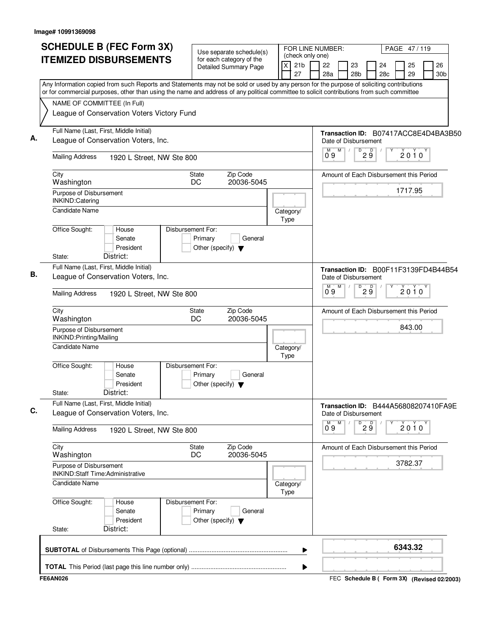| <b>SCHEDULE B (FEC Form 3X)</b>                                                                                                                                                                                                                                                        |                              |                    |                                                          | Use separate schedule(s)                        |  |                   |                                           | FOR LINE NUMBER: |   |                                                              |    |           |          | PAGE 47/119 |                       |
|----------------------------------------------------------------------------------------------------------------------------------------------------------------------------------------------------------------------------------------------------------------------------------------|------------------------------|--------------------|----------------------------------------------------------|-------------------------------------------------|--|-------------------|-------------------------------------------|------------------|---|--------------------------------------------------------------|----|-----------|----------|-------------|-----------------------|
| <b>ITEMIZED DISBURSEMENTS</b>                                                                                                                                                                                                                                                          |                              |                    | for each category of the<br><b>Detailed Summary Page</b> |                                                 |  | $\pmb{\times}$    | (check only one)<br>21 <sub>b</sub><br>27 | 22<br>28a        |   | 23<br>28 <sub>b</sub>                                        |    | 24<br>28c | 25<br>29 |             | 26<br>30 <sub>b</sub> |
| Any Information copied from such Reports and Statements may not be sold or used by any person for the purpose of soliciting contributions<br>or for commercial purposes, other than using the name and address of any political committee to solicit contributions from such committee |                              |                    |                                                          |                                                 |  |                   |                                           |                  |   |                                                              |    |           |          |             |                       |
| NAME OF COMMITTEE (In Full)                                                                                                                                                                                                                                                            |                              |                    |                                                          |                                                 |  |                   |                                           |                  |   |                                                              |    |           |          |             |                       |
| League of Conservation Voters Victory Fund                                                                                                                                                                                                                                             |                              |                    |                                                          |                                                 |  |                   |                                           |                  |   |                                                              |    |           |          |             |                       |
| Full Name (Last, First, Middle Initial)<br>League of Conservation Voters, Inc.                                                                                                                                                                                                         |                              |                    |                                                          |                                                 |  |                   |                                           |                  |   | Transaction ID: B07417ACC8E4D4BA3B50<br>Date of Disbursement |    |           |          |             |                       |
|                                                                                                                                                                                                                                                                                        |                              |                    |                                                          |                                                 |  |                   |                                           | M<br>09          | M | D                                                            | 29 |           | $2010^y$ |             |                       |
| <b>Mailing Address</b>                                                                                                                                                                                                                                                                 | 1920 L Street, NW Ste 800    |                    |                                                          |                                                 |  |                   |                                           |                  |   |                                                              |    |           |          |             |                       |
| City<br>Washington                                                                                                                                                                                                                                                                     |                              | State<br>DC        |                                                          | Zip Code<br>20036-5045                          |  |                   |                                           |                  |   | Amount of Each Disbursement this Period                      |    |           |          |             |                       |
| Purpose of Disbursement<br>INKIND:Catering                                                                                                                                                                                                                                             |                              |                    |                                                          |                                                 |  |                   |                                           |                  |   |                                                              |    |           | 1717.95  |             |                       |
| Candidate Name                                                                                                                                                                                                                                                                         |                              |                    |                                                          |                                                 |  | Category/         |                                           |                  |   |                                                              |    |           |          |             |                       |
| Office Sought:                                                                                                                                                                                                                                                                         | House<br>Senate<br>President | Disbursement For:  | Primary                                                  | General<br>Other (specify) $\blacktriangledown$ |  | Type              |                                           |                  |   |                                                              |    |           |          |             |                       |
| District:<br>State:                                                                                                                                                                                                                                                                    |                              |                    |                                                          |                                                 |  |                   |                                           |                  |   |                                                              |    |           |          |             |                       |
| Full Name (Last, First, Middle Initial)<br>League of Conservation Voters, Inc.                                                                                                                                                                                                         |                              |                    |                                                          |                                                 |  |                   |                                           |                  |   | Transaction ID: B00F11F3139FD4B44B54<br>Date of Disbursement |    |           |          |             |                       |
| <b>Mailing Address</b>                                                                                                                                                                                                                                                                 | 1920 L Street, NW Ste 800    |                    |                                                          |                                                 |  |                   |                                           | M.<br>0.9        | M | D                                                            | 29 |           | $2010^y$ |             |                       |
| City<br>Washington                                                                                                                                                                                                                                                                     |                              | State<br>DC        |                                                          | Zip Code<br>20036-5045                          |  |                   |                                           |                  |   | Amount of Each Disbursement this Period                      |    |           |          |             |                       |
| Purpose of Disbursement<br>INKIND: Printing/Mailing                                                                                                                                                                                                                                    |                              |                    |                                                          |                                                 |  |                   |                                           |                  |   |                                                              |    |           | 843.00   |             |                       |
| <b>Candidate Name</b>                                                                                                                                                                                                                                                                  |                              |                    |                                                          |                                                 |  | Category/<br>Type |                                           |                  |   |                                                              |    |           |          |             |                       |
| Office Sought:<br>District:<br>State:                                                                                                                                                                                                                                                  | House<br>Senate<br>President | Disbursement For:  | Primary                                                  | General<br>Other (specify) $\blacktriangledown$ |  |                   |                                           |                  |   |                                                              |    |           |          |             |                       |
| Full Name (Last, First, Middle Initial)<br>League of Conservation Voters, Inc.                                                                                                                                                                                                         |                              |                    |                                                          |                                                 |  |                   |                                           |                  |   | Transaction ID: B444A56808207410FA9E<br>Date of Disbursement |    |           |          |             |                       |
| <b>Mailing Address</b>                                                                                                                                                                                                                                                                 | 1920 L Street, NW Ste 800    |                    |                                                          |                                                 |  |                   |                                           | 0°9              | M | D                                                            | 29 |           | $2010^y$ |             |                       |
| City<br>Washington                                                                                                                                                                                                                                                                     |                              | <b>State</b><br>DC |                                                          | Zip Code<br>20036-5045                          |  |                   |                                           |                  |   | Amount of Each Disbursement this Period                      |    |           |          |             |                       |
| Purpose of Disbursement<br><b>INKIND:Staff Time:Administrative</b>                                                                                                                                                                                                                     |                              |                    |                                                          |                                                 |  |                   |                                           |                  |   |                                                              |    |           | 3782.37  |             |                       |
| <b>Candidate Name</b>                                                                                                                                                                                                                                                                  |                              |                    |                                                          |                                                 |  | Category/<br>Type |                                           |                  |   |                                                              |    |           |          |             |                       |
| Office Sought:                                                                                                                                                                                                                                                                         | House<br>Senate<br>President | Disbursement For:  | Primary                                                  | General<br>Other (specify) $\blacktriangledown$ |  |                   |                                           |                  |   |                                                              |    |           |          |             |                       |
| District:<br>State:                                                                                                                                                                                                                                                                    |                              |                    |                                                          |                                                 |  |                   |                                           |                  |   |                                                              |    |           |          |             |                       |
|                                                                                                                                                                                                                                                                                        |                              |                    |                                                          |                                                 |  |                   | ▶                                         |                  |   |                                                              |    |           | 6343.32  |             |                       |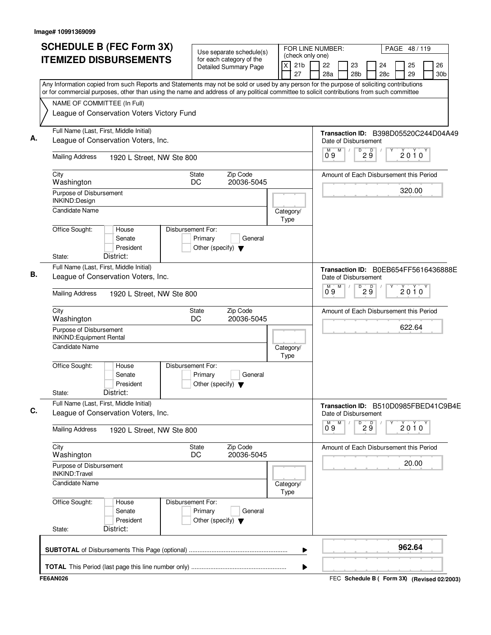| <b>SCHEDULE B (FEC Form 3X)</b>                                                                                                                                                                                                                                                        | Use separate schedule(s)                                                        |                         |                                           | FOR LINE NUMBER: |   |                                                              |                   |           | PAGE 48/119 |          |                       |
|----------------------------------------------------------------------------------------------------------------------------------------------------------------------------------------------------------------------------------------------------------------------------------------|---------------------------------------------------------------------------------|-------------------------|-------------------------------------------|------------------|---|--------------------------------------------------------------|-------------------|-----------|-------------|----------|-----------------------|
| <b>ITEMIZED DISBURSEMENTS</b>                                                                                                                                                                                                                                                          | for each category of the<br><b>Detailed Summary Page</b>                        | $\mathsf{\overline{x}}$ | (check only one)<br>21 <sub>b</sub><br>27 | 22<br>28a        |   | 23<br>28 <sub>b</sub>                                        |                   | 24<br>28c |             | 25<br>29 | 26<br>30 <sub>b</sub> |
| Any Information copied from such Reports and Statements may not be sold or used by any person for the purpose of soliciting contributions<br>or for commercial purposes, other than using the name and address of any political committee to solicit contributions from such committee |                                                                                 |                         |                                           |                  |   |                                                              |                   |           |             |          |                       |
| NAME OF COMMITTEE (In Full)<br>League of Conservation Voters Victory Fund                                                                                                                                                                                                              |                                                                                 |                         |                                           |                  |   |                                                              |                   |           |             |          |                       |
| Full Name (Last, First, Middle Initial)<br>League of Conservation Voters, Inc.                                                                                                                                                                                                         |                                                                                 |                         |                                           |                  |   | Transaction ID: B398D05520C244D04A49<br>Date of Disbursement |                   |           |             |          |                       |
| <b>Mailing Address</b><br>1920 L Street, NW Ste 800                                                                                                                                                                                                                                    |                                                                                 |                         |                                           | M<br>09          | M | D                                                            | D<br>$2\breve{9}$ |           |             | $2010^y$ |                       |
| City<br>Washington                                                                                                                                                                                                                                                                     | Zip Code<br>State<br>DC<br>20036-5045                                           |                         |                                           |                  |   | Amount of Each Disbursement this Period                      |                   |           |             |          |                       |
| Purpose of Disbursement<br>INKIND:Design                                                                                                                                                                                                                                               |                                                                                 |                         |                                           |                  |   |                                                              |                   |           |             | 320.00   |                       |
| <b>Candidate Name</b>                                                                                                                                                                                                                                                                  |                                                                                 | Category/<br>Type       |                                           |                  |   |                                                              |                   |           |             |          |                       |
| Office Sought:<br>House<br>Senate<br>President<br>District:<br>State:                                                                                                                                                                                                                  | Disbursement For:<br>Primary<br>General<br>Other (specify) $\blacktriangledown$ |                         |                                           |                  |   |                                                              |                   |           |             |          |                       |
| Full Name (Last, First, Middle Initial)<br>League of Conservation Voters, Inc.                                                                                                                                                                                                         |                                                                                 |                         |                                           |                  |   | Transaction ID: B0EB654FF5616436888E<br>Date of Disbursement |                   |           |             |          |                       |
| <b>Mailing Address</b><br>1920 L Street, NW Ste 800                                                                                                                                                                                                                                    |                                                                                 |                         |                                           | ő 9              | M | D                                                            | 29                |           |             | 2010     |                       |
| City<br>Washington                                                                                                                                                                                                                                                                     | Zip Code<br>State<br>DC<br>20036-5045                                           |                         |                                           |                  |   | Amount of Each Disbursement this Period                      |                   |           |             |          |                       |
| Purpose of Disbursement<br><b>INKIND:Equipment Rental</b>                                                                                                                                                                                                                              |                                                                                 |                         |                                           |                  |   |                                                              |                   |           |             | 622.64   |                       |
| <b>Candidate Name</b>                                                                                                                                                                                                                                                                  |                                                                                 | Category/<br>Type       |                                           |                  |   |                                                              |                   |           |             |          |                       |
| Office Sought:<br>House<br>Senate<br>President<br>District:<br>State:                                                                                                                                                                                                                  | Disbursement For:<br>Primary<br>General<br>Other (specify) $\blacktriangledown$ |                         |                                           |                  |   |                                                              |                   |           |             |          |                       |
| Full Name (Last, First, Middle Initial)<br>League of Conservation Voters, Inc.                                                                                                                                                                                                         |                                                                                 |                         |                                           |                  |   | Transaction ID: B510D0985FBED41C9B4E<br>Date of Disbursement |                   |           |             |          |                       |
| <b>Mailing Address</b><br>1920 L Street, NW Ste 800                                                                                                                                                                                                                                    |                                                                                 |                         |                                           | м<br>09          | М | D                                                            | 29                |           |             | $2010^y$ |                       |
| City<br>Washington                                                                                                                                                                                                                                                                     | Zip Code<br>State<br>DC<br>20036-5045                                           |                         |                                           |                  |   | Amount of Each Disbursement this Period                      |                   |           |             |          |                       |
| Purpose of Disbursement<br><b>INKIND:Travel</b>                                                                                                                                                                                                                                        |                                                                                 |                         |                                           |                  |   |                                                              |                   |           |             | 20.00    |                       |
| <b>Candidate Name</b>                                                                                                                                                                                                                                                                  |                                                                                 | Category/<br>Type       |                                           |                  |   |                                                              |                   |           |             |          |                       |
| Office Sought:<br>House<br>Senate<br>President                                                                                                                                                                                                                                         | Disbursement For:<br>Primary<br>General<br>Other (specify) $\blacktriangledown$ |                         |                                           |                  |   |                                                              |                   |           |             |          |                       |
| District:<br>State:                                                                                                                                                                                                                                                                    |                                                                                 |                         |                                           |                  |   |                                                              |                   |           |             |          |                       |
|                                                                                                                                                                                                                                                                                        |                                                                                 |                         | ▶                                         |                  |   |                                                              |                   |           |             | 962.64   |                       |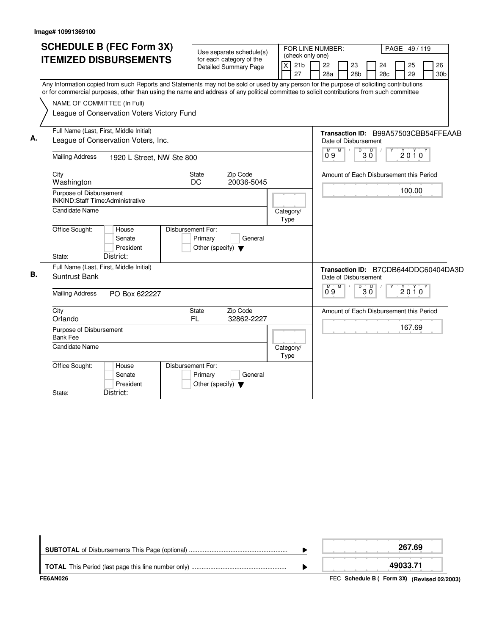|    | <b>SCHEDULE B (FEC Form 3X)</b><br><b>ITEMIZED DISBURSEMENTS</b>                                                                                                                                                                                                                                                                                                    | Use separate schedule(s)<br>for each category of the<br>Detailed Summary Page                                                          | (check only one)<br>21 <sub>b</sub><br>x<br>27 | FOR LINE NUMBER:<br>PAGE 49/119<br>22<br>26<br>23<br>24<br>25<br>28a<br>28 <sub>b</sub><br>28 <sub>c</sub><br>29<br>30 <sub>b</sub> |
|----|---------------------------------------------------------------------------------------------------------------------------------------------------------------------------------------------------------------------------------------------------------------------------------------------------------------------------------------------------------------------|----------------------------------------------------------------------------------------------------------------------------------------|------------------------------------------------|-------------------------------------------------------------------------------------------------------------------------------------|
|    | Any Information copied from such Reports and Statements may not be sold or used by any person for the purpose of soliciting contributions<br>or for commercial purposes, other than using the name and address of any political committee to solicit contributions from such committee<br>NAME OF COMMITTEE (In Full)<br>League of Conservation Voters Victory Fund |                                                                                                                                        |                                                |                                                                                                                                     |
| А. | Full Name (Last, First, Middle Initial)<br>League of Conservation Voters, Inc.<br><b>Mailing Address</b><br>1920 L Street, NW Ste 800                                                                                                                                                                                                                               |                                                                                                                                        |                                                | Transaction ID: B99A57503CBB54FFEAAB<br>Date of Disbursement<br>M<br>D<br>D<br>2010<br>0°9<br>ЗŐ                                    |
|    | City<br>Washington<br>Purpose of Disbursement<br><b>INKIND:Staff Time:Administrative</b><br><b>Candidate Name</b><br>Office Sought:<br>House<br>Senate<br>President<br>District:<br>State:                                                                                                                                                                          | Zip Code<br><b>State</b><br><b>DC</b><br>20036-5045<br>Disbursement For:<br>Primary<br>General<br>Other (specify) $\blacktriangledown$ | Category/<br>Type                              | Amount of Each Disbursement this Period<br>100.00                                                                                   |
| В. | Full Name (Last, First, Middle Initial)<br>Suntrust Bank<br><b>Mailing Address</b><br>PO Box 622227                                                                                                                                                                                                                                                                 |                                                                                                                                        |                                                | Transaction ID: B7CDB644DDC60404DA3D<br>Date of Disbursement<br>$\overline{D}$<br>M<br>$2010^y$<br>3 Ŏ<br>09                        |
|    | City<br>Orlando<br>Purpose of Disbursement<br><b>Bank Fee</b><br><b>Candidate Name</b>                                                                                                                                                                                                                                                                              | State<br>Zip Code<br>FL.<br>32862-2227                                                                                                 | Category/<br>Type                              | Amount of Each Disbursement this Period<br>167.69                                                                                   |
|    | Office Sought:<br>House<br>Senate<br>President<br>District:<br>State:                                                                                                                                                                                                                                                                                               | Disbursement For:<br>Primary<br>General<br>Other (specify) $\blacktriangledown$                                                        |                                                |                                                                                                                                     |

|           | 267.69   |
|-----------|----------|
| --------- | 49033.71 |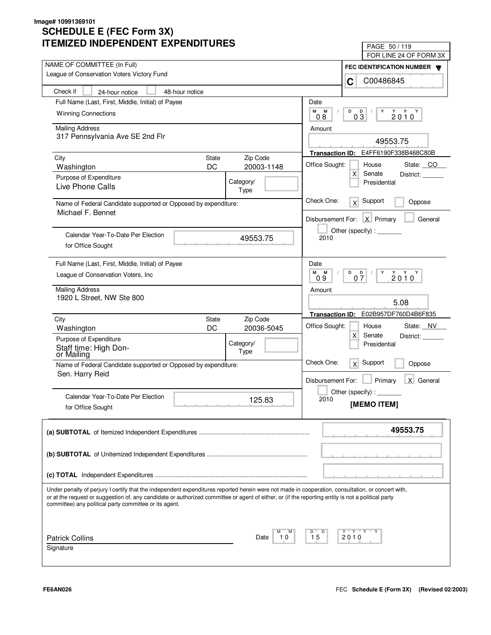| IMILLU INDLFLINDLINI LAFLINDII UNLJ                                                                                                                | PAGE 50/119                                                                 |
|----------------------------------------------------------------------------------------------------------------------------------------------------|-----------------------------------------------------------------------------|
| NAME OF COMMITTEE (In Full)                                                                                                                        | FOR LINE 24 OF FORM 3X                                                      |
| League of Conservation Voters Victory Fund                                                                                                         | FEC IDENTIFICATION NUMBER                                                   |
|                                                                                                                                                    | C00486845<br>C                                                              |
| Check if<br>48-hour notice<br>24-hour notice                                                                                                       |                                                                             |
| Full Name (Last, First, Middle, Initial) of Payee                                                                                                  | Date                                                                        |
| <b>Winning Connections</b>                                                                                                                         | M<br>M<br>D<br>D<br>Y<br>$2010^Y$<br>03<br>0.8                              |
| <b>Mailing Address</b>                                                                                                                             | Amount                                                                      |
| 317 Pennsylvania Ave SE 2nd Flr                                                                                                                    |                                                                             |
|                                                                                                                                                    | 49553.75                                                                    |
| Zip Code<br>City<br><b>State</b>                                                                                                                   | Transaction ID: E4FF6190F338B468C80B                                        |
| DC<br>20003-1148<br>Washington                                                                                                                     | Office Sought:<br>House<br>State: CO                                        |
| Purpose of Expenditure<br>Category/                                                                                                                | $\mathsf{X}$<br>Senate<br>District:<br>Presidential                         |
| Live Phone Calls<br>Type                                                                                                                           |                                                                             |
| Name of Federal Candidate supported or Opposed by expenditure:                                                                                     | Check One:<br>Support<br>x<br>Oppose                                        |
| Michael F. Bennet                                                                                                                                  |                                                                             |
|                                                                                                                                                    | Disbursement For: X Primary<br>General                                      |
| Calendar Year-To-Date Per Election<br>49553.75                                                                                                     | Other (specify):<br>2010                                                    |
| for Office Sought                                                                                                                                  |                                                                             |
|                                                                                                                                                    |                                                                             |
| Full Name (Last, First, Middle, Initial) of Payee                                                                                                  | Date                                                                        |
| League of Conservation Voters, Inc.                                                                                                                | M<br>M<br>D<br>$2010^{\gamma}$<br>$0\frac{D}{7}$<br>Y<br>0.9                |
| <b>Mailing Address</b>                                                                                                                             | Amount                                                                      |
| 1920 L Street, NW Ste 800                                                                                                                          | 5.08                                                                        |
|                                                                                                                                                    | E02B957DF760D4B6F835<br><b>Transaction ID:</b>                              |
| Zip Code<br>City<br><b>State</b>                                                                                                                   |                                                                             |
| DC<br>20036-5045<br>Washington                                                                                                                     | Office Sought:<br>State: NV<br>House<br>$\mathsf{X}$<br>Senate<br>District: |
| Purpose of Expenditure<br>Category/                                                                                                                | Presidential                                                                |
| Staff time: High Don-<br>Type<br>or Mailing                                                                                                        |                                                                             |
| Name of Federal Candidate supported or Opposed by expenditure:                                                                                     | Check One:<br>Support<br>x<br>Oppose                                        |
| Sen. Harry Reid                                                                                                                                    |                                                                             |
|                                                                                                                                                    | Primary<br>X General<br>Disbursement For:                                   |
| Calendar Year-To-Date Per Election<br>125.83                                                                                                       | Other (specify) : $\overline{\phantom{a}}$<br>2010                          |
| for Office Sought                                                                                                                                  | [MEMO ITEM]                                                                 |
|                                                                                                                                                    |                                                                             |
|                                                                                                                                                    | 49553.75                                                                    |
|                                                                                                                                                    |                                                                             |
|                                                                                                                                                    |                                                                             |
|                                                                                                                                                    |                                                                             |
|                                                                                                                                                    |                                                                             |
| Under penalty of perjury I certify that the independent expenditures reported herein were not made in cooperation, consultation, or concert with,  |                                                                             |
| or at the request or suggestion of, any candidate or authorized committee or agent of either, or (if the reporting entity is not a political party |                                                                             |
| committee) any political party committee or its agent.                                                                                             |                                                                             |
|                                                                                                                                                    |                                                                             |
|                                                                                                                                                    | Y "Y "Y<br>D                                                                |
| <b>Patrick Collins</b><br>10<br>Date                                                                                                               | 15<br>2010                                                                  |
| Signature                                                                                                                                          |                                                                             |
|                                                                                                                                                    |                                                                             |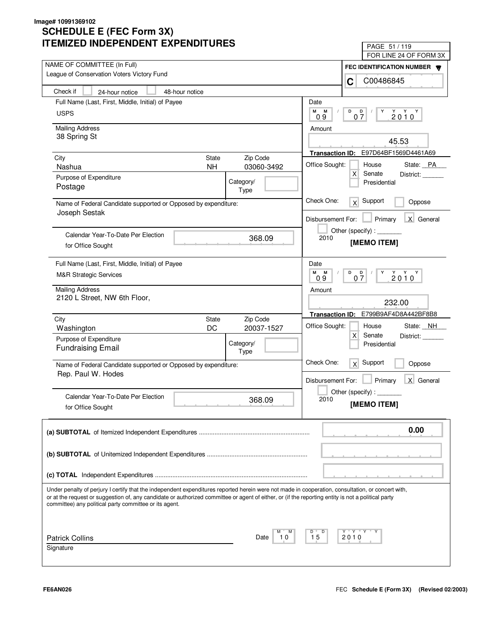| LIVILLU INDLFLNDLNI LAFLNDII UNLJ                                                                                                                                                                            | PAGE 51 / 119                                                                                                                                                                                                                                                                                                                                                                                                                               |
|--------------------------------------------------------------------------------------------------------------------------------------------------------------------------------------------------------------|---------------------------------------------------------------------------------------------------------------------------------------------------------------------------------------------------------------------------------------------------------------------------------------------------------------------------------------------------------------------------------------------------------------------------------------------|
| NAME OF COMMITTEE (In Full)                                                                                                                                                                                  | FOR LINE 24 OF FORM 3X                                                                                                                                                                                                                                                                                                                                                                                                                      |
| League of Conservation Voters Victory Fund                                                                                                                                                                   | FEC IDENTIFICATION NUMBER                                                                                                                                                                                                                                                                                                                                                                                                                   |
|                                                                                                                                                                                                              | C00486845<br>C                                                                                                                                                                                                                                                                                                                                                                                                                              |
| Check if<br>24-hour notice<br>48-hour notice                                                                                                                                                                 |                                                                                                                                                                                                                                                                                                                                                                                                                                             |
| Full Name (Last, First, Middle, Initial) of Payee                                                                                                                                                            | Date                                                                                                                                                                                                                                                                                                                                                                                                                                        |
| <b>USPS</b>                                                                                                                                                                                                  | М<br>М<br>D<br>$0\frac{D}{7}$<br>$2010^Y$<br>Y<br>09                                                                                                                                                                                                                                                                                                                                                                                        |
| <b>Mailing Address</b>                                                                                                                                                                                       | Amount                                                                                                                                                                                                                                                                                                                                                                                                                                      |
| 38 Spring St                                                                                                                                                                                                 |                                                                                                                                                                                                                                                                                                                                                                                                                                             |
|                                                                                                                                                                                                              | 45.53                                                                                                                                                                                                                                                                                                                                                                                                                                       |
| <b>State</b><br>Zip Code<br>City                                                                                                                                                                             | Transaction ID: E97D64BF1569D4461A69                                                                                                                                                                                                                                                                                                                                                                                                        |
| 03060-3492<br>Nashua<br><b>NH</b>                                                                                                                                                                            | Office Sought:<br>House<br>State: PA                                                                                                                                                                                                                                                                                                                                                                                                        |
| Purpose of Expenditure<br>Category/                                                                                                                                                                          | X<br>Senate<br>District:<br>Presidential                                                                                                                                                                                                                                                                                                                                                                                                    |
| Postage<br>Type                                                                                                                                                                                              |                                                                                                                                                                                                                                                                                                                                                                                                                                             |
| Name of Federal Candidate supported or Opposed by expenditure:                                                                                                                                               | Check One:<br>Support<br>x<br>Oppose                                                                                                                                                                                                                                                                                                                                                                                                        |
| Joseph Sestak                                                                                                                                                                                                | X General<br>Disbursement For:<br>Primary                                                                                                                                                                                                                                                                                                                                                                                                   |
|                                                                                                                                                                                                              | Other (specify) : $\sqrt{\frac{1}{2} \cdot \frac{1}{2} \cdot \frac{1}{2} \cdot \frac{1}{2} \cdot \frac{1}{2} \cdot \frac{1}{2} \cdot \frac{1}{2} \cdot \frac{1}{2} \cdot \frac{1}{2} \cdot \frac{1}{2} \cdot \frac{1}{2} \cdot \frac{1}{2} \cdot \frac{1}{2} \cdot \frac{1}{2} \cdot \frac{1}{2} \cdot \frac{1}{2} \cdot \frac{1}{2} \cdot \frac{1}{2} \cdot \frac{1}{2} \cdot \frac{1}{2} \cdot \frac{1}{2} \cdot \frac{1}{2} \cdot \frac$ |
| Calendar Year-To-Date Per Election<br>368.09                                                                                                                                                                 | 2010                                                                                                                                                                                                                                                                                                                                                                                                                                        |
| for Office Sought                                                                                                                                                                                            | [MEMO ITEM]                                                                                                                                                                                                                                                                                                                                                                                                                                 |
| Full Name (Last, First, Middle, Initial) of Payee                                                                                                                                                            | Date                                                                                                                                                                                                                                                                                                                                                                                                                                        |
| <b>M&amp;R Strategic Services</b>                                                                                                                                                                            | M<br>M<br>D<br>$\begin{array}{c}\n\stackrel{\vee}{2} & \stackrel{\vee}{0} & \stackrel{\vee}{0} \\ \end{array}$<br>$0\frac{D}{7}$<br>Y<br>0.9                                                                                                                                                                                                                                                                                                |
| <b>Mailing Address</b>                                                                                                                                                                                       | Amount                                                                                                                                                                                                                                                                                                                                                                                                                                      |
| 2120 L Street, NW 6th Floor,                                                                                                                                                                                 | 232.00                                                                                                                                                                                                                                                                                                                                                                                                                                      |
|                                                                                                                                                                                                              | Transaction ID: E799B9AF4D8A442BF8B8                                                                                                                                                                                                                                                                                                                                                                                                        |
| Zip Code<br>City<br>State                                                                                                                                                                                    | Office Sought:<br>House<br>State: NH                                                                                                                                                                                                                                                                                                                                                                                                        |
| DC<br>20037-1527<br>Washington                                                                                                                                                                               | X<br>Senate<br>District:                                                                                                                                                                                                                                                                                                                                                                                                                    |
| Purpose of Expenditure<br>Category/<br><b>Fundraising Email</b>                                                                                                                                              | Presidential                                                                                                                                                                                                                                                                                                                                                                                                                                |
| Type                                                                                                                                                                                                         |                                                                                                                                                                                                                                                                                                                                                                                                                                             |
| Name of Federal Candidate supported or Opposed by expenditure:                                                                                                                                               | Check One:<br>Support<br>x<br>Oppose                                                                                                                                                                                                                                                                                                                                                                                                        |
| Rep. Paul W. Hodes                                                                                                                                                                                           | Primary<br>X General<br>Disbursement For:                                                                                                                                                                                                                                                                                                                                                                                                   |
|                                                                                                                                                                                                              | Other (specify) : $\_\$                                                                                                                                                                                                                                                                                                                                                                                                                     |
| Calendar Year-To-Date Per Election<br>368.09                                                                                                                                                                 | 2010                                                                                                                                                                                                                                                                                                                                                                                                                                        |
| for Office Sought                                                                                                                                                                                            | [MEMO ITEM]                                                                                                                                                                                                                                                                                                                                                                                                                                 |
|                                                                                                                                                                                                              | 0.00                                                                                                                                                                                                                                                                                                                                                                                                                                        |
|                                                                                                                                                                                                              |                                                                                                                                                                                                                                                                                                                                                                                                                                             |
|                                                                                                                                                                                                              |                                                                                                                                                                                                                                                                                                                                                                                                                                             |
|                                                                                                                                                                                                              |                                                                                                                                                                                                                                                                                                                                                                                                                                             |
| Under penalty of perjury I certify that the independent expenditures reported herein were not made in cooperation, consultation, or concert with,                                                            |                                                                                                                                                                                                                                                                                                                                                                                                                                             |
| or at the request or suggestion of, any candidate or authorized committee or agent of either, or (if the reporting entity is not a political party<br>committee) any political party committee or its agent. |                                                                                                                                                                                                                                                                                                                                                                                                                                             |
|                                                                                                                                                                                                              |                                                                                                                                                                                                                                                                                                                                                                                                                                             |
|                                                                                                                                                                                                              | Y "Y "Y "<br>D                                                                                                                                                                                                                                                                                                                                                                                                                              |
| <b>Patrick Collins</b><br>Date<br>10                                                                                                                                                                         | 15<br>2010                                                                                                                                                                                                                                                                                                                                                                                                                                  |
| Signature                                                                                                                                                                                                    |                                                                                                                                                                                                                                                                                                                                                                                                                                             |
|                                                                                                                                                                                                              |                                                                                                                                                                                                                                                                                                                                                                                                                                             |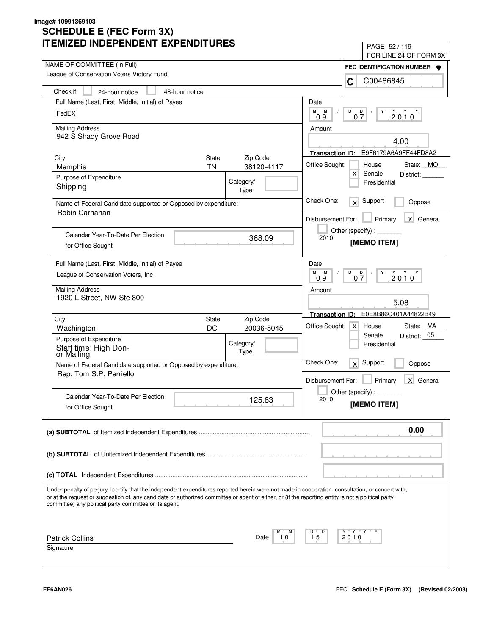| LIVILLU INDLFLNDLNI LAFLNDII UNLJ                                                                                                                                                                                                                                                                                                                                 | PAGE 52/119                                            |
|-------------------------------------------------------------------------------------------------------------------------------------------------------------------------------------------------------------------------------------------------------------------------------------------------------------------------------------------------------------------|--------------------------------------------------------|
|                                                                                                                                                                                                                                                                                                                                                                   | FOR LINE 24 OF FORM 3X                                 |
| NAME OF COMMITTEE (In Full)<br>League of Conservation Voters Victory Fund                                                                                                                                                                                                                                                                                         | FEC IDENTIFICATION NUMBER                              |
|                                                                                                                                                                                                                                                                                                                                                                   | C00486845<br>C                                         |
| Check if<br>48-hour notice<br>24-hour notice                                                                                                                                                                                                                                                                                                                      |                                                        |
| Full Name (Last, First, Middle, Initial) of Payee                                                                                                                                                                                                                                                                                                                 | Date                                                   |
| FedEX                                                                                                                                                                                                                                                                                                                                                             | М<br>M<br>D<br>D<br>Y<br>$2010^Y$                      |
|                                                                                                                                                                                                                                                                                                                                                                   | 07<br>09                                               |
| <b>Mailing Address</b><br>942 S Shady Grove Road                                                                                                                                                                                                                                                                                                                  | Amount                                                 |
|                                                                                                                                                                                                                                                                                                                                                                   | 4.00                                                   |
|                                                                                                                                                                                                                                                                                                                                                                   | E9F6179A6A9FF44FD8A2<br><b>Transaction ID:</b>         |
| Zip Code<br>City<br><b>State</b><br><b>TN</b><br>38120-4117                                                                                                                                                                                                                                                                                                       | Office Sought:<br>House<br>State: MO                   |
| Memphis                                                                                                                                                                                                                                                                                                                                                           | $\mathsf{X}$<br>Senate<br>District:                    |
| Purpose of Expenditure<br>Category/<br>Shipping                                                                                                                                                                                                                                                                                                                   | Presidential                                           |
| Type                                                                                                                                                                                                                                                                                                                                                              |                                                        |
| Name of Federal Candidate supported or Opposed by expenditure:<br>Robin Carnahan                                                                                                                                                                                                                                                                                  | Check One:<br>Support<br>x<br>Oppose                   |
|                                                                                                                                                                                                                                                                                                                                                                   | X General<br>Disbursement For:<br>Primary              |
|                                                                                                                                                                                                                                                                                                                                                                   | Other (specify):                                       |
| Calendar Year-To-Date Per Election<br>368.09                                                                                                                                                                                                                                                                                                                      | 2010<br>[MEMO ITEM]                                    |
| for Office Sought                                                                                                                                                                                                                                                                                                                                                 |                                                        |
| Full Name (Last, First, Middle, Initial) of Payee                                                                                                                                                                                                                                                                                                                 | Date                                                   |
| League of Conservation Voters, Inc.                                                                                                                                                                                                                                                                                                                               | M<br>M<br>D<br>Y                                       |
|                                                                                                                                                                                                                                                                                                                                                                   | $2010^{\gamma}$<br>$0\frac{D}{7}$<br>0.9               |
| <b>Mailing Address</b>                                                                                                                                                                                                                                                                                                                                            | Amount                                                 |
| 1920 L Street, NW Ste 800                                                                                                                                                                                                                                                                                                                                         | 5.08                                                   |
|                                                                                                                                                                                                                                                                                                                                                                   | E0E8B86C401A44822B49<br><b>Transaction ID:</b>         |
| Zip Code<br>City<br><b>State</b>                                                                                                                                                                                                                                                                                                                                  | Office Sought:<br>State: VA<br>x <sub>l</sub><br>House |
| DC<br>20036-5045<br>Washington                                                                                                                                                                                                                                                                                                                                    | District: 05<br>Senate                                 |
| Purpose of Expenditure<br>Category/                                                                                                                                                                                                                                                                                                                               | Presidential                                           |
| Staff time: High Don-<br>Type<br>or Mailing                                                                                                                                                                                                                                                                                                                       |                                                        |
| Name of Federal Candidate supported or Opposed by expenditure:                                                                                                                                                                                                                                                                                                    | Check One:<br>Support<br>x<br>Oppose                   |
| Rep. Tom S.P. Perriello                                                                                                                                                                                                                                                                                                                                           |                                                        |
|                                                                                                                                                                                                                                                                                                                                                                   | Primary<br>X General<br>Disbursement For:              |
| Calendar Year-To-Date Per Election<br>125.83                                                                                                                                                                                                                                                                                                                      | Other (specify):<br>2010                               |
| for Office Sought                                                                                                                                                                                                                                                                                                                                                 | [MEMO ITEM]                                            |
|                                                                                                                                                                                                                                                                                                                                                                   |                                                        |
|                                                                                                                                                                                                                                                                                                                                                                   | 0.00                                                   |
|                                                                                                                                                                                                                                                                                                                                                                   |                                                        |
|                                                                                                                                                                                                                                                                                                                                                                   |                                                        |
|                                                                                                                                                                                                                                                                                                                                                                   |                                                        |
|                                                                                                                                                                                                                                                                                                                                                                   |                                                        |
|                                                                                                                                                                                                                                                                                                                                                                   |                                                        |
| Under penalty of perjury I certify that the independent expenditures reported herein were not made in cooperation, consultation, or concert with,<br>or at the request or suggestion of, any candidate or authorized committee or agent of either, or (if the reporting entity is not a political party<br>committee) any political party committee or its agent. |                                                        |
|                                                                                                                                                                                                                                                                                                                                                                   |                                                        |
|                                                                                                                                                                                                                                                                                                                                                                   | Y "Y "Y<br>D                                           |
| <b>Patrick Collins</b><br>Date<br>10                                                                                                                                                                                                                                                                                                                              | 15<br>2010                                             |
| Signature                                                                                                                                                                                                                                                                                                                                                         |                                                        |
|                                                                                                                                                                                                                                                                                                                                                                   |                                                        |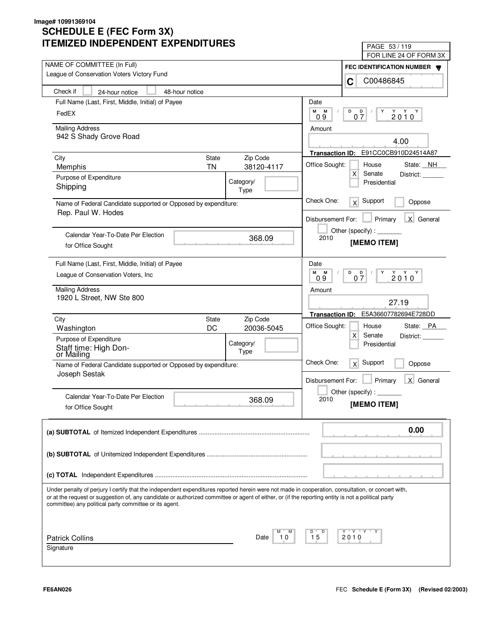| LIVILLU INDLFLNDLNI LAFLNDII UNLJ                                                                                                                                                                                                                                                                       | PAGE 53 / 119                                                   |
|---------------------------------------------------------------------------------------------------------------------------------------------------------------------------------------------------------------------------------------------------------------------------------------------------------|-----------------------------------------------------------------|
| NAME OF COMMITTEE (In Full)                                                                                                                                                                                                                                                                             | FOR LINE 24 OF FORM 3X                                          |
| League of Conservation Voters Victory Fund                                                                                                                                                                                                                                                              | FEC IDENTIFICATION NUMBER                                       |
|                                                                                                                                                                                                                                                                                                         | C00486845<br>C                                                  |
| Check if<br>48-hour notice<br>24-hour notice                                                                                                                                                                                                                                                            |                                                                 |
| Full Name (Last, First, Middle, Initial) of Payee                                                                                                                                                                                                                                                       | Date                                                            |
| FedEX                                                                                                                                                                                                                                                                                                   | М<br>M<br>D<br>D<br>Y<br>$2010^Y$<br>07<br>09                   |
| <b>Mailing Address</b>                                                                                                                                                                                                                                                                                  | Amount                                                          |
| 942 S Shady Grove Road                                                                                                                                                                                                                                                                                  |                                                                 |
|                                                                                                                                                                                                                                                                                                         | 4.00                                                            |
| <b>State</b><br>Zip Code<br>City                                                                                                                                                                                                                                                                        | E91CC0CB910D24514A87<br><b>Transaction ID:</b>                  |
| <b>TN</b><br>38120-4117<br>Memphis                                                                                                                                                                                                                                                                      | Office Sought:<br>House<br>State: NH                            |
| Purpose of Expenditure<br>Category/                                                                                                                                                                                                                                                                     | $\mathsf{X}$<br>Senate<br>District:                             |
| Shipping<br>Type                                                                                                                                                                                                                                                                                        | Presidential                                                    |
| Name of Federal Candidate supported or Opposed by expenditure:                                                                                                                                                                                                                                          | Check One:<br>Support<br>$\times$<br>Oppose                     |
| Rep. Paul W. Hodes                                                                                                                                                                                                                                                                                      |                                                                 |
|                                                                                                                                                                                                                                                                                                         | X General<br>Disbursement For:<br>Primary                       |
| Calendar Year-To-Date Per Election                                                                                                                                                                                                                                                                      | Other (specify) : $\sqrt{\frac{1}{2} \sum_{r=1}^{r} (r - r)^2}$ |
| 368.09<br>for Office Sought                                                                                                                                                                                                                                                                             | 2010<br>[MEMO ITEM]                                             |
|                                                                                                                                                                                                                                                                                                         |                                                                 |
| Full Name (Last, First, Middle, Initial) of Payee                                                                                                                                                                                                                                                       | Date                                                            |
| League of Conservation Voters, Inc.                                                                                                                                                                                                                                                                     | M<br>M<br>D<br>$2010^{\gamma}$<br>$0\frac{D}{7}$<br>Y<br>0.9    |
| <b>Mailing Address</b>                                                                                                                                                                                                                                                                                  | Amount                                                          |
| 1920 L Street, NW Ste 800                                                                                                                                                                                                                                                                               |                                                                 |
|                                                                                                                                                                                                                                                                                                         | 27.19                                                           |
| Zip Code<br>City<br><b>State</b>                                                                                                                                                                                                                                                                        | E5A36607782694E728DD<br><b>Transaction ID:</b>                  |
| DC<br>20036-5045<br>Washington                                                                                                                                                                                                                                                                          | Office Sought:<br>State: PA<br>House                            |
| Purpose of Expenditure<br>Category/                                                                                                                                                                                                                                                                     | $\mathsf{X}$<br>Senate<br>District:<br>Presidential             |
| Staff time: High Don-<br>Type<br>or Mailing                                                                                                                                                                                                                                                             |                                                                 |
| Name of Federal Candidate supported or Opposed by expenditure:                                                                                                                                                                                                                                          | Check One:<br>Support<br>x<br>Oppose                            |
| Joseph Sestak                                                                                                                                                                                                                                                                                           |                                                                 |
|                                                                                                                                                                                                                                                                                                         | Primary<br>X General<br>Disbursement For:                       |
| Calendar Year-To-Date Per Election<br>368.09                                                                                                                                                                                                                                                            | Other (specify) : $\overline{\phantom{a}}$<br>2010              |
| for Office Sought                                                                                                                                                                                                                                                                                       | [MEMO ITEM]                                                     |
|                                                                                                                                                                                                                                                                                                         |                                                                 |
|                                                                                                                                                                                                                                                                                                         | 0.00                                                            |
|                                                                                                                                                                                                                                                                                                         |                                                                 |
|                                                                                                                                                                                                                                                                                                         |                                                                 |
|                                                                                                                                                                                                                                                                                                         |                                                                 |
|                                                                                                                                                                                                                                                                                                         |                                                                 |
|                                                                                                                                                                                                                                                                                                         |                                                                 |
| Under penalty of perjury I certify that the independent expenditures reported herein were not made in cooperation, consultation, or concert with,<br>or at the request or suggestion of, any candidate or authorized committee or agent of either, or (if the reporting entity is not a political party |                                                                 |
| committee) any political party committee or its agent.                                                                                                                                                                                                                                                  |                                                                 |
|                                                                                                                                                                                                                                                                                                         |                                                                 |
|                                                                                                                                                                                                                                                                                                         | Y "Y "Y<br>D                                                    |
| <b>Patrick Collins</b><br>Date<br>10                                                                                                                                                                                                                                                                    | 15<br>2010                                                      |
| Signature                                                                                                                                                                                                                                                                                               |                                                                 |
|                                                                                                                                                                                                                                                                                                         |                                                                 |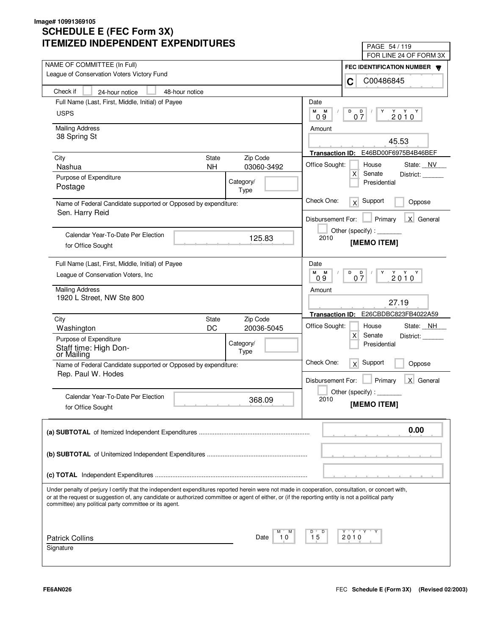| LIVILLU INDLFLNDLNI LAFLNDII UNLJ                                                                                                                                                                                                                                                                                                                                 | PAGE 54 / 119                                                           |
|-------------------------------------------------------------------------------------------------------------------------------------------------------------------------------------------------------------------------------------------------------------------------------------------------------------------------------------------------------------------|-------------------------------------------------------------------------|
|                                                                                                                                                                                                                                                                                                                                                                   | FOR LINE 24 OF FORM 3X                                                  |
| NAME OF COMMITTEE (In Full)<br>League of Conservation Voters Victory Fund                                                                                                                                                                                                                                                                                         | FEC IDENTIFICATION NUMBER                                               |
|                                                                                                                                                                                                                                                                                                                                                                   | C00486845<br>C                                                          |
| Check if<br>48-hour notice<br>24-hour notice                                                                                                                                                                                                                                                                                                                      |                                                                         |
| Full Name (Last, First, Middle, Initial) of Payee                                                                                                                                                                                                                                                                                                                 | Date                                                                    |
| <b>USPS</b>                                                                                                                                                                                                                                                                                                                                                       | М<br>M<br>D<br>D<br>Y<br>$2010^Y$                                       |
|                                                                                                                                                                                                                                                                                                                                                                   | 07<br>09                                                                |
| <b>Mailing Address</b>                                                                                                                                                                                                                                                                                                                                            | Amount                                                                  |
| 38 Spring St                                                                                                                                                                                                                                                                                                                                                      | 45.53                                                                   |
|                                                                                                                                                                                                                                                                                                                                                                   | E46BD00F6975B4B46BEF<br><b>Transaction ID:</b>                          |
| <b>State</b><br>Zip Code<br>City                                                                                                                                                                                                                                                                                                                                  | Office Sought:<br>House<br>State: NV                                    |
| <b>NH</b><br>03060-3492<br>Nashua                                                                                                                                                                                                                                                                                                                                 | $\mathsf{X}$<br>Senate<br>District:                                     |
| Purpose of Expenditure<br>Category/                                                                                                                                                                                                                                                                                                                               | Presidential                                                            |
| Postage<br>Type                                                                                                                                                                                                                                                                                                                                                   |                                                                         |
| Name of Federal Candidate supported or Opposed by expenditure:                                                                                                                                                                                                                                                                                                    | Check One:<br>Support<br>$\times$<br>Oppose                             |
| Sen. Harry Reid                                                                                                                                                                                                                                                                                                                                                   | X General<br>Disbursement For:                                          |
|                                                                                                                                                                                                                                                                                                                                                                   | Primary                                                                 |
| Calendar Year-To-Date Per Election<br>125.83                                                                                                                                                                                                                                                                                                                      | Other (specify) : $\sqrt{\frac{1}{2} \sum_{r=1}^{r} (r - r)^2}$<br>2010 |
| for Office Sought                                                                                                                                                                                                                                                                                                                                                 | [MEMO ITEM]                                                             |
|                                                                                                                                                                                                                                                                                                                                                                   |                                                                         |
| Full Name (Last, First, Middle, Initial) of Payee                                                                                                                                                                                                                                                                                                                 | Date                                                                    |
| League of Conservation Voters, Inc.                                                                                                                                                                                                                                                                                                                               | M<br>M<br>D<br>$2010^{\gamma}$<br>$0\frac{D}{7}$<br>Y<br>0.9            |
| <b>Mailing Address</b>                                                                                                                                                                                                                                                                                                                                            | Amount                                                                  |
| 1920 L Street, NW Ste 800                                                                                                                                                                                                                                                                                                                                         | 27.19                                                                   |
|                                                                                                                                                                                                                                                                                                                                                                   |                                                                         |
| Zip Code<br>City<br><b>State</b>                                                                                                                                                                                                                                                                                                                                  | E26CBDBC823FB4022A59<br><b>Transaction ID:</b>                          |
| DC<br>20036-5045<br>Washington                                                                                                                                                                                                                                                                                                                                    | Office Sought:<br>State: NH<br>House                                    |
| Purpose of Expenditure<br>Category/                                                                                                                                                                                                                                                                                                                               | $\mathsf{X}$<br>Senate<br>District:<br>Presidential                     |
| Staff time: High Don-<br>Type<br>or Mailing                                                                                                                                                                                                                                                                                                                       |                                                                         |
| Name of Federal Candidate supported or Opposed by expenditure:                                                                                                                                                                                                                                                                                                    | Check One:<br>Support<br>x<br>Oppose                                    |
| Rep. Paul W. Hodes                                                                                                                                                                                                                                                                                                                                                |                                                                         |
|                                                                                                                                                                                                                                                                                                                                                                   | Primary<br>X General<br>Disbursement For:                               |
| Calendar Year-To-Date Per Election                                                                                                                                                                                                                                                                                                                                | Other (specify) : $\overline{\phantom{a}}$                              |
| 368.09<br>for Office Sought                                                                                                                                                                                                                                                                                                                                       | 2010<br>[MEMO ITEM]                                                     |
|                                                                                                                                                                                                                                                                                                                                                                   |                                                                         |
|                                                                                                                                                                                                                                                                                                                                                                   | 0.00                                                                    |
|                                                                                                                                                                                                                                                                                                                                                                   |                                                                         |
|                                                                                                                                                                                                                                                                                                                                                                   |                                                                         |
|                                                                                                                                                                                                                                                                                                                                                                   |                                                                         |
|                                                                                                                                                                                                                                                                                                                                                                   |                                                                         |
|                                                                                                                                                                                                                                                                                                                                                                   |                                                                         |
| Under penalty of perjury I certify that the independent expenditures reported herein were not made in cooperation, consultation, or concert with,<br>or at the request or suggestion of, any candidate or authorized committee or agent of either, or (if the reporting entity is not a political party<br>committee) any political party committee or its agent. |                                                                         |
|                                                                                                                                                                                                                                                                                                                                                                   |                                                                         |
|                                                                                                                                                                                                                                                                                                                                                                   | Y "Y "Y<br>D                                                            |
| <b>Patrick Collins</b><br>Date<br>10                                                                                                                                                                                                                                                                                                                              | 15<br>2010                                                              |
| Signature                                                                                                                                                                                                                                                                                                                                                         |                                                                         |
|                                                                                                                                                                                                                                                                                                                                                                   |                                                                         |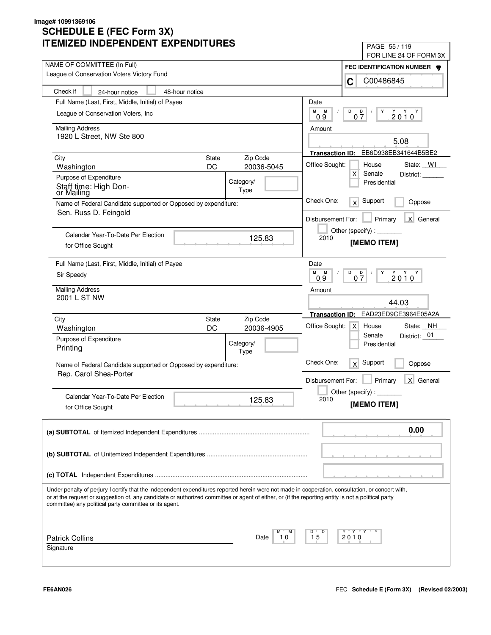| IMILLU INDLFLINDLINI LAFLINDII UNLJ                                                                                                                                                                                                                                                                                                                               | PAGE 55/119                                                                |
|-------------------------------------------------------------------------------------------------------------------------------------------------------------------------------------------------------------------------------------------------------------------------------------------------------------------------------------------------------------------|----------------------------------------------------------------------------|
| NAME OF COMMITTEE (In Full)                                                                                                                                                                                                                                                                                                                                       | FOR LINE 24 OF FORM 3X                                                     |
| League of Conservation Voters Victory Fund                                                                                                                                                                                                                                                                                                                        | FEC IDENTIFICATION NUMBER                                                  |
|                                                                                                                                                                                                                                                                                                                                                                   | C00486845<br>C                                                             |
| Check if<br>48-hour notice<br>24-hour notice                                                                                                                                                                                                                                                                                                                      |                                                                            |
| Full Name (Last, First, Middle, Initial) of Payee                                                                                                                                                                                                                                                                                                                 | Date                                                                       |
| League of Conservation Voters, Inc.                                                                                                                                                                                                                                                                                                                               | М<br>М<br>D<br>D<br>Y<br>$2010^Y$<br>07<br>09                              |
| <b>Mailing Address</b>                                                                                                                                                                                                                                                                                                                                            | Amount                                                                     |
| 1920 L Street, NW Ste 800                                                                                                                                                                                                                                                                                                                                         | 5.08                                                                       |
|                                                                                                                                                                                                                                                                                                                                                                   | EB6D938EB341644B5BE2<br><b>Transaction ID:</b>                             |
| Zip Code<br>City<br><b>State</b>                                                                                                                                                                                                                                                                                                                                  |                                                                            |
| DC<br>20036-5045<br>Washington                                                                                                                                                                                                                                                                                                                                    | Office Sought:<br>House<br>State: WI<br>$\mathsf{X}$<br>Senate             |
| Purpose of Expenditure<br>Category/                                                                                                                                                                                                                                                                                                                               | District:<br>Presidential                                                  |
| Staff time: High Don-<br>Type<br>or Mailing                                                                                                                                                                                                                                                                                                                       |                                                                            |
| Name of Federal Candidate supported or Opposed by expenditure:                                                                                                                                                                                                                                                                                                    | Check One:<br>Support<br>x<br>Oppose                                       |
| Sen. Russ D. Feingold                                                                                                                                                                                                                                                                                                                                             | X General<br>Disbursement For:<br>Primary                                  |
|                                                                                                                                                                                                                                                                                                                                                                   | Other (specify):                                                           |
| Calendar Year-To-Date Per Election<br>125.83                                                                                                                                                                                                                                                                                                                      | 2010<br>[MEMO ITEM]                                                        |
| for Office Sought                                                                                                                                                                                                                                                                                                                                                 |                                                                            |
| Full Name (Last, First, Middle, Initial) of Payee                                                                                                                                                                                                                                                                                                                 | Date                                                                       |
| Sir Speedy                                                                                                                                                                                                                                                                                                                                                        | м<br>M<br>D<br>$2010^{\gamma}$<br>$\overline{D}$<br>Y<br>07<br>09          |
| <b>Mailing Address</b>                                                                                                                                                                                                                                                                                                                                            | Amount                                                                     |
| 2001 L ST NW                                                                                                                                                                                                                                                                                                                                                      | 44.03                                                                      |
|                                                                                                                                                                                                                                                                                                                                                                   |                                                                            |
| Zip Code<br>City<br><b>State</b>                                                                                                                                                                                                                                                                                                                                  | EAD23ED9CE3964E05A2A<br><b>Transaction ID:</b>                             |
| DC<br>20036-4905<br>Washington                                                                                                                                                                                                                                                                                                                                    | Office Sought:<br>State: NH<br>$\times$<br>House<br>District: 01<br>Senate |
| Purpose of Expenditure<br>Category/                                                                                                                                                                                                                                                                                                                               | Presidential                                                               |
| Printing<br>Type                                                                                                                                                                                                                                                                                                                                                  |                                                                            |
| Name of Federal Candidate supported or Opposed by expenditure:                                                                                                                                                                                                                                                                                                    | Check One:<br>Support<br>x<br>Oppose                                       |
| Rep. Carol Shea-Porter                                                                                                                                                                                                                                                                                                                                            | Primary<br>X General<br>Disbursement For:                                  |
|                                                                                                                                                                                                                                                                                                                                                                   | Other (specify):                                                           |
| Calendar Year-To-Date Per Election<br>125.83                                                                                                                                                                                                                                                                                                                      | 2010                                                                       |
| for Office Sought                                                                                                                                                                                                                                                                                                                                                 | [MEMO ITEM]                                                                |
|                                                                                                                                                                                                                                                                                                                                                                   | 0.00                                                                       |
|                                                                                                                                                                                                                                                                                                                                                                   |                                                                            |
|                                                                                                                                                                                                                                                                                                                                                                   |                                                                            |
|                                                                                                                                                                                                                                                                                                                                                                   |                                                                            |
|                                                                                                                                                                                                                                                                                                                                                                   |                                                                            |
|                                                                                                                                                                                                                                                                                                                                                                   |                                                                            |
| Under penalty of perjury I certify that the independent expenditures reported herein were not made in cooperation, consultation, or concert with,<br>or at the request or suggestion of, any candidate or authorized committee or agent of either, or (if the reporting entity is not a political party<br>committee) any political party committee or its agent. |                                                                            |
|                                                                                                                                                                                                                                                                                                                                                                   |                                                                            |
| <b>Patrick Collins</b><br>10<br>Date                                                                                                                                                                                                                                                                                                                              | Y "Y "Y<br>D<br>15<br>2010                                                 |
| Signature                                                                                                                                                                                                                                                                                                                                                         |                                                                            |
|                                                                                                                                                                                                                                                                                                                                                                   |                                                                            |
|                                                                                                                                                                                                                                                                                                                                                                   |                                                                            |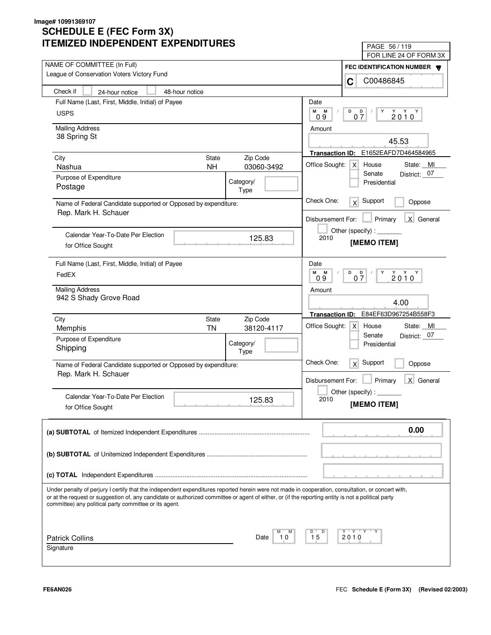| LIVILLU INDLFLNDLNI LAFLNDII UNLJ                                                                                                                                                                                                                                                                                                                                 | PAGE 56 / 119                                                |
|-------------------------------------------------------------------------------------------------------------------------------------------------------------------------------------------------------------------------------------------------------------------------------------------------------------------------------------------------------------------|--------------------------------------------------------------|
| NAME OF COMMITTEE (In Full)                                                                                                                                                                                                                                                                                                                                       | FOR LINE 24 OF FORM 3X                                       |
| League of Conservation Voters Victory Fund                                                                                                                                                                                                                                                                                                                        | FEC IDENTIFICATION NUMBER                                    |
|                                                                                                                                                                                                                                                                                                                                                                   | C00486845<br>C                                               |
| Check if<br>48-hour notice<br>24-hour notice                                                                                                                                                                                                                                                                                                                      |                                                              |
| Full Name (Last, First, Middle, Initial) of Payee                                                                                                                                                                                                                                                                                                                 | Date                                                         |
| <b>USPS</b>                                                                                                                                                                                                                                                                                                                                                       | M<br>M<br>D<br>D<br>Y<br>$2010^Y$                            |
|                                                                                                                                                                                                                                                                                                                                                                   | 07<br>09                                                     |
| <b>Mailing Address</b><br>38 Spring St                                                                                                                                                                                                                                                                                                                            | Amount                                                       |
|                                                                                                                                                                                                                                                                                                                                                                   | 45.53                                                        |
|                                                                                                                                                                                                                                                                                                                                                                   | E1652EAFD7D464584965<br><b>Transaction ID:</b>               |
| <b>State</b><br>Zip Code<br>City<br>03060-3492<br>Nashua<br><b>NH</b>                                                                                                                                                                                                                                                                                             | Office Sought:<br>$\times$<br>House<br>State: MI             |
| Purpose of Expenditure                                                                                                                                                                                                                                                                                                                                            | District: 07<br>Senate                                       |
| Category/<br>Postage                                                                                                                                                                                                                                                                                                                                              | Presidential                                                 |
| Type                                                                                                                                                                                                                                                                                                                                                              |                                                              |
| Name of Federal Candidate supported or Opposed by expenditure:                                                                                                                                                                                                                                                                                                    | Check One:<br>Support<br>$\times$<br>Oppose                  |
| Rep. Mark H. Schauer                                                                                                                                                                                                                                                                                                                                              |                                                              |
|                                                                                                                                                                                                                                                                                                                                                                   | X General<br>Disbursement For:<br>Primary                    |
| Calendar Year-To-Date Per Election<br>125.83                                                                                                                                                                                                                                                                                                                      | Other (specify) : _________<br>2010                          |
| for Office Sought                                                                                                                                                                                                                                                                                                                                                 | [MEMO ITEM]                                                  |
|                                                                                                                                                                                                                                                                                                                                                                   |                                                              |
| Full Name (Last, First, Middle, Initial) of Payee                                                                                                                                                                                                                                                                                                                 | Date                                                         |
| FedEX                                                                                                                                                                                                                                                                                                                                                             | м<br>M<br>D<br>$2010^{\gamma}$<br>$0\frac{D}{7}$<br>Y<br>0.9 |
| <b>Mailing Address</b>                                                                                                                                                                                                                                                                                                                                            | Amount                                                       |
| 942 S Shady Grove Road                                                                                                                                                                                                                                                                                                                                            |                                                              |
|                                                                                                                                                                                                                                                                                                                                                                   | 4.00                                                         |
| City<br>Zip Code<br><b>State</b>                                                                                                                                                                                                                                                                                                                                  | E84EF63D967254B558F3<br><b>Transaction ID:</b>               |
| <b>TN</b><br>Memphis<br>38120-4117                                                                                                                                                                                                                                                                                                                                | Office Sought:<br>State: MI<br>x <sub>l</sub><br>House       |
| Purpose of Expenditure                                                                                                                                                                                                                                                                                                                                            | Senate<br>District: 07                                       |
| Category/<br>Shipping<br>Type                                                                                                                                                                                                                                                                                                                                     | Presidential                                                 |
|                                                                                                                                                                                                                                                                                                                                                                   | Check One:<br>Support                                        |
| Name of Federal Candidate supported or Opposed by expenditure:                                                                                                                                                                                                                                                                                                    | x<br>Oppose                                                  |
| Rep. Mark H. Schauer                                                                                                                                                                                                                                                                                                                                              | Primary<br>X General<br>Disbursement For:                    |
|                                                                                                                                                                                                                                                                                                                                                                   | Other (specify) :                                            |
| Calendar Year-To-Date Per Election<br>125.83                                                                                                                                                                                                                                                                                                                      | 2010                                                         |
| for Office Sought                                                                                                                                                                                                                                                                                                                                                 | [MEMO ITEM]                                                  |
|                                                                                                                                                                                                                                                                                                                                                                   | 0.00                                                         |
|                                                                                                                                                                                                                                                                                                                                                                   |                                                              |
|                                                                                                                                                                                                                                                                                                                                                                   |                                                              |
|                                                                                                                                                                                                                                                                                                                                                                   |                                                              |
|                                                                                                                                                                                                                                                                                                                                                                   |                                                              |
| Under penalty of perjury I certify that the independent expenditures reported herein were not made in cooperation, consultation, or concert with,<br>or at the request or suggestion of, any candidate or authorized committee or agent of either, or (if the reporting entity is not a political party<br>committee) any political party committee or its agent. |                                                              |
|                                                                                                                                                                                                                                                                                                                                                                   |                                                              |
|                                                                                                                                                                                                                                                                                                                                                                   | Y "Y "Y<br>D                                                 |
| <b>Patrick Collins</b><br>10<br>Date                                                                                                                                                                                                                                                                                                                              | 15<br>2010                                                   |
| Signature                                                                                                                                                                                                                                                                                                                                                         |                                                              |
|                                                                                                                                                                                                                                                                                                                                                                   |                                                              |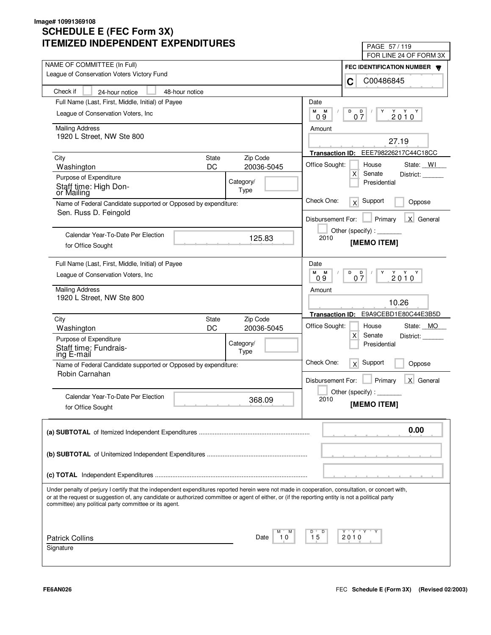| LIMILLU INDLFLNDLNT LAFLNDITUNLJ                                                                                                                                                                                                                                                                                                                                  | PAGE 57/119<br>FOR LINE 24 OF FORM 3X               |
|-------------------------------------------------------------------------------------------------------------------------------------------------------------------------------------------------------------------------------------------------------------------------------------------------------------------------------------------------------------------|-----------------------------------------------------|
| NAME OF COMMITTEE (In Full)                                                                                                                                                                                                                                                                                                                                       |                                                     |
| League of Conservation Voters Victory Fund                                                                                                                                                                                                                                                                                                                        | FEC IDENTIFICATION NUMBER W<br>C00486845<br>C       |
| Check if<br>48-hour notice<br>24-hour notice                                                                                                                                                                                                                                                                                                                      |                                                     |
| Full Name (Last, First, Middle, Initial) of Payee                                                                                                                                                                                                                                                                                                                 | Date                                                |
| League of Conservation Voters, Inc.                                                                                                                                                                                                                                                                                                                               | М<br>M<br>D<br>D                                    |
|                                                                                                                                                                                                                                                                                                                                                                   | $2010^Y$<br>07<br>0.9                               |
| <b>Mailing Address</b>                                                                                                                                                                                                                                                                                                                                            | Amount                                              |
| 1920 L Street, NW Ste 800                                                                                                                                                                                                                                                                                                                                         | 27.19                                               |
|                                                                                                                                                                                                                                                                                                                                                                   | EEE798226217C44C18CC<br><b>Transaction ID:</b>      |
| Zip Code<br>City<br><b>State</b><br>DC<br>20036-5045                                                                                                                                                                                                                                                                                                              | Office Sought:<br>House<br>State: WI                |
| Washington                                                                                                                                                                                                                                                                                                                                                        | Х<br>Senate<br>District:                            |
| Purpose of Expenditure<br>Category/<br>Staff time: High Don-                                                                                                                                                                                                                                                                                                      | Presidential                                        |
| Type<br>or Mailing                                                                                                                                                                                                                                                                                                                                                |                                                     |
| Name of Federal Candidate supported or Opposed by expenditure:<br>Sen. Russ D. Feingold                                                                                                                                                                                                                                                                           | Check One:<br>Support<br>x<br>Oppose                |
|                                                                                                                                                                                                                                                                                                                                                                   | X General<br>Primary<br>Disbursement For:           |
|                                                                                                                                                                                                                                                                                                                                                                   |                                                     |
| Calendar Year-To-Date Per Election<br>125.83                                                                                                                                                                                                                                                                                                                      | 2010<br>[MEMO ITEM]                                 |
| for Office Sought                                                                                                                                                                                                                                                                                                                                                 |                                                     |
| Full Name (Last, First, Middle, Initial) of Payee                                                                                                                                                                                                                                                                                                                 | Date                                                |
| League of Conservation Voters, Inc.                                                                                                                                                                                                                                                                                                                               | M<br>$2010^Y$<br>M<br>D<br>D<br>Y<br>07<br>0.9      |
| <b>Mailing Address</b>                                                                                                                                                                                                                                                                                                                                            | Amount                                              |
| 1920 L Street, NW Ste 800                                                                                                                                                                                                                                                                                                                                         | 10.26                                               |
|                                                                                                                                                                                                                                                                                                                                                                   |                                                     |
| Zip Code<br>City<br>State                                                                                                                                                                                                                                                                                                                                         | E9A9CEBD1E80C44E3B5D<br><b>Transaction ID:</b>      |
| DC<br>20036-5045<br>Washington                                                                                                                                                                                                                                                                                                                                    | Office Sought:<br>State: MO<br>House<br>X<br>Senate |
| Purpose of Expenditure<br>Category/                                                                                                                                                                                                                                                                                                                               | District:<br>Presidential                           |
| Staff time: Fundrais-<br>Type<br>ing E-mail                                                                                                                                                                                                                                                                                                                       |                                                     |
| Name of Federal Candidate supported or Opposed by expenditure:                                                                                                                                                                                                                                                                                                    | Check One:<br>Support<br>x<br>Oppose                |
| Robin Carnahan                                                                                                                                                                                                                                                                                                                                                    | Primary<br>X General                                |
|                                                                                                                                                                                                                                                                                                                                                                   | Disbursement For:                                   |
| Calendar Year-To-Date Per Election<br>368.09                                                                                                                                                                                                                                                                                                                      | Other (specify) : $\overline{\phantom{a}}$<br>2010  |
| for Office Sought                                                                                                                                                                                                                                                                                                                                                 | [MEMO ITEM]                                         |
|                                                                                                                                                                                                                                                                                                                                                                   |                                                     |
|                                                                                                                                                                                                                                                                                                                                                                   | 0.00                                                |
|                                                                                                                                                                                                                                                                                                                                                                   |                                                     |
|                                                                                                                                                                                                                                                                                                                                                                   |                                                     |
|                                                                                                                                                                                                                                                                                                                                                                   |                                                     |
|                                                                                                                                                                                                                                                                                                                                                                   |                                                     |
| Under penalty of perjury I certify that the independent expenditures reported herein were not made in cooperation, consultation, or concert with,<br>or at the request or suggestion of, any candidate or authorized committee or agent of either, or (if the reporting entity is not a political party<br>committee) any political party committee or its agent. |                                                     |
|                                                                                                                                                                                                                                                                                                                                                                   |                                                     |
| Date<br>10                                                                                                                                                                                                                                                                                                                                                        | Y "Y "Y "<br>D<br>15                                |
| <b>Patrick Collins</b><br>Signature                                                                                                                                                                                                                                                                                                                               | 2010                                                |
|                                                                                                                                                                                                                                                                                                                                                                   |                                                     |
|                                                                                                                                                                                                                                                                                                                                                                   |                                                     |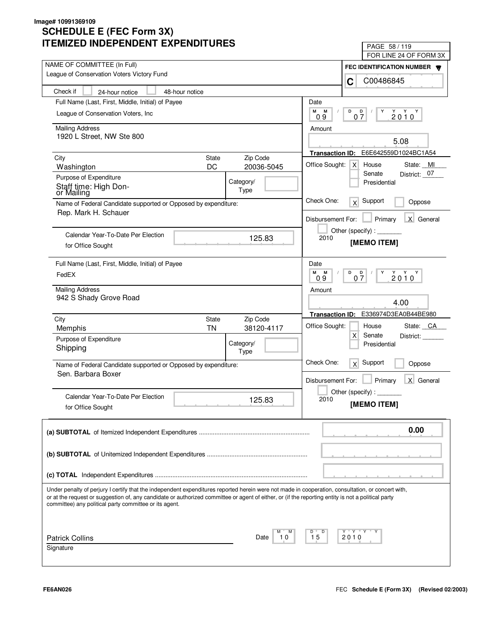| LIVILLU INDLFLNDLNI LAFLNDII UNLJ                                                                                                                                                                                                                                                                                                                                 | PAGE 58 / 119                                        |
|-------------------------------------------------------------------------------------------------------------------------------------------------------------------------------------------------------------------------------------------------------------------------------------------------------------------------------------------------------------------|------------------------------------------------------|
| NAME OF COMMITTEE (In Full)                                                                                                                                                                                                                                                                                                                                       | FOR LINE 24 OF FORM 3X                               |
| League of Conservation Voters Victory Fund                                                                                                                                                                                                                                                                                                                        | FEC IDENTIFICATION NUMBER                            |
|                                                                                                                                                                                                                                                                                                                                                                   | C00486845<br>C                                       |
| Check if<br>48-hour notice<br>24-hour notice                                                                                                                                                                                                                                                                                                                      |                                                      |
| Full Name (Last, First, Middle, Initial) of Payee                                                                                                                                                                                                                                                                                                                 | Date                                                 |
| League of Conservation Voters, Inc.                                                                                                                                                                                                                                                                                                                               | М<br>М<br>D<br>D<br>Y<br>$2010^Y$<br>07<br>09        |
| <b>Mailing Address</b>                                                                                                                                                                                                                                                                                                                                            | Amount                                               |
| 1920 L Street, NW Ste 800                                                                                                                                                                                                                                                                                                                                         | 5.08                                                 |
|                                                                                                                                                                                                                                                                                                                                                                   |                                                      |
| Zip Code<br>City<br><b>State</b>                                                                                                                                                                                                                                                                                                                                  | E6E642559D1024BC1A54<br><b>Transaction ID:</b>       |
| DC<br>20036-5045<br>Washington                                                                                                                                                                                                                                                                                                                                    | Office Sought:<br>House<br>State: MI<br>X<br>Senate  |
| Purpose of Expenditure<br>Category/                                                                                                                                                                                                                                                                                                                               | District: 07<br>Presidential                         |
| Staff time: High Don-<br>Type<br>or Mailing                                                                                                                                                                                                                                                                                                                       |                                                      |
| Name of Federal Candidate supported or Opposed by expenditure:                                                                                                                                                                                                                                                                                                    | Check One:<br>Support<br>x<br>Oppose                 |
| Rep. Mark H. Schauer                                                                                                                                                                                                                                                                                                                                              | X General<br>Disbursement For:<br>Primary            |
|                                                                                                                                                                                                                                                                                                                                                                   | Other (specify):                                     |
| Calendar Year-To-Date Per Election<br>125.83                                                                                                                                                                                                                                                                                                                      | 2010<br>[MEMO ITEM]                                  |
| for Office Sought                                                                                                                                                                                                                                                                                                                                                 |                                                      |
| Full Name (Last, First, Middle, Initial) of Payee                                                                                                                                                                                                                                                                                                                 | Date                                                 |
| FedEX                                                                                                                                                                                                                                                                                                                                                             | м<br>M<br>D<br>$2010^{\gamma}$<br>D<br>Y<br>07<br>09 |
| <b>Mailing Address</b>                                                                                                                                                                                                                                                                                                                                            | Amount                                               |
| 942 S Shady Grove Road                                                                                                                                                                                                                                                                                                                                            |                                                      |
|                                                                                                                                                                                                                                                                                                                                                                   | 4.00                                                 |
| City<br>Zip Code<br><b>State</b>                                                                                                                                                                                                                                                                                                                                  | E336974D3EA0B44BE980<br><b>Transaction ID:</b>       |
| <b>TN</b><br>38120-4117<br>Memphis                                                                                                                                                                                                                                                                                                                                | Office Sought:<br>State: CA<br>House                 |
| Purpose of Expenditure<br>Category/                                                                                                                                                                                                                                                                                                                               | X<br>Senate<br>District:<br>Presidential             |
| Shipping<br>Type                                                                                                                                                                                                                                                                                                                                                  |                                                      |
| Name of Federal Candidate supported or Opposed by expenditure:                                                                                                                                                                                                                                                                                                    | Check One:<br>Support<br>x<br>Oppose                 |
| Sen. Barbara Boxer                                                                                                                                                                                                                                                                                                                                                |                                                      |
|                                                                                                                                                                                                                                                                                                                                                                   | Primary<br>X General<br>Disbursement For:            |
| Calendar Year-To-Date Per Election<br>125.83                                                                                                                                                                                                                                                                                                                      | Other (specify):<br>2010                             |
| for Office Sought                                                                                                                                                                                                                                                                                                                                                 | [MEMO ITEM]                                          |
|                                                                                                                                                                                                                                                                                                                                                                   |                                                      |
|                                                                                                                                                                                                                                                                                                                                                                   | 0.00                                                 |
|                                                                                                                                                                                                                                                                                                                                                                   |                                                      |
|                                                                                                                                                                                                                                                                                                                                                                   |                                                      |
|                                                                                                                                                                                                                                                                                                                                                                   |                                                      |
|                                                                                                                                                                                                                                                                                                                                                                   |                                                      |
| Under penalty of perjury I certify that the independent expenditures reported herein were not made in cooperation, consultation, or concert with,<br>or at the request or suggestion of, any candidate or authorized committee or agent of either, or (if the reporting entity is not a political party<br>committee) any political party committee or its agent. |                                                      |
|                                                                                                                                                                                                                                                                                                                                                                   |                                                      |
| <b>Patrick Collins</b><br>10<br>Date                                                                                                                                                                                                                                                                                                                              | Y "Y "Y<br>D<br>15<br>2010                           |
| Signature                                                                                                                                                                                                                                                                                                                                                         |                                                      |
|                                                                                                                                                                                                                                                                                                                                                                   |                                                      |
|                                                                                                                                                                                                                                                                                                                                                                   |                                                      |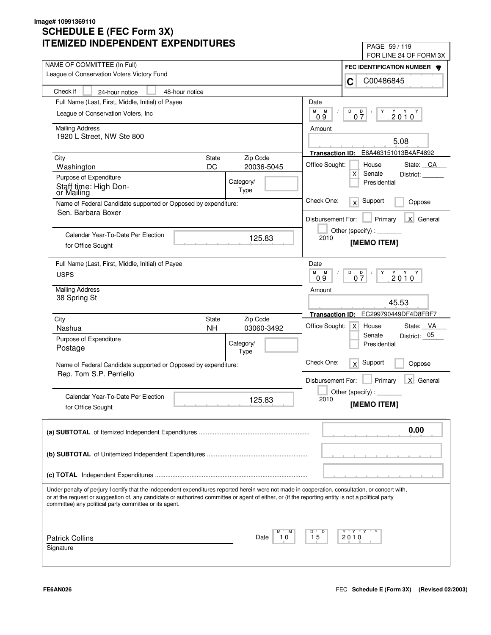| LIVILLU INDLFLNDLNI LAFLNDII UNLJ                                                                                                                                                                                                                                                                                                                                 | PAGE 59/119                                                       |
|-------------------------------------------------------------------------------------------------------------------------------------------------------------------------------------------------------------------------------------------------------------------------------------------------------------------------------------------------------------------|-------------------------------------------------------------------|
| NAME OF COMMITTEE (In Full)                                                                                                                                                                                                                                                                                                                                       | FOR LINE 24 OF FORM 3X                                            |
| League of Conservation Voters Victory Fund                                                                                                                                                                                                                                                                                                                        | FEC IDENTIFICATION NUMBER                                         |
|                                                                                                                                                                                                                                                                                                                                                                   | C00486845<br>C                                                    |
| Check if<br>48-hour notice<br>24-hour notice                                                                                                                                                                                                                                                                                                                      |                                                                   |
| Full Name (Last, First, Middle, Initial) of Payee                                                                                                                                                                                                                                                                                                                 | Date                                                              |
| League of Conservation Voters, Inc.                                                                                                                                                                                                                                                                                                                               | М<br>M<br>D<br>D<br>Y<br>$2010^Y$<br>07<br>09                     |
| <b>Mailing Address</b>                                                                                                                                                                                                                                                                                                                                            | Amount                                                            |
| 1920 L Street, NW Ste 800                                                                                                                                                                                                                                                                                                                                         |                                                                   |
|                                                                                                                                                                                                                                                                                                                                                                   | 5.08                                                              |
| Zip Code<br>City<br><b>State</b>                                                                                                                                                                                                                                                                                                                                  | E8A463151013B4AF4892<br><b>Transaction ID:</b>                    |
| DC<br>20036-5045<br>Washington                                                                                                                                                                                                                                                                                                                                    | Office Sought:<br>House<br>State: CA                              |
| Purpose of Expenditure<br>Category/                                                                                                                                                                                                                                                                                                                               | $\mathsf{X}$<br>Senate<br>District:<br>Presidential               |
| Staff time: High Don-<br>Type<br>or Mailing                                                                                                                                                                                                                                                                                                                       |                                                                   |
| Name of Federal Candidate supported or Opposed by expenditure:                                                                                                                                                                                                                                                                                                    | Check One:<br>Support<br>x<br>Oppose                              |
| Sen. Barbara Boxer                                                                                                                                                                                                                                                                                                                                                |                                                                   |
|                                                                                                                                                                                                                                                                                                                                                                   | X General<br>Disbursement For:<br>Primary                         |
| Calendar Year-To-Date Per Election                                                                                                                                                                                                                                                                                                                                | Other (specify):                                                  |
| 125.83<br>for Office Sought                                                                                                                                                                                                                                                                                                                                       | 2010<br>[MEMO ITEM]                                               |
|                                                                                                                                                                                                                                                                                                                                                                   |                                                                   |
| Full Name (Last, First, Middle, Initial) of Payee                                                                                                                                                                                                                                                                                                                 | Date                                                              |
| <b>USPS</b>                                                                                                                                                                                                                                                                                                                                                       | м<br>M<br>D<br>$2010^{\gamma}$<br>$\overline{Q}$<br>Y<br>07<br>09 |
| <b>Mailing Address</b>                                                                                                                                                                                                                                                                                                                                            |                                                                   |
| 38 Spring St                                                                                                                                                                                                                                                                                                                                                      | Amount                                                            |
|                                                                                                                                                                                                                                                                                                                                                                   | 45.53                                                             |
| Zip Code<br>City<br><b>State</b>                                                                                                                                                                                                                                                                                                                                  | EC299790449DF4D8FBF7<br><b>Transaction ID:</b>                    |
| <b>NH</b><br>Nashua<br>03060-3492                                                                                                                                                                                                                                                                                                                                 | Office Sought:<br>State: VA<br>x <sub>l</sub><br>House            |
| Purpose of Expenditure                                                                                                                                                                                                                                                                                                                                            | District: 05<br>Senate                                            |
| Category/<br>Postage<br>Type                                                                                                                                                                                                                                                                                                                                      | Presidential                                                      |
|                                                                                                                                                                                                                                                                                                                                                                   | Check One:<br>Support<br>x<br>Oppose                              |
| Name of Federal Candidate supported or Opposed by expenditure:<br>Rep. Tom S.P. Perriello                                                                                                                                                                                                                                                                         |                                                                   |
|                                                                                                                                                                                                                                                                                                                                                                   | Primary<br>X General<br>Disbursement For:                         |
| Calendar Year-To-Date Per Election                                                                                                                                                                                                                                                                                                                                | Other (specify):                                                  |
| 125.83<br>for Office Sought                                                                                                                                                                                                                                                                                                                                       | 2010<br>[MEMO ITEM]                                               |
|                                                                                                                                                                                                                                                                                                                                                                   |                                                                   |
|                                                                                                                                                                                                                                                                                                                                                                   | 0.00                                                              |
|                                                                                                                                                                                                                                                                                                                                                                   |                                                                   |
|                                                                                                                                                                                                                                                                                                                                                                   |                                                                   |
|                                                                                                                                                                                                                                                                                                                                                                   |                                                                   |
|                                                                                                                                                                                                                                                                                                                                                                   |                                                                   |
|                                                                                                                                                                                                                                                                                                                                                                   |                                                                   |
| Under penalty of perjury I certify that the independent expenditures reported herein were not made in cooperation, consultation, or concert with,<br>or at the request or suggestion of, any candidate or authorized committee or agent of either, or (if the reporting entity is not a political party<br>committee) any political party committee or its agent. |                                                                   |
|                                                                                                                                                                                                                                                                                                                                                                   |                                                                   |
|                                                                                                                                                                                                                                                                                                                                                                   | Y "Y "Y<br>D                                                      |
| <b>Patrick Collins</b><br>10<br>Date                                                                                                                                                                                                                                                                                                                              | 15<br>2010                                                        |
| Signature                                                                                                                                                                                                                                                                                                                                                         |                                                                   |
|                                                                                                                                                                                                                                                                                                                                                                   |                                                                   |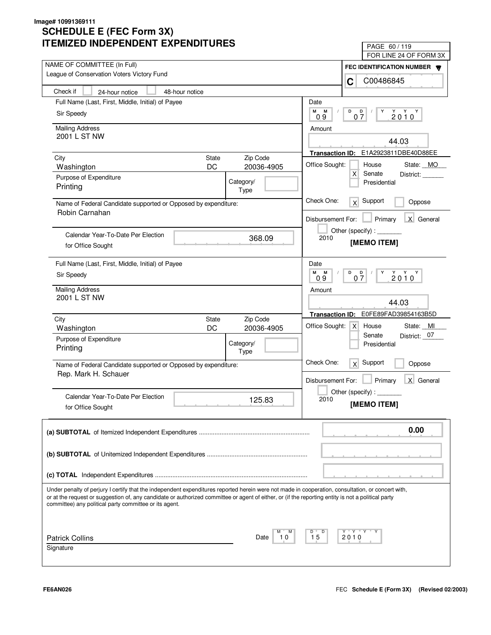| IMILLU INDLFLINDLINI LAFLINDII UNLJ                                                                                                                                                                                                                                                                                                                               | PAGE 60/119                                                                                                                                                                                                                                                                                                                                                                                                                                 |
|-------------------------------------------------------------------------------------------------------------------------------------------------------------------------------------------------------------------------------------------------------------------------------------------------------------------------------------------------------------------|---------------------------------------------------------------------------------------------------------------------------------------------------------------------------------------------------------------------------------------------------------------------------------------------------------------------------------------------------------------------------------------------------------------------------------------------|
| NAME OF COMMITTEE (In Full)                                                                                                                                                                                                                                                                                                                                       | FOR LINE 24 OF FORM 3X                                                                                                                                                                                                                                                                                                                                                                                                                      |
| League of Conservation Voters Victory Fund                                                                                                                                                                                                                                                                                                                        | FEC IDENTIFICATION NUMBER<br>C00486845<br>C                                                                                                                                                                                                                                                                                                                                                                                                 |
| Check if<br>48-hour notice<br>24-hour notice                                                                                                                                                                                                                                                                                                                      |                                                                                                                                                                                                                                                                                                                                                                                                                                             |
| Full Name (Last, First, Middle, Initial) of Payee                                                                                                                                                                                                                                                                                                                 | Date                                                                                                                                                                                                                                                                                                                                                                                                                                        |
| Sir Speedy                                                                                                                                                                                                                                                                                                                                                        | М<br>М<br>D<br>D<br>Y<br>$2010^Y$                                                                                                                                                                                                                                                                                                                                                                                                           |
|                                                                                                                                                                                                                                                                                                                                                                   | $0\bar{7}$<br>09                                                                                                                                                                                                                                                                                                                                                                                                                            |
| <b>Mailing Address</b>                                                                                                                                                                                                                                                                                                                                            | Amount                                                                                                                                                                                                                                                                                                                                                                                                                                      |
| 2001 L ST NW                                                                                                                                                                                                                                                                                                                                                      | 44.03                                                                                                                                                                                                                                                                                                                                                                                                                                       |
|                                                                                                                                                                                                                                                                                                                                                                   | Transaction ID: E1A2923811DBE40D88EE                                                                                                                                                                                                                                                                                                                                                                                                        |
| <b>State</b><br>Zip Code<br>City<br>DC<br>20036-4905<br>Washington                                                                                                                                                                                                                                                                                                | Office Sought:<br>House<br>State: MO                                                                                                                                                                                                                                                                                                                                                                                                        |
| Purpose of Expenditure                                                                                                                                                                                                                                                                                                                                            | X<br>Senate<br>District:                                                                                                                                                                                                                                                                                                                                                                                                                    |
| Category/<br>Printing                                                                                                                                                                                                                                                                                                                                             | Presidential                                                                                                                                                                                                                                                                                                                                                                                                                                |
| Type                                                                                                                                                                                                                                                                                                                                                              |                                                                                                                                                                                                                                                                                                                                                                                                                                             |
| Name of Federal Candidate supported or Opposed by expenditure:                                                                                                                                                                                                                                                                                                    | Check One:<br>Support<br>x<br>Oppose                                                                                                                                                                                                                                                                                                                                                                                                        |
| Robin Carnahan                                                                                                                                                                                                                                                                                                                                                    | X General<br>Disbursement For:<br>Primary                                                                                                                                                                                                                                                                                                                                                                                                   |
|                                                                                                                                                                                                                                                                                                                                                                   | Other (specify) : $\sqrt{\frac{1}{2} \cdot \frac{1}{2} \cdot \frac{1}{2} \cdot \frac{1}{2} \cdot \frac{1}{2} \cdot \frac{1}{2} \cdot \frac{1}{2} \cdot \frac{1}{2} \cdot \frac{1}{2} \cdot \frac{1}{2} \cdot \frac{1}{2} \cdot \frac{1}{2} \cdot \frac{1}{2} \cdot \frac{1}{2} \cdot \frac{1}{2} \cdot \frac{1}{2} \cdot \frac{1}{2} \cdot \frac{1}{2} \cdot \frac{1}{2} \cdot \frac{1}{2} \cdot \frac{1}{2} \cdot \frac{1}{2} \cdot \frac$ |
| Calendar Year-To-Date Per Election<br>368.09                                                                                                                                                                                                                                                                                                                      | 2010<br>[MEMO ITEM]                                                                                                                                                                                                                                                                                                                                                                                                                         |
| for Office Sought                                                                                                                                                                                                                                                                                                                                                 |                                                                                                                                                                                                                                                                                                                                                                                                                                             |
| Full Name (Last, First, Middle, Initial) of Payee                                                                                                                                                                                                                                                                                                                 | Date                                                                                                                                                                                                                                                                                                                                                                                                                                        |
| Sir Speedy                                                                                                                                                                                                                                                                                                                                                        | M<br>M<br>D<br>$2010^Y$<br>$0\frac{D}{7}$<br>Y<br>0.9                                                                                                                                                                                                                                                                                                                                                                                       |
|                                                                                                                                                                                                                                                                                                                                                                   |                                                                                                                                                                                                                                                                                                                                                                                                                                             |
| <b>Mailing Address</b><br>2001 L ST NW                                                                                                                                                                                                                                                                                                                            | Amount                                                                                                                                                                                                                                                                                                                                                                                                                                      |
|                                                                                                                                                                                                                                                                                                                                                                   | 44.03                                                                                                                                                                                                                                                                                                                                                                                                                                       |
| Zip Code<br>City<br>State                                                                                                                                                                                                                                                                                                                                         | E0FE89FAD39854163B5D<br><b>Transaction ID:</b>                                                                                                                                                                                                                                                                                                                                                                                              |
| DC<br>20036-4905<br>Washington                                                                                                                                                                                                                                                                                                                                    | Office Sought:<br>House<br>State: MI<br>$\mathsf{X}$                                                                                                                                                                                                                                                                                                                                                                                        |
| Purpose of Expenditure<br>Category/                                                                                                                                                                                                                                                                                                                               | Senate<br>District: 07<br>Presidential                                                                                                                                                                                                                                                                                                                                                                                                      |
| Printing<br>Type                                                                                                                                                                                                                                                                                                                                                  |                                                                                                                                                                                                                                                                                                                                                                                                                                             |
| Name of Federal Candidate supported or Opposed by expenditure:                                                                                                                                                                                                                                                                                                    | Check One:<br>Support<br>x<br>Oppose                                                                                                                                                                                                                                                                                                                                                                                                        |
| Rep. Mark H. Schauer                                                                                                                                                                                                                                                                                                                                              |                                                                                                                                                                                                                                                                                                                                                                                                                                             |
|                                                                                                                                                                                                                                                                                                                                                                   | Disbursement For:<br>Primary<br>X General                                                                                                                                                                                                                                                                                                                                                                                                   |
| Calendar Year-To-Date Per Election<br>125.83                                                                                                                                                                                                                                                                                                                      | Other (specify) : $\_$<br>2010                                                                                                                                                                                                                                                                                                                                                                                                              |
| for Office Sought                                                                                                                                                                                                                                                                                                                                                 | [MEMO ITEM]                                                                                                                                                                                                                                                                                                                                                                                                                                 |
|                                                                                                                                                                                                                                                                                                                                                                   |                                                                                                                                                                                                                                                                                                                                                                                                                                             |
|                                                                                                                                                                                                                                                                                                                                                                   | 0.00                                                                                                                                                                                                                                                                                                                                                                                                                                        |
|                                                                                                                                                                                                                                                                                                                                                                   |                                                                                                                                                                                                                                                                                                                                                                                                                                             |
|                                                                                                                                                                                                                                                                                                                                                                   |                                                                                                                                                                                                                                                                                                                                                                                                                                             |
|                                                                                                                                                                                                                                                                                                                                                                   |                                                                                                                                                                                                                                                                                                                                                                                                                                             |
|                                                                                                                                                                                                                                                                                                                                                                   |                                                                                                                                                                                                                                                                                                                                                                                                                                             |
| Under penalty of perjury I certify that the independent expenditures reported herein were not made in cooperation, consultation, or concert with,<br>or at the request or suggestion of, any candidate or authorized committee or agent of either, or (if the reporting entity is not a political party<br>committee) any political party committee or its agent. |                                                                                                                                                                                                                                                                                                                                                                                                                                             |
|                                                                                                                                                                                                                                                                                                                                                                   |                                                                                                                                                                                                                                                                                                                                                                                                                                             |
| Date<br>10                                                                                                                                                                                                                                                                                                                                                        | Y "Y "Y "<br>D<br>15<br>2010                                                                                                                                                                                                                                                                                                                                                                                                                |
| <b>Patrick Collins</b><br>Signature                                                                                                                                                                                                                                                                                                                               |                                                                                                                                                                                                                                                                                                                                                                                                                                             |
|                                                                                                                                                                                                                                                                                                                                                                   |                                                                                                                                                                                                                                                                                                                                                                                                                                             |
|                                                                                                                                                                                                                                                                                                                                                                   |                                                                                                                                                                                                                                                                                                                                                                                                                                             |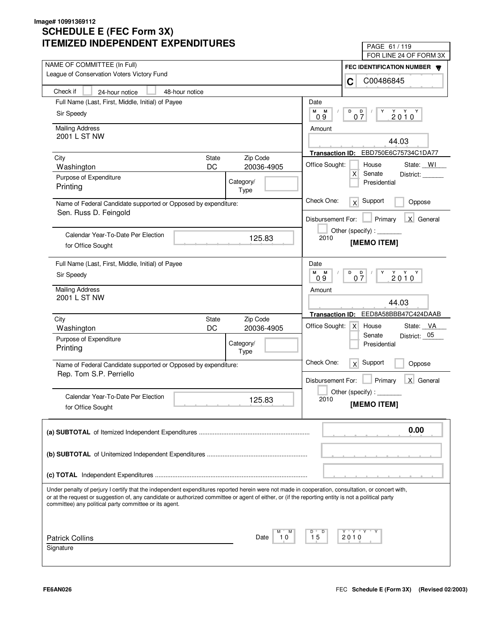| LIVILLU INDLFLINDLINI LAFLINDII UNLS                                                                                                                                                                                                                                                                                                                              | PAGE 61 / 119<br>FOR LINE 24 OF FORM 3X                          |
|-------------------------------------------------------------------------------------------------------------------------------------------------------------------------------------------------------------------------------------------------------------------------------------------------------------------------------------------------------------------|------------------------------------------------------------------|
| NAME OF COMMITTEE (In Full)                                                                                                                                                                                                                                                                                                                                       |                                                                  |
| League of Conservation Voters Victory Fund                                                                                                                                                                                                                                                                                                                        | FEC IDENTIFICATION NUMBER W<br>C00486845                         |
| Check if<br>24-hour notice<br>48-hour notice                                                                                                                                                                                                                                                                                                                      | C                                                                |
| Full Name (Last, First, Middle, Initial) of Payee                                                                                                                                                                                                                                                                                                                 | Date                                                             |
| Sir Speedy                                                                                                                                                                                                                                                                                                                                                        | М<br>D<br>M<br>D                                                 |
|                                                                                                                                                                                                                                                                                                                                                                   | $2010^Y$<br>07<br>09                                             |
| <b>Mailing Address</b>                                                                                                                                                                                                                                                                                                                                            | Amount                                                           |
| 2001 L ST NW                                                                                                                                                                                                                                                                                                                                                      | 44.03                                                            |
|                                                                                                                                                                                                                                                                                                                                                                   | Transaction ID: EBD750E6C75734C1DA77                             |
| <b>State</b><br>Zip Code<br>City<br>DC<br>20036-4905                                                                                                                                                                                                                                                                                                              | Office Sought:<br>House<br>State: WI                             |
| Washington                                                                                                                                                                                                                                                                                                                                                        | X<br>Senate<br>District:                                         |
| Purpose of Expenditure<br>Category/<br>Printing                                                                                                                                                                                                                                                                                                                   | Presidential                                                     |
| Type                                                                                                                                                                                                                                                                                                                                                              |                                                                  |
| Name of Federal Candidate supported or Opposed by expenditure:                                                                                                                                                                                                                                                                                                    | Check One:<br>Support<br>x<br>Oppose                             |
| Sen. Russ D. Feingold                                                                                                                                                                                                                                                                                                                                             | X General<br>Disbursement For:<br>Primary                        |
|                                                                                                                                                                                                                                                                                                                                                                   | Other (specify):                                                 |
| Calendar Year-To-Date Per Election<br>125.83                                                                                                                                                                                                                                                                                                                      | 2010<br>[MEMO ITEM]                                              |
| for Office Sought                                                                                                                                                                                                                                                                                                                                                 |                                                                  |
| Full Name (Last, First, Middle, Initial) of Payee                                                                                                                                                                                                                                                                                                                 | Date                                                             |
| Sir Speedy                                                                                                                                                                                                                                                                                                                                                        | м<br>D<br>$Y$ $Y$ $Y$<br>M<br>$0\frac{D}{7}$<br>Y<br>2010<br>0.9 |
| <b>Mailing Address</b>                                                                                                                                                                                                                                                                                                                                            | Amount                                                           |
| 2001 L ST NW                                                                                                                                                                                                                                                                                                                                                      | 44.03                                                            |
|                                                                                                                                                                                                                                                                                                                                                                   |                                                                  |
| Zip Code<br>City<br><b>State</b>                                                                                                                                                                                                                                                                                                                                  | EED8A58BBB47C424DAAB<br><b>Transaction ID:</b>                   |
| DC<br>20036-4905<br>Washington                                                                                                                                                                                                                                                                                                                                    | Office Sought:<br>State: VA<br>$\mathsf{X}$<br>House             |
| Purpose of Expenditure<br>Category/                                                                                                                                                                                                                                                                                                                               | District: 05<br>Senate<br>Presidential                           |
| Printing<br>Type                                                                                                                                                                                                                                                                                                                                                  |                                                                  |
| Name of Federal Candidate supported or Opposed by expenditure:                                                                                                                                                                                                                                                                                                    | Check One:<br>Support<br>x<br>Oppose                             |
| Rep. Tom S.P. Perriello                                                                                                                                                                                                                                                                                                                                           |                                                                  |
|                                                                                                                                                                                                                                                                                                                                                                   | $\mathsf{X}$<br>Disbursement For:<br>Primary<br>General          |
| Calendar Year-To-Date Per Election<br>125.83                                                                                                                                                                                                                                                                                                                      | Other (specify) : $\overline{\phantom{a}}$<br>2010               |
| for Office Sought                                                                                                                                                                                                                                                                                                                                                 | [MEMO ITEM]                                                      |
|                                                                                                                                                                                                                                                                                                                                                                   |                                                                  |
|                                                                                                                                                                                                                                                                                                                                                                   | 0.00                                                             |
|                                                                                                                                                                                                                                                                                                                                                                   |                                                                  |
|                                                                                                                                                                                                                                                                                                                                                                   |                                                                  |
|                                                                                                                                                                                                                                                                                                                                                                   |                                                                  |
|                                                                                                                                                                                                                                                                                                                                                                   |                                                                  |
| Under penalty of perjury I certify that the independent expenditures reported herein were not made in cooperation, consultation, or concert with,<br>or at the request or suggestion of, any candidate or authorized committee or agent of either, or (if the reporting entity is not a political party<br>committee) any political party committee or its agent. |                                                                  |
|                                                                                                                                                                                                                                                                                                                                                                   |                                                                  |
| м                                                                                                                                                                                                                                                                                                                                                                 | Y "Y "Y<br>D                                                     |
| <b>Patrick Collins</b><br>Date<br>10                                                                                                                                                                                                                                                                                                                              | 15<br>2010                                                       |
| Signature                                                                                                                                                                                                                                                                                                                                                         |                                                                  |
|                                                                                                                                                                                                                                                                                                                                                                   |                                                                  |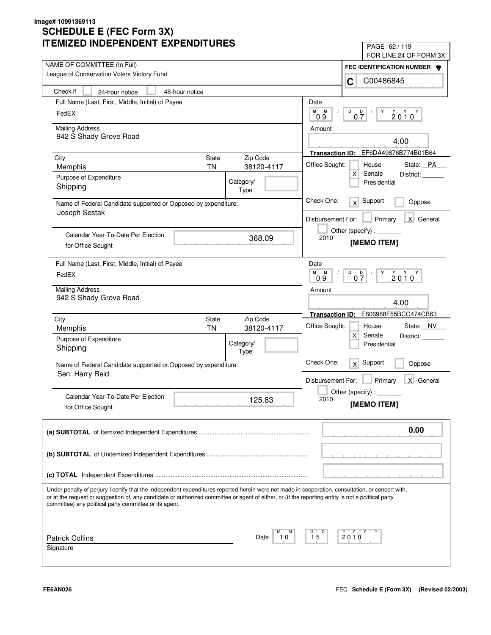| LIVILLU INDLFLNDLNI LAFLNDII UNLJ                                                                                                                  | PAGE 62 / 119                                                                                                                                                                                                                                                                                                                                                                                                                               |
|----------------------------------------------------------------------------------------------------------------------------------------------------|---------------------------------------------------------------------------------------------------------------------------------------------------------------------------------------------------------------------------------------------------------------------------------------------------------------------------------------------------------------------------------------------------------------------------------------------|
| NAME OF COMMITTEE (In Full)                                                                                                                        | FOR LINE 24 OF FORM 3X                                                                                                                                                                                                                                                                                                                                                                                                                      |
| League of Conservation Voters Victory Fund                                                                                                         | FEC IDENTIFICATION NUMBER<br>C00486845<br>C                                                                                                                                                                                                                                                                                                                                                                                                 |
| Check if<br>48-hour notice<br>24-hour notice                                                                                                       |                                                                                                                                                                                                                                                                                                                                                                                                                                             |
| Full Name (Last, First, Middle, Initial) of Payee                                                                                                  | Date                                                                                                                                                                                                                                                                                                                                                                                                                                        |
| FedEX                                                                                                                                              | М<br>М<br>D<br>$0\frac{D}{7}$<br>$2010^Y$                                                                                                                                                                                                                                                                                                                                                                                                   |
|                                                                                                                                                    | 09                                                                                                                                                                                                                                                                                                                                                                                                                                          |
| <b>Mailing Address</b>                                                                                                                             | Amount                                                                                                                                                                                                                                                                                                                                                                                                                                      |
| 942 S Shady Grove Road                                                                                                                             | 4.00                                                                                                                                                                                                                                                                                                                                                                                                                                        |
|                                                                                                                                                    | Transaction ID: EF6DA49876B774B01B64                                                                                                                                                                                                                                                                                                                                                                                                        |
| <b>State</b><br>Zip Code<br>City<br><b>TN</b><br>38120-4117<br>Memphis                                                                             | Office Sought:<br>House<br>State: PA                                                                                                                                                                                                                                                                                                                                                                                                        |
| Purpose of Expenditure                                                                                                                             | X<br>Senate<br>District:                                                                                                                                                                                                                                                                                                                                                                                                                    |
| Category/<br>Shipping                                                                                                                              | Presidential                                                                                                                                                                                                                                                                                                                                                                                                                                |
| Type                                                                                                                                               |                                                                                                                                                                                                                                                                                                                                                                                                                                             |
| Name of Federal Candidate supported or Opposed by expenditure:<br>Joseph Sestak                                                                    | Check One:<br>Support<br>x<br>Oppose                                                                                                                                                                                                                                                                                                                                                                                                        |
|                                                                                                                                                    | X General<br>Disbursement For:<br>Primary                                                                                                                                                                                                                                                                                                                                                                                                   |
|                                                                                                                                                    | Other (specify) : $\sqrt{\frac{1}{2} \cdot \frac{1}{2} \cdot \frac{1}{2} \cdot \frac{1}{2} \cdot \frac{1}{2} \cdot \frac{1}{2} \cdot \frac{1}{2} \cdot \frac{1}{2} \cdot \frac{1}{2} \cdot \frac{1}{2} \cdot \frac{1}{2} \cdot \frac{1}{2} \cdot \frac{1}{2} \cdot \frac{1}{2} \cdot \frac{1}{2} \cdot \frac{1}{2} \cdot \frac{1}{2} \cdot \frac{1}{2} \cdot \frac{1}{2} \cdot \frac{1}{2} \cdot \frac{1}{2} \cdot \frac{1}{2} \cdot \frac$ |
| Calendar Year-To-Date Per Election<br>368.09                                                                                                       | 2010<br>[MEMO ITEM]                                                                                                                                                                                                                                                                                                                                                                                                                         |
| for Office Sought                                                                                                                                  |                                                                                                                                                                                                                                                                                                                                                                                                                                             |
| Full Name (Last, First, Middle, Initial) of Payee                                                                                                  | Date                                                                                                                                                                                                                                                                                                                                                                                                                                        |
| FedEX                                                                                                                                              | M<br>M<br>D<br>$\begin{array}{c}\n\stackrel{\vee}{2} & \stackrel{\vee}{0} & \stackrel{\vee}{0} \\ \end{array}$<br>$0\frac{D}{7}$<br>Y<br>0.9                                                                                                                                                                                                                                                                                                |
| <b>Mailing Address</b>                                                                                                                             |                                                                                                                                                                                                                                                                                                                                                                                                                                             |
| 942 S Shady Grove Road                                                                                                                             | Amount                                                                                                                                                                                                                                                                                                                                                                                                                                      |
|                                                                                                                                                    | 4.00                                                                                                                                                                                                                                                                                                                                                                                                                                        |
| City<br>Zip Code<br>State                                                                                                                          | E606988F55BCC474CB63<br><b>Transaction ID:</b>                                                                                                                                                                                                                                                                                                                                                                                              |
| <b>TN</b><br>38120-4117<br>Memphis                                                                                                                 | Office Sought:<br>House<br>State: NV                                                                                                                                                                                                                                                                                                                                                                                                        |
| Purpose of Expenditure<br>Category/                                                                                                                | X<br>Senate<br>District:<br>Presidential                                                                                                                                                                                                                                                                                                                                                                                                    |
| Shipping<br>Type                                                                                                                                   |                                                                                                                                                                                                                                                                                                                                                                                                                                             |
| Name of Federal Candidate supported or Opposed by expenditure:                                                                                     | Check One:<br>Support<br>x<br>Oppose                                                                                                                                                                                                                                                                                                                                                                                                        |
| Sen. Harry Reid                                                                                                                                    |                                                                                                                                                                                                                                                                                                                                                                                                                                             |
|                                                                                                                                                    | Disbursement For:<br>Primary<br>X General                                                                                                                                                                                                                                                                                                                                                                                                   |
| Calendar Year-To-Date Per Election                                                                                                                 | Other (specify) : $\_$<br>2010                                                                                                                                                                                                                                                                                                                                                                                                              |
| 125.83<br>for Office Sought                                                                                                                        | [MEMO ITEM]                                                                                                                                                                                                                                                                                                                                                                                                                                 |
|                                                                                                                                                    |                                                                                                                                                                                                                                                                                                                                                                                                                                             |
|                                                                                                                                                    | 0.00                                                                                                                                                                                                                                                                                                                                                                                                                                        |
|                                                                                                                                                    |                                                                                                                                                                                                                                                                                                                                                                                                                                             |
|                                                                                                                                                    |                                                                                                                                                                                                                                                                                                                                                                                                                                             |
|                                                                                                                                                    |                                                                                                                                                                                                                                                                                                                                                                                                                                             |
|                                                                                                                                                    |                                                                                                                                                                                                                                                                                                                                                                                                                                             |
| Under penalty of perjury I certify that the independent expenditures reported herein were not made in cooperation, consultation, or concert with,  |                                                                                                                                                                                                                                                                                                                                                                                                                                             |
| or at the request or suggestion of, any candidate or authorized committee or agent of either, or (if the reporting entity is not a political party |                                                                                                                                                                                                                                                                                                                                                                                                                                             |
| committee) any political party committee or its agent.                                                                                             |                                                                                                                                                                                                                                                                                                                                                                                                                                             |
|                                                                                                                                                    |                                                                                                                                                                                                                                                                                                                                                                                                                                             |
|                                                                                                                                                    | Y "Y "Y "<br>D                                                                                                                                                                                                                                                                                                                                                                                                                              |
| <b>Patrick Collins</b><br>Date<br>10                                                                                                               | 15<br>2010                                                                                                                                                                                                                                                                                                                                                                                                                                  |
| Signature                                                                                                                                          |                                                                                                                                                                                                                                                                                                                                                                                                                                             |
|                                                                                                                                                    |                                                                                                                                                                                                                                                                                                                                                                                                                                             |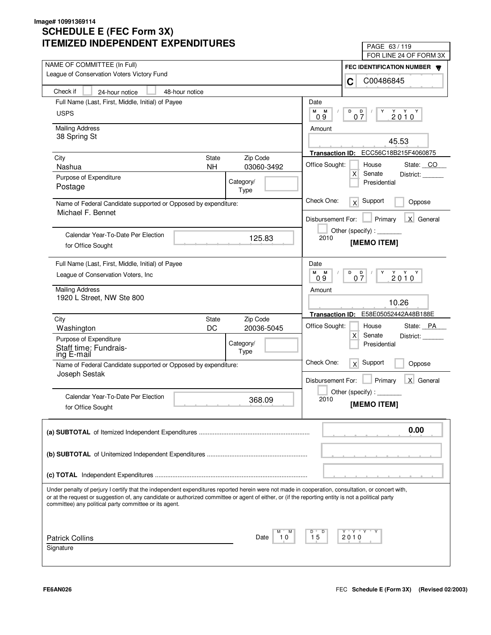| LIMILLD INDLFLNDLNI LAFLNDII UNLS                                                                                                                                                                                                                                                                                                                                 | PAGE 63/119                                             |
|-------------------------------------------------------------------------------------------------------------------------------------------------------------------------------------------------------------------------------------------------------------------------------------------------------------------------------------------------------------------|---------------------------------------------------------|
| NAME OF COMMITTEE (In Full)                                                                                                                                                                                                                                                                                                                                       | FOR LINE 24 OF FORM 3X                                  |
| League of Conservation Voters Victory Fund                                                                                                                                                                                                                                                                                                                        | FEC IDENTIFICATION NUMBER <b>W</b>                      |
|                                                                                                                                                                                                                                                                                                                                                                   | C00486845<br>C                                          |
| Check if<br>48-hour notice<br>24-hour notice                                                                                                                                                                                                                                                                                                                      |                                                         |
| Full Name (Last, First, Middle, Initial) of Payee                                                                                                                                                                                                                                                                                                                 | Date                                                    |
| <b>USPS</b>                                                                                                                                                                                                                                                                                                                                                       | М<br>М<br>D<br>$2010^Y$<br>$0\frac{D}{7}$<br>0.9        |
| <b>Mailing Address</b>                                                                                                                                                                                                                                                                                                                                            | Amount                                                  |
| 38 Spring St                                                                                                                                                                                                                                                                                                                                                      | 45.53                                                   |
|                                                                                                                                                                                                                                                                                                                                                                   |                                                         |
| City<br><b>State</b><br>Zip Code                                                                                                                                                                                                                                                                                                                                  | ECC56C18B215F4060875<br><b>Transaction ID:</b>          |
| <b>NH</b><br>03060-3492<br>Nashua                                                                                                                                                                                                                                                                                                                                 | Office Sought:<br>House<br>State: CO<br>Senate          |
| Purpose of Expenditure<br>Category/                                                                                                                                                                                                                                                                                                                               | Х<br>District:<br>Presidential                          |
| Postage<br>Type                                                                                                                                                                                                                                                                                                                                                   |                                                         |
| Name of Federal Candidate supported or Opposed by expenditure:                                                                                                                                                                                                                                                                                                    | Check One:<br>Support<br>x<br>Oppose                    |
| Michael F. Bennet                                                                                                                                                                                                                                                                                                                                                 | X General<br>Disbursement For:<br>Primary               |
|                                                                                                                                                                                                                                                                                                                                                                   | Other (specify):                                        |
| Calendar Year-To-Date Per Election<br>125.83                                                                                                                                                                                                                                                                                                                      | 2010<br>[MEMO ITEM]                                     |
| for Office Sought                                                                                                                                                                                                                                                                                                                                                 |                                                         |
| Full Name (Last, First, Middle, Initial) of Payee                                                                                                                                                                                                                                                                                                                 | Date                                                    |
| League of Conservation Voters, Inc.                                                                                                                                                                                                                                                                                                                               | м<br>D<br>Y Y Y<br>M<br>D<br>Y<br>07<br>2010<br>09      |
|                                                                                                                                                                                                                                                                                                                                                                   |                                                         |
| <b>Mailing Address</b><br>1920 L Street, NW Ste 800                                                                                                                                                                                                                                                                                                               | Amount                                                  |
|                                                                                                                                                                                                                                                                                                                                                                   | 10.26                                                   |
| Zip Code<br>City<br><b>State</b>                                                                                                                                                                                                                                                                                                                                  | E58E05052442A48B188E<br><b>Transaction ID:</b>          |
| DC<br>20036-5045<br>Washington                                                                                                                                                                                                                                                                                                                                    | Office Sought:<br>State: PA<br>House                    |
| Purpose of Expenditure<br>Category/                                                                                                                                                                                                                                                                                                                               | X<br>Senate<br>District:<br>Presidential                |
| Staff time: Fundrais-<br>Type<br>ing E-mail                                                                                                                                                                                                                                                                                                                       |                                                         |
| Name of Federal Candidate supported or Opposed by expenditure:                                                                                                                                                                                                                                                                                                    | Check One:<br>Support<br>x<br>Oppose                    |
| Joseph Sestak                                                                                                                                                                                                                                                                                                                                                     |                                                         |
|                                                                                                                                                                                                                                                                                                                                                                   | Primary<br>$\mathsf{X}$<br>General<br>Disbursement For: |
| Calendar Year-To-Date Per Election<br>368.09                                                                                                                                                                                                                                                                                                                      | Other (specify) : $\overline{\phantom{a}}$<br>2010      |
| for Office Sought                                                                                                                                                                                                                                                                                                                                                 | [MEMO ITEM]                                             |
|                                                                                                                                                                                                                                                                                                                                                                   |                                                         |
|                                                                                                                                                                                                                                                                                                                                                                   | 0.00                                                    |
|                                                                                                                                                                                                                                                                                                                                                                   |                                                         |
|                                                                                                                                                                                                                                                                                                                                                                   |                                                         |
|                                                                                                                                                                                                                                                                                                                                                                   |                                                         |
|                                                                                                                                                                                                                                                                                                                                                                   |                                                         |
| Under penalty of perjury I certify that the independent expenditures reported herein were not made in cooperation, consultation, or concert with,<br>or at the request or suggestion of, any candidate or authorized committee or agent of either, or (if the reporting entity is not a political party<br>committee) any political party committee or its agent. |                                                         |
|                                                                                                                                                                                                                                                                                                                                                                   |                                                         |
|                                                                                                                                                                                                                                                                                                                                                                   | Y "Y "Y<br>D                                            |
| <b>Patrick Collins</b><br>Date<br>10                                                                                                                                                                                                                                                                                                                              | 15<br>2010                                              |
| Signature                                                                                                                                                                                                                                                                                                                                                         |                                                         |
|                                                                                                                                                                                                                                                                                                                                                                   |                                                         |

٦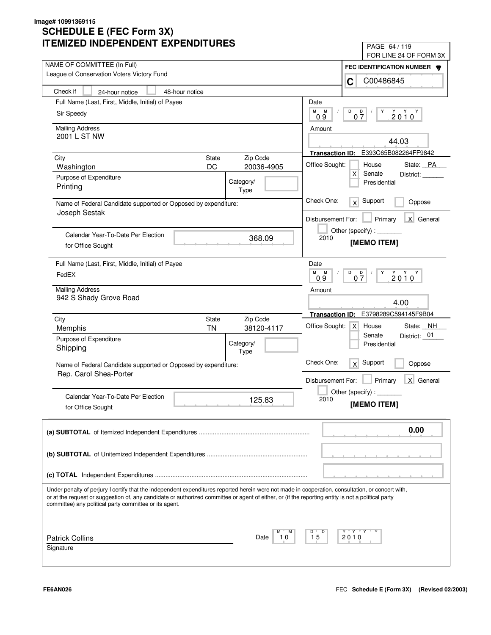| LIVILLU INDLFLNDLNI LAFLNDII UNLJ                                                                                                                                                                            | PAGE 64 / 119                                                                                                                                                                                                                                                                                                                                                                                                                                       |
|--------------------------------------------------------------------------------------------------------------------------------------------------------------------------------------------------------------|-----------------------------------------------------------------------------------------------------------------------------------------------------------------------------------------------------------------------------------------------------------------------------------------------------------------------------------------------------------------------------------------------------------------------------------------------------|
| NAME OF COMMITTEE (In Full)                                                                                                                                                                                  | FOR LINE 24 OF FORM 3X                                                                                                                                                                                                                                                                                                                                                                                                                              |
| League of Conservation Voters Victory Fund                                                                                                                                                                   | FEC IDENTIFICATION NUMBER<br>C00486845<br>C                                                                                                                                                                                                                                                                                                                                                                                                         |
| Check if<br>24-hour notice<br>48-hour notice                                                                                                                                                                 |                                                                                                                                                                                                                                                                                                                                                                                                                                                     |
| Full Name (Last, First, Middle, Initial) of Payee                                                                                                                                                            | Date                                                                                                                                                                                                                                                                                                                                                                                                                                                |
| Sir Speedy                                                                                                                                                                                                   | M<br>М<br>D<br>D<br>$2010^Y$<br>07<br>09                                                                                                                                                                                                                                                                                                                                                                                                            |
| <b>Mailing Address</b>                                                                                                                                                                                       | Amount                                                                                                                                                                                                                                                                                                                                                                                                                                              |
| 2001 L ST NW                                                                                                                                                                                                 | 44.03                                                                                                                                                                                                                                                                                                                                                                                                                                               |
|                                                                                                                                                                                                              | E393C65B082264FF9842<br><b>Transaction ID:</b>                                                                                                                                                                                                                                                                                                                                                                                                      |
| <b>State</b><br>Zip Code<br>City                                                                                                                                                                             | Office Sought:<br>House<br>State: PA                                                                                                                                                                                                                                                                                                                                                                                                                |
| DC<br>20036-4905<br>Washington                                                                                                                                                                               | X<br>Senate<br>District:                                                                                                                                                                                                                                                                                                                                                                                                                            |
| Purpose of Expenditure<br>Category/<br>Printing<br>Type                                                                                                                                                      | Presidential                                                                                                                                                                                                                                                                                                                                                                                                                                        |
| Name of Federal Candidate supported or Opposed by expenditure:                                                                                                                                               | Check One:<br>Support<br>x<br>Oppose                                                                                                                                                                                                                                                                                                                                                                                                                |
| Joseph Sestak                                                                                                                                                                                                | X General<br>Disbursement For:<br>Primary                                                                                                                                                                                                                                                                                                                                                                                                           |
| Calendar Year-To-Date Per Election<br>368.09                                                                                                                                                                 | Other (specify) : $\sqrt{\frac{1}{2} \cdot \frac{1}{2} \cdot \frac{1}{2} \cdot \frac{1}{2} \cdot \frac{1}{2} \cdot \frac{1}{2} \cdot \frac{1}{2} \cdot \frac{1}{2} \cdot \frac{1}{2} \cdot \frac{1}{2} \cdot \frac{1}{2} \cdot \frac{1}{2} \cdot \frac{1}{2} \cdot \frac{1}{2} \cdot \frac{1}{2} \cdot \frac{1}{2} \cdot \frac{1}{2} \cdot \frac{1}{2} \cdot \frac{1}{2} \cdot \frac{1}{2} \cdot \frac{1}{2} \cdot \frac{1}{2} \cdot \frac$<br>2010 |
| for Office Sought                                                                                                                                                                                            | [MEMO ITEM]                                                                                                                                                                                                                                                                                                                                                                                                                                         |
| Full Name (Last, First, Middle, Initial) of Payee                                                                                                                                                            | Date                                                                                                                                                                                                                                                                                                                                                                                                                                                |
| FedEX                                                                                                                                                                                                        | M<br>M<br>D<br>$2010^Y$<br>$0\frac{D}{7}$<br>Y<br>0.9                                                                                                                                                                                                                                                                                                                                                                                               |
| <b>Mailing Address</b>                                                                                                                                                                                       | Amount                                                                                                                                                                                                                                                                                                                                                                                                                                              |
| 942 S Shady Grove Road                                                                                                                                                                                       | 4.00                                                                                                                                                                                                                                                                                                                                                                                                                                                |
| City<br>Zip Code<br>State                                                                                                                                                                                    | E3798289C594145F9B04<br><b>Transaction ID:</b>                                                                                                                                                                                                                                                                                                                                                                                                      |
| <b>TN</b><br>38120-4117<br>Memphis                                                                                                                                                                           | Office Sought:<br>State: NH<br>$\times$<br>House<br>Senate<br>District: 01                                                                                                                                                                                                                                                                                                                                                                          |
| Purpose of Expenditure<br>Category/                                                                                                                                                                          | Presidential                                                                                                                                                                                                                                                                                                                                                                                                                                        |
| Shipping<br>Type                                                                                                                                                                                             |                                                                                                                                                                                                                                                                                                                                                                                                                                                     |
| Name of Federal Candidate supported or Opposed by expenditure:                                                                                                                                               | Check One:<br>Support<br>x<br>Oppose                                                                                                                                                                                                                                                                                                                                                                                                                |
| Rep. Carol Shea-Porter                                                                                                                                                                                       | Primary<br>X General<br>Disbursement For:                                                                                                                                                                                                                                                                                                                                                                                                           |
|                                                                                                                                                                                                              | Other (specify) : $\overline{\phantom{a}}$                                                                                                                                                                                                                                                                                                                                                                                                          |
| Calendar Year-To-Date Per Election<br>125.83<br>for Office Sought                                                                                                                                            | 2010<br>[MEMO ITEM]                                                                                                                                                                                                                                                                                                                                                                                                                                 |
|                                                                                                                                                                                                              |                                                                                                                                                                                                                                                                                                                                                                                                                                                     |
|                                                                                                                                                                                                              | 0.00                                                                                                                                                                                                                                                                                                                                                                                                                                                |
|                                                                                                                                                                                                              |                                                                                                                                                                                                                                                                                                                                                                                                                                                     |
|                                                                                                                                                                                                              |                                                                                                                                                                                                                                                                                                                                                                                                                                                     |
| Under penalty of perjury I certify that the independent expenditures reported herein were not made in cooperation, consultation, or concert with,                                                            |                                                                                                                                                                                                                                                                                                                                                                                                                                                     |
| or at the request or suggestion of, any candidate or authorized committee or agent of either, or (if the reporting entity is not a political party<br>committee) any political party committee or its agent. |                                                                                                                                                                                                                                                                                                                                                                                                                                                     |
|                                                                                                                                                                                                              |                                                                                                                                                                                                                                                                                                                                                                                                                                                     |
|                                                                                                                                                                                                              | Y "Y "Y "<br>D<br>15                                                                                                                                                                                                                                                                                                                                                                                                                                |
| <b>Patrick Collins</b><br>Date<br>10<br>Signature                                                                                                                                                            | 2010                                                                                                                                                                                                                                                                                                                                                                                                                                                |
|                                                                                                                                                                                                              |                                                                                                                                                                                                                                                                                                                                                                                                                                                     |
|                                                                                                                                                                                                              |                                                                                                                                                                                                                                                                                                                                                                                                                                                     |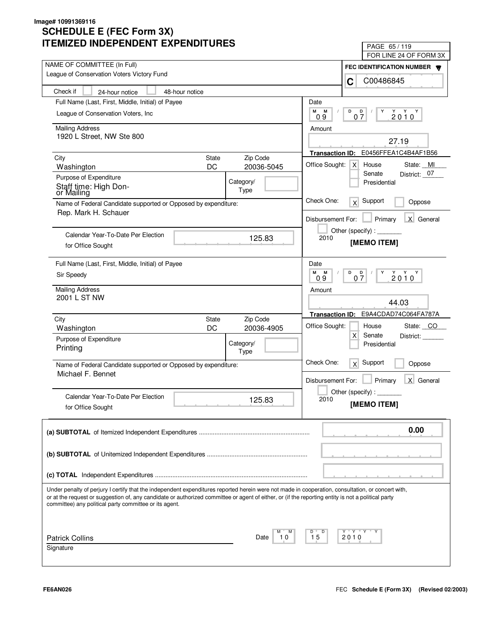| LIVILLU INDLFLNDLNI LAFLNDII UNLJ                                                                                                                  | PAGE 65/119                                    |
|----------------------------------------------------------------------------------------------------------------------------------------------------|------------------------------------------------|
| NAME OF COMMITTEE (In Full)                                                                                                                        | FOR LINE 24 OF FORM 3X                         |
| League of Conservation Voters Victory Fund                                                                                                         | FEC IDENTIFICATION NUMBER                      |
|                                                                                                                                                    | C00486845<br>C                                 |
| Check if<br>48-hour notice<br>24-hour notice                                                                                                       |                                                |
| Full Name (Last, First, Middle, Initial) of Payee                                                                                                  | Date                                           |
| League of Conservation Voters, Inc.                                                                                                                | М<br>М<br>D<br>D<br>Y<br>$2010^Y$<br>07<br>09  |
| <b>Mailing Address</b>                                                                                                                             | Amount                                         |
| 1920 L Street, NW Ste 800                                                                                                                          | 27.19                                          |
|                                                                                                                                                    | E0456FFEA1C4B4AF1B56<br><b>Transaction ID:</b> |
| Zip Code<br>City<br><b>State</b>                                                                                                                   | Office Sought:<br>House<br>State: MI           |
| DC<br>20036-5045<br>Washington                                                                                                                     | $\times$<br>District: 07<br>Senate             |
| Purpose of Expenditure<br>Category/                                                                                                                | Presidential                                   |
| Staff time: High Don-<br>Type<br>or Mailing                                                                                                        |                                                |
| Name of Federal Candidate supported or Opposed by expenditure:                                                                                     | Check One:<br>Support<br>x<br>Oppose           |
| Rep. Mark H. Schauer                                                                                                                               | X General<br>Disbursement For:<br>Primary      |
|                                                                                                                                                    | Other (specify):                               |
| Calendar Year-To-Date Per Election<br>125.83                                                                                                       | 2010                                           |
| for Office Sought                                                                                                                                  | [MEMO ITEM]                                    |
| Full Name (Last, First, Middle, Initial) of Payee                                                                                                  | Date                                           |
| Sir Speedy                                                                                                                                         | м<br>M<br>D<br>$2010^{\gamma}$<br>D<br>Y       |
|                                                                                                                                                    | 07<br>09                                       |
| <b>Mailing Address</b><br>2001 L ST NW                                                                                                             | Amount                                         |
|                                                                                                                                                    | 44.03                                          |
| Zip Code<br>City<br><b>State</b>                                                                                                                   | E9A4CDAD74C064FA787A<br><b>Transaction ID:</b> |
| DC<br>20036-4905<br>Washington                                                                                                                     | Office Sought:<br>State: CO<br>House           |
| Purpose of Expenditure                                                                                                                             | $\mathsf{X}$<br>Senate<br>District:            |
| Category/<br>Printing<br>Type                                                                                                                      | Presidential                                   |
| Name of Federal Candidate supported or Opposed by expenditure:                                                                                     | Check One:<br>Support<br>x<br>Oppose           |
| Michael F. Bennet                                                                                                                                  |                                                |
|                                                                                                                                                    | Primary<br>X General<br>Disbursement For:      |
| Calendar Year-To-Date Per Election                                                                                                                 | Other (specify):                               |
| 125.83<br>for Office Sought                                                                                                                        | 2010<br>[MEMO ITEM]                            |
|                                                                                                                                                    |                                                |
|                                                                                                                                                    | 0.00                                           |
|                                                                                                                                                    |                                                |
|                                                                                                                                                    |                                                |
|                                                                                                                                                    |                                                |
|                                                                                                                                                    |                                                |
| Under penalty of perjury I certify that the independent expenditures reported herein were not made in cooperation, consultation, or concert with,  |                                                |
| or at the request or suggestion of, any candidate or authorized committee or agent of either, or (if the reporting entity is not a political party |                                                |
| committee) any political party committee or its agent.                                                                                             |                                                |
|                                                                                                                                                    |                                                |
|                                                                                                                                                    | Y "Y "Y<br>D                                   |
| <b>Patrick Collins</b><br>10<br>Date                                                                                                               | 15<br>2010                                     |
| Signature                                                                                                                                          |                                                |
|                                                                                                                                                    |                                                |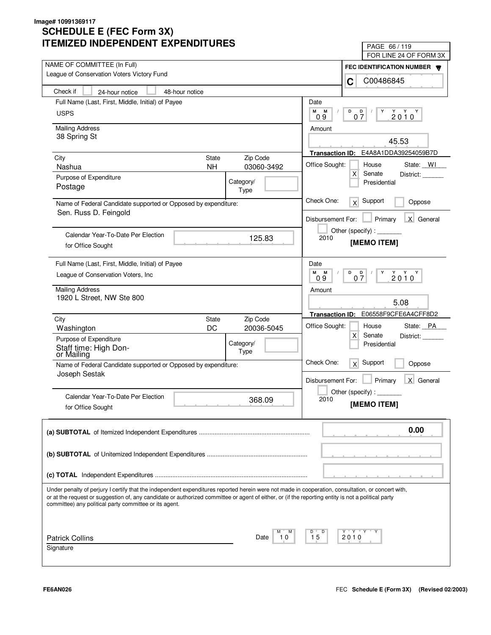| IMILLU INDLFLINDLINI LAFLINDII UNLJ                                                                                                                                                                                                                                                                     | PAGE 66/119                                                     |
|---------------------------------------------------------------------------------------------------------------------------------------------------------------------------------------------------------------------------------------------------------------------------------------------------------|-----------------------------------------------------------------|
| NAME OF COMMITTEE (In Full)                                                                                                                                                                                                                                                                             | FOR LINE 24 OF FORM 3X                                          |
| League of Conservation Voters Victory Fund                                                                                                                                                                                                                                                              | FEC IDENTIFICATION NUMBER                                       |
|                                                                                                                                                                                                                                                                                                         | C00486845<br>C                                                  |
| Check if<br>48-hour notice<br>24-hour notice                                                                                                                                                                                                                                                            |                                                                 |
| Full Name (Last, First, Middle, Initial) of Payee                                                                                                                                                                                                                                                       | Date                                                            |
| <b>USPS</b>                                                                                                                                                                                                                                                                                             | М<br>M<br>D<br>D<br>Y<br>$2010^Y$<br>07<br>09                   |
| <b>Mailing Address</b>                                                                                                                                                                                                                                                                                  | Amount                                                          |
| 38 Spring St                                                                                                                                                                                                                                                                                            |                                                                 |
|                                                                                                                                                                                                                                                                                                         | 45.53                                                           |
| <b>State</b><br>Zip Code<br>City                                                                                                                                                                                                                                                                        | Transaction ID: E4A8A1DDA39254059B7D                            |
| 03060-3492<br>Nashua<br><b>NH</b>                                                                                                                                                                                                                                                                       | Office Sought:<br>House<br>State: WI                            |
| Purpose of Expenditure<br>Category/                                                                                                                                                                                                                                                                     | $\mathsf{X}$<br>Senate<br>District:<br>Presidential             |
| Postage<br>Type                                                                                                                                                                                                                                                                                         |                                                                 |
| Name of Federal Candidate supported or Opposed by expenditure:                                                                                                                                                                                                                                          | Check One:<br>Support<br>x<br>Oppose                            |
| Sen. Russ D. Feingold                                                                                                                                                                                                                                                                                   |                                                                 |
|                                                                                                                                                                                                                                                                                                         | X General<br>Disbursement For:<br>Primary                       |
| Calendar Year-To-Date Per Election                                                                                                                                                                                                                                                                      | Other (specify) : $\sqrt{\frac{1}{2} \sum_{r=1}^{r} (r - r)^2}$ |
| 125.83<br>for Office Sought                                                                                                                                                                                                                                                                             | 2010<br>[MEMO ITEM]                                             |
|                                                                                                                                                                                                                                                                                                         |                                                                 |
| Full Name (Last, First, Middle, Initial) of Payee                                                                                                                                                                                                                                                       | Date                                                            |
| League of Conservation Voters, Inc.                                                                                                                                                                                                                                                                     | м<br>M<br>D<br>Y<br>$2010^{\gamma}$<br>$0\frac{D}{7}$<br>0.9    |
| <b>Mailing Address</b>                                                                                                                                                                                                                                                                                  | Amount                                                          |
| 1920 L Street, NW Ste 800                                                                                                                                                                                                                                                                               | 5.08                                                            |
|                                                                                                                                                                                                                                                                                                         |                                                                 |
| Zip Code<br>City<br><b>State</b>                                                                                                                                                                                                                                                                        | E06558F9CFE6A4CFF8D2<br><b>Transaction ID:</b>                  |
| DC<br>20036-5045<br>Washington                                                                                                                                                                                                                                                                          | Office Sought:<br>State: PA<br>House                            |
| Purpose of Expenditure<br>Category/                                                                                                                                                                                                                                                                     | $\mathsf{X}$<br>Senate<br>District:<br>Presidential             |
| Staff time: High Don-<br>Type<br>or Mailing                                                                                                                                                                                                                                                             |                                                                 |
| Name of Federal Candidate supported or Opposed by expenditure:                                                                                                                                                                                                                                          | Check One:<br>Support<br>x<br>Oppose                            |
| Joseph Sestak                                                                                                                                                                                                                                                                                           |                                                                 |
|                                                                                                                                                                                                                                                                                                         | Primary<br>X General<br>Disbursement For:                       |
| Calendar Year-To-Date Per Election<br>368.09                                                                                                                                                                                                                                                            | Other (specify) : $\overline{\phantom{a}}$<br>2010              |
| for Office Sought                                                                                                                                                                                                                                                                                       | [MEMO ITEM]                                                     |
|                                                                                                                                                                                                                                                                                                         |                                                                 |
|                                                                                                                                                                                                                                                                                                         | 0.00                                                            |
|                                                                                                                                                                                                                                                                                                         |                                                                 |
|                                                                                                                                                                                                                                                                                                         |                                                                 |
|                                                                                                                                                                                                                                                                                                         |                                                                 |
|                                                                                                                                                                                                                                                                                                         |                                                                 |
|                                                                                                                                                                                                                                                                                                         |                                                                 |
| Under penalty of perjury I certify that the independent expenditures reported herein were not made in cooperation, consultation, or concert with,<br>or at the request or suggestion of, any candidate or authorized committee or agent of either, or (if the reporting entity is not a political party |                                                                 |
| committee) any political party committee or its agent.                                                                                                                                                                                                                                                  |                                                                 |
|                                                                                                                                                                                                                                                                                                         |                                                                 |
|                                                                                                                                                                                                                                                                                                         | Y "Y "Y<br>D                                                    |
| <b>Patrick Collins</b><br>Date<br>10                                                                                                                                                                                                                                                                    | 15<br>2010                                                      |
| Signature                                                                                                                                                                                                                                                                                               |                                                                 |
|                                                                                                                                                                                                                                                                                                         |                                                                 |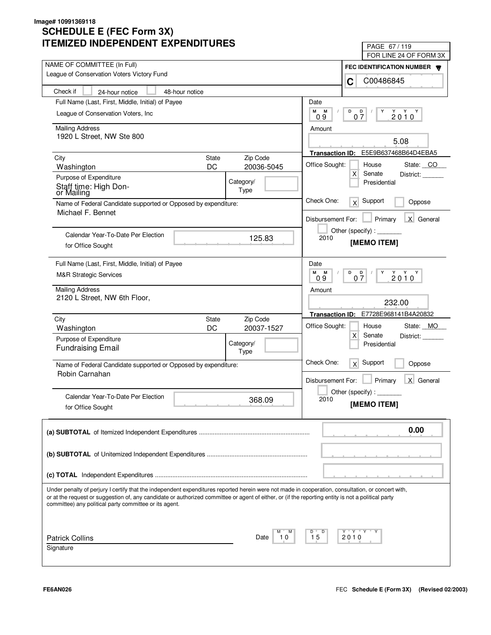| LIVILLU INDLFLNDLNI LAFLNDII UNLJ                                                                                                                                                                                                                                                                       | PAGE 67/119                                                |
|---------------------------------------------------------------------------------------------------------------------------------------------------------------------------------------------------------------------------------------------------------------------------------------------------------|------------------------------------------------------------|
| NAME OF COMMITTEE (In Full)                                                                                                                                                                                                                                                                             | FOR LINE 24 OF FORM 3X                                     |
| League of Conservation Voters Victory Fund                                                                                                                                                                                                                                                              | FEC IDENTIFICATION NUMBER                                  |
|                                                                                                                                                                                                                                                                                                         | C00486845<br>C                                             |
| Check if<br>48-hour notice<br>24-hour notice                                                                                                                                                                                                                                                            |                                                            |
| Full Name (Last, First, Middle, Initial) of Payee                                                                                                                                                                                                                                                       | Date                                                       |
| League of Conservation Voters, Inc.                                                                                                                                                                                                                                                                     | М<br>M<br>D<br>D<br>Y<br>$2010^Y$<br>07<br>09              |
| <b>Mailing Address</b>                                                                                                                                                                                                                                                                                  | Amount                                                     |
| 1920 L Street, NW Ste 800                                                                                                                                                                                                                                                                               |                                                            |
|                                                                                                                                                                                                                                                                                                         | 5.08                                                       |
| Zip Code<br>City<br><b>State</b>                                                                                                                                                                                                                                                                        | E5E9B637468B64D4EBA5<br><b>Transaction ID:</b>             |
| DC<br>20036-5045<br>Washington                                                                                                                                                                                                                                                                          | Office Sought:<br>House<br>State: CO                       |
| Purpose of Expenditure<br>Category/                                                                                                                                                                                                                                                                     | $\mathsf{X}$<br>Senate<br>District:<br>Presidential        |
| Staff time: High Don-<br>Type<br>or Mailing                                                                                                                                                                                                                                                             |                                                            |
| Name of Federal Candidate supported or Opposed by expenditure:                                                                                                                                                                                                                                          | Check One:<br>Support<br>x<br>Oppose                       |
| Michael F. Bennet                                                                                                                                                                                                                                                                                       |                                                            |
|                                                                                                                                                                                                                                                                                                         | X General<br>Disbursement For:<br>Primary                  |
| Calendar Year-To-Date Per Election                                                                                                                                                                                                                                                                      | Other (specify):                                           |
| 125.83<br>for Office Sought                                                                                                                                                                                                                                                                             | 2010<br>[MEMO ITEM]                                        |
|                                                                                                                                                                                                                                                                                                         |                                                            |
| Full Name (Last, First, Middle, Initial) of Payee                                                                                                                                                                                                                                                       | Date                                                       |
| <b>M&amp;R Strategic Services</b>                                                                                                                                                                                                                                                                       | M<br>M<br>D<br>$2010^Y$<br>$\overline{Q}$<br>Y<br>07<br>09 |
| <b>Mailing Address</b>                                                                                                                                                                                                                                                                                  | Amount                                                     |
| 2120 L Street, NW 6th Floor,                                                                                                                                                                                                                                                                            |                                                            |
|                                                                                                                                                                                                                                                                                                         | 232.00                                                     |
| Zip Code<br>City<br><b>State</b>                                                                                                                                                                                                                                                                        | E7728E968141B4A20832<br><b>Transaction ID:</b>             |
| DC<br>20037-1527<br>Washington                                                                                                                                                                                                                                                                          | Office Sought:<br>State: MO<br>House                       |
| Purpose of Expenditure<br>Category/                                                                                                                                                                                                                                                                     | $\mathsf{X}$<br>Senate<br>District:<br>Presidential        |
| <b>Fundraising Email</b><br>Type                                                                                                                                                                                                                                                                        |                                                            |
| Name of Federal Candidate supported or Opposed by expenditure:                                                                                                                                                                                                                                          | Check One:<br>Support<br>x<br>Oppose                       |
| Robin Carnahan                                                                                                                                                                                                                                                                                          |                                                            |
|                                                                                                                                                                                                                                                                                                         | Primary<br>X General<br>Disbursement For:                  |
| Calendar Year-To-Date Per Election                                                                                                                                                                                                                                                                      | Other (specify):                                           |
| 368.09<br>for Office Sought                                                                                                                                                                                                                                                                             | 2010<br>[MEMO ITEM]                                        |
|                                                                                                                                                                                                                                                                                                         |                                                            |
|                                                                                                                                                                                                                                                                                                         | 0.00                                                       |
|                                                                                                                                                                                                                                                                                                         |                                                            |
|                                                                                                                                                                                                                                                                                                         |                                                            |
|                                                                                                                                                                                                                                                                                                         |                                                            |
|                                                                                                                                                                                                                                                                                                         |                                                            |
|                                                                                                                                                                                                                                                                                                         |                                                            |
| Under penalty of perjury I certify that the independent expenditures reported herein were not made in cooperation, consultation, or concert with,<br>or at the request or suggestion of, any candidate or authorized committee or agent of either, or (if the reporting entity is not a political party |                                                            |
| committee) any political party committee or its agent.                                                                                                                                                                                                                                                  |                                                            |
|                                                                                                                                                                                                                                                                                                         |                                                            |
|                                                                                                                                                                                                                                                                                                         |                                                            |
| <b>Patrick Collins</b><br>10<br>Date                                                                                                                                                                                                                                                                    | Y "Y "Y<br>D<br>15<br>2010                                 |
| Signature                                                                                                                                                                                                                                                                                               |                                                            |
|                                                                                                                                                                                                                                                                                                         |                                                            |
|                                                                                                                                                                                                                                                                                                         |                                                            |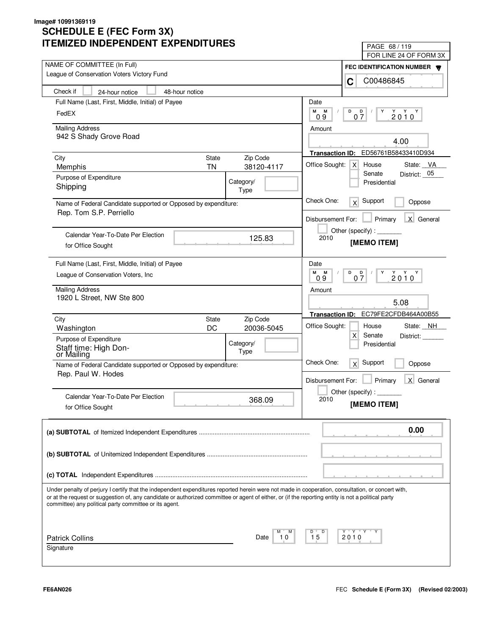| LIVILLU INDLFLNDLNI LAFLNDII UNLJ                                                                                                                                                                                                                                                                                                                                 | PAGE 68 / 119                                                  |
|-------------------------------------------------------------------------------------------------------------------------------------------------------------------------------------------------------------------------------------------------------------------------------------------------------------------------------------------------------------------|----------------------------------------------------------------|
| NAME OF COMMITTEE (In Full)                                                                                                                                                                                                                                                                                                                                       | FOR LINE 24 OF FORM 3X                                         |
| League of Conservation Voters Victory Fund                                                                                                                                                                                                                                                                                                                        | FEC IDENTIFICATION NUMBER                                      |
|                                                                                                                                                                                                                                                                                                                                                                   | C00486845<br>C                                                 |
| Check if<br>48-hour notice<br>24-hour notice                                                                                                                                                                                                                                                                                                                      |                                                                |
| Full Name (Last, First, Middle, Initial) of Payee                                                                                                                                                                                                                                                                                                                 | Date                                                           |
| FedEX                                                                                                                                                                                                                                                                                                                                                             | М<br>M<br>D<br>D<br>Y<br>$2010^Y$<br>07<br>09                  |
| <b>Mailing Address</b>                                                                                                                                                                                                                                                                                                                                            | Amount                                                         |
| 942 S Shady Grove Road                                                                                                                                                                                                                                                                                                                                            | 4.00                                                           |
|                                                                                                                                                                                                                                                                                                                                                                   | ED56761B58433410D934                                           |
| <b>State</b><br>Zip Code<br>City                                                                                                                                                                                                                                                                                                                                  | <b>Transaction ID:</b>                                         |
| <b>TN</b><br>38120-4117<br>Memphis                                                                                                                                                                                                                                                                                                                                | Office Sought:<br>House<br>State: VA<br>$\times$<br>Senate     |
| Purpose of Expenditure<br>Category/                                                                                                                                                                                                                                                                                                                               | District: 05<br>Presidential                                   |
| Shipping<br>Type                                                                                                                                                                                                                                                                                                                                                  |                                                                |
| Name of Federal Candidate supported or Opposed by expenditure:                                                                                                                                                                                                                                                                                                    | Check One:<br>Support<br>x<br>Oppose                           |
| Rep. Tom S.P. Perriello                                                                                                                                                                                                                                                                                                                                           | X General<br>Disbursement For:<br>Primary                      |
|                                                                                                                                                                                                                                                                                                                                                                   | Other (specify):                                               |
| Calendar Year-To-Date Per Election<br>125.83                                                                                                                                                                                                                                                                                                                      | 2010                                                           |
| for Office Sought                                                                                                                                                                                                                                                                                                                                                 | [MEMO ITEM]                                                    |
| Full Name (Last, First, Middle, Initial) of Payee                                                                                                                                                                                                                                                                                                                 | Date                                                           |
| League of Conservation Voters, Inc.                                                                                                                                                                                                                                                                                                                               | м<br>M<br>D<br>$2010^{\gamma}$<br>D<br>Y<br>07<br>09           |
| <b>Mailing Address</b>                                                                                                                                                                                                                                                                                                                                            | Amount                                                         |
| 1920 L Street, NW Ste 800                                                                                                                                                                                                                                                                                                                                         | 5.08                                                           |
|                                                                                                                                                                                                                                                                                                                                                                   |                                                                |
| Zip Code<br>City<br><b>State</b>                                                                                                                                                                                                                                                                                                                                  | EC79FE2CFDB464A00B55<br><b>Transaction ID:</b>                 |
| DC<br>20036-5045<br>Washington                                                                                                                                                                                                                                                                                                                                    | Office Sought:<br>State: NH<br>House<br>$\mathsf{X}$<br>Senate |
| Purpose of Expenditure<br>Category/                                                                                                                                                                                                                                                                                                                               | District:<br>Presidential                                      |
| Staff time: High Don-<br>Type<br>or Mailing                                                                                                                                                                                                                                                                                                                       |                                                                |
| Name of Federal Candidate supported or Opposed by expenditure:                                                                                                                                                                                                                                                                                                    | Check One:<br>Support<br>x<br>Oppose                           |
| Rep. Paul W. Hodes                                                                                                                                                                                                                                                                                                                                                | Primary<br>X General<br>Disbursement For:                      |
|                                                                                                                                                                                                                                                                                                                                                                   |                                                                |
| Calendar Year-To-Date Per Election<br>368.09                                                                                                                                                                                                                                                                                                                      | Other (specify):<br>2010                                       |
| for Office Sought                                                                                                                                                                                                                                                                                                                                                 | [MEMO ITEM]                                                    |
|                                                                                                                                                                                                                                                                                                                                                                   |                                                                |
|                                                                                                                                                                                                                                                                                                                                                                   | 0.00                                                           |
|                                                                                                                                                                                                                                                                                                                                                                   |                                                                |
|                                                                                                                                                                                                                                                                                                                                                                   |                                                                |
|                                                                                                                                                                                                                                                                                                                                                                   |                                                                |
|                                                                                                                                                                                                                                                                                                                                                                   |                                                                |
| Under penalty of perjury I certify that the independent expenditures reported herein were not made in cooperation, consultation, or concert with,<br>or at the request or suggestion of, any candidate or authorized committee or agent of either, or (if the reporting entity is not a political party<br>committee) any political party committee or its agent. |                                                                |
|                                                                                                                                                                                                                                                                                                                                                                   |                                                                |
| <b>Patrick Collins</b><br>Date<br>10                                                                                                                                                                                                                                                                                                                              | Y "Y "Y<br>D<br>15<br>2010                                     |
| Signature                                                                                                                                                                                                                                                                                                                                                         |                                                                |
|                                                                                                                                                                                                                                                                                                                                                                   |                                                                |
|                                                                                                                                                                                                                                                                                                                                                                   |                                                                |

٦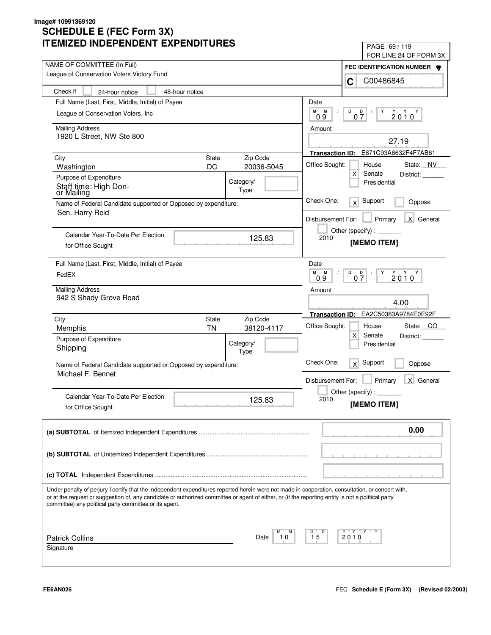| LIVILLU INDLFLNDLNI LAFLNDII UNLJ                                                                                                                                                                                                                                                                                                                                 | PAGE 69/119                                                 |
|-------------------------------------------------------------------------------------------------------------------------------------------------------------------------------------------------------------------------------------------------------------------------------------------------------------------------------------------------------------------|-------------------------------------------------------------|
| NAME OF COMMITTEE (In Full)                                                                                                                                                                                                                                                                                                                                       | FOR LINE 24 OF FORM 3X                                      |
| League of Conservation Voters Victory Fund                                                                                                                                                                                                                                                                                                                        | FEC IDENTIFICATION NUMBER                                   |
|                                                                                                                                                                                                                                                                                                                                                                   | C00486845<br>C                                              |
| Check if<br>48-hour notice<br>24-hour notice                                                                                                                                                                                                                                                                                                                      |                                                             |
| Full Name (Last, First, Middle, Initial) of Payee                                                                                                                                                                                                                                                                                                                 | Date                                                        |
| League of Conservation Voters, Inc.                                                                                                                                                                                                                                                                                                                               | М<br>M<br>D<br>D<br>Y<br>$2010^Y$<br>07<br>09               |
| <b>Mailing Address</b>                                                                                                                                                                                                                                                                                                                                            | Amount                                                      |
| 1920 L Street, NW Ste 800                                                                                                                                                                                                                                                                                                                                         | 27.19                                                       |
|                                                                                                                                                                                                                                                                                                                                                                   |                                                             |
| Zip Code<br>City<br><b>State</b>                                                                                                                                                                                                                                                                                                                                  | E871C93A6632F4F7AB61<br><b>Transaction ID:</b>              |
| DC<br>20036-5045<br>Washington                                                                                                                                                                                                                                                                                                                                    | Office Sought:<br>House<br>State: NV                        |
| Purpose of Expenditure<br>Category/                                                                                                                                                                                                                                                                                                                               | $\mathsf{X}$<br>Senate<br>District:<br>Presidential         |
| Staff time: High Don-<br>Type<br>or Mailing                                                                                                                                                                                                                                                                                                                       |                                                             |
| Name of Federal Candidate supported or Opposed by expenditure:                                                                                                                                                                                                                                                                                                    | Check One:<br>Support<br>x<br>Oppose                        |
| Sen. Harry Reid                                                                                                                                                                                                                                                                                                                                                   | X General<br>Disbursement For:<br>Primary                   |
|                                                                                                                                                                                                                                                                                                                                                                   | Other (specify):                                            |
| Calendar Year-To-Date Per Election<br>125.83                                                                                                                                                                                                                                                                                                                      | 2010<br>[MEMO ITEM]                                         |
| for Office Sought                                                                                                                                                                                                                                                                                                                                                 |                                                             |
| Full Name (Last, First, Middle, Initial) of Payee                                                                                                                                                                                                                                                                                                                 | Date                                                        |
| FedEX                                                                                                                                                                                                                                                                                                                                                             | м<br>M<br>D<br>$2010^{\gamma}$<br>$0\frac{D}{7}$<br>Y<br>09 |
| <b>Mailing Address</b>                                                                                                                                                                                                                                                                                                                                            | Amount                                                      |
| 942 S Shady Grove Road                                                                                                                                                                                                                                                                                                                                            |                                                             |
|                                                                                                                                                                                                                                                                                                                                                                   | 4.00                                                        |
| City<br>Zip Code<br><b>State</b>                                                                                                                                                                                                                                                                                                                                  | EA2C50383A9784E0E92F<br><b>Transaction ID:</b>              |
| <b>TN</b><br>38120-4117<br>Memphis                                                                                                                                                                                                                                                                                                                                | Office Sought:<br>State: CO<br>House                        |
| Purpose of Expenditure<br>Category/                                                                                                                                                                                                                                                                                                                               | $\mathsf{X}$<br>Senate<br>District:                         |
| Shipping<br>Type                                                                                                                                                                                                                                                                                                                                                  | Presidential                                                |
| Name of Federal Candidate supported or Opposed by expenditure:                                                                                                                                                                                                                                                                                                    | Check One:<br>Support<br>x<br>Oppose                        |
| Michael F. Bennet                                                                                                                                                                                                                                                                                                                                                 |                                                             |
|                                                                                                                                                                                                                                                                                                                                                                   | Primary<br>X General<br>Disbursement For:                   |
| Calendar Year-To-Date Per Election<br>125.83                                                                                                                                                                                                                                                                                                                      | Other (specify):<br>2010                                    |
| for Office Sought                                                                                                                                                                                                                                                                                                                                                 | [MEMO ITEM]                                                 |
|                                                                                                                                                                                                                                                                                                                                                                   |                                                             |
|                                                                                                                                                                                                                                                                                                                                                                   | 0.00                                                        |
|                                                                                                                                                                                                                                                                                                                                                                   |                                                             |
|                                                                                                                                                                                                                                                                                                                                                                   |                                                             |
|                                                                                                                                                                                                                                                                                                                                                                   |                                                             |
|                                                                                                                                                                                                                                                                                                                                                                   |                                                             |
| Under penalty of perjury I certify that the independent expenditures reported herein were not made in cooperation, consultation, or concert with,<br>or at the request or suggestion of, any candidate or authorized committee or agent of either, or (if the reporting entity is not a political party<br>committee) any political party committee or its agent. |                                                             |
|                                                                                                                                                                                                                                                                                                                                                                   |                                                             |
| <b>Patrick Collins</b><br>10<br>Date                                                                                                                                                                                                                                                                                                                              | Y "Y "Y<br>D<br>15<br>2010                                  |
| Signature                                                                                                                                                                                                                                                                                                                                                         |                                                             |
|                                                                                                                                                                                                                                                                                                                                                                   |                                                             |
|                                                                                                                                                                                                                                                                                                                                                                   |                                                             |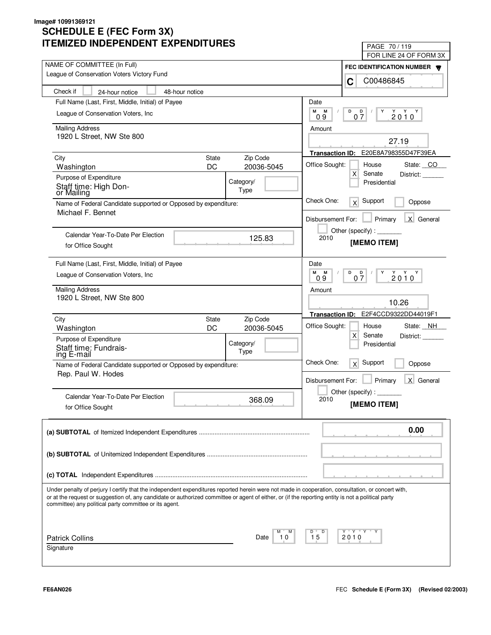| LIVILLU INDLFLNDLNI LAFLNDII UNLS                                                                                                                                                                            | PAGE 70 / 119<br>FOR LINE 24 OF FORM 3X                                                                                                                                                                                                                                                                                                                                                                                                     |
|--------------------------------------------------------------------------------------------------------------------------------------------------------------------------------------------------------------|---------------------------------------------------------------------------------------------------------------------------------------------------------------------------------------------------------------------------------------------------------------------------------------------------------------------------------------------------------------------------------------------------------------------------------------------|
| NAME OF COMMITTEE (In Full)                                                                                                                                                                                  |                                                                                                                                                                                                                                                                                                                                                                                                                                             |
| League of Conservation Voters Victory Fund                                                                                                                                                                   | FEC IDENTIFICATION NUMBER<br>C00486845                                                                                                                                                                                                                                                                                                                                                                                                      |
| Check if<br>48-hour notice<br>24-hour notice                                                                                                                                                                 | C                                                                                                                                                                                                                                                                                                                                                                                                                                           |
| Full Name (Last, First, Middle, Initial) of Payee                                                                                                                                                            | Date                                                                                                                                                                                                                                                                                                                                                                                                                                        |
| League of Conservation Voters, Inc.                                                                                                                                                                          | М<br>М<br>D<br>D                                                                                                                                                                                                                                                                                                                                                                                                                            |
|                                                                                                                                                                                                              | $2010^Y$<br>07<br>0.9                                                                                                                                                                                                                                                                                                                                                                                                                       |
| <b>Mailing Address</b>                                                                                                                                                                                       | Amount                                                                                                                                                                                                                                                                                                                                                                                                                                      |
| 1920 L Street, NW Ste 800                                                                                                                                                                                    | 27.19                                                                                                                                                                                                                                                                                                                                                                                                                                       |
|                                                                                                                                                                                                              | E20E8A798355D47F39EA<br><b>Transaction ID:</b>                                                                                                                                                                                                                                                                                                                                                                                              |
| Zip Code<br>City<br><b>State</b>                                                                                                                                                                             | Office Sought:<br>House<br>State: CO                                                                                                                                                                                                                                                                                                                                                                                                        |
| DC<br>20036-5045<br>Washington                                                                                                                                                                               | Х<br>Senate<br>District:                                                                                                                                                                                                                                                                                                                                                                                                                    |
| Purpose of Expenditure<br>Category/<br>Staff time: High Don-                                                                                                                                                 | Presidential                                                                                                                                                                                                                                                                                                                                                                                                                                |
| Type<br>or Mailing                                                                                                                                                                                           |                                                                                                                                                                                                                                                                                                                                                                                                                                             |
| Name of Federal Candidate supported or Opposed by expenditure:<br>Michael F. Bennet                                                                                                                          | Check One:<br>Support<br>x<br>Oppose                                                                                                                                                                                                                                                                                                                                                                                                        |
|                                                                                                                                                                                                              | X General<br>Primary<br>Disbursement For:                                                                                                                                                                                                                                                                                                                                                                                                   |
|                                                                                                                                                                                                              | Other (specify) : $\sqrt{\frac{1}{2} \cdot \frac{1}{2} \cdot \frac{1}{2} \cdot \frac{1}{2} \cdot \frac{1}{2} \cdot \frac{1}{2} \cdot \frac{1}{2} \cdot \frac{1}{2} \cdot \frac{1}{2} \cdot \frac{1}{2} \cdot \frac{1}{2} \cdot \frac{1}{2} \cdot \frac{1}{2} \cdot \frac{1}{2} \cdot \frac{1}{2} \cdot \frac{1}{2} \cdot \frac{1}{2} \cdot \frac{1}{2} \cdot \frac{1}{2} \cdot \frac{1}{2} \cdot \frac{1}{2} \cdot \frac{1}{2} \cdot \frac$ |
| Calendar Year-To-Date Per Election<br>125.83                                                                                                                                                                 | 2010<br>[MEMO ITEM]                                                                                                                                                                                                                                                                                                                                                                                                                         |
| for Office Sought                                                                                                                                                                                            |                                                                                                                                                                                                                                                                                                                                                                                                                                             |
| Full Name (Last, First, Middle, Initial) of Payee                                                                                                                                                            | Date                                                                                                                                                                                                                                                                                                                                                                                                                                        |
| League of Conservation Voters, Inc.                                                                                                                                                                          | М<br>Y Y Y<br>М<br>D<br>D<br>Y<br>07<br>2010<br>09                                                                                                                                                                                                                                                                                                                                                                                          |
|                                                                                                                                                                                                              |                                                                                                                                                                                                                                                                                                                                                                                                                                             |
| <b>Mailing Address</b><br>1920 L Street, NW Ste 800                                                                                                                                                          | Amount                                                                                                                                                                                                                                                                                                                                                                                                                                      |
|                                                                                                                                                                                                              | 10.26                                                                                                                                                                                                                                                                                                                                                                                                                                       |
| Zip Code<br>City<br>State                                                                                                                                                                                    | E2F4CCD9322DD44019F1<br><b>Transaction ID:</b>                                                                                                                                                                                                                                                                                                                                                                                              |
| DC<br>20036-5045<br>Washington                                                                                                                                                                               | Office Sought:<br>House<br>State: NH                                                                                                                                                                                                                                                                                                                                                                                                        |
| Purpose of Expenditure                                                                                                                                                                                       | X<br>Senate<br>District:                                                                                                                                                                                                                                                                                                                                                                                                                    |
| Category/<br>Staff time: Fundrais-<br>Type                                                                                                                                                                   | Presidential                                                                                                                                                                                                                                                                                                                                                                                                                                |
| ing E-mail                                                                                                                                                                                                   | Check One:<br>Support<br>x<br>Oppose                                                                                                                                                                                                                                                                                                                                                                                                        |
| Name of Federal Candidate supported or Opposed by expenditure:<br>Rep. Paul W. Hodes                                                                                                                         |                                                                                                                                                                                                                                                                                                                                                                                                                                             |
|                                                                                                                                                                                                              | Primary<br>$\mathsf{X}$<br>General<br>Disbursement For:                                                                                                                                                                                                                                                                                                                                                                                     |
| Calendar Year-To-Date Per Election                                                                                                                                                                           | Other (specify) : $\overline{\phantom{a}}$                                                                                                                                                                                                                                                                                                                                                                                                  |
| 368.09<br>for Office Sought                                                                                                                                                                                  | 2010<br>[MEMO ITEM]                                                                                                                                                                                                                                                                                                                                                                                                                         |
|                                                                                                                                                                                                              |                                                                                                                                                                                                                                                                                                                                                                                                                                             |
|                                                                                                                                                                                                              | 0.00                                                                                                                                                                                                                                                                                                                                                                                                                                        |
|                                                                                                                                                                                                              |                                                                                                                                                                                                                                                                                                                                                                                                                                             |
|                                                                                                                                                                                                              |                                                                                                                                                                                                                                                                                                                                                                                                                                             |
|                                                                                                                                                                                                              |                                                                                                                                                                                                                                                                                                                                                                                                                                             |
|                                                                                                                                                                                                              |                                                                                                                                                                                                                                                                                                                                                                                                                                             |
| Under penalty of perjury I certify that the independent expenditures reported herein were not made in cooperation, consultation, or concert with,                                                            |                                                                                                                                                                                                                                                                                                                                                                                                                                             |
| or at the request or suggestion of, any candidate or authorized committee or agent of either, or (if the reporting entity is not a political party<br>committee) any political party committee or its agent. |                                                                                                                                                                                                                                                                                                                                                                                                                                             |
|                                                                                                                                                                                                              |                                                                                                                                                                                                                                                                                                                                                                                                                                             |
|                                                                                                                                                                                                              |                                                                                                                                                                                                                                                                                                                                                                                                                                             |
| <b>Patrick Collins</b><br>10<br>Date                                                                                                                                                                         | Y "Y "Y "<br>D<br>15<br>2010                                                                                                                                                                                                                                                                                                                                                                                                                |
| Signature                                                                                                                                                                                                    |                                                                                                                                                                                                                                                                                                                                                                                                                                             |
|                                                                                                                                                                                                              |                                                                                                                                                                                                                                                                                                                                                                                                                                             |
|                                                                                                                                                                                                              |                                                                                                                                                                                                                                                                                                                                                                                                                                             |

٦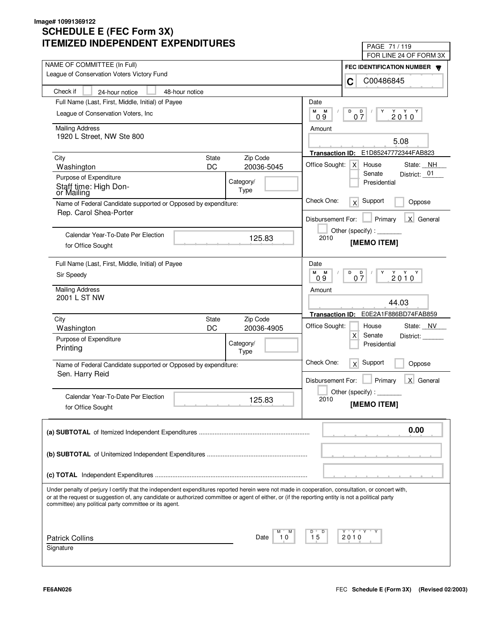| LIVILLU INDLFLNDLNI LAFLNDII UNLJ                                                                                                                                                                                                                                                                                                                                 | PAGE 71 / 119                                        |  |
|-------------------------------------------------------------------------------------------------------------------------------------------------------------------------------------------------------------------------------------------------------------------------------------------------------------------------------------------------------------------|------------------------------------------------------|--|
| NAME OF COMMITTEE (In Full)                                                                                                                                                                                                                                                                                                                                       | FOR LINE 24 OF FORM 3X                               |  |
| League of Conservation Voters Victory Fund                                                                                                                                                                                                                                                                                                                        | FEC IDENTIFICATION NUMBER                            |  |
|                                                                                                                                                                                                                                                                                                                                                                   | C00486845<br>C                                       |  |
| Check if<br>48-hour notice<br>24-hour notice                                                                                                                                                                                                                                                                                                                      |                                                      |  |
| Full Name (Last, First, Middle, Initial) of Payee                                                                                                                                                                                                                                                                                                                 | Date                                                 |  |
| League of Conservation Voters, Inc.                                                                                                                                                                                                                                                                                                                               | М<br>М<br>D<br>D<br>Y<br>$2010^Y$<br>07<br>09        |  |
| <b>Mailing Address</b>                                                                                                                                                                                                                                                                                                                                            | Amount                                               |  |
| 1920 L Street, NW Ste 800                                                                                                                                                                                                                                                                                                                                         |                                                      |  |
|                                                                                                                                                                                                                                                                                                                                                                   | 5.08                                                 |  |
| Zip Code<br>City<br><b>State</b>                                                                                                                                                                                                                                                                                                                                  | E1D85247772344FAB823<br><b>Transaction ID:</b>       |  |
| DC<br>20036-5045<br>Washington                                                                                                                                                                                                                                                                                                                                    | Office Sought:<br>House<br>State: NH<br>$\times$     |  |
| Purpose of Expenditure<br>Category/                                                                                                                                                                                                                                                                                                                               | Senate<br>District: 01                               |  |
| Staff time: High Don-<br>Type<br>or Mailing                                                                                                                                                                                                                                                                                                                       | Presidential                                         |  |
| Name of Federal Candidate supported or Opposed by expenditure:                                                                                                                                                                                                                                                                                                    | Check One:<br>Support<br>x<br>Oppose                 |  |
| Rep. Carol Shea-Porter                                                                                                                                                                                                                                                                                                                                            |                                                      |  |
|                                                                                                                                                                                                                                                                                                                                                                   | X General<br>Disbursement For:<br>Primary            |  |
| Calendar Year-To-Date Per Election                                                                                                                                                                                                                                                                                                                                | Other (specify):                                     |  |
| 125.83<br>for Office Sought                                                                                                                                                                                                                                                                                                                                       | 2010<br>[MEMO ITEM]                                  |  |
|                                                                                                                                                                                                                                                                                                                                                                   |                                                      |  |
| Full Name (Last, First, Middle, Initial) of Payee                                                                                                                                                                                                                                                                                                                 | Date                                                 |  |
| Sir Speedy                                                                                                                                                                                                                                                                                                                                                        | м<br>M<br>D<br>$2010^{\gamma}$<br>D<br>Y<br>07<br>09 |  |
| <b>Mailing Address</b>                                                                                                                                                                                                                                                                                                                                            | Amount                                               |  |
| 2001 L ST NW                                                                                                                                                                                                                                                                                                                                                      |                                                      |  |
|                                                                                                                                                                                                                                                                                                                                                                   | 44.03                                                |  |
| Zip Code<br>City<br><b>State</b>                                                                                                                                                                                                                                                                                                                                  | E0E2A1F886BD74FAB859<br><b>Transaction ID:</b>       |  |
| DC<br>20036-4905<br>Washington                                                                                                                                                                                                                                                                                                                                    | Office Sought:<br>State: NV<br>House                 |  |
| Purpose of Expenditure<br>Category/                                                                                                                                                                                                                                                                                                                               | X<br>Senate<br>District:                             |  |
| Printing<br>Type                                                                                                                                                                                                                                                                                                                                                  | Presidential                                         |  |
| Name of Federal Candidate supported or Opposed by expenditure:                                                                                                                                                                                                                                                                                                    | Check One:<br>Support<br>x<br>Oppose                 |  |
| Sen. Harry Reid                                                                                                                                                                                                                                                                                                                                                   |                                                      |  |
|                                                                                                                                                                                                                                                                                                                                                                   | Primary<br>X General<br>Disbursement For:            |  |
| Calendar Year-To-Date Per Election                                                                                                                                                                                                                                                                                                                                | Other (specify):                                     |  |
| 125.83<br>for Office Sought                                                                                                                                                                                                                                                                                                                                       | 2010<br>[MEMO ITEM]                                  |  |
|                                                                                                                                                                                                                                                                                                                                                                   |                                                      |  |
|                                                                                                                                                                                                                                                                                                                                                                   |                                                      |  |
|                                                                                                                                                                                                                                                                                                                                                                   | 0.00                                                 |  |
|                                                                                                                                                                                                                                                                                                                                                                   |                                                      |  |
|                                                                                                                                                                                                                                                                                                                                                                   |                                                      |  |
|                                                                                                                                                                                                                                                                                                                                                                   |                                                      |  |
|                                                                                                                                                                                                                                                                                                                                                                   |                                                      |  |
| Under penalty of perjury I certify that the independent expenditures reported herein were not made in cooperation, consultation, or concert with,<br>or at the request or suggestion of, any candidate or authorized committee or agent of either, or (if the reporting entity is not a political party<br>committee) any political party committee or its agent. |                                                      |  |
|                                                                                                                                                                                                                                                                                                                                                                   |                                                      |  |
|                                                                                                                                                                                                                                                                                                                                                                   | Y "Y "Y<br>D                                         |  |
| <b>Patrick Collins</b><br>10<br>Date                                                                                                                                                                                                                                                                                                                              | 15<br>2010                                           |  |
| Signature                                                                                                                                                                                                                                                                                                                                                         |                                                      |  |
|                                                                                                                                                                                                                                                                                                                                                                   |                                                      |  |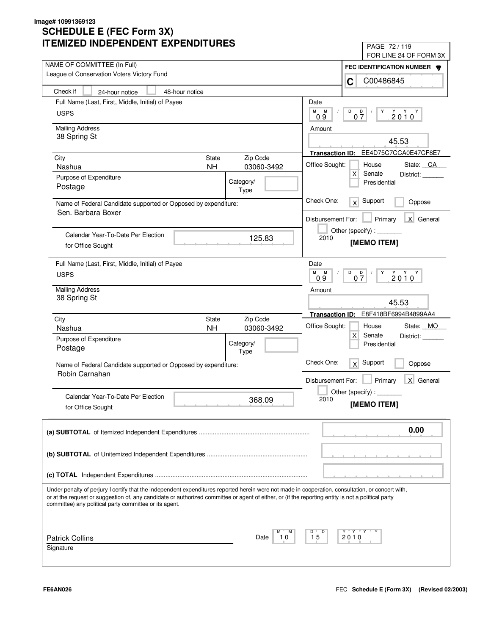| LIVILLU INDLFLINDLINI LAFLINDII UNLS                                                                                                                                                                                                                                                                                                                              | PAGE 72/119                                                      |  |
|-------------------------------------------------------------------------------------------------------------------------------------------------------------------------------------------------------------------------------------------------------------------------------------------------------------------------------------------------------------------|------------------------------------------------------------------|--|
| NAME OF COMMITTEE (In Full)                                                                                                                                                                                                                                                                                                                                       | FOR LINE 24 OF FORM 3X                                           |  |
| League of Conservation Voters Victory Fund                                                                                                                                                                                                                                                                                                                        | FEC IDENTIFICATION NUMBER W                                      |  |
| Check if                                                                                                                                                                                                                                                                                                                                                          | C00486845<br>C                                                   |  |
| 24-hour notice<br>48-hour notice                                                                                                                                                                                                                                                                                                                                  |                                                                  |  |
| Full Name (Last, First, Middle, Initial) of Payee                                                                                                                                                                                                                                                                                                                 | Date                                                             |  |
| <b>USPS</b>                                                                                                                                                                                                                                                                                                                                                       | М<br>D<br>M<br>D<br>Y<br>$2010^Y$<br>07<br>09                    |  |
| <b>Mailing Address</b>                                                                                                                                                                                                                                                                                                                                            | Amount                                                           |  |
| 38 Spring St                                                                                                                                                                                                                                                                                                                                                      | 45.53                                                            |  |
|                                                                                                                                                                                                                                                                                                                                                                   | Transaction ID: EE4D75C7CCA0E47CF8E7                             |  |
| <b>State</b><br>Zip Code<br>City                                                                                                                                                                                                                                                                                                                                  |                                                                  |  |
| 03060-3492<br>Nashua<br><b>NH</b>                                                                                                                                                                                                                                                                                                                                 | Office Sought:<br>State: CA<br>House                             |  |
| Purpose of Expenditure<br>Category/                                                                                                                                                                                                                                                                                                                               | X<br>Senate<br>District:<br>Presidential                         |  |
| Postage<br>Type                                                                                                                                                                                                                                                                                                                                                   |                                                                  |  |
| Name of Federal Candidate supported or Opposed by expenditure:                                                                                                                                                                                                                                                                                                    | Check One:<br>Support<br>x<br>Oppose                             |  |
| Sen. Barbara Boxer                                                                                                                                                                                                                                                                                                                                                |                                                                  |  |
|                                                                                                                                                                                                                                                                                                                                                                   | X General<br>Disbursement For:<br>Primary                        |  |
| Calendar Year-To-Date Per Election<br>125.83                                                                                                                                                                                                                                                                                                                      | 2010                                                             |  |
| for Office Sought                                                                                                                                                                                                                                                                                                                                                 | [MEMO ITEM]                                                      |  |
|                                                                                                                                                                                                                                                                                                                                                                   |                                                                  |  |
| Full Name (Last, First, Middle, Initial) of Payee                                                                                                                                                                                                                                                                                                                 | Date                                                             |  |
| <b>USPS</b>                                                                                                                                                                                                                                                                                                                                                       | M<br>D<br>$Y$ $Y$ $Y$<br>M<br>$0\frac{D}{7}$<br>Y<br>2010<br>0.9 |  |
| <b>Mailing Address</b>                                                                                                                                                                                                                                                                                                                                            | Amount                                                           |  |
| 38 Spring St                                                                                                                                                                                                                                                                                                                                                      | 45.53                                                            |  |
|                                                                                                                                                                                                                                                                                                                                                                   |                                                                  |  |
| City<br>Zip Code<br><b>State</b>                                                                                                                                                                                                                                                                                                                                  | Transaction ID: E8F418BF6994B4899AA4                             |  |
| <b>NH</b><br>Nashua<br>03060-3492                                                                                                                                                                                                                                                                                                                                 | Office Sought:<br>State: MO<br>House                             |  |
| Purpose of Expenditure<br>Category/                                                                                                                                                                                                                                                                                                                               | X<br>Senate<br>District:<br>Presidential                         |  |
| Postage<br>Type                                                                                                                                                                                                                                                                                                                                                   |                                                                  |  |
| Name of Federal Candidate supported or Opposed by expenditure:                                                                                                                                                                                                                                                                                                    | Check One:<br>Support<br>x<br>Oppose                             |  |
| Robin Carnahan                                                                                                                                                                                                                                                                                                                                                    |                                                                  |  |
|                                                                                                                                                                                                                                                                                                                                                                   | X General<br>Disbursement For:<br>Primary                        |  |
| Calendar Year-To-Date Per Election                                                                                                                                                                                                                                                                                                                                | Other (specify) : _                                              |  |
| 368.09<br>for Office Sought                                                                                                                                                                                                                                                                                                                                       | 2010<br>[MEMO ITEM]                                              |  |
|                                                                                                                                                                                                                                                                                                                                                                   |                                                                  |  |
|                                                                                                                                                                                                                                                                                                                                                                   | 0.00                                                             |  |
|                                                                                                                                                                                                                                                                                                                                                                   |                                                                  |  |
|                                                                                                                                                                                                                                                                                                                                                                   |                                                                  |  |
|                                                                                                                                                                                                                                                                                                                                                                   |                                                                  |  |
|                                                                                                                                                                                                                                                                                                                                                                   |                                                                  |  |
|                                                                                                                                                                                                                                                                                                                                                                   |                                                                  |  |
| Under penalty of perjury I certify that the independent expenditures reported herein were not made in cooperation, consultation, or concert with,<br>or at the request or suggestion of, any candidate or authorized committee or agent of either, or (if the reporting entity is not a political party<br>committee) any political party committee or its agent. |                                                                  |  |
|                                                                                                                                                                                                                                                                                                                                                                   |                                                                  |  |
|                                                                                                                                                                                                                                                                                                                                                                   |                                                                  |  |
| м                                                                                                                                                                                                                                                                                                                                                                 | Y "Y "Y<br>D                                                     |  |
| <b>Patrick Collins</b><br>Date<br>10                                                                                                                                                                                                                                                                                                                              | 15<br>2010                                                       |  |
| Signature                                                                                                                                                                                                                                                                                                                                                         |                                                                  |  |
|                                                                                                                                                                                                                                                                                                                                                                   |                                                                  |  |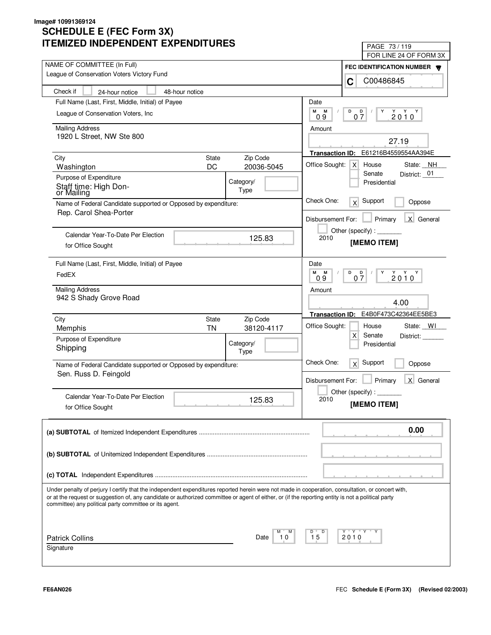| LIVILLU INDLFLNDLNI LAFLNDII UNLJ                                                                                                                                                                                                                                                                       | PAGE 73/119                                          |
|---------------------------------------------------------------------------------------------------------------------------------------------------------------------------------------------------------------------------------------------------------------------------------------------------------|------------------------------------------------------|
| NAME OF COMMITTEE (In Full)                                                                                                                                                                                                                                                                             | FOR LINE 24 OF FORM 3X                               |
| League of Conservation Voters Victory Fund                                                                                                                                                                                                                                                              | FEC IDENTIFICATION NUMBER                            |
|                                                                                                                                                                                                                                                                                                         | C00486845<br>C                                       |
| Check if<br>48-hour notice<br>24-hour notice                                                                                                                                                                                                                                                            |                                                      |
| Full Name (Last, First, Middle, Initial) of Payee                                                                                                                                                                                                                                                       | Date                                                 |
| League of Conservation Voters, Inc.                                                                                                                                                                                                                                                                     | М<br>М<br>D<br>D<br>Y<br>$2010^Y$<br>07<br>09        |
| <b>Mailing Address</b>                                                                                                                                                                                                                                                                                  | Amount                                               |
| 1920 L Street, NW Ste 800                                                                                                                                                                                                                                                                               |                                                      |
|                                                                                                                                                                                                                                                                                                         | 27.19                                                |
| Zip Code<br>City<br><b>State</b>                                                                                                                                                                                                                                                                        | E61216B4559554AA394E<br><b>Transaction ID:</b>       |
| DC<br>20036-5045<br>Washington                                                                                                                                                                                                                                                                          | Office Sought:<br>House<br>State: NH<br>$\times$     |
| Purpose of Expenditure<br>Category/                                                                                                                                                                                                                                                                     | Senate<br>District: _01<br>Presidential              |
| Staff time: High Don-<br>Type<br>or Mailing                                                                                                                                                                                                                                                             |                                                      |
| Name of Federal Candidate supported or Opposed by expenditure:                                                                                                                                                                                                                                          | Check One:<br>Support<br>x<br>Oppose                 |
| Rep. Carol Shea-Porter                                                                                                                                                                                                                                                                                  |                                                      |
|                                                                                                                                                                                                                                                                                                         | X General<br>Disbursement For:<br>Primary            |
| Calendar Year-To-Date Per Election                                                                                                                                                                                                                                                                      | Other (specify):                                     |
| 125.83<br>for Office Sought                                                                                                                                                                                                                                                                             | 2010<br>[MEMO ITEM]                                  |
|                                                                                                                                                                                                                                                                                                         |                                                      |
| Full Name (Last, First, Middle, Initial) of Payee                                                                                                                                                                                                                                                       | Date                                                 |
| FedEX                                                                                                                                                                                                                                                                                                   | м<br>M<br>D<br>$2010^{\gamma}$<br>D<br>Y<br>07<br>09 |
| <b>Mailing Address</b>                                                                                                                                                                                                                                                                                  | Amount                                               |
| 942 S Shady Grove Road                                                                                                                                                                                                                                                                                  |                                                      |
|                                                                                                                                                                                                                                                                                                         | 4.00                                                 |
| City<br>Zip Code<br><b>State</b>                                                                                                                                                                                                                                                                        | E4B0F473C42364EE5BE3<br><b>Transaction ID:</b>       |
| <b>TN</b><br>38120-4117<br>Memphis                                                                                                                                                                                                                                                                      | Office Sought:<br>State: WI<br>House                 |
| Purpose of Expenditure<br>Category/                                                                                                                                                                                                                                                                     | X<br>Senate<br>District:                             |
| Shipping<br>Type                                                                                                                                                                                                                                                                                        | Presidential                                         |
| Name of Federal Candidate supported or Opposed by expenditure:                                                                                                                                                                                                                                          | Check One:<br>Support<br>x<br>Oppose                 |
| Sen. Russ D. Feingold                                                                                                                                                                                                                                                                                   |                                                      |
|                                                                                                                                                                                                                                                                                                         | Primary<br>X General<br>Disbursement For:            |
| Calendar Year-To-Date Per Election                                                                                                                                                                                                                                                                      | Other (specify):                                     |
| 125.83<br>for Office Sought                                                                                                                                                                                                                                                                             | 2010<br>[MEMO ITEM]                                  |
|                                                                                                                                                                                                                                                                                                         |                                                      |
|                                                                                                                                                                                                                                                                                                         | 0.00                                                 |
|                                                                                                                                                                                                                                                                                                         |                                                      |
|                                                                                                                                                                                                                                                                                                         |                                                      |
|                                                                                                                                                                                                                                                                                                         |                                                      |
|                                                                                                                                                                                                                                                                                                         |                                                      |
|                                                                                                                                                                                                                                                                                                         |                                                      |
| Under penalty of perjury I certify that the independent expenditures reported herein were not made in cooperation, consultation, or concert with,<br>or at the request or suggestion of, any candidate or authorized committee or agent of either, or (if the reporting entity is not a political party |                                                      |
| committee) any political party committee or its agent.                                                                                                                                                                                                                                                  |                                                      |
|                                                                                                                                                                                                                                                                                                         |                                                      |
|                                                                                                                                                                                                                                                                                                         | Y "Y "Y<br>D                                         |
| <b>Patrick Collins</b><br>10<br>Date                                                                                                                                                                                                                                                                    | 15<br>2010                                           |
| Signature                                                                                                                                                                                                                                                                                               |                                                      |
|                                                                                                                                                                                                                                                                                                         |                                                      |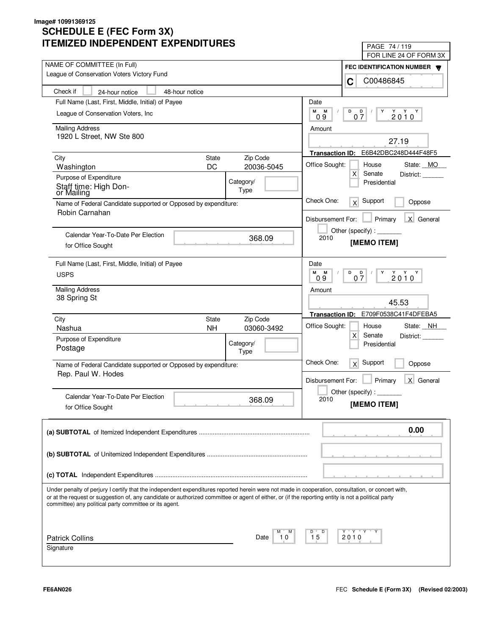| LIVILLU INDLFLNDLNI LAFLNDII UNLJ                                                                                                                                                                                                                                                                                                                                 | PAGE 74/119                                                 |
|-------------------------------------------------------------------------------------------------------------------------------------------------------------------------------------------------------------------------------------------------------------------------------------------------------------------------------------------------------------------|-------------------------------------------------------------|
| NAME OF COMMITTEE (In Full)                                                                                                                                                                                                                                                                                                                                       | FOR LINE 24 OF FORM 3X                                      |
| League of Conservation Voters Victory Fund                                                                                                                                                                                                                                                                                                                        | FEC IDENTIFICATION NUMBER                                   |
|                                                                                                                                                                                                                                                                                                                                                                   | C00486845<br>C                                              |
| Check if<br>48-hour notice<br>24-hour notice                                                                                                                                                                                                                                                                                                                      |                                                             |
| Full Name (Last, First, Middle, Initial) of Payee                                                                                                                                                                                                                                                                                                                 | Date                                                        |
| League of Conservation Voters, Inc.                                                                                                                                                                                                                                                                                                                               | М<br>M<br>D<br>D<br>Y<br>$2010^Y$<br>07<br>09               |
| <b>Mailing Address</b>                                                                                                                                                                                                                                                                                                                                            | Amount                                                      |
| 1920 L Street, NW Ste 800                                                                                                                                                                                                                                                                                                                                         |                                                             |
|                                                                                                                                                                                                                                                                                                                                                                   | 27.19                                                       |
| Zip Code<br>City<br><b>State</b>                                                                                                                                                                                                                                                                                                                                  | E6B42DBC248D444F48F5<br><b>Transaction ID:</b>              |
| DC<br>20036-5045<br>Washington                                                                                                                                                                                                                                                                                                                                    | Office Sought:<br>House<br>State: MO                        |
| Purpose of Expenditure<br>Category/                                                                                                                                                                                                                                                                                                                               | $\mathsf{X}$<br>Senate<br>District:                         |
| Staff time: High Don-<br>Type<br>or Mailing                                                                                                                                                                                                                                                                                                                       | Presidential                                                |
| Name of Federal Candidate supported or Opposed by expenditure:                                                                                                                                                                                                                                                                                                    | Check One:<br>Support<br>x<br>Oppose                        |
| Robin Carnahan                                                                                                                                                                                                                                                                                                                                                    |                                                             |
|                                                                                                                                                                                                                                                                                                                                                                   | X General<br>Disbursement For:<br>Primary                   |
| Calendar Year-To-Date Per Election                                                                                                                                                                                                                                                                                                                                | Other (specify):                                            |
| 368.09<br>for Office Sought                                                                                                                                                                                                                                                                                                                                       | 2010<br>[MEMO ITEM]                                         |
|                                                                                                                                                                                                                                                                                                                                                                   |                                                             |
| Full Name (Last, First, Middle, Initial) of Payee                                                                                                                                                                                                                                                                                                                 | Date                                                        |
| <b>USPS</b>                                                                                                                                                                                                                                                                                                                                                       | M<br>M<br>D<br>$2010^{\gamma}$<br>$0\frac{D}{7}$<br>Y<br>09 |
| <b>Mailing Address</b>                                                                                                                                                                                                                                                                                                                                            |                                                             |
| 38 Spring St                                                                                                                                                                                                                                                                                                                                                      | Amount                                                      |
|                                                                                                                                                                                                                                                                                                                                                                   | 45.53                                                       |
| Zip Code<br>City<br><b>State</b>                                                                                                                                                                                                                                                                                                                                  | E709F0538C41F4DFEBA5<br><b>Transaction ID:</b>              |
| <b>NH</b><br>Nashua<br>03060-3492                                                                                                                                                                                                                                                                                                                                 | Office Sought:<br>State: NH<br>House                        |
| Purpose of Expenditure                                                                                                                                                                                                                                                                                                                                            | $\mathsf{X}$<br>Senate<br>District:                         |
| Category/<br>Postage<br>Type                                                                                                                                                                                                                                                                                                                                      | Presidential                                                |
|                                                                                                                                                                                                                                                                                                                                                                   | Check One:<br>Support<br>x<br>Oppose                        |
| Name of Federal Candidate supported or Opposed by expenditure:<br>Rep. Paul W. Hodes                                                                                                                                                                                                                                                                              |                                                             |
|                                                                                                                                                                                                                                                                                                                                                                   | Primary<br>X General<br>Disbursement For:                   |
| Calendar Year-To-Date Per Election                                                                                                                                                                                                                                                                                                                                | Other (specify):                                            |
| 368.09                                                                                                                                                                                                                                                                                                                                                            | 2010<br>[MEMO ITEM]                                         |
| for Office Sought                                                                                                                                                                                                                                                                                                                                                 |                                                             |
|                                                                                                                                                                                                                                                                                                                                                                   |                                                             |
|                                                                                                                                                                                                                                                                                                                                                                   | 0.00                                                        |
|                                                                                                                                                                                                                                                                                                                                                                   |                                                             |
|                                                                                                                                                                                                                                                                                                                                                                   |                                                             |
|                                                                                                                                                                                                                                                                                                                                                                   |                                                             |
|                                                                                                                                                                                                                                                                                                                                                                   |                                                             |
| Under penalty of perjury I certify that the independent expenditures reported herein were not made in cooperation, consultation, or concert with,<br>or at the request or suggestion of, any candidate or authorized committee or agent of either, or (if the reporting entity is not a political party<br>committee) any political party committee or its agent. |                                                             |
|                                                                                                                                                                                                                                                                                                                                                                   |                                                             |
|                                                                                                                                                                                                                                                                                                                                                                   | Y "Y "Y<br>D                                                |
| <b>Patrick Collins</b><br>10<br>Date                                                                                                                                                                                                                                                                                                                              | 15<br>2010                                                  |
| Signature                                                                                                                                                                                                                                                                                                                                                         |                                                             |
|                                                                                                                                                                                                                                                                                                                                                                   |                                                             |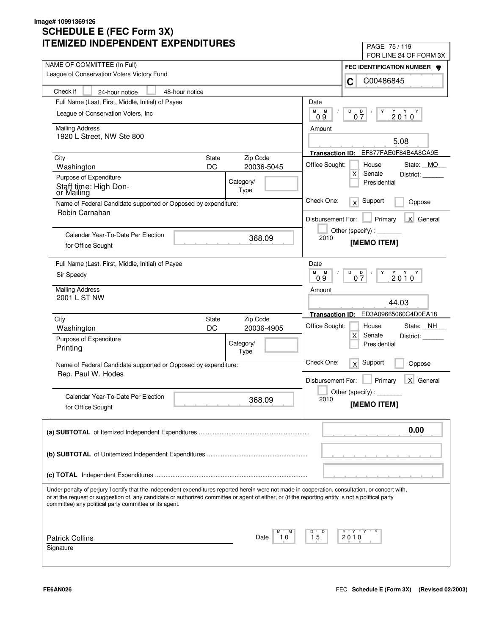| IMILLU INDLFLNDLNT LAFLNDITUNLJ                                                                                                                                                                                                                                                                         | PAGE 75/119                                                       |
|---------------------------------------------------------------------------------------------------------------------------------------------------------------------------------------------------------------------------------------------------------------------------------------------------------|-------------------------------------------------------------------|
| NAME OF COMMITTEE (In Full)                                                                                                                                                                                                                                                                             | FOR LINE 24 OF FORM 3X                                            |
| League of Conservation Voters Victory Fund                                                                                                                                                                                                                                                              | FEC IDENTIFICATION NUMBER                                         |
|                                                                                                                                                                                                                                                                                                         | C00486845<br>C                                                    |
| Check if<br>48-hour notice<br>24-hour notice                                                                                                                                                                                                                                                            |                                                                   |
| Full Name (Last, First, Middle, Initial) of Payee                                                                                                                                                                                                                                                       | Date                                                              |
| League of Conservation Voters, Inc.                                                                                                                                                                                                                                                                     | М<br>M<br>D<br>D<br>Y<br>$2010^Y$<br>07<br>09                     |
| <b>Mailing Address</b>                                                                                                                                                                                                                                                                                  | Amount                                                            |
| 1920 L Street, NW Ste 800                                                                                                                                                                                                                                                                               |                                                                   |
|                                                                                                                                                                                                                                                                                                         | 5.08                                                              |
| Zip Code<br>City<br><b>State</b>                                                                                                                                                                                                                                                                        | EF877FAE0F84B4A8CA9E<br><b>Transaction ID:</b>                    |
| DC<br>20036-5045<br>Washington                                                                                                                                                                                                                                                                          | Office Sought:<br>House<br>State: MO                              |
| Purpose of Expenditure<br>Category/                                                                                                                                                                                                                                                                     | $\mathsf{X}$<br>Senate<br>District:                               |
| Staff time: High Don-<br>Type<br>or Mailing                                                                                                                                                                                                                                                             | Presidential                                                      |
| Name of Federal Candidate supported or Opposed by expenditure:                                                                                                                                                                                                                                          | Check One:<br>Support<br>x<br>Oppose                              |
| Robin Carnahan                                                                                                                                                                                                                                                                                          |                                                                   |
|                                                                                                                                                                                                                                                                                                         | X General<br>Disbursement For:<br>Primary                         |
| Calendar Year-To-Date Per Election                                                                                                                                                                                                                                                                      | Other (specify):                                                  |
| 368.09<br>for Office Sought                                                                                                                                                                                                                                                                             | 2010<br>[MEMO ITEM]                                               |
|                                                                                                                                                                                                                                                                                                         |                                                                   |
| Full Name (Last, First, Middle, Initial) of Payee                                                                                                                                                                                                                                                       | Date                                                              |
| Sir Speedy                                                                                                                                                                                                                                                                                              | M<br>M<br>D<br>$2010^{\gamma}$<br>$\overline{Q}$<br>Y<br>07<br>09 |
| <b>Mailing Address</b>                                                                                                                                                                                                                                                                                  | Amount                                                            |
| 2001 L ST NW                                                                                                                                                                                                                                                                                            |                                                                   |
|                                                                                                                                                                                                                                                                                                         | 44.03                                                             |
| Zip Code<br>City<br><b>State</b>                                                                                                                                                                                                                                                                        | ED3A09665060C4D0EA18<br><b>Transaction ID:</b>                    |
| DC<br>20036-4905<br>Washington                                                                                                                                                                                                                                                                          | Office Sought:<br>State: NH<br>House                              |
| Purpose of Expenditure<br>Category/                                                                                                                                                                                                                                                                     | $\mathsf{X}$<br>Senate<br>District:                               |
| Printing<br>Type                                                                                                                                                                                                                                                                                        | Presidential                                                      |
| Name of Federal Candidate supported or Opposed by expenditure:                                                                                                                                                                                                                                          | Check One:<br>Support<br>x<br>Oppose                              |
| Rep. Paul W. Hodes                                                                                                                                                                                                                                                                                      |                                                                   |
|                                                                                                                                                                                                                                                                                                         | Primary<br>X General<br>Disbursement For:                         |
| Calendar Year-To-Date Per Election                                                                                                                                                                                                                                                                      | Other (specify):                                                  |
| 368.09<br>for Office Sought                                                                                                                                                                                                                                                                             | 2010<br>[MEMO ITEM]                                               |
|                                                                                                                                                                                                                                                                                                         |                                                                   |
|                                                                                                                                                                                                                                                                                                         | 0.00                                                              |
|                                                                                                                                                                                                                                                                                                         |                                                                   |
|                                                                                                                                                                                                                                                                                                         |                                                                   |
|                                                                                                                                                                                                                                                                                                         |                                                                   |
|                                                                                                                                                                                                                                                                                                         |                                                                   |
|                                                                                                                                                                                                                                                                                                         |                                                                   |
| Under penalty of perjury I certify that the independent expenditures reported herein were not made in cooperation, consultation, or concert with,<br>or at the request or suggestion of, any candidate or authorized committee or agent of either, or (if the reporting entity is not a political party |                                                                   |
| committee) any political party committee or its agent.                                                                                                                                                                                                                                                  |                                                                   |
|                                                                                                                                                                                                                                                                                                         |                                                                   |
|                                                                                                                                                                                                                                                                                                         | Y "Y "Y<br>D                                                      |
| <b>Patrick Collins</b><br>10<br>Date                                                                                                                                                                                                                                                                    | 15<br>2010                                                        |
| Signature                                                                                                                                                                                                                                                                                               |                                                                   |
|                                                                                                                                                                                                                                                                                                         |                                                                   |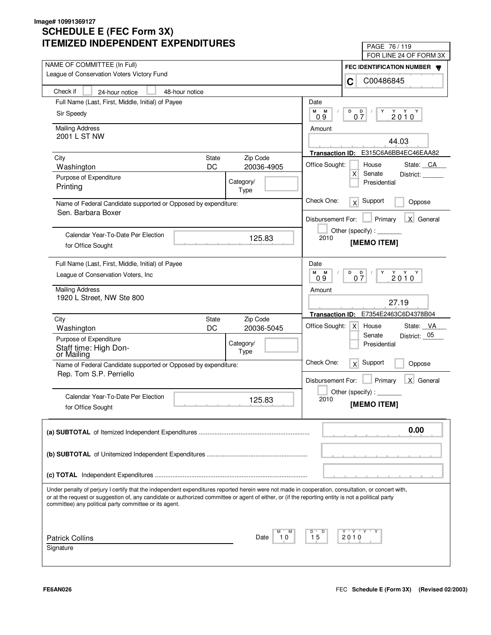| IMILLU INDLFLINDLINI LAFLINDII UNLJ                                                                                                                | PAGE 76 / 119                                                              |
|----------------------------------------------------------------------------------------------------------------------------------------------------|----------------------------------------------------------------------------|
| NAME OF COMMITTEE (In Full)                                                                                                                        | FOR LINE 24 OF FORM 3X                                                     |
| League of Conservation Voters Victory Fund                                                                                                         | FEC IDENTIFICATION NUMBER                                                  |
|                                                                                                                                                    | C00486845<br>C                                                             |
| Check if<br>48-hour notice<br>24-hour notice                                                                                                       |                                                                            |
| Full Name (Last, First, Middle, Initial) of Payee                                                                                                  | Date                                                                       |
| Sir Speedy                                                                                                                                         | М<br>M<br>D<br>D<br>Y<br>$2010^Y$<br>07<br>09                              |
| <b>Mailing Address</b>                                                                                                                             | Amount                                                                     |
| 2001 L ST NW                                                                                                                                       |                                                                            |
|                                                                                                                                                    | 44.03                                                                      |
| Zip Code<br>City<br><b>State</b>                                                                                                                   | E315C6A6BB4EC46EAA82<br><b>Transaction ID:</b>                             |
| DC<br>20036-4905<br>Washington                                                                                                                     | Office Sought:<br>House<br>State: CA                                       |
| Purpose of Expenditure<br>Category/                                                                                                                | $\mathsf{X}$<br>Senate<br>District:<br>Presidential                        |
| Printing<br>Type                                                                                                                                   |                                                                            |
| Name of Federal Candidate supported or Opposed by expenditure:                                                                                     | Check One:<br>Support<br>x<br>Oppose                                       |
| Sen. Barbara Boxer                                                                                                                                 |                                                                            |
|                                                                                                                                                    | X General<br>Disbursement For:<br>Primary                                  |
| Calendar Year-To-Date Per Election                                                                                                                 | Other (specify) : $\sqrt{\frac{1}{2} \sum_{r=1}^{r} (r - r)^2}$            |
| 125.83<br>for Office Sought                                                                                                                        | 2010<br>[MEMO ITEM]                                                        |
|                                                                                                                                                    |                                                                            |
| Full Name (Last, First, Middle, Initial) of Payee                                                                                                  | Date                                                                       |
| League of Conservation Voters, Inc.                                                                                                                | M<br>M<br>D<br>$2010^{\gamma}$<br>$0\frac{D}{7}$<br>Y<br>09                |
| <b>Mailing Address</b>                                                                                                                             | Amount                                                                     |
| 1920 L Street, NW Ste 800                                                                                                                          | 27.19                                                                      |
|                                                                                                                                                    | E7354E2463C6D4378B04<br><b>Transaction ID:</b>                             |
| Zip Code<br>City<br><b>State</b>                                                                                                                   |                                                                            |
| DC<br>20036-5045<br>Washington                                                                                                                     | Office Sought:<br>State: VA<br>$\times$<br>House<br>District: 05<br>Senate |
| Purpose of Expenditure<br>Category/                                                                                                                | Presidential                                                               |
| Staff time: High Don-<br>Type<br>or Mailing                                                                                                        |                                                                            |
| Name of Federal Candidate supported or Opposed by expenditure:                                                                                     | Check One:<br>Support<br>x<br>Oppose                                       |
| Rep. Tom S.P. Perriello                                                                                                                            | X General                                                                  |
|                                                                                                                                                    | Primary<br>Disbursement For:                                               |
| Calendar Year-To-Date Per Election<br>125.83                                                                                                       | Other (specify) : $\overline{\phantom{a}}$<br>2010                         |
| for Office Sought                                                                                                                                  | [MEMO ITEM]                                                                |
|                                                                                                                                                    |                                                                            |
|                                                                                                                                                    | 0.00                                                                       |
|                                                                                                                                                    |                                                                            |
|                                                                                                                                                    |                                                                            |
|                                                                                                                                                    |                                                                            |
|                                                                                                                                                    |                                                                            |
| Under penalty of perjury I certify that the independent expenditures reported herein were not made in cooperation, consultation, or concert with,  |                                                                            |
| or at the request or suggestion of, any candidate or authorized committee or agent of either, or (if the reporting entity is not a political party |                                                                            |
| committee) any political party committee or its agent.                                                                                             |                                                                            |
|                                                                                                                                                    |                                                                            |
|                                                                                                                                                    | Y "Y "Y<br>D                                                               |
| <b>Patrick Collins</b><br>Date<br>10                                                                                                               | 15<br>2010                                                                 |
| Signature                                                                                                                                          |                                                                            |
|                                                                                                                                                    |                                                                            |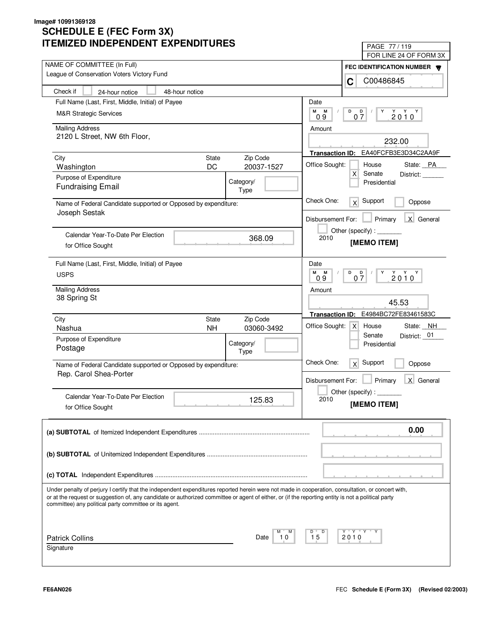| LIVILLU INDLFLINDLINI LAFLINDII UNLS                                                                                                                                                                                                                                                                                                                              | PAGE 77/119                                             |
|-------------------------------------------------------------------------------------------------------------------------------------------------------------------------------------------------------------------------------------------------------------------------------------------------------------------------------------------------------------------|---------------------------------------------------------|
| NAME OF COMMITTEE (In Full)                                                                                                                                                                                                                                                                                                                                       | FOR LINE 24 OF FORM 3X                                  |
| League of Conservation Voters Victory Fund                                                                                                                                                                                                                                                                                                                        | FEC IDENTIFICATION NUMBER <b>W</b><br>C00486845<br>C    |
| Check if<br>24-hour notice<br>48-hour notice                                                                                                                                                                                                                                                                                                                      |                                                         |
| Full Name (Last, First, Middle, Initial) of Payee                                                                                                                                                                                                                                                                                                                 | Date                                                    |
| <b>M&amp;R Strategic Services</b>                                                                                                                                                                                                                                                                                                                                 | М<br>M<br>D<br>D                                        |
|                                                                                                                                                                                                                                                                                                                                                                   | 2010<br>07<br>09                                        |
| <b>Mailing Address</b>                                                                                                                                                                                                                                                                                                                                            | Amount                                                  |
| 2120 L Street, NW 6th Floor,                                                                                                                                                                                                                                                                                                                                      | 232.00                                                  |
|                                                                                                                                                                                                                                                                                                                                                                   | Transaction ID: EA40FCFB3E3D34C2AA9F                    |
| Zip Code<br>City<br><b>State</b>                                                                                                                                                                                                                                                                                                                                  | Office Sought:<br>House                                 |
| DC<br>20037-1527<br>Washington                                                                                                                                                                                                                                                                                                                                    | State: PA<br>X<br>Senate                                |
| Purpose of Expenditure<br>Category/                                                                                                                                                                                                                                                                                                                               | District:<br>Presidential                               |
| <b>Fundraising Email</b><br>Type                                                                                                                                                                                                                                                                                                                                  |                                                         |
| Name of Federal Candidate supported or Opposed by expenditure:                                                                                                                                                                                                                                                                                                    | Check One:<br>Support<br>x<br>Oppose                    |
| Joseph Sestak                                                                                                                                                                                                                                                                                                                                                     | X General<br>Disbursement For:<br>Primary               |
|                                                                                                                                                                                                                                                                                                                                                                   | Other (specify):                                        |
| Calendar Year-To-Date Per Election<br>368.09                                                                                                                                                                                                                                                                                                                      | 2010                                                    |
| for Office Sought                                                                                                                                                                                                                                                                                                                                                 | [MEMO ITEM]                                             |
|                                                                                                                                                                                                                                                                                                                                                                   |                                                         |
| Full Name (Last, First, Middle, Initial) of Payee                                                                                                                                                                                                                                                                                                                 | Date<br>м<br>D<br>M<br>Y                                |
| <b>USPS</b>                                                                                                                                                                                                                                                                                                                                                       | $Y$ $Y$ $Y$<br>$0\frac{D}{7}$<br>2010<br>0.9            |
| <b>Mailing Address</b>                                                                                                                                                                                                                                                                                                                                            | Amount                                                  |
| 38 Spring St                                                                                                                                                                                                                                                                                                                                                      | 45.53                                                   |
|                                                                                                                                                                                                                                                                                                                                                                   |                                                         |
| City<br>Zip Code<br><b>State</b>                                                                                                                                                                                                                                                                                                                                  | E4984BC72FE83461583C<br><b>Transaction ID:</b>          |
| <b>NH</b><br>Nashua<br>03060-3492                                                                                                                                                                                                                                                                                                                                 | Office Sought:<br>House<br>State: NH<br>$\mathsf{X}$    |
| Purpose of Expenditure<br>Category/                                                                                                                                                                                                                                                                                                                               | District: 01<br>Senate<br>Presidential                  |
| Postage<br>Type                                                                                                                                                                                                                                                                                                                                                   |                                                         |
| Name of Federal Candidate supported or Opposed by expenditure:                                                                                                                                                                                                                                                                                                    | Check One:<br>Support<br>x<br>Oppose                    |
| Rep. Carol Shea-Porter                                                                                                                                                                                                                                                                                                                                            |                                                         |
|                                                                                                                                                                                                                                                                                                                                                                   | $\mathsf{X}$<br>Disbursement For:<br>Primary<br>General |
| Calendar Year-To-Date Per Election                                                                                                                                                                                                                                                                                                                                | Other (specify) : $\overline{\phantom{a}}$              |
| 125.83<br>for Office Sought                                                                                                                                                                                                                                                                                                                                       | 2010<br>[MEMO ITEM]                                     |
|                                                                                                                                                                                                                                                                                                                                                                   |                                                         |
|                                                                                                                                                                                                                                                                                                                                                                   | 0.00                                                    |
|                                                                                                                                                                                                                                                                                                                                                                   |                                                         |
|                                                                                                                                                                                                                                                                                                                                                                   |                                                         |
|                                                                                                                                                                                                                                                                                                                                                                   |                                                         |
|                                                                                                                                                                                                                                                                                                                                                                   |                                                         |
| Under penalty of perjury I certify that the independent expenditures reported herein were not made in cooperation, consultation, or concert with,<br>or at the request or suggestion of, any candidate or authorized committee or agent of either, or (if the reporting entity is not a political party<br>committee) any political party committee or its agent. |                                                         |
|                                                                                                                                                                                                                                                                                                                                                                   |                                                         |
|                                                                                                                                                                                                                                                                                                                                                                   | Y "Y "Y<br>D                                            |
| <b>Patrick Collins</b><br>Date<br>10                                                                                                                                                                                                                                                                                                                              | 15<br>2010                                              |
| Signature                                                                                                                                                                                                                                                                                                                                                         |                                                         |
|                                                                                                                                                                                                                                                                                                                                                                   |                                                         |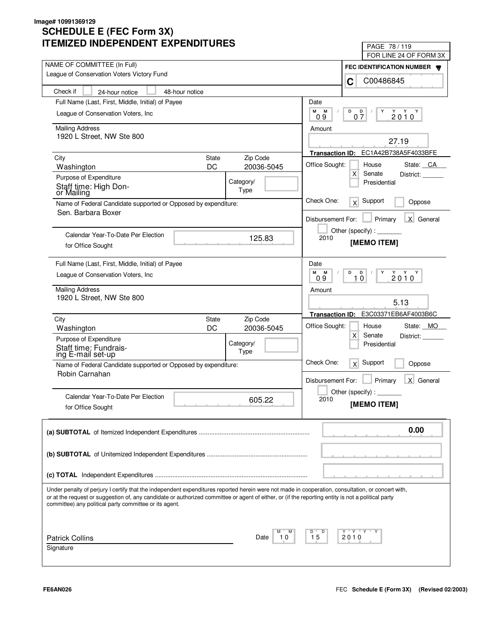| LIVILLU INDLFLNDLNI LAFLNDII UNLS                                                                                                                  | PAGE 78 / 119<br>FOR LINE 24 OF FORM 3X        |
|----------------------------------------------------------------------------------------------------------------------------------------------------|------------------------------------------------|
| NAME OF COMMITTEE (In Full)                                                                                                                        |                                                |
| League of Conservation Voters Victory Fund                                                                                                         | FEC IDENTIFICATION NUMBER W<br>C00486845<br>C  |
| Check if<br>48-hour notice<br>24-hour notice                                                                                                       |                                                |
| Full Name (Last, First, Middle, Initial) of Payee                                                                                                  | Date                                           |
| League of Conservation Voters, Inc.                                                                                                                | М<br>М<br>D<br>$2010^Y$<br>D<br>Y              |
|                                                                                                                                                    | 07<br>09                                       |
| <b>Mailing Address</b>                                                                                                                             | Amount                                         |
| 1920 L Street, NW Ste 800                                                                                                                          | 27.19                                          |
|                                                                                                                                                    | EC1A42B738A5F4033BFE<br><b>Transaction ID:</b> |
| Zip Code<br>City<br>State<br>DC<br>20036-5045<br>Washington                                                                                        | Office Sought:<br>House<br>State: CA           |
| Purpose of Expenditure                                                                                                                             | X<br>Senate<br>District:                       |
| Category/<br>Staff time: High Don-                                                                                                                 | Presidential                                   |
| Type<br>or Mailing                                                                                                                                 |                                                |
| Name of Federal Candidate supported or Opposed by expenditure:                                                                                     | Check One:<br>Support<br>x<br>Oppose           |
| Sen. Barbara Boxer                                                                                                                                 | X General<br>Primary<br>Disbursement For:      |
|                                                                                                                                                    |                                                |
| Calendar Year-To-Date Per Election<br>125.83                                                                                                       | 2010<br>[MEMO ITEM]                            |
| for Office Sought                                                                                                                                  |                                                |
| Full Name (Last, First, Middle, Initial) of Payee                                                                                                  | Date                                           |
| League of Conservation Voters, Inc.                                                                                                                | M<br>D<br>$Y - Y - Y$<br>M<br>D<br>Y           |
|                                                                                                                                                    | 2010<br>10<br>0.9                              |
| <b>Mailing Address</b><br>1920 L Street, NW Ste 800                                                                                                | Amount                                         |
|                                                                                                                                                    | 5.13                                           |
| Zip Code<br>City<br>State                                                                                                                          | E3C03371EB6AF4003B6C<br><b>Transaction ID:</b> |
| DC<br>20036-5045<br>Washington                                                                                                                     | Office Sought:<br>State: MO<br>House           |
| Purpose of Expenditure                                                                                                                             | X<br>Senate<br>District:                       |
| Category/<br>Staff time: Fundrais-<br>ing E-mail set-up<br>Type                                                                                    | Presidential                                   |
|                                                                                                                                                    | Check One:<br>Support<br>x<br>Oppose           |
| Name of Federal Candidate supported or Opposed by expenditure:<br>Robin Carnahan                                                                   |                                                |
|                                                                                                                                                    | Primary<br>X General<br>Disbursement For:      |
| Calendar Year-To-Date Per Election                                                                                                                 | Other (specify) : $\overline{\phantom{a}}$     |
| 605.22<br>for Office Sought                                                                                                                        | 2010<br>[MEMO ITEM]                            |
|                                                                                                                                                    |                                                |
|                                                                                                                                                    | 0.00                                           |
|                                                                                                                                                    |                                                |
|                                                                                                                                                    |                                                |
|                                                                                                                                                    |                                                |
|                                                                                                                                                    |                                                |
| Under penalty of perjury I certify that the independent expenditures reported herein were not made in cooperation, consultation, or concert with,  |                                                |
| or at the request or suggestion of, any candidate or authorized committee or agent of either, or (if the reporting entity is not a political party |                                                |
| committee) any political party committee or its agent.                                                                                             |                                                |
|                                                                                                                                                    |                                                |
|                                                                                                                                                    | Y "Y "Y "<br>D                                 |
| <b>Patrick Collins</b><br>Date<br>10                                                                                                               | 15<br>2010                                     |
| Signature                                                                                                                                          |                                                |
|                                                                                                                                                    |                                                |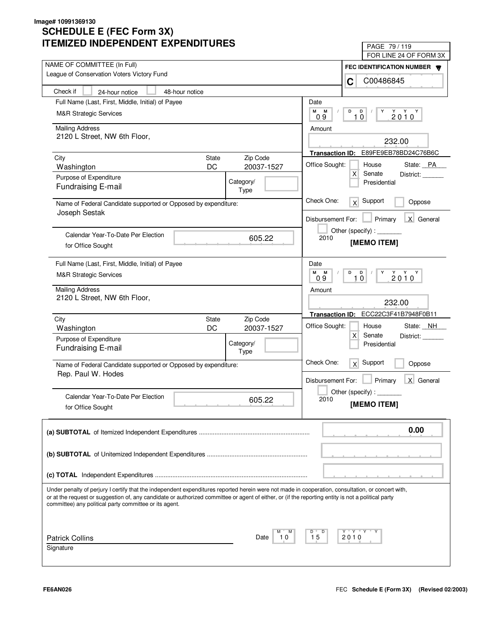| LIVILLU INDLFLINDLINI LAFLINDII UNLS                                                                                                                                                                                                                                                                                                                              | PAGE 79 / 119                                       |
|-------------------------------------------------------------------------------------------------------------------------------------------------------------------------------------------------------------------------------------------------------------------------------------------------------------------------------------------------------------------|-----------------------------------------------------|
| NAME OF COMMITTEE (In Full)                                                                                                                                                                                                                                                                                                                                       | FOR LINE 24 OF FORM 3X                              |
| League of Conservation Voters Victory Fund                                                                                                                                                                                                                                                                                                                        | FEC IDENTIFICATION NUMBER <b>W</b><br>C00486845     |
| Check if<br>48-hour notice<br>24-hour notice                                                                                                                                                                                                                                                                                                                      | C                                                   |
| Full Name (Last, First, Middle, Initial) of Payee                                                                                                                                                                                                                                                                                                                 | Date                                                |
|                                                                                                                                                                                                                                                                                                                                                                   | М<br>M<br>D<br>D<br>Y                               |
| <b>M&amp;R Strategic Services</b>                                                                                                                                                                                                                                                                                                                                 | $2010^Y$<br>10<br>09                                |
| <b>Mailing Address</b>                                                                                                                                                                                                                                                                                                                                            | Amount                                              |
| 2120 L Street, NW 6th Floor,                                                                                                                                                                                                                                                                                                                                      | 232.00                                              |
|                                                                                                                                                                                                                                                                                                                                                                   | Transaction ID: E89FE9EB78BD24C76B6C                |
| Zip Code<br>City<br><b>State</b>                                                                                                                                                                                                                                                                                                                                  |                                                     |
| DC<br>20037-1527<br>Washington                                                                                                                                                                                                                                                                                                                                    | Office Sought:<br>House<br>State: PA<br>X<br>Senate |
| Purpose of Expenditure<br>Category/                                                                                                                                                                                                                                                                                                                               | District:<br>Presidential                           |
| Fundraising E-mail<br>Type                                                                                                                                                                                                                                                                                                                                        |                                                     |
| Name of Federal Candidate supported or Opposed by expenditure:                                                                                                                                                                                                                                                                                                    | Check One:<br>Support<br>x<br>Oppose                |
| Joseph Sestak                                                                                                                                                                                                                                                                                                                                                     | X General<br>Disbursement For:<br>Primary           |
|                                                                                                                                                                                                                                                                                                                                                                   | Other (specify):                                    |
| Calendar Year-To-Date Per Election<br>605.22                                                                                                                                                                                                                                                                                                                      | 2010                                                |
| for Office Sought                                                                                                                                                                                                                                                                                                                                                 | [MEMO ITEM]                                         |
| Full Name (Last, First, Middle, Initial) of Payee                                                                                                                                                                                                                                                                                                                 | Date                                                |
|                                                                                                                                                                                                                                                                                                                                                                   | M<br>D<br>$Y$ $Y$ $Y$<br>M<br>$\mathsf{D}$<br>Y     |
| <b>M&amp;R Strategic Services</b>                                                                                                                                                                                                                                                                                                                                 | 2010<br>10<br>0.9                                   |
| <b>Mailing Address</b>                                                                                                                                                                                                                                                                                                                                            | Amount                                              |
| 2120 L Street, NW 6th Floor,                                                                                                                                                                                                                                                                                                                                      | 232.00                                              |
|                                                                                                                                                                                                                                                                                                                                                                   | Transaction ID: ECC22C3F41B7948F0B11                |
| Zip Code<br>City<br><b>State</b>                                                                                                                                                                                                                                                                                                                                  | Office Sought:<br>State: NH<br>House                |
| DC<br>20037-1527<br>Washington                                                                                                                                                                                                                                                                                                                                    | X<br>Senate<br>District:                            |
| Purpose of Expenditure<br>Category/                                                                                                                                                                                                                                                                                                                               | Presidential                                        |
| Fundraising E-mail<br>Type                                                                                                                                                                                                                                                                                                                                        |                                                     |
| Name of Federal Candidate supported or Opposed by expenditure:                                                                                                                                                                                                                                                                                                    | Check One:<br>Support<br>x<br>Oppose                |
| Rep. Paul W. Hodes                                                                                                                                                                                                                                                                                                                                                |                                                     |
|                                                                                                                                                                                                                                                                                                                                                                   | X General<br>Primary<br>Disbursement For:           |
| Calendar Year-To-Date Per Election<br>605.22                                                                                                                                                                                                                                                                                                                      | Other (specify) : $\overline{\phantom{a}}$<br>2010  |
| for Office Sought                                                                                                                                                                                                                                                                                                                                                 | [MEMO ITEM]                                         |
|                                                                                                                                                                                                                                                                                                                                                                   |                                                     |
|                                                                                                                                                                                                                                                                                                                                                                   | 0.00                                                |
|                                                                                                                                                                                                                                                                                                                                                                   |                                                     |
|                                                                                                                                                                                                                                                                                                                                                                   |                                                     |
|                                                                                                                                                                                                                                                                                                                                                                   |                                                     |
|                                                                                                                                                                                                                                                                                                                                                                   |                                                     |
| Under penalty of perjury I certify that the independent expenditures reported herein were not made in cooperation, consultation, or concert with,<br>or at the request or suggestion of, any candidate or authorized committee or agent of either, or (if the reporting entity is not a political party<br>committee) any political party committee or its agent. |                                                     |
|                                                                                                                                                                                                                                                                                                                                                                   |                                                     |
|                                                                                                                                                                                                                                                                                                                                                                   | Y "Y "Y<br>D                                        |
| <b>Patrick Collins</b><br>Date<br>10                                                                                                                                                                                                                                                                                                                              | 15<br>2010                                          |
| Signature                                                                                                                                                                                                                                                                                                                                                         |                                                     |
|                                                                                                                                                                                                                                                                                                                                                                   |                                                     |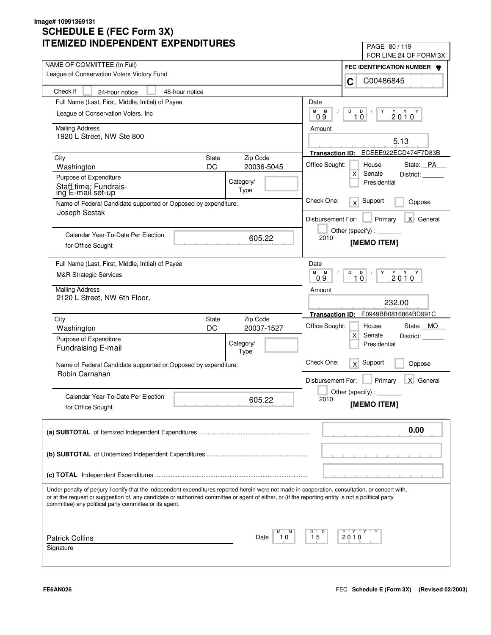| LIMILLD INDLFLNDLNI LAFLNDII UNLS                                                                                                                                                                                                                                                                                                                                 | PAGE 80 / 119<br>FOR LINE 24 OF FORM 3X                 |
|-------------------------------------------------------------------------------------------------------------------------------------------------------------------------------------------------------------------------------------------------------------------------------------------------------------------------------------------------------------------|---------------------------------------------------------|
| NAME OF COMMITTEE (In Full)                                                                                                                                                                                                                                                                                                                                       |                                                         |
| League of Conservation Voters Victory Fund                                                                                                                                                                                                                                                                                                                        | FEC IDENTIFICATION NUMBER<br>C00486845<br>C             |
| Check if<br>48-hour notice<br>24-hour notice                                                                                                                                                                                                                                                                                                                      |                                                         |
| Full Name (Last, First, Middle, Initial) of Payee                                                                                                                                                                                                                                                                                                                 | Date                                                    |
| League of Conservation Voters, Inc.                                                                                                                                                                                                                                                                                                                               | М<br>М<br>D<br>D<br>Y                                   |
|                                                                                                                                                                                                                                                                                                                                                                   | $2010^Y$<br>10<br>0.9                                   |
| <b>Mailing Address</b>                                                                                                                                                                                                                                                                                                                                            | Amount                                                  |
| 1920 L Street, NW Ste 800                                                                                                                                                                                                                                                                                                                                         | 5.13                                                    |
|                                                                                                                                                                                                                                                                                                                                                                   | ECEEE922ECD474F7D83B<br><b>Transaction ID:</b>          |
| Zip Code<br>City<br>State                                                                                                                                                                                                                                                                                                                                         | Office Sought:<br>House<br>State: PA                    |
| DC<br>20036-5045<br>Washington                                                                                                                                                                                                                                                                                                                                    | Х<br>Senate<br>District:                                |
| Purpose of Expenditure<br>Category/<br>Staff time: Fundrais-                                                                                                                                                                                                                                                                                                      | Presidential                                            |
| Type<br>ing E-mail set-up                                                                                                                                                                                                                                                                                                                                         |                                                         |
| Name of Federal Candidate supported or Opposed by expenditure:<br>Joseph Sestak                                                                                                                                                                                                                                                                                   | Check One:<br>Support<br>x<br>Oppose                    |
|                                                                                                                                                                                                                                                                                                                                                                   | X General<br>Primary<br>Disbursement For:               |
|                                                                                                                                                                                                                                                                                                                                                                   | Other (specify):                                        |
| Calendar Year-To-Date Per Election<br>605.22                                                                                                                                                                                                                                                                                                                      | 2010<br>[MEMO ITEM]                                     |
| for Office Sought                                                                                                                                                                                                                                                                                                                                                 |                                                         |
| Full Name (Last, First, Middle, Initial) of Payee                                                                                                                                                                                                                                                                                                                 | Date                                                    |
| <b>M&amp;R Strategic Services</b>                                                                                                                                                                                                                                                                                                                                 | М<br>D<br>Y Y Y<br>М<br><b>D</b><br>Y                   |
|                                                                                                                                                                                                                                                                                                                                                                   | 2010<br>09<br>10                                        |
| <b>Mailing Address</b><br>2120 L Street, NW 6th Floor,                                                                                                                                                                                                                                                                                                            | Amount                                                  |
|                                                                                                                                                                                                                                                                                                                                                                   | 232.00                                                  |
| Zip Code<br>City<br>State                                                                                                                                                                                                                                                                                                                                         | E0949BB0816864BD991C<br><b>Transaction ID:</b>          |
| DC<br>20037-1527<br>Washington                                                                                                                                                                                                                                                                                                                                    | Office Sought:<br>State: MO<br>House                    |
| Purpose of Expenditure                                                                                                                                                                                                                                                                                                                                            | X<br>Senate<br>District:                                |
| Category/<br>Fundraising E-mail                                                                                                                                                                                                                                                                                                                                   | Presidential                                            |
| Type                                                                                                                                                                                                                                                                                                                                                              | Check One:                                              |
| Name of Federal Candidate supported or Opposed by expenditure:                                                                                                                                                                                                                                                                                                    | Support<br>x<br>Oppose                                  |
| Robin Carnahan                                                                                                                                                                                                                                                                                                                                                    | Primary<br>$\mathsf{X}$<br>General<br>Disbursement For: |
|                                                                                                                                                                                                                                                                                                                                                                   | Other (specify) : $\overline{\phantom{a}}$              |
| Calendar Year-To-Date Per Election<br>605.22                                                                                                                                                                                                                                                                                                                      | 2010<br>[MEMO ITEM]                                     |
| for Office Sought                                                                                                                                                                                                                                                                                                                                                 |                                                         |
|                                                                                                                                                                                                                                                                                                                                                                   | 0.00                                                    |
|                                                                                                                                                                                                                                                                                                                                                                   |                                                         |
|                                                                                                                                                                                                                                                                                                                                                                   |                                                         |
|                                                                                                                                                                                                                                                                                                                                                                   |                                                         |
|                                                                                                                                                                                                                                                                                                                                                                   |                                                         |
|                                                                                                                                                                                                                                                                                                                                                                   |                                                         |
| Under penalty of perjury I certify that the independent expenditures reported herein were not made in cooperation, consultation, or concert with,<br>or at the request or suggestion of, any candidate or authorized committee or agent of either, or (if the reporting entity is not a political party<br>committee) any political party committee or its agent. |                                                         |
|                                                                                                                                                                                                                                                                                                                                                                   |                                                         |
|                                                                                                                                                                                                                                                                                                                                                                   | Y "Y "Y "<br>D                                          |
| <b>Patrick Collins</b><br>10<br>Date                                                                                                                                                                                                                                                                                                                              | 15<br>2010                                              |
| Signature                                                                                                                                                                                                                                                                                                                                                         |                                                         |
|                                                                                                                                                                                                                                                                                                                                                                   |                                                         |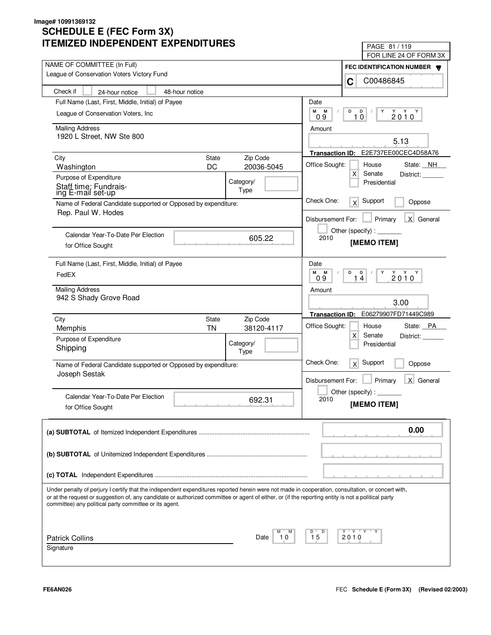| LIVILLU INDLFLINDLNI LAFLINDII UNLJ                                                                                                                                                                                                                                                                                                                               | PAGE 81 / 119                                             |
|-------------------------------------------------------------------------------------------------------------------------------------------------------------------------------------------------------------------------------------------------------------------------------------------------------------------------------------------------------------------|-----------------------------------------------------------|
| NAME OF COMMITTEE (In Full)                                                                                                                                                                                                                                                                                                                                       | FOR LINE 24 OF FORM 3X                                    |
| League of Conservation Voters Victory Fund                                                                                                                                                                                                                                                                                                                        | FEC IDENTIFICATION NUMBER                                 |
|                                                                                                                                                                                                                                                                                                                                                                   | C00486845<br>C                                            |
| Check if<br>48-hour notice<br>24-hour notice                                                                                                                                                                                                                                                                                                                      |                                                           |
| Full Name (Last, First, Middle, Initial) of Payee                                                                                                                                                                                                                                                                                                                 | Date                                                      |
| League of Conservation Voters, Inc.                                                                                                                                                                                                                                                                                                                               | M<br>M<br>D<br>D<br>Y<br>$2010^Y$<br>10<br>09             |
| <b>Mailing Address</b>                                                                                                                                                                                                                                                                                                                                            | Amount                                                    |
| 1920 L Street, NW Ste 800                                                                                                                                                                                                                                                                                                                                         | 5.13                                                      |
|                                                                                                                                                                                                                                                                                                                                                                   | E2E737EE00CEC4D58A76<br><b>Transaction ID:</b>            |
| Zip Code<br>City<br><b>State</b>                                                                                                                                                                                                                                                                                                                                  | Office Sought:<br>House<br>State: NH                      |
| DC<br>20036-5045<br>Washington                                                                                                                                                                                                                                                                                                                                    | $\mathsf{X}$<br>Senate<br>District:                       |
| Purpose of Expenditure<br>Category/                                                                                                                                                                                                                                                                                                                               | Presidential                                              |
| Staff time: Fundrais-<br>Type<br>ing E-mail set-up                                                                                                                                                                                                                                                                                                                |                                                           |
| Name of Federal Candidate supported or Opposed by expenditure:                                                                                                                                                                                                                                                                                                    | Check One:<br>Support<br>x<br>Oppose                      |
| Rep. Paul W. Hodes                                                                                                                                                                                                                                                                                                                                                | X General<br>Primary<br>Disbursement For:                 |
|                                                                                                                                                                                                                                                                                                                                                                   | Other (specify):                                          |
| Calendar Year-To-Date Per Election<br>605.22                                                                                                                                                                                                                                                                                                                      | 2010<br>[MEMO ITEM]                                       |
| for Office Sought                                                                                                                                                                                                                                                                                                                                                 |                                                           |
| Full Name (Last, First, Middle, Initial) of Payee                                                                                                                                                                                                                                                                                                                 | Date                                                      |
| FedEX                                                                                                                                                                                                                                                                                                                                                             | M<br>M<br>D<br>D<br>Y<br>$2010^{\gamma}$<br>0.9<br>4<br>1 |
| <b>Mailing Address</b>                                                                                                                                                                                                                                                                                                                                            | Amount                                                    |
| 942 S Shady Grove Road                                                                                                                                                                                                                                                                                                                                            | 3.00                                                      |
|                                                                                                                                                                                                                                                                                                                                                                   |                                                           |
| Zip Code<br>City<br><b>State</b>                                                                                                                                                                                                                                                                                                                                  | E06279907FD71449C989<br><b>Transaction ID:</b>            |
| <b>TN</b><br>38120-4117<br>Memphis                                                                                                                                                                                                                                                                                                                                | Office Sought:<br>State: PA<br>House<br>$\mathsf{X}$      |
| Purpose of Expenditure<br>Category/                                                                                                                                                                                                                                                                                                                               | Senate<br>District:<br>Presidential                       |
| Shipping<br>Type                                                                                                                                                                                                                                                                                                                                                  |                                                           |
| Name of Federal Candidate supported or Opposed by expenditure:                                                                                                                                                                                                                                                                                                    | Check One:<br>Support<br>x<br>Oppose                      |
| Joseph Sestak                                                                                                                                                                                                                                                                                                                                                     |                                                           |
|                                                                                                                                                                                                                                                                                                                                                                   | Primary<br>X General<br>Disbursement For:                 |
| Calendar Year-To-Date Per Election<br>692.31                                                                                                                                                                                                                                                                                                                      | Other (specify):<br>2010                                  |
| for Office Sought                                                                                                                                                                                                                                                                                                                                                 | [MEMO ITEM]                                               |
|                                                                                                                                                                                                                                                                                                                                                                   |                                                           |
|                                                                                                                                                                                                                                                                                                                                                                   | 0.00                                                      |
|                                                                                                                                                                                                                                                                                                                                                                   |                                                           |
|                                                                                                                                                                                                                                                                                                                                                                   |                                                           |
|                                                                                                                                                                                                                                                                                                                                                                   |                                                           |
|                                                                                                                                                                                                                                                                                                                                                                   |                                                           |
| Under penalty of perjury I certify that the independent expenditures reported herein were not made in cooperation, consultation, or concert with,<br>or at the request or suggestion of, any candidate or authorized committee or agent of either, or (if the reporting entity is not a political party<br>committee) any political party committee or its agent. |                                                           |
|                                                                                                                                                                                                                                                                                                                                                                   |                                                           |
| <b>Patrick Collins</b><br>10<br>Date                                                                                                                                                                                                                                                                                                                              | Y "Y "Y<br>D<br>15<br>2010                                |
| Signature                                                                                                                                                                                                                                                                                                                                                         |                                                           |
|                                                                                                                                                                                                                                                                                                                                                                   |                                                           |
|                                                                                                                                                                                                                                                                                                                                                                   |                                                           |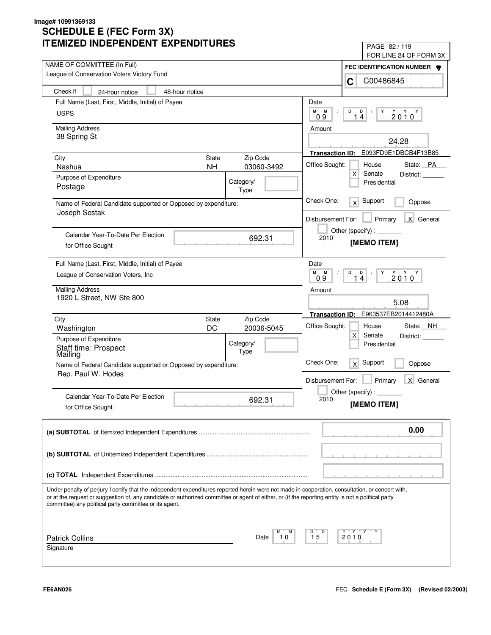| IMILLU INDLFLINDLINI LAFLINDII UNLJ                                                                                                                                                                                                                                                                                                                               | PAGE 82/119                                              |
|-------------------------------------------------------------------------------------------------------------------------------------------------------------------------------------------------------------------------------------------------------------------------------------------------------------------------------------------------------------------|----------------------------------------------------------|
| NAME OF COMMITTEE (In Full)                                                                                                                                                                                                                                                                                                                                       | FOR LINE 24 OF FORM 3X                                   |
| League of Conservation Voters Victory Fund                                                                                                                                                                                                                                                                                                                        | FEC IDENTIFICATION NUMBER                                |
|                                                                                                                                                                                                                                                                                                                                                                   | C00486845<br>C                                           |
| Check if<br>48-hour notice<br>24-hour notice                                                                                                                                                                                                                                                                                                                      |                                                          |
| Full Name (Last, First, Middle, Initial) of Payee                                                                                                                                                                                                                                                                                                                 | Date                                                     |
| <b>USPS</b>                                                                                                                                                                                                                                                                                                                                                       | М<br>M<br>D<br>D<br>Y<br>$2010^Y$<br>14<br>0.9           |
| <b>Mailing Address</b>                                                                                                                                                                                                                                                                                                                                            | Amount                                                   |
| 38 Spring St                                                                                                                                                                                                                                                                                                                                                      | 24.28                                                    |
|                                                                                                                                                                                                                                                                                                                                                                   | Transaction ID: E093FD9E1DBCB4F13B85                     |
| State<br>Zip Code<br>City                                                                                                                                                                                                                                                                                                                                         |                                                          |
| 03060-3492<br>Nashua<br><b>NH</b>                                                                                                                                                                                                                                                                                                                                 | Office Sought:<br>House<br>State: PA<br>Senate           |
| Purpose of Expenditure<br>Category/                                                                                                                                                                                                                                                                                                                               | X<br>District:<br>Presidential                           |
| Postage<br>Type                                                                                                                                                                                                                                                                                                                                                   |                                                          |
| Name of Federal Candidate supported or Opposed by expenditure:                                                                                                                                                                                                                                                                                                    | Check One:<br>Support<br>x<br>Oppose                     |
| Joseph Sestak                                                                                                                                                                                                                                                                                                                                                     | X General<br>Disbursement For:<br>Primary                |
|                                                                                                                                                                                                                                                                                                                                                                   |                                                          |
| Calendar Year-To-Date Per Election<br>692.31                                                                                                                                                                                                                                                                                                                      | 2010<br>[MEMO ITEM]                                      |
| for Office Sought                                                                                                                                                                                                                                                                                                                                                 |                                                          |
| Full Name (Last, First, Middle, Initial) of Payee                                                                                                                                                                                                                                                                                                                 | Date                                                     |
| League of Conservation Voters, Inc.                                                                                                                                                                                                                                                                                                                               | М<br>D<br>$Y$ $Y$ $Y$<br>M<br>D<br>Y<br>2010<br>14<br>09 |
| <b>Mailing Address</b>                                                                                                                                                                                                                                                                                                                                            | Amount                                                   |
| 1920 L Street, NW Ste 800                                                                                                                                                                                                                                                                                                                                         | 5.08                                                     |
|                                                                                                                                                                                                                                                                                                                                                                   |                                                          |
| Zip Code<br>City<br>State                                                                                                                                                                                                                                                                                                                                         | E963537EB2014412480A<br><b>Transaction ID:</b>           |
| DC<br>20036-5045<br>Washington                                                                                                                                                                                                                                                                                                                                    | Office Sought:<br>State: NH<br>House<br>X<br>Senate      |
| Purpose of Expenditure<br>Category/                                                                                                                                                                                                                                                                                                                               | District:<br>Presidential                                |
| Staff time: Prospect<br>Mailing<br>Type                                                                                                                                                                                                                                                                                                                           |                                                          |
| Name of Federal Candidate supported or Opposed by expenditure:                                                                                                                                                                                                                                                                                                    | Check One:<br>Support<br>x<br>Oppose                     |
| Rep. Paul W. Hodes                                                                                                                                                                                                                                                                                                                                                | $\times$<br>Disbursement For:<br>Primary<br>General      |
|                                                                                                                                                                                                                                                                                                                                                                   | Other (specify) : $\_$                                   |
| Calendar Year-To-Date Per Election<br>692.31                                                                                                                                                                                                                                                                                                                      | 2010                                                     |
| for Office Sought                                                                                                                                                                                                                                                                                                                                                 | [MEMO ITEM]                                              |
|                                                                                                                                                                                                                                                                                                                                                                   | 0.00                                                     |
|                                                                                                                                                                                                                                                                                                                                                                   |                                                          |
|                                                                                                                                                                                                                                                                                                                                                                   |                                                          |
|                                                                                                                                                                                                                                                                                                                                                                   |                                                          |
|                                                                                                                                                                                                                                                                                                                                                                   |                                                          |
| Under penalty of perjury I certify that the independent expenditures reported herein were not made in cooperation, consultation, or concert with,<br>or at the request or suggestion of, any candidate or authorized committee or agent of either, or (if the reporting entity is not a political party<br>committee) any political party committee or its agent. |                                                          |
|                                                                                                                                                                                                                                                                                                                                                                   |                                                          |
| <b>Patrick Collins</b><br>Date<br>10                                                                                                                                                                                                                                                                                                                              | $Y$ $Y$ $Y$<br>D<br>15<br>2010                           |
| Signature                                                                                                                                                                                                                                                                                                                                                         |                                                          |
|                                                                                                                                                                                                                                                                                                                                                                   |                                                          |
|                                                                                                                                                                                                                                                                                                                                                                   |                                                          |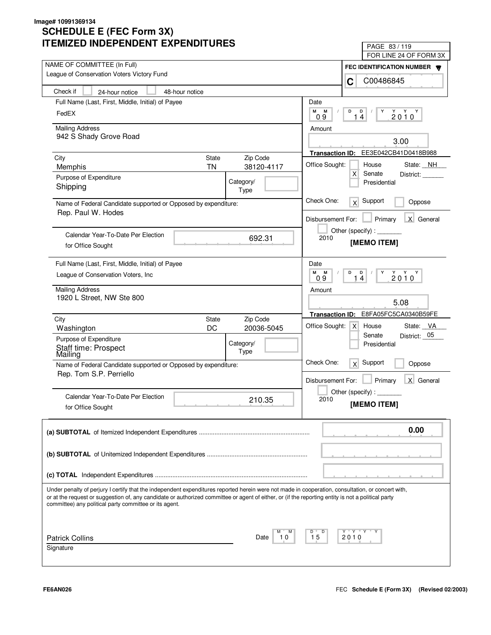| LIVILLU INDLFLNDLNI LAFLNDII UNLJ                                                                                                                                                                                                                                                                       | PAGE 83 / 119                                                   |
|---------------------------------------------------------------------------------------------------------------------------------------------------------------------------------------------------------------------------------------------------------------------------------------------------------|-----------------------------------------------------------------|
| NAME OF COMMITTEE (In Full)                                                                                                                                                                                                                                                                             | FOR LINE 24 OF FORM 3X                                          |
| League of Conservation Voters Victory Fund                                                                                                                                                                                                                                                              | FEC IDENTIFICATION NUMBER                                       |
|                                                                                                                                                                                                                                                                                                         | C00486845<br>C                                                  |
| Check if<br>48-hour notice<br>24-hour notice                                                                                                                                                                                                                                                            |                                                                 |
| Full Name (Last, First, Middle, Initial) of Payee                                                                                                                                                                                                                                                       | Date                                                            |
| FedEX                                                                                                                                                                                                                                                                                                   | M<br>M<br>D<br>D<br>Y<br>$2010^Y$<br>14<br>09                   |
| <b>Mailing Address</b>                                                                                                                                                                                                                                                                                  | Amount                                                          |
| 942 S Shady Grove Road                                                                                                                                                                                                                                                                                  |                                                                 |
|                                                                                                                                                                                                                                                                                                         | 3.00                                                            |
| <b>State</b><br>Zip Code<br>City                                                                                                                                                                                                                                                                        | EE3E042CB41D0418B988<br><b>Transaction ID:</b>                  |
| <b>TN</b><br>38120-4117<br>Memphis                                                                                                                                                                                                                                                                      | Office Sought:<br>House<br>State: NH                            |
| Purpose of Expenditure<br>Category/                                                                                                                                                                                                                                                                     | $\mathsf{X}$<br>Senate<br>District:<br>Presidential             |
| Shipping<br>Type                                                                                                                                                                                                                                                                                        |                                                                 |
| Name of Federal Candidate supported or Opposed by expenditure:                                                                                                                                                                                                                                          | Check One:<br>Support<br>$\times$<br>Oppose                     |
| Rep. Paul W. Hodes                                                                                                                                                                                                                                                                                      |                                                                 |
|                                                                                                                                                                                                                                                                                                         | X General<br>Disbursement For:<br>Primary                       |
| Calendar Year-To-Date Per Election                                                                                                                                                                                                                                                                      | Other (specify) : $\sqrt{\frac{1}{2} \sum_{r=1}^{r} (r - r)^2}$ |
| 692.31<br>for Office Sought                                                                                                                                                                                                                                                                             | 2010<br>[MEMO ITEM]                                             |
|                                                                                                                                                                                                                                                                                                         |                                                                 |
| Full Name (Last, First, Middle, Initial) of Payee                                                                                                                                                                                                                                                       | Date                                                            |
| League of Conservation Voters, Inc.                                                                                                                                                                                                                                                                     | M<br>M<br>D<br>D<br>Y<br>$2010^{\gamma}$<br>14<br>0.9           |
| <b>Mailing Address</b>                                                                                                                                                                                                                                                                                  | Amount                                                          |
| 1920 L Street, NW Ste 800                                                                                                                                                                                                                                                                               |                                                                 |
|                                                                                                                                                                                                                                                                                                         | 5.08                                                            |
| Zip Code<br>City<br><b>State</b>                                                                                                                                                                                                                                                                        | E8FA05FC5CA0340B59FE<br><b>Transaction ID:</b>                  |
| DC<br>20036-5045<br>Washington                                                                                                                                                                                                                                                                          | Office Sought:<br>State: VA<br>x <sub>l</sub><br>House          |
| Purpose of Expenditure<br>Category/                                                                                                                                                                                                                                                                     | Senate<br>District: 05<br>Presidential                          |
| Staff time: Prospect<br>Mailing<br>Type                                                                                                                                                                                                                                                                 |                                                                 |
| Name of Federal Candidate supported or Opposed by expenditure:                                                                                                                                                                                                                                          | Check One:<br>Support<br>x<br>Oppose                            |
| Rep. Tom S.P. Perriello                                                                                                                                                                                                                                                                                 |                                                                 |
|                                                                                                                                                                                                                                                                                                         | Primary<br>X General<br>Disbursement For:                       |
| Calendar Year-To-Date Per Election                                                                                                                                                                                                                                                                      | Other (specify) : $\overline{\phantom{a}}$                      |
| 210.35<br>for Office Sought                                                                                                                                                                                                                                                                             | 2010<br>[MEMO ITEM]                                             |
|                                                                                                                                                                                                                                                                                                         |                                                                 |
|                                                                                                                                                                                                                                                                                                         | 0.00                                                            |
|                                                                                                                                                                                                                                                                                                         |                                                                 |
|                                                                                                                                                                                                                                                                                                         |                                                                 |
|                                                                                                                                                                                                                                                                                                         |                                                                 |
|                                                                                                                                                                                                                                                                                                         |                                                                 |
|                                                                                                                                                                                                                                                                                                         |                                                                 |
| Under penalty of perjury I certify that the independent expenditures reported herein were not made in cooperation, consultation, or concert with,<br>or at the request or suggestion of, any candidate or authorized committee or agent of either, or (if the reporting entity is not a political party |                                                                 |
| committee) any political party committee or its agent.                                                                                                                                                                                                                                                  |                                                                 |
|                                                                                                                                                                                                                                                                                                         |                                                                 |
|                                                                                                                                                                                                                                                                                                         |                                                                 |
| <b>Patrick Collins</b><br>10<br>Date                                                                                                                                                                                                                                                                    | Y "Y "Y<br>D<br>15<br>2010                                      |
| Signature                                                                                                                                                                                                                                                                                               |                                                                 |
|                                                                                                                                                                                                                                                                                                         |                                                                 |
|                                                                                                                                                                                                                                                                                                         |                                                                 |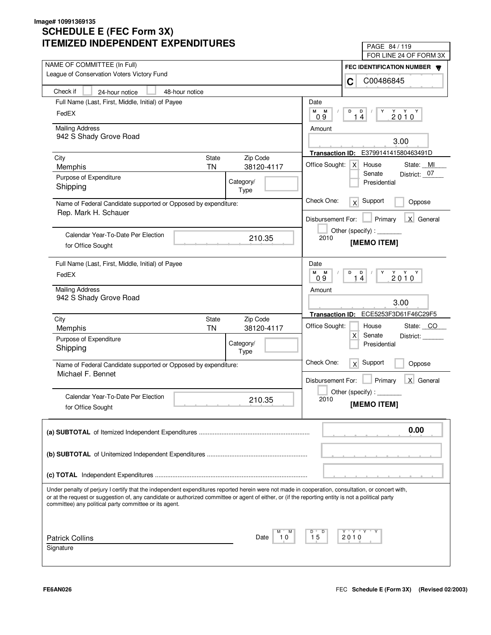| IILMILLU INDLFLNDLNI LAFLNDII UNLJ                                                                                                                                                                                                                                                                                                                                | PAGE 84/119                                          |
|-------------------------------------------------------------------------------------------------------------------------------------------------------------------------------------------------------------------------------------------------------------------------------------------------------------------------------------------------------------------|------------------------------------------------------|
| NAME OF COMMITTEE (In Full)                                                                                                                                                                                                                                                                                                                                       | FOR LINE 24 OF FORM 3X                               |
| League of Conservation Voters Victory Fund                                                                                                                                                                                                                                                                                                                        | FEC IDENTIFICATION NUMBER                            |
|                                                                                                                                                                                                                                                                                                                                                                   | C00486845<br>C                                       |
| Check if<br>48-hour notice<br>24-hour notice                                                                                                                                                                                                                                                                                                                      |                                                      |
| Full Name (Last, First, Middle, Initial) of Payee                                                                                                                                                                                                                                                                                                                 | Date                                                 |
| FedEX                                                                                                                                                                                                                                                                                                                                                             | M<br>M<br>D<br>D<br>Y<br>$2010^Y$<br>14<br>0.9       |
| <b>Mailing Address</b>                                                                                                                                                                                                                                                                                                                                            | Amount                                               |
| 942 S Shady Grove Road                                                                                                                                                                                                                                                                                                                                            | 3.00                                                 |
|                                                                                                                                                                                                                                                                                                                                                                   | E379914141580463491D<br><b>Transaction ID:</b>       |
| City<br>State<br>Zip Code                                                                                                                                                                                                                                                                                                                                         | Office Sought:<br> X <br>House<br>State: MI          |
| 38120-4117<br><b>TN</b><br>Memphis                                                                                                                                                                                                                                                                                                                                | Senate<br>District: 07                               |
| Purpose of Expenditure<br>Category/<br>Shipping<br>Type                                                                                                                                                                                                                                                                                                           | Presidential                                         |
| Name of Federal Candidate supported or Opposed by expenditure:                                                                                                                                                                                                                                                                                                    | Check One:<br>Support<br>x<br>Oppose                 |
| Rep. Mark H. Schauer                                                                                                                                                                                                                                                                                                                                              | X General<br>Disbursement For:<br>Primary            |
| Calendar Year-To-Date Per Election                                                                                                                                                                                                                                                                                                                                | Other (specify) : ________                           |
| 210.35<br>for Office Sought                                                                                                                                                                                                                                                                                                                                       | 2010<br>[MEMO ITEM]                                  |
| Full Name (Last, First, Middle, Initial) of Payee                                                                                                                                                                                                                                                                                                                 | Date                                                 |
| FedEX                                                                                                                                                                                                                                                                                                                                                             | М<br>M<br>D<br>D<br>Υ<br>$2010^{\gamma}$<br>14<br>09 |
| <b>Mailing Address</b>                                                                                                                                                                                                                                                                                                                                            | Amount                                               |
| 942 S Shady Grove Road                                                                                                                                                                                                                                                                                                                                            | 3.00                                                 |
| City<br>Zip Code<br>State                                                                                                                                                                                                                                                                                                                                         | ECE5253F3D61F46C29F5<br><b>Transaction ID:</b>       |
| <b>TN</b><br>38120-4117<br>Memphis                                                                                                                                                                                                                                                                                                                                | Office Sought:<br>House<br>State: CO                 |
| Purpose of Expenditure<br>Category/                                                                                                                                                                                                                                                                                                                               | $\times$<br>Senate<br>District:<br>Presidential      |
| Shipping<br>Type                                                                                                                                                                                                                                                                                                                                                  |                                                      |
| Name of Federal Candidate supported or Opposed by expenditure:                                                                                                                                                                                                                                                                                                    | Check One:<br>Support<br>x<br>Oppose                 |
| Michael F. Bennet                                                                                                                                                                                                                                                                                                                                                 |                                                      |
|                                                                                                                                                                                                                                                                                                                                                                   | Primary<br>X General<br>Disbursement For:            |
| Calendar Year-To-Date Per Election                                                                                                                                                                                                                                                                                                                                | Other (specify) : $\Box$<br>2010                     |
| 210.35<br>for Office Sought                                                                                                                                                                                                                                                                                                                                       | [MEMO ITEM]                                          |
|                                                                                                                                                                                                                                                                                                                                                                   | 0.00                                                 |
|                                                                                                                                                                                                                                                                                                                                                                   |                                                      |
|                                                                                                                                                                                                                                                                                                                                                                   |                                                      |
|                                                                                                                                                                                                                                                                                                                                                                   |                                                      |
| Under penalty of perjury I certify that the independent expenditures reported herein were not made in cooperation, consultation, or concert with,<br>or at the request or suggestion of, any candidate or authorized committee or agent of either, or (if the reporting entity is not a political party<br>committee) any political party committee or its agent. |                                                      |
|                                                                                                                                                                                                                                                                                                                                                                   |                                                      |
| М<br><b>Patrick Collins</b><br>10<br>Date                                                                                                                                                                                                                                                                                                                         | Y Y "<br>D<br>15<br>2010                             |
| Signature                                                                                                                                                                                                                                                                                                                                                         |                                                      |
|                                                                                                                                                                                                                                                                                                                                                                   |                                                      |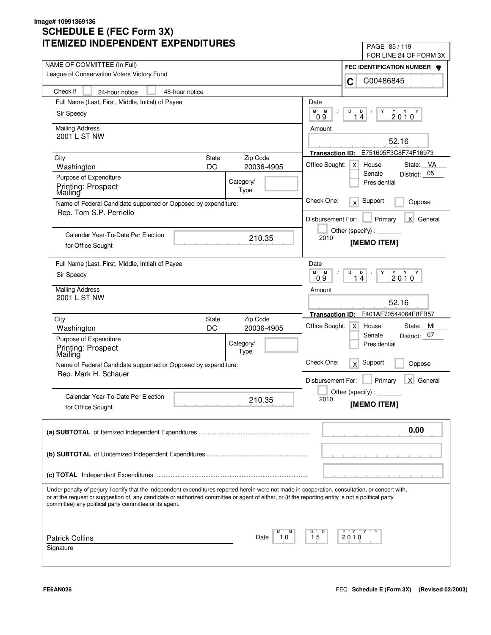| II LIVIILLU INDLFLINDLINI LAFLINDII UNLJ                                                                                                                                                                                                                                                                                                                          | PAGE 85/119<br>FOR LINE 24 OF FORM 3X                     |
|-------------------------------------------------------------------------------------------------------------------------------------------------------------------------------------------------------------------------------------------------------------------------------------------------------------------------------------------------------------------|-----------------------------------------------------------|
| NAME OF COMMITTEE (In Full)                                                                                                                                                                                                                                                                                                                                       |                                                           |
| League of Conservation Voters Victory Fund                                                                                                                                                                                                                                                                                                                        | FEC IDENTIFICATION NUMBER<br>C00486845                    |
| Check if<br>48-hour notice<br>24-hour notice                                                                                                                                                                                                                                                                                                                      | C                                                         |
| Full Name (Last, First, Middle, Initial) of Payee                                                                                                                                                                                                                                                                                                                 | Date                                                      |
| Sir Speedy                                                                                                                                                                                                                                                                                                                                                        | М<br>М<br>D<br>D<br>Y<br>2010<br>Y                        |
|                                                                                                                                                                                                                                                                                                                                                                   | 09<br>14                                                  |
| <b>Mailing Address</b>                                                                                                                                                                                                                                                                                                                                            | Amount                                                    |
| 2001 L ST NW                                                                                                                                                                                                                                                                                                                                                      | 52.16                                                     |
|                                                                                                                                                                                                                                                                                                                                                                   | Transaction ID: E751605F3C8F74F16973                      |
| <b>State</b><br>Zip Code<br>City<br>DC<br>20036-4905<br>Washington                                                                                                                                                                                                                                                                                                | Office Sought:<br>$\mathsf{X}$<br>House<br>State: VA      |
| Purpose of Expenditure                                                                                                                                                                                                                                                                                                                                            | District: 05<br>Senate                                    |
| Category/<br>Printing: Prospect                                                                                                                                                                                                                                                                                                                                   | Presidential                                              |
| Type<br>Mailing                                                                                                                                                                                                                                                                                                                                                   |                                                           |
| Name of Federal Candidate supported or Opposed by expenditure:<br>Rep. Tom S.P. Perriello                                                                                                                                                                                                                                                                         | Check One:<br>Support<br>x<br>Oppose                      |
|                                                                                                                                                                                                                                                                                                                                                                   | X General<br>Disbursement For:<br>Primary                 |
|                                                                                                                                                                                                                                                                                                                                                                   |                                                           |
| Calendar Year-To-Date Per Election<br>210.35                                                                                                                                                                                                                                                                                                                      | 2010<br>[MEMO ITEM]                                       |
| for Office Sought                                                                                                                                                                                                                                                                                                                                                 |                                                           |
| Full Name (Last, First, Middle, Initial) of Payee                                                                                                                                                                                                                                                                                                                 | Date                                                      |
| Sir Speedy                                                                                                                                                                                                                                                                                                                                                        | М<br>D<br>$Y$ $Y$ $Y$<br>M<br>D<br>Υ<br>2010<br>0.9<br>14 |
| <b>Mailing Address</b>                                                                                                                                                                                                                                                                                                                                            | Amount                                                    |
| 2001 L ST NW                                                                                                                                                                                                                                                                                                                                                      |                                                           |
|                                                                                                                                                                                                                                                                                                                                                                   | 52.16                                                     |
| Zip Code<br>City<br><b>State</b>                                                                                                                                                                                                                                                                                                                                  | E401AF70544064E8FB57<br><b>Transaction ID:</b>            |
| DC<br>20036-4905<br>Washington                                                                                                                                                                                                                                                                                                                                    | Office Sought:<br>State: MI<br>$\mathsf{X}$<br>House      |
| Purpose of Expenditure<br>Category/                                                                                                                                                                                                                                                                                                                               | District: 07<br>Senate<br>Presidential                    |
| Printing: Prospect<br>Mailing<br>Type                                                                                                                                                                                                                                                                                                                             |                                                           |
| Name of Federal Candidate supported or Opposed by expenditure:                                                                                                                                                                                                                                                                                                    | Check One:<br>Support<br>x<br>Oppose                      |
| Rep. Mark H. Schauer                                                                                                                                                                                                                                                                                                                                              |                                                           |
|                                                                                                                                                                                                                                                                                                                                                                   | Primary<br>$\mathsf{X}$<br>General<br>Disbursement For:   |
| Calendar Year-To-Date Per Election<br>210.35                                                                                                                                                                                                                                                                                                                      | Other (specify):<br>2010                                  |
| for Office Sought                                                                                                                                                                                                                                                                                                                                                 | [MEMO ITEM]                                               |
|                                                                                                                                                                                                                                                                                                                                                                   |                                                           |
|                                                                                                                                                                                                                                                                                                                                                                   | 0.00                                                      |
|                                                                                                                                                                                                                                                                                                                                                                   |                                                           |
|                                                                                                                                                                                                                                                                                                                                                                   |                                                           |
|                                                                                                                                                                                                                                                                                                                                                                   |                                                           |
|                                                                                                                                                                                                                                                                                                                                                                   |                                                           |
| Under penalty of perjury I certify that the independent expenditures reported herein were not made in cooperation, consultation, or concert with,<br>or at the request or suggestion of, any candidate or authorized committee or agent of either, or (if the reporting entity is not a political party<br>committee) any political party committee or its agent. |                                                           |
|                                                                                                                                                                                                                                                                                                                                                                   |                                                           |
| <b>Patrick Collins</b><br>Date<br>10                                                                                                                                                                                                                                                                                                                              | Y "Y "Y<br>D<br>15<br>2010                                |
| Signature                                                                                                                                                                                                                                                                                                                                                         |                                                           |
|                                                                                                                                                                                                                                                                                                                                                                   |                                                           |
|                                                                                                                                                                                                                                                                                                                                                                   |                                                           |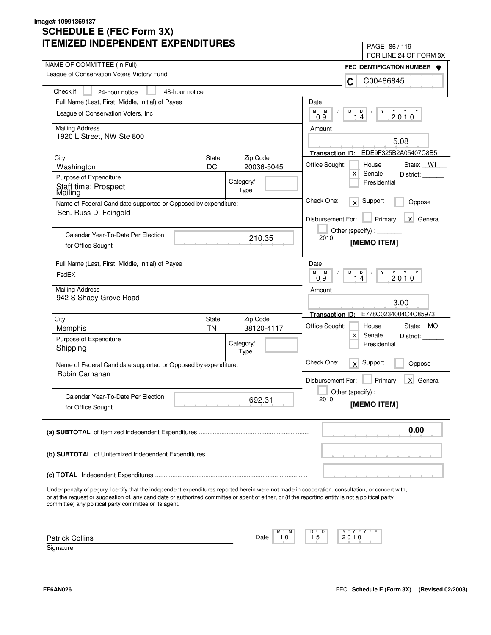| IMILLU INDLFLINDLINI LAFLINDII UNLJ                                                                                                                                                                                                                                                                                                                               | PAGE 86/119                                           |
|-------------------------------------------------------------------------------------------------------------------------------------------------------------------------------------------------------------------------------------------------------------------------------------------------------------------------------------------------------------------|-------------------------------------------------------|
| NAME OF COMMITTEE (In Full)                                                                                                                                                                                                                                                                                                                                       | FOR LINE 24 OF FORM 3X                                |
| League of Conservation Voters Victory Fund                                                                                                                                                                                                                                                                                                                        | FEC IDENTIFICATION NUMBER                             |
| Check if<br>48-hour notice<br>24-hour notice                                                                                                                                                                                                                                                                                                                      | C00486845<br>C                                        |
| Full Name (Last, First, Middle, Initial) of Payee<br>Date                                                                                                                                                                                                                                                                                                         |                                                       |
| М                                                                                                                                                                                                                                                                                                                                                                 | M<br>D<br>D<br>Y                                      |
| League of Conservation Voters, Inc.                                                                                                                                                                                                                                                                                                                               | $2010^Y$<br>14<br>09                                  |
| <b>Mailing Address</b>                                                                                                                                                                                                                                                                                                                                            | Amount                                                |
| 1920 L Street, NW Ste 800                                                                                                                                                                                                                                                                                                                                         | 5.08                                                  |
|                                                                                                                                                                                                                                                                                                                                                                   | EDE9F325B2A05407C8B5<br><b>Transaction ID:</b>        |
| Zip Code<br>City<br><b>State</b>                                                                                                                                                                                                                                                                                                                                  | Office Sought:<br>House<br>State: WI                  |
| DC<br>20036-5045<br>Washington                                                                                                                                                                                                                                                                                                                                    | $\mathsf{X}$<br>Senate<br>District:                   |
| Purpose of Expenditure<br>Category/<br>Staff time: Prospect                                                                                                                                                                                                                                                                                                       | Presidential                                          |
| Type<br>Mailing                                                                                                                                                                                                                                                                                                                                                   |                                                       |
| Name of Federal Candidate supported or Opposed by expenditure:                                                                                                                                                                                                                                                                                                    | Check One:<br>Support<br>$\times$<br>Oppose           |
| Sen. Russ D. Feingold                                                                                                                                                                                                                                                                                                                                             | X General<br>Disbursement For:<br>Primary             |
|                                                                                                                                                                                                                                                                                                                                                                   | Other (specify):                                      |
| Calendar Year-To-Date Per Election<br>210.35                                                                                                                                                                                                                                                                                                                      | 2010<br>[MEMO ITEM]                                   |
| for Office Sought                                                                                                                                                                                                                                                                                                                                                 |                                                       |
| Full Name (Last, First, Middle, Initial) of Payee<br>Date                                                                                                                                                                                                                                                                                                         |                                                       |
| FedEX                                                                                                                                                                                                                                                                                                                                                             | M<br>M<br>D<br>D<br>Υ<br>$2010^{\gamma}$<br>14<br>0.9 |
| <b>Mailing Address</b>                                                                                                                                                                                                                                                                                                                                            | Amount                                                |
| 942 S Shady Grove Road                                                                                                                                                                                                                                                                                                                                            |                                                       |
|                                                                                                                                                                                                                                                                                                                                                                   | 3.00                                                  |
| City<br>Zip Code<br><b>State</b>                                                                                                                                                                                                                                                                                                                                  | E778C0234004C4C85973<br><b>Transaction ID:</b>        |
| <b>TN</b><br>38120-4117<br>Memphis                                                                                                                                                                                                                                                                                                                                | Office Sought:<br>State: MO<br>House                  |
| Purpose of Expenditure<br>Category/                                                                                                                                                                                                                                                                                                                               | $\mathsf{X}$<br>Senate<br>District:<br>Presidential   |
| Shipping<br>Type                                                                                                                                                                                                                                                                                                                                                  |                                                       |
| Name of Federal Candidate supported or Opposed by expenditure:                                                                                                                                                                                                                                                                                                    | Check One:<br>Support<br>x<br>Oppose                  |
| Robin Carnahan                                                                                                                                                                                                                                                                                                                                                    |                                                       |
|                                                                                                                                                                                                                                                                                                                                                                   | Primary<br>X General<br>Disbursement For:             |
| Calendar Year-To-Date Per Election<br>692.31                                                                                                                                                                                                                                                                                                                      | Other (specify) : $\overline{\phantom{a}}$<br>2010    |
| for Office Sought                                                                                                                                                                                                                                                                                                                                                 | [MEMO ITEM]                                           |
|                                                                                                                                                                                                                                                                                                                                                                   |                                                       |
|                                                                                                                                                                                                                                                                                                                                                                   | 0.00                                                  |
|                                                                                                                                                                                                                                                                                                                                                                   |                                                       |
|                                                                                                                                                                                                                                                                                                                                                                   |                                                       |
|                                                                                                                                                                                                                                                                                                                                                                   |                                                       |
|                                                                                                                                                                                                                                                                                                                                                                   |                                                       |
| Under penalty of perjury I certify that the independent expenditures reported herein were not made in cooperation, consultation, or concert with,<br>or at the request or suggestion of, any candidate or authorized committee or agent of either, or (if the reporting entity is not a political party<br>committee) any political party committee or its agent. |                                                       |
|                                                                                                                                                                                                                                                                                                                                                                   |                                                       |
| D<br><b>Patrick Collins</b><br>10<br>15<br>Date                                                                                                                                                                                                                                                                                                                   | Y "Y "Y<br>2010                                       |
| Signature                                                                                                                                                                                                                                                                                                                                                         |                                                       |
|                                                                                                                                                                                                                                                                                                                                                                   |                                                       |
|                                                                                                                                                                                                                                                                                                                                                                   |                                                       |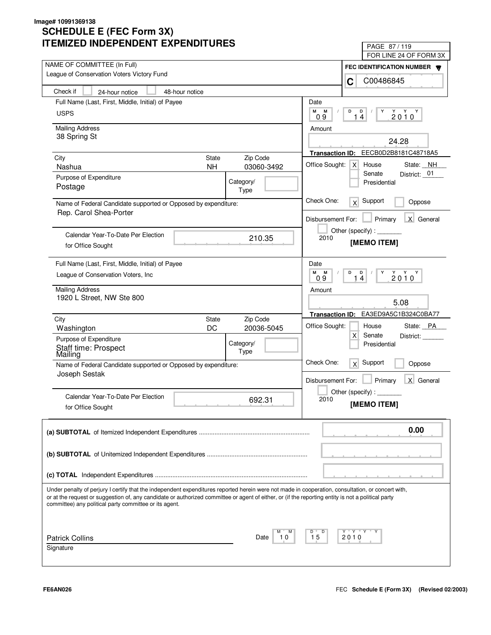| LIVILLU INDLFLNDLNI LAFLNDII UNLJ                                                                                                                                                                                                                                                                       | PAGE 87/119                                                           |
|---------------------------------------------------------------------------------------------------------------------------------------------------------------------------------------------------------------------------------------------------------------------------------------------------------|-----------------------------------------------------------------------|
| NAME OF COMMITTEE (In Full)                                                                                                                                                                                                                                                                             | FOR LINE 24 OF FORM 3X                                                |
| League of Conservation Voters Victory Fund                                                                                                                                                                                                                                                              | FEC IDENTIFICATION NUMBER                                             |
|                                                                                                                                                                                                                                                                                                         | C00486845<br>C                                                        |
| Check if<br>48-hour notice<br>24-hour notice                                                                                                                                                                                                                                                            |                                                                       |
| Full Name (Last, First, Middle, Initial) of Payee                                                                                                                                                                                                                                                       | Date                                                                  |
| <b>USPS</b>                                                                                                                                                                                                                                                                                             | M<br>M<br>D<br>D<br>Y<br>$2010^Y$<br>14<br>09                         |
| <b>Mailing Address</b>                                                                                                                                                                                                                                                                                  | Amount                                                                |
| 38 Spring St                                                                                                                                                                                                                                                                                            |                                                                       |
|                                                                                                                                                                                                                                                                                                         | 24.28                                                                 |
| <b>State</b><br>Zip Code<br>City                                                                                                                                                                                                                                                                        | EECB0D2B8181C48718A5<br><b>Transaction ID:</b>                        |
| 03060-3492<br>Nashua<br><b>NH</b>                                                                                                                                                                                                                                                                       | Office Sought:<br>House<br>State: NH<br>$\times$                      |
| Purpose of Expenditure<br>Category/                                                                                                                                                                                                                                                                     | Senate<br>District: _01<br>Presidential                               |
| Postage<br>Type                                                                                                                                                                                                                                                                                         |                                                                       |
| Name of Federal Candidate supported or Opposed by expenditure:                                                                                                                                                                                                                                          | Check One:<br>Support<br>x<br>Oppose                                  |
| Rep. Carol Shea-Porter                                                                                                                                                                                                                                                                                  |                                                                       |
|                                                                                                                                                                                                                                                                                                         | X General<br>Disbursement For:<br>Primary                             |
| Calendar Year-To-Date Per Election                                                                                                                                                                                                                                                                      | Other (specify):                                                      |
| 210.35<br>for Office Sought                                                                                                                                                                                                                                                                             | 2010<br>[MEMO ITEM]                                                   |
|                                                                                                                                                                                                                                                                                                         |                                                                       |
| Full Name (Last, First, Middle, Initial) of Payee                                                                                                                                                                                                                                                       | Date                                                                  |
| League of Conservation Voters, Inc.                                                                                                                                                                                                                                                                     | м<br>M<br>D<br>D<br>Y<br>$2010^{\gamma}$<br>$\overline{4}$<br>09<br>1 |
| <b>Mailing Address</b>                                                                                                                                                                                                                                                                                  | Amount                                                                |
| 1920 L Street, NW Ste 800                                                                                                                                                                                                                                                                               |                                                                       |
|                                                                                                                                                                                                                                                                                                         | 5.08                                                                  |
| Zip Code<br>City<br><b>State</b>                                                                                                                                                                                                                                                                        | EA3ED9A5C1B324C0BA77<br><b>Transaction ID:</b>                        |
| DC<br>20036-5045<br>Washington                                                                                                                                                                                                                                                                          | Office Sought:<br>State: PA<br>House                                  |
| Purpose of Expenditure<br>Category/                                                                                                                                                                                                                                                                     | $\mathsf{X}$<br>Senate<br>District:<br>Presidential                   |
| Staff time: Prospect<br>Mailing<br>Type                                                                                                                                                                                                                                                                 |                                                                       |
| Name of Federal Candidate supported or Opposed by expenditure:                                                                                                                                                                                                                                          | Check One:<br>Support<br>x<br>Oppose                                  |
| Joseph Sestak                                                                                                                                                                                                                                                                                           |                                                                       |
|                                                                                                                                                                                                                                                                                                         | Primary<br>X General<br>Disbursement For:                             |
| Calendar Year-To-Date Per Election                                                                                                                                                                                                                                                                      | Other (specify) : $\Box$                                              |
| 692.31<br>for Office Sought                                                                                                                                                                                                                                                                             | 2010<br>[MEMO ITEM]                                                   |
|                                                                                                                                                                                                                                                                                                         |                                                                       |
|                                                                                                                                                                                                                                                                                                         | 0.00                                                                  |
|                                                                                                                                                                                                                                                                                                         |                                                                       |
|                                                                                                                                                                                                                                                                                                         |                                                                       |
|                                                                                                                                                                                                                                                                                                         |                                                                       |
|                                                                                                                                                                                                                                                                                                         |                                                                       |
|                                                                                                                                                                                                                                                                                                         |                                                                       |
| Under penalty of perjury I certify that the independent expenditures reported herein were not made in cooperation, consultation, or concert with,<br>or at the request or suggestion of, any candidate or authorized committee or agent of either, or (if the reporting entity is not a political party |                                                                       |
| committee) any political party committee or its agent.                                                                                                                                                                                                                                                  |                                                                       |
|                                                                                                                                                                                                                                                                                                         |                                                                       |
|                                                                                                                                                                                                                                                                                                         |                                                                       |
| <b>Patrick Collins</b><br>10<br>Date                                                                                                                                                                                                                                                                    | Y "Y "Y<br>D<br>15<br>2010                                            |
| Signature                                                                                                                                                                                                                                                                                               |                                                                       |
|                                                                                                                                                                                                                                                                                                         |                                                                       |
|                                                                                                                                                                                                                                                                                                         |                                                                       |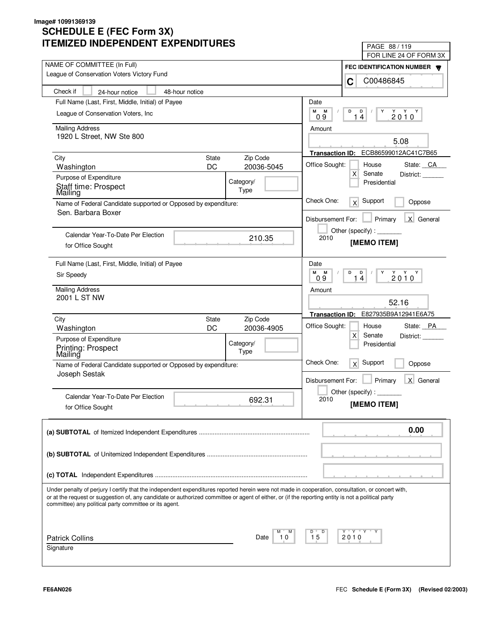| IMILLU INDLFLNDLNT LAFLNDITUNLJ                                                                                                                                                                              | PAGE 88 / 119                                                               |
|--------------------------------------------------------------------------------------------------------------------------------------------------------------------------------------------------------------|-----------------------------------------------------------------------------|
| NAME OF COMMITTEE (In Full)                                                                                                                                                                                  | FOR LINE 24 OF FORM 3X                                                      |
| League of Conservation Voters Victory Fund                                                                                                                                                                   | FEC IDENTIFICATION NUMBER                                                   |
|                                                                                                                                                                                                              | C00486845<br>C                                                              |
| Check if<br>48-hour notice<br>24-hour notice                                                                                                                                                                 |                                                                             |
| Full Name (Last, First, Middle, Initial) of Payee                                                                                                                                                            | Date                                                                        |
| League of Conservation Voters, Inc.                                                                                                                                                                          | М<br>M<br>D<br>D<br>Y<br>$2010^Y$<br>14<br>09                               |
| <b>Mailing Address</b>                                                                                                                                                                                       | Amount                                                                      |
| 1920 L Street, NW Ste 800                                                                                                                                                                                    | 5.08                                                                        |
|                                                                                                                                                                                                              | ECB86599012AC41C7B65<br><b>Transaction ID:</b>                              |
| Zip Code<br>City<br><b>State</b>                                                                                                                                                                             |                                                                             |
| DC<br>20036-5045<br>Washington                                                                                                                                                                               | Office Sought:<br>House<br>State: CA<br>$\mathsf{X}$<br>Senate<br>District: |
| Purpose of Expenditure<br>Category/                                                                                                                                                                          | Presidential                                                                |
| Staff time: Prospect<br>Type<br>Mailing                                                                                                                                                                      |                                                                             |
| Name of Federal Candidate supported or Opposed by expenditure:                                                                                                                                               | Check One:<br>Support<br>x<br>Oppose                                        |
| Sen. Barbara Boxer                                                                                                                                                                                           | X General<br>Disbursement For:<br>Primary                                   |
|                                                                                                                                                                                                              | Other (specify) : $\sqrt{\frac{1}{2} \sum_{r=1}^{r} (r - r)^2}$             |
| Calendar Year-To-Date Per Election<br>210.35                                                                                                                                                                 | 2010<br>[MEMO ITEM]                                                         |
| for Office Sought                                                                                                                                                                                            |                                                                             |
| Full Name (Last, First, Middle, Initial) of Payee                                                                                                                                                            | Date                                                                        |
| Sir Speedy                                                                                                                                                                                                   | M<br>M<br>D<br>D<br>Υ<br>$2010^{\gamma}$<br>14<br>09                        |
|                                                                                                                                                                                                              |                                                                             |
| <b>Mailing Address</b><br>2001 L ST NW                                                                                                                                                                       | Amount                                                                      |
|                                                                                                                                                                                                              | 52.16                                                                       |
| Zip Code<br>City<br><b>State</b>                                                                                                                                                                             | E827935B9A12941E6A75<br><b>Transaction ID:</b>                              |
| DC<br>20036-4905<br>Washington                                                                                                                                                                               | Office Sought:<br>State: PA<br>House                                        |
| Purpose of Expenditure<br>Category/                                                                                                                                                                          | $\mathsf{X}$<br>Senate<br>District:<br>Presidential                         |
| Printing: Prospect<br>Mailing<br>Type                                                                                                                                                                        |                                                                             |
| Name of Federal Candidate supported or Opposed by expenditure:                                                                                                                                               | Check One:<br>Support<br>x<br>Oppose                                        |
| Joseph Sestak                                                                                                                                                                                                |                                                                             |
|                                                                                                                                                                                                              | Primary<br>X General<br>Disbursement For:                                   |
| Calendar Year-To-Date Per Election<br>692.31                                                                                                                                                                 | Other (specify) : $\overline{\phantom{a}}$<br>2010                          |
| for Office Sought                                                                                                                                                                                            | [MEMO ITEM]                                                                 |
|                                                                                                                                                                                                              |                                                                             |
|                                                                                                                                                                                                              | 0.00                                                                        |
|                                                                                                                                                                                                              |                                                                             |
|                                                                                                                                                                                                              |                                                                             |
|                                                                                                                                                                                                              |                                                                             |
|                                                                                                                                                                                                              |                                                                             |
| Under penalty of perjury I certify that the independent expenditures reported herein were not made in cooperation, consultation, or concert with,                                                            |                                                                             |
| or at the request or suggestion of, any candidate or authorized committee or agent of either, or (if the reporting entity is not a political party<br>committee) any political party committee or its agent. |                                                                             |
|                                                                                                                                                                                                              |                                                                             |
|                                                                                                                                                                                                              |                                                                             |
| <b>Patrick Collins</b><br>10<br>Date                                                                                                                                                                         | Y "Y "Y<br>D<br>15<br>2010                                                  |
| Signature                                                                                                                                                                                                    |                                                                             |
|                                                                                                                                                                                                              |                                                                             |
|                                                                                                                                                                                                              |                                                                             |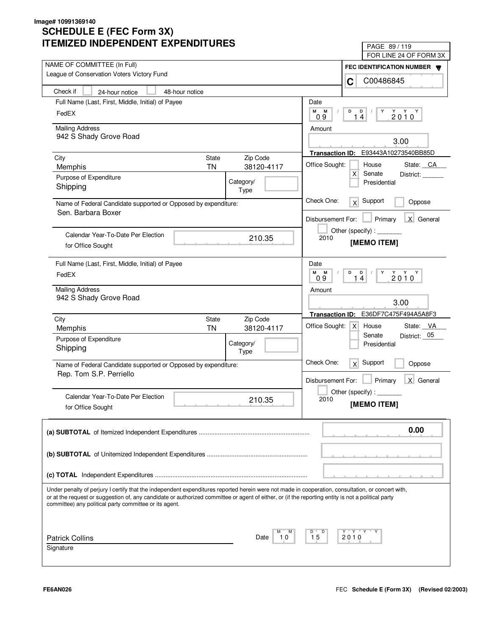| IILMILLU INDLFLNDLNI LAFLNDII UNLJ                                                                                                                                                                                                                                                                                                                                | PAGE 89/119                                                                    |
|-------------------------------------------------------------------------------------------------------------------------------------------------------------------------------------------------------------------------------------------------------------------------------------------------------------------------------------------------------------------|--------------------------------------------------------------------------------|
| NAME OF COMMITTEE (In Full)                                                                                                                                                                                                                                                                                                                                       | FOR LINE 24 OF FORM 3X                                                         |
| League of Conservation Voters Victory Fund                                                                                                                                                                                                                                                                                                                        | FEC IDENTIFICATION NUMBER                                                      |
|                                                                                                                                                                                                                                                                                                                                                                   | C00486845<br>C                                                                 |
| Check if<br>48-hour notice<br>24-hour notice                                                                                                                                                                                                                                                                                                                      |                                                                                |
| Full Name (Last, First, Middle, Initial) of Payee                                                                                                                                                                                                                                                                                                                 | Date                                                                           |
| FedEX                                                                                                                                                                                                                                                                                                                                                             | M<br>M<br>D<br>D<br>Y<br>$2010^Y$<br>14<br>0.9                                 |
| <b>Mailing Address</b>                                                                                                                                                                                                                                                                                                                                            | Amount                                                                         |
| 942 S Shady Grove Road                                                                                                                                                                                                                                                                                                                                            | 3.00                                                                           |
|                                                                                                                                                                                                                                                                                                                                                                   | E93443A10273540BB85D<br><b>Transaction ID:</b>                                 |
| City<br>State<br>Zip Code                                                                                                                                                                                                                                                                                                                                         | Office Sought:<br>House<br>State: CA                                           |
| 38120-4117<br><b>TN</b><br>Memphis                                                                                                                                                                                                                                                                                                                                | $\mathsf{X}$<br>Senate<br>District:                                            |
| Purpose of Expenditure<br>Category/<br>Shipping<br>Type                                                                                                                                                                                                                                                                                                           | Presidential                                                                   |
| Name of Federal Candidate supported or Opposed by expenditure:<br>Sen. Barbara Boxer                                                                                                                                                                                                                                                                              | Check One:<br>Support<br>x<br>Oppose                                           |
|                                                                                                                                                                                                                                                                                                                                                                   | X General<br>Disbursement For:<br>Primary                                      |
| Calendar Year-To-Date Per Election                                                                                                                                                                                                                                                                                                                                | Other (specify) : ________                                                     |
| 210.35<br>for Office Sought                                                                                                                                                                                                                                                                                                                                       | 2010<br>[MEMO ITEM]                                                            |
| Full Name (Last, First, Middle, Initial) of Payee                                                                                                                                                                                                                                                                                                                 | Date                                                                           |
| FedEX                                                                                                                                                                                                                                                                                                                                                             | M<br>M<br>D<br>D<br>Y<br>$2010^{\gamma}$<br>14<br>0.9                          |
| <b>Mailing Address</b>                                                                                                                                                                                                                                                                                                                                            | Amount                                                                         |
| 942 S Shady Grove Road                                                                                                                                                                                                                                                                                                                                            | 3.00                                                                           |
| City<br>Zip Code<br>State                                                                                                                                                                                                                                                                                                                                         | E36DF7C475F494A5A8F3<br><b>Transaction ID:</b>                                 |
| <b>TN</b><br>38120-4117<br>Memphis                                                                                                                                                                                                                                                                                                                                | Office Sought:<br>State: VA<br>$\mathsf{X}$<br>House<br>Senate<br>District: 05 |
| Purpose of Expenditure<br>Category/                                                                                                                                                                                                                                                                                                                               | Presidential                                                                   |
| Shipping<br>Type                                                                                                                                                                                                                                                                                                                                                  |                                                                                |
| Name of Federal Candidate supported or Opposed by expenditure:                                                                                                                                                                                                                                                                                                    | Check One:<br>Support<br>x<br>Oppose                                           |
| Rep. Tom S.P. Perriello                                                                                                                                                                                                                                                                                                                                           | Primary<br>X General<br>Disbursement For:                                      |
|                                                                                                                                                                                                                                                                                                                                                                   | Other (specify):                                                               |
| Calendar Year-To-Date Per Election<br>210.35                                                                                                                                                                                                                                                                                                                      | 2010                                                                           |
| for Office Sought                                                                                                                                                                                                                                                                                                                                                 | [MEMO ITEM]                                                                    |
|                                                                                                                                                                                                                                                                                                                                                                   | 0.00                                                                           |
|                                                                                                                                                                                                                                                                                                                                                                   |                                                                                |
|                                                                                                                                                                                                                                                                                                                                                                   |                                                                                |
|                                                                                                                                                                                                                                                                                                                                                                   |                                                                                |
| Under penalty of perjury I certify that the independent expenditures reported herein were not made in cooperation, consultation, or concert with,<br>or at the request or suggestion of, any candidate or authorized committee or agent of either, or (if the reporting entity is not a political party<br>committee) any political party committee or its agent. |                                                                                |
|                                                                                                                                                                                                                                                                                                                                                                   |                                                                                |
| М<br><b>Patrick Collins</b><br>Date<br>10                                                                                                                                                                                                                                                                                                                         | Y Y "<br>D<br>15<br>2010                                                       |
| Signature                                                                                                                                                                                                                                                                                                                                                         |                                                                                |
|                                                                                                                                                                                                                                                                                                                                                                   |                                                                                |
|                                                                                                                                                                                                                                                                                                                                                                   |                                                                                |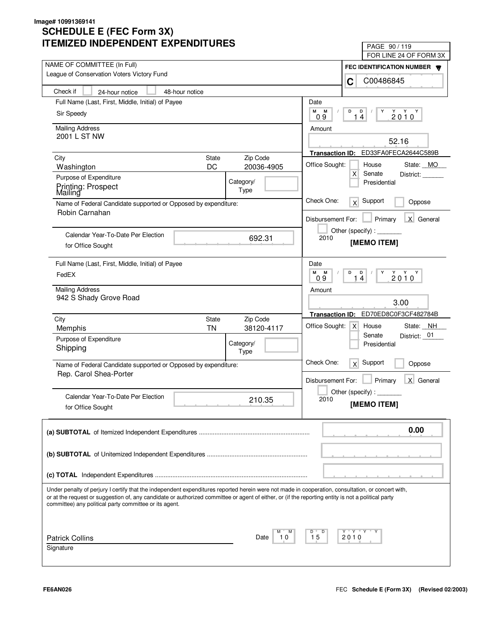| LIVILLU INDLFLNDLNI LAFLNDII UNLJ                                                                                                                                                                                                                                                                                                                                 | PAGE 90/119<br>FOR LINE 24 OF FORM 3X                                                              |
|-------------------------------------------------------------------------------------------------------------------------------------------------------------------------------------------------------------------------------------------------------------------------------------------------------------------------------------------------------------------|----------------------------------------------------------------------------------------------------|
| NAME OF COMMITTEE (In Full)                                                                                                                                                                                                                                                                                                                                       |                                                                                                    |
| League of Conservation Voters Victory Fund                                                                                                                                                                                                                                                                                                                        | FEC IDENTIFICATION NUMBER W<br>C00486845                                                           |
| Check if<br>48-hour notice<br>24-hour notice                                                                                                                                                                                                                                                                                                                      | C                                                                                                  |
| Full Name (Last, First, Middle, Initial) of Payee                                                                                                                                                                                                                                                                                                                 | Date                                                                                               |
| Sir Speedy                                                                                                                                                                                                                                                                                                                                                        | М<br>М<br>D<br>D<br>Y<br>$2010^Y$<br>14<br>09                                                      |
| <b>Mailing Address</b>                                                                                                                                                                                                                                                                                                                                            | Amount                                                                                             |
| 2001 L ST NW                                                                                                                                                                                                                                                                                                                                                      | 52.16                                                                                              |
|                                                                                                                                                                                                                                                                                                                                                                   | Transaction ID: ED33FA0FECA2644C589B                                                               |
| <b>State</b><br>Zip Code<br>City                                                                                                                                                                                                                                                                                                                                  | Office Sought:                                                                                     |
| DC<br>20036-4905<br>Washington                                                                                                                                                                                                                                                                                                                                    | House<br>State: MO<br>X<br>Senate<br>District:                                                     |
| Purpose of Expenditure<br>Category/<br>Printing: Prospect<br>Type<br>Mailing                                                                                                                                                                                                                                                                                      | Presidential                                                                                       |
| Name of Federal Candidate supported or Opposed by expenditure:                                                                                                                                                                                                                                                                                                    | Check One:<br>Support<br>x<br>Oppose                                                               |
| Robin Carnahan                                                                                                                                                                                                                                                                                                                                                    | X General<br>Disbursement For:<br>Primary                                                          |
| Calendar Year-To-Date Per Election<br>692.31                                                                                                                                                                                                                                                                                                                      | Other (specify):<br>2010                                                                           |
| for Office Sought                                                                                                                                                                                                                                                                                                                                                 | [MEMO ITEM]                                                                                        |
| Full Name (Last, First, Middle, Initial) of Payee                                                                                                                                                                                                                                                                                                                 | Date                                                                                               |
| FedEX                                                                                                                                                                                                                                                                                                                                                             | M<br>M<br>D<br>D<br>Υ<br>$2010^Y$<br>14<br>0.9                                                     |
| <b>Mailing Address</b>                                                                                                                                                                                                                                                                                                                                            | Amount                                                                                             |
| 942 S Shady Grove Road                                                                                                                                                                                                                                                                                                                                            | 3.00                                                                                               |
| City<br>Zip Code<br>State                                                                                                                                                                                                                                                                                                                                         | ED70ED8C0F3CF482784B<br><b>Transaction ID:</b><br>Office Sought:<br>State: NH<br>$\times$<br>House |
| <b>TN</b><br>38120-4117<br>Memphis                                                                                                                                                                                                                                                                                                                                | District: 01<br>Senate                                                                             |
| Purpose of Expenditure<br>Category/<br>Shipping                                                                                                                                                                                                                                                                                                                   | Presidential                                                                                       |
| Type                                                                                                                                                                                                                                                                                                                                                              |                                                                                                    |
| Name of Federal Candidate supported or Opposed by expenditure:<br>Rep. Carol Shea-Porter                                                                                                                                                                                                                                                                          | Check One:<br>Support<br>x<br>Oppose                                                               |
|                                                                                                                                                                                                                                                                                                                                                                   | Primary<br>X General<br>Disbursement For:                                                          |
| Calendar Year-To-Date Per Election                                                                                                                                                                                                                                                                                                                                | Other (specify) : $\overline{\phantom{a}}$                                                         |
| 210.35<br>for Office Sought                                                                                                                                                                                                                                                                                                                                       | 2010<br>[MEMO ITEM]                                                                                |
|                                                                                                                                                                                                                                                                                                                                                                   | 0.00                                                                                               |
|                                                                                                                                                                                                                                                                                                                                                                   |                                                                                                    |
|                                                                                                                                                                                                                                                                                                                                                                   |                                                                                                    |
|                                                                                                                                                                                                                                                                                                                                                                   |                                                                                                    |
| Under penalty of perjury I certify that the independent expenditures reported herein were not made in cooperation, consultation, or concert with,<br>or at the request or suggestion of, any candidate or authorized committee or agent of either, or (if the reporting entity is not a political party<br>committee) any political party committee or its agent. |                                                                                                    |
|                                                                                                                                                                                                                                                                                                                                                                   | Y "Y "Y "<br>D                                                                                     |
| <b>Patrick Collins</b><br>Date<br>10                                                                                                                                                                                                                                                                                                                              | 15<br>2010                                                                                         |
| Signature                                                                                                                                                                                                                                                                                                                                                         |                                                                                                    |
|                                                                                                                                                                                                                                                                                                                                                                   |                                                                                                    |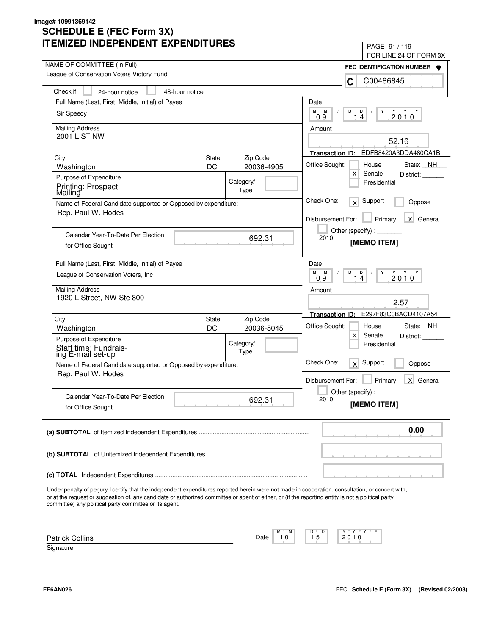| LIVILLU INDLFLNDLNI LAFLNDII UNLJ                                                                                                                  | PAGE 91 / 119                                                                                                                                                                                                                                                                                                                                                                                                                               |
|----------------------------------------------------------------------------------------------------------------------------------------------------|---------------------------------------------------------------------------------------------------------------------------------------------------------------------------------------------------------------------------------------------------------------------------------------------------------------------------------------------------------------------------------------------------------------------------------------------|
| NAME OF COMMITTEE (In Full)                                                                                                                        | FOR LINE 24 OF FORM 3X                                                                                                                                                                                                                                                                                                                                                                                                                      |
| League of Conservation Voters Victory Fund                                                                                                         | FEC IDENTIFICATION NUMBER W                                                                                                                                                                                                                                                                                                                                                                                                                 |
| Check if<br>48-hour notice<br>24-hour notice                                                                                                       | C00486845<br>C                                                                                                                                                                                                                                                                                                                                                                                                                              |
| Full Name (Last, First, Middle, Initial) of Payee                                                                                                  | Date                                                                                                                                                                                                                                                                                                                                                                                                                                        |
|                                                                                                                                                    | М<br>М<br>D<br>D<br>Y                                                                                                                                                                                                                                                                                                                                                                                                                       |
| Sir Speedy                                                                                                                                         | $2010^Y$<br>14<br>09                                                                                                                                                                                                                                                                                                                                                                                                                        |
| <b>Mailing Address</b>                                                                                                                             | Amount                                                                                                                                                                                                                                                                                                                                                                                                                                      |
| 2001 L ST NW                                                                                                                                       | 52.16                                                                                                                                                                                                                                                                                                                                                                                                                                       |
|                                                                                                                                                    | Transaction ID: EDFB8420A3DDA480CA1B                                                                                                                                                                                                                                                                                                                                                                                                        |
| Zip Code<br>City<br><b>State</b><br>DC<br>20036-4905                                                                                               | Office Sought:<br>House<br>State: NH                                                                                                                                                                                                                                                                                                                                                                                                        |
| Washington<br>Purpose of Expenditure                                                                                                               | X<br>Senate<br>District:                                                                                                                                                                                                                                                                                                                                                                                                                    |
| Category/<br>Printing: Prospect                                                                                                                    | Presidential                                                                                                                                                                                                                                                                                                                                                                                                                                |
| Type<br>Mailing                                                                                                                                    |                                                                                                                                                                                                                                                                                                                                                                                                                                             |
| Name of Federal Candidate supported or Opposed by expenditure:                                                                                     | Check One:<br>Support<br>$\times$<br>Oppose                                                                                                                                                                                                                                                                                                                                                                                                 |
| Rep. Paul W. Hodes                                                                                                                                 | X General<br>Primary<br>Disbursement For:                                                                                                                                                                                                                                                                                                                                                                                                   |
|                                                                                                                                                    | Other (specify) : $\sqrt{\frac{1}{2} \cdot \frac{1}{2} \cdot \frac{1}{2} \cdot \frac{1}{2} \cdot \frac{1}{2} \cdot \frac{1}{2} \cdot \frac{1}{2} \cdot \frac{1}{2} \cdot \frac{1}{2} \cdot \frac{1}{2} \cdot \frac{1}{2} \cdot \frac{1}{2} \cdot \frac{1}{2} \cdot \frac{1}{2} \cdot \frac{1}{2} \cdot \frac{1}{2} \cdot \frac{1}{2} \cdot \frac{1}{2} \cdot \frac{1}{2} \cdot \frac{1}{2} \cdot \frac{1}{2} \cdot \frac{1}{2} \cdot \frac$ |
| Calendar Year-To-Date Per Election<br>692.31                                                                                                       | 2010<br>[MEMO ITEM]                                                                                                                                                                                                                                                                                                                                                                                                                         |
| for Office Sought                                                                                                                                  |                                                                                                                                                                                                                                                                                                                                                                                                                                             |
| Full Name (Last, First, Middle, Initial) of Payee                                                                                                  | Date                                                                                                                                                                                                                                                                                                                                                                                                                                        |
| League of Conservation Voters, Inc.                                                                                                                | M<br>M<br>D<br>D<br>Υ<br>$2010^Y$<br>14<br>0.9                                                                                                                                                                                                                                                                                                                                                                                              |
| <b>Mailing Address</b>                                                                                                                             | Amount                                                                                                                                                                                                                                                                                                                                                                                                                                      |
| 1920 L Street, NW Ste 800                                                                                                                          | 2.57                                                                                                                                                                                                                                                                                                                                                                                                                                        |
|                                                                                                                                                    | E297F83C0BACD4107A54<br><b>Transaction ID:</b>                                                                                                                                                                                                                                                                                                                                                                                              |
| Zip Code<br>City<br><b>State</b>                                                                                                                   | Office Sought:<br>State: NH<br>House                                                                                                                                                                                                                                                                                                                                                                                                        |
| DC<br>20036-5045<br>Washington                                                                                                                     | X<br>Senate<br>District:                                                                                                                                                                                                                                                                                                                                                                                                                    |
| Purpose of Expenditure<br>Category/                                                                                                                | Presidential                                                                                                                                                                                                                                                                                                                                                                                                                                |
| Staff time: Fundrais-<br>ing E-mail set-up<br>Type                                                                                                 |                                                                                                                                                                                                                                                                                                                                                                                                                                             |
| Name of Federal Candidate supported or Opposed by expenditure:                                                                                     | Check One:<br>Support<br>x<br>Oppose                                                                                                                                                                                                                                                                                                                                                                                                        |
| Rep. Paul W. Hodes                                                                                                                                 | Primary<br>X General<br>Disbursement For:                                                                                                                                                                                                                                                                                                                                                                                                   |
|                                                                                                                                                    | Other (specify) : $\overline{\phantom{a}}$                                                                                                                                                                                                                                                                                                                                                                                                  |
| Calendar Year-To-Date Per Election<br>692.31                                                                                                       | 2010<br>[MEMO ITEM]                                                                                                                                                                                                                                                                                                                                                                                                                         |
| for Office Sought                                                                                                                                  |                                                                                                                                                                                                                                                                                                                                                                                                                                             |
|                                                                                                                                                    | 0.00                                                                                                                                                                                                                                                                                                                                                                                                                                        |
|                                                                                                                                                    |                                                                                                                                                                                                                                                                                                                                                                                                                                             |
|                                                                                                                                                    |                                                                                                                                                                                                                                                                                                                                                                                                                                             |
|                                                                                                                                                    |                                                                                                                                                                                                                                                                                                                                                                                                                                             |
|                                                                                                                                                    |                                                                                                                                                                                                                                                                                                                                                                                                                                             |
| Under penalty of perjury I certify that the independent expenditures reported herein were not made in cooperation, consultation, or concert with,  |                                                                                                                                                                                                                                                                                                                                                                                                                                             |
| or at the request or suggestion of, any candidate or authorized committee or agent of either, or (if the reporting entity is not a political party |                                                                                                                                                                                                                                                                                                                                                                                                                                             |
| committee) any political party committee or its agent.                                                                                             |                                                                                                                                                                                                                                                                                                                                                                                                                                             |
|                                                                                                                                                    |                                                                                                                                                                                                                                                                                                                                                                                                                                             |
| <b>Patrick Collins</b><br>Date<br>10                                                                                                               | Y "Y "Y "<br>D<br>15<br>2010                                                                                                                                                                                                                                                                                                                                                                                                                |
| Signature                                                                                                                                          |                                                                                                                                                                                                                                                                                                                                                                                                                                             |
|                                                                                                                                                    |                                                                                                                                                                                                                                                                                                                                                                                                                                             |
|                                                                                                                                                    |                                                                                                                                                                                                                                                                                                                                                                                                                                             |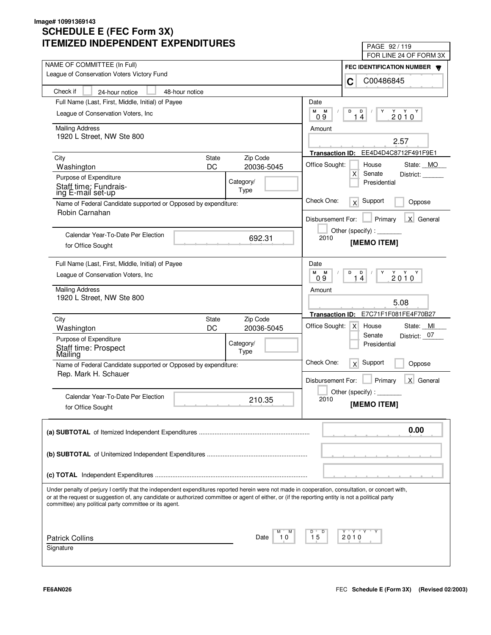| LIVILLU INDLFLINDLNI LAFLINDII UNLJ                                                                                                                                                                                                                                                                                                                               | PAGE 92/119                                                                |
|-------------------------------------------------------------------------------------------------------------------------------------------------------------------------------------------------------------------------------------------------------------------------------------------------------------------------------------------------------------------|----------------------------------------------------------------------------|
| NAME OF COMMITTEE (In Full)                                                                                                                                                                                                                                                                                                                                       | FOR LINE 24 OF FORM 3X                                                     |
| League of Conservation Voters Victory Fund                                                                                                                                                                                                                                                                                                                        | FEC IDENTIFICATION NUMBER                                                  |
|                                                                                                                                                                                                                                                                                                                                                                   | C00486845<br>C                                                             |
| Check if<br>48-hour notice<br>24-hour notice                                                                                                                                                                                                                                                                                                                      |                                                                            |
| Full Name (Last, First, Middle, Initial) of Payee                                                                                                                                                                                                                                                                                                                 | Date                                                                       |
| League of Conservation Voters, Inc.                                                                                                                                                                                                                                                                                                                               | М<br>M<br>D<br>D<br>Y<br>$2010^Y$                                          |
|                                                                                                                                                                                                                                                                                                                                                                   | 14<br>09                                                                   |
| <b>Mailing Address</b><br>1920 L Street, NW Ste 800                                                                                                                                                                                                                                                                                                               | Amount                                                                     |
|                                                                                                                                                                                                                                                                                                                                                                   | 2.57                                                                       |
|                                                                                                                                                                                                                                                                                                                                                                   | EE4D4D4C8712F491F9E1<br><b>Transaction ID:</b>                             |
| Zip Code<br>City<br><b>State</b><br>DC<br>20036-5045                                                                                                                                                                                                                                                                                                              | Office Sought:<br>House<br>State: MO                                       |
| Washington                                                                                                                                                                                                                                                                                                                                                        | X<br>Senate<br>District:                                                   |
| Purpose of Expenditure<br>Category/<br>Staff time: Fundrais-                                                                                                                                                                                                                                                                                                      | Presidential                                                               |
| Type<br>ing E-mail set-up                                                                                                                                                                                                                                                                                                                                         |                                                                            |
| Name of Federal Candidate supported or Opposed by expenditure:                                                                                                                                                                                                                                                                                                    | Check One:<br>Support<br>x<br>Oppose                                       |
| Robin Carnahan                                                                                                                                                                                                                                                                                                                                                    | Primary<br>X General<br>Disbursement For:                                  |
|                                                                                                                                                                                                                                                                                                                                                                   |                                                                            |
| Calendar Year-To-Date Per Election<br>692.31                                                                                                                                                                                                                                                                                                                      | Other (specify) : $\sqrt{\frac{1}{2} \sum_{r=1}^{r} (r - r)^2}$<br>2010    |
| for Office Sought                                                                                                                                                                                                                                                                                                                                                 | [MEMO ITEM]                                                                |
|                                                                                                                                                                                                                                                                                                                                                                   |                                                                            |
| Full Name (Last, First, Middle, Initial) of Payee                                                                                                                                                                                                                                                                                                                 | Date                                                                       |
| League of Conservation Voters, Inc.                                                                                                                                                                                                                                                                                                                               | м<br>M<br>D<br>D<br>Υ<br>$2010^{\gamma}$<br>4<br>09<br>1                   |
| <b>Mailing Address</b>                                                                                                                                                                                                                                                                                                                                            | Amount                                                                     |
| 1920 L Street, NW Ste 800                                                                                                                                                                                                                                                                                                                                         | 5.08                                                                       |
|                                                                                                                                                                                                                                                                                                                                                                   | E7C71F1F081FE4F70B27                                                       |
| Zip Code<br>City<br><b>State</b>                                                                                                                                                                                                                                                                                                                                  | <b>Transaction ID:</b>                                                     |
| DC<br>20036-5045<br>Washington                                                                                                                                                                                                                                                                                                                                    | Office Sought:<br>State: MI<br>$\times$<br>House<br>District: 07<br>Senate |
| Purpose of Expenditure<br>Category/                                                                                                                                                                                                                                                                                                                               | Presidential                                                               |
| Staff time: Prospect<br>Mailing<br>Type                                                                                                                                                                                                                                                                                                                           |                                                                            |
| Name of Federal Candidate supported or Opposed by expenditure:                                                                                                                                                                                                                                                                                                    | Check One:<br>Support<br>x<br>Oppose                                       |
| Rep. Mark H. Schauer                                                                                                                                                                                                                                                                                                                                              |                                                                            |
|                                                                                                                                                                                                                                                                                                                                                                   | Primary<br>Disbursement For:<br>X General                                  |
| Calendar Year-To-Date Per Election                                                                                                                                                                                                                                                                                                                                | Other (specify):                                                           |
| 210.35<br>for Office Sought                                                                                                                                                                                                                                                                                                                                       | 2010<br>[MEMO ITEM]                                                        |
|                                                                                                                                                                                                                                                                                                                                                                   |                                                                            |
|                                                                                                                                                                                                                                                                                                                                                                   | 0.00                                                                       |
|                                                                                                                                                                                                                                                                                                                                                                   |                                                                            |
|                                                                                                                                                                                                                                                                                                                                                                   |                                                                            |
|                                                                                                                                                                                                                                                                                                                                                                   |                                                                            |
|                                                                                                                                                                                                                                                                                                                                                                   |                                                                            |
|                                                                                                                                                                                                                                                                                                                                                                   |                                                                            |
| Under penalty of perjury I certify that the independent expenditures reported herein were not made in cooperation, consultation, or concert with,<br>or at the request or suggestion of, any candidate or authorized committee or agent of either, or (if the reporting entity is not a political party<br>committee) any political party committee or its agent. |                                                                            |
|                                                                                                                                                                                                                                                                                                                                                                   |                                                                            |
|                                                                                                                                                                                                                                                                                                                                                                   |                                                                            |
| <b>Patrick Collins</b><br>10<br>Date                                                                                                                                                                                                                                                                                                                              | Y "Y "Y<br>D<br>15<br>2010                                                 |
| Signature                                                                                                                                                                                                                                                                                                                                                         |                                                                            |
|                                                                                                                                                                                                                                                                                                                                                                   |                                                                            |
|                                                                                                                                                                                                                                                                                                                                                                   |                                                                            |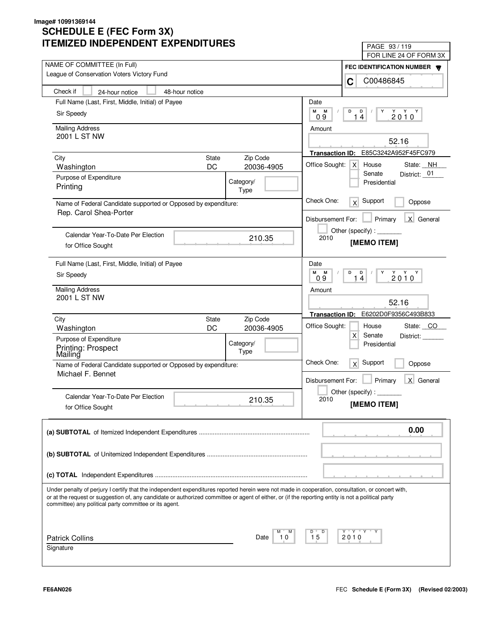| LIVILLU INDLFLINDLINI LAFLINDII UNLS                                                                                                                                                                         | PAGE 93 / 119<br>FOR LINE 24 OF FORM 3X                   |
|--------------------------------------------------------------------------------------------------------------------------------------------------------------------------------------------------------------|-----------------------------------------------------------|
| NAME OF COMMITTEE (In Full)                                                                                                                                                                                  |                                                           |
| League of Conservation Voters Victory Fund                                                                                                                                                                   | FEC IDENTIFICATION NUMBER <b>W</b><br>C00486845<br>C      |
| Check if<br>48-hour notice<br>24-hour notice                                                                                                                                                                 |                                                           |
| Full Name (Last, First, Middle, Initial) of Payee                                                                                                                                                            | Date                                                      |
| Sir Speedy                                                                                                                                                                                                   | М<br>М<br>D<br>D<br>Y<br>$2010^Y$                         |
|                                                                                                                                                                                                              | 09<br>14                                                  |
| <b>Mailing Address</b><br>2001 L ST NW                                                                                                                                                                       | Amount                                                    |
|                                                                                                                                                                                                              | 52.16                                                     |
|                                                                                                                                                                                                              | E85C3242A952F45FC979<br><b>Transaction ID:</b>            |
| <b>State</b><br>Zip Code<br>City<br>DC<br>20036-4905<br>Washington                                                                                                                                           | Office Sought:<br>$\mathsf{X}$<br>House<br>State: NH      |
| Purpose of Expenditure                                                                                                                                                                                       | Senate<br>District: 01                                    |
| Category/<br>Printing                                                                                                                                                                                        | Presidential                                              |
| Type                                                                                                                                                                                                         |                                                           |
| Name of Federal Candidate supported or Opposed by expenditure:<br>Rep. Carol Shea-Porter                                                                                                                     | Check One:<br>Support<br>x<br>Oppose                      |
|                                                                                                                                                                                                              | X General<br>Disbursement For:<br>Primary                 |
| Calendar Year-To-Date Per Election                                                                                                                                                                           |                                                           |
| 210.35<br>for Office Sought                                                                                                                                                                                  | 2010<br>[MEMO ITEM]                                       |
|                                                                                                                                                                                                              |                                                           |
| Full Name (Last, First, Middle, Initial) of Payee                                                                                                                                                            | Date                                                      |
| Sir Speedy                                                                                                                                                                                                   | м<br>D<br>$Y$ $Y$ $Y$<br>M<br>D<br>Y<br>2010<br>14<br>0.9 |
| <b>Mailing Address</b>                                                                                                                                                                                       | Amount                                                    |
| 2001 L ST NW                                                                                                                                                                                                 | 52.16                                                     |
|                                                                                                                                                                                                              | E6202D0F9356C493B833<br><b>Transaction ID:</b>            |
| Zip Code<br>City<br><b>State</b>                                                                                                                                                                             | Office Sought:<br>State: CO<br>House                      |
| DC<br>20036-4905<br>Washington                                                                                                                                                                               | X<br>Senate<br>District:                                  |
| Purpose of Expenditure<br>Category/                                                                                                                                                                          | Presidential                                              |
| Printing: Prospect<br>Mailing<br>Type                                                                                                                                                                        |                                                           |
| Name of Federal Candidate supported or Opposed by expenditure:                                                                                                                                               | Check One:<br>Support<br>x<br>Oppose                      |
| Michael F. Bennet                                                                                                                                                                                            | Primary<br>$\times$<br>General<br>Disbursement For:       |
|                                                                                                                                                                                                              |                                                           |
| Calendar Year-To-Date Per Election<br>210.35                                                                                                                                                                 | Other (specify) : $\overline{\phantom{a}}$<br>2010        |
| for Office Sought                                                                                                                                                                                            | [MEMO ITEM]                                               |
|                                                                                                                                                                                                              | 0.00                                                      |
|                                                                                                                                                                                                              |                                                           |
|                                                                                                                                                                                                              |                                                           |
|                                                                                                                                                                                                              |                                                           |
|                                                                                                                                                                                                              |                                                           |
| Under penalty of perjury I certify that the independent expenditures reported herein were not made in cooperation, consultation, or concert with,                                                            |                                                           |
| or at the request or suggestion of, any candidate or authorized committee or agent of either, or (if the reporting entity is not a political party<br>committee) any political party committee or its agent. |                                                           |
|                                                                                                                                                                                                              |                                                           |
|                                                                                                                                                                                                              | Y "Y "Y<br>D                                              |
| <b>Patrick Collins</b><br>Date<br>10                                                                                                                                                                         | 15<br>2010                                                |
| Signature                                                                                                                                                                                                    |                                                           |
|                                                                                                                                                                                                              |                                                           |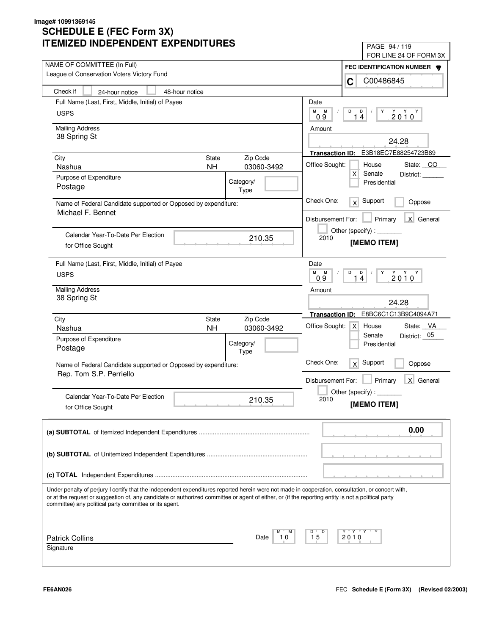| ITEMIZED INDEPENDENT EXPENDITURES                                                                                                                                                                            | PAGE 94 / 119<br>FOR LINE 24 OF FORM 3X                                                                                                |
|--------------------------------------------------------------------------------------------------------------------------------------------------------------------------------------------------------------|----------------------------------------------------------------------------------------------------------------------------------------|
| NAME OF COMMITTEE (In Full)                                                                                                                                                                                  | FEC IDENTIFICATION NUMBER                                                                                                              |
| League of Conservation Voters Victory Fund                                                                                                                                                                   | C00486845<br>C                                                                                                                         |
| Check if<br>48-hour notice<br>24-hour notice                                                                                                                                                                 |                                                                                                                                        |
| Full Name (Last, First, Middle, Initial) of Payee                                                                                                                                                            | Date                                                                                                                                   |
| <b>USPS</b>                                                                                                                                                                                                  | M M<br>D<br>Y<br>$\begin{array}{c}\n\stackrel{\vee}{2} & \stackrel{\vee}{0} & \stackrel{\vee}{0} \\ \end{array}$<br>$D$ /<br>14<br>0.9 |
| <b>Mailing Address</b>                                                                                                                                                                                       | Amount                                                                                                                                 |
| 38 Spring St                                                                                                                                                                                                 | 24.28                                                                                                                                  |
| City<br>State<br>Zip Code                                                                                                                                                                                    | Transaction ID: E3B18EC7E88254723B89                                                                                                   |
| Nashua<br><b>NH</b>                                                                                                                                                                                          | Office Sought:<br>State: CO<br>House<br>03060-3492                                                                                     |
| Purpose of Expenditure<br>Category/                                                                                                                                                                          | $\mathsf{X}$<br>Senate<br>District:                                                                                                    |
| Postage<br>Type                                                                                                                                                                                              | Presidential                                                                                                                           |
| Name of Federal Candidate supported or Opposed by expenditure:                                                                                                                                               | Check One:<br>$x$ Support<br>Oppose                                                                                                    |
| Michael F. Bennet                                                                                                                                                                                            | $\blacksquare$ Primary<br>X General<br>Disbursement For:                                                                               |
| Calendar Year-To-Date Per Election                                                                                                                                                                           | Other (specify) : ________                                                                                                             |
| for Office Sought                                                                                                                                                                                            | 2010<br>210.35<br>[MEMO ITEM]                                                                                                          |
|                                                                                                                                                                                                              |                                                                                                                                        |
| Full Name (Last, First, Middle, Initial) of Payee                                                                                                                                                            | Date                                                                                                                                   |
| <b>USPS</b>                                                                                                                                                                                                  | M M<br>D<br>1 <sup>D</sup><br>$2010^Y$<br>09                                                                                           |
| <b>Mailing Address</b>                                                                                                                                                                                       | Amount                                                                                                                                 |
| 38 Spring St                                                                                                                                                                                                 | 24.28                                                                                                                                  |
| Zip Code<br>State                                                                                                                                                                                            | Transaction ID: E8BC6C1C13B9C4094A71                                                                                                   |
| City<br><b>NH</b><br>Nashua                                                                                                                                                                                  | Office Sought: X<br>State: VA<br>House<br>03060-3492                                                                                   |
| Purpose of Expenditure<br>Category/                                                                                                                                                                          | District: 05<br>Senate                                                                                                                 |
| Postage<br>Type                                                                                                                                                                                              | Presidential                                                                                                                           |
| Name of Federal Candidate supported or Opposed by expenditure:                                                                                                                                               | Check One:<br>$\overline{X}$ Support<br>Oppose                                                                                         |
| Rep. Tom S.P. Perriello                                                                                                                                                                                      | X General<br>Disbursement For:                                                                                                         |
|                                                                                                                                                                                                              | Primary<br>Other (specify):                                                                                                            |
| Calendar Year-To-Date Per Election                                                                                                                                                                           | 210.35<br>2010<br>[MEMO ITEM]                                                                                                          |
| for Office Sought                                                                                                                                                                                            |                                                                                                                                        |
|                                                                                                                                                                                                              | 0.00                                                                                                                                   |
|                                                                                                                                                                                                              |                                                                                                                                        |
|                                                                                                                                                                                                              |                                                                                                                                        |
|                                                                                                                                                                                                              |                                                                                                                                        |
| Under penalty of perjury I certify that the independent expenditures reported herein were not made in cooperation, consultation, or concert with,                                                            |                                                                                                                                        |
| or at the request or suggestion of, any candidate or authorized committee or agent of either, or (if the reporting entity is not a political party<br>committee) any political party committee or its agent. |                                                                                                                                        |
|                                                                                                                                                                                                              |                                                                                                                                        |
|                                                                                                                                                                                                              | D<br>Y Y<br>м                                                                                                                          |
| <b>Patrick Collins</b>                                                                                                                                                                                       | D<br>15<br>2010<br>Date<br>10                                                                                                          |
| Signature                                                                                                                                                                                                    |                                                                                                                                        |
|                                                                                                                                                                                                              |                                                                                                                                        |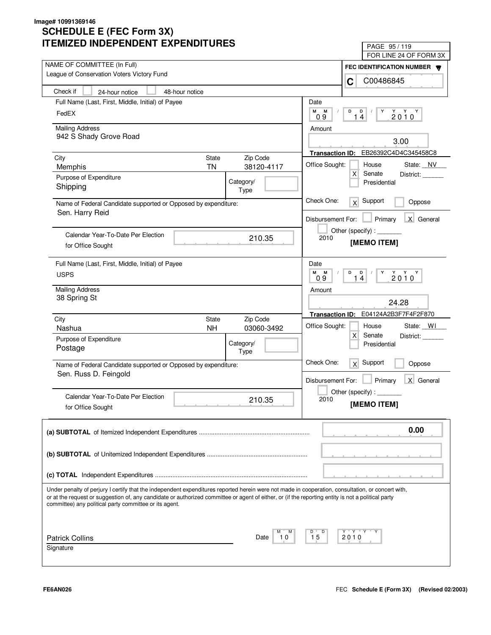| IILMILLU INDLFLNDLNI LAFLNDII UNLJ                                                                                                                                                                           | PAGE 95/119                                         |
|--------------------------------------------------------------------------------------------------------------------------------------------------------------------------------------------------------------|-----------------------------------------------------|
| NAME OF COMMITTEE (In Full)                                                                                                                                                                                  | FOR LINE 24 OF FORM 3X                              |
| League of Conservation Voters Victory Fund                                                                                                                                                                   | FEC IDENTIFICATION NUMBER                           |
|                                                                                                                                                                                                              | C00486845<br>C                                      |
| Check if<br>48-hour notice<br>24-hour notice                                                                                                                                                                 |                                                     |
| Full Name (Last, First, Middle, Initial) of Payee                                                                                                                                                            | Date                                                |
| FedEX                                                                                                                                                                                                        | M<br>M<br>D<br>D<br>Y<br>$2010^Y$<br>14<br>0.9      |
| <b>Mailing Address</b>                                                                                                                                                                                       | Amount                                              |
| 942 S Shady Grove Road                                                                                                                                                                                       | 3.00                                                |
|                                                                                                                                                                                                              |                                                     |
| Zip Code<br>City<br>State                                                                                                                                                                                    | EB26392C4D4C345458C8<br><b>Transaction ID:</b>      |
| 38120-4117<br><b>TN</b><br>Memphis                                                                                                                                                                           | Office Sought:<br>House<br>State: NV                |
| Purpose of Expenditure<br>Category/                                                                                                                                                                          | $\mathsf{x}$<br>Senate<br>District:<br>Presidential |
| Shipping<br>Type                                                                                                                                                                                             |                                                     |
| Name of Federal Candidate supported or Opposed by expenditure:                                                                                                                                               | Check One:<br>Support<br>x <sup>2</sup><br>Oppose   |
| Sen. Harry Reid                                                                                                                                                                                              | X General<br>Disbursement For:<br>Primary           |
|                                                                                                                                                                                                              | Other (specify) : ________                          |
| Calendar Year-To-Date Per Election<br>210.35                                                                                                                                                                 | 2010<br>[MEMO ITEM]                                 |
| for Office Sought                                                                                                                                                                                            |                                                     |
| Full Name (Last, First, Middle, Initial) of Payee                                                                                                                                                            | Date                                                |
| <b>USPS</b>                                                                                                                                                                                                  | M<br>M<br>D<br>$\mathsf{D}$<br>Y<br>$2010^{\gamma}$ |
|                                                                                                                                                                                                              | 14<br>09                                            |
| <b>Mailing Address</b><br>38 Spring St                                                                                                                                                                       | Amount                                              |
|                                                                                                                                                                                                              | 24.28                                               |
| City<br>Zip Code<br>State                                                                                                                                                                                    | E04124A2B3F7F4F2F870<br><b>Transaction ID:</b>      |
| <b>NH</b><br>Nashua<br>03060-3492                                                                                                                                                                            | Office Sought:<br>House<br>State: WI                |
| Purpose of Expenditure                                                                                                                                                                                       | $\times$<br>Senate<br>District:                     |
| Category/<br>Postage<br>Type                                                                                                                                                                                 | Presidential                                        |
| Name of Federal Candidate supported or Opposed by expenditure:                                                                                                                                               | Check One:<br>Support<br>x<br>Oppose                |
| Sen. Russ D. Feingold                                                                                                                                                                                        |                                                     |
|                                                                                                                                                                                                              | Disbursement For:<br>Primary<br>X General           |
| Calendar Year-To-Date Per Election                                                                                                                                                                           | Other (specify) : $\overline{\phantom{a}}$          |
| 210.35<br>for Office Sought                                                                                                                                                                                  | 2010<br>[MEMO ITEM]                                 |
|                                                                                                                                                                                                              |                                                     |
|                                                                                                                                                                                                              | 0.00                                                |
|                                                                                                                                                                                                              |                                                     |
|                                                                                                                                                                                                              |                                                     |
|                                                                                                                                                                                                              |                                                     |
|                                                                                                                                                                                                              |                                                     |
| Under penalty of perjury I certify that the independent expenditures reported herein were not made in cooperation, consultation, or concert with,                                                            |                                                     |
| or at the request or suggestion of, any candidate or authorized committee or agent of either, or (if the reporting entity is not a political party<br>committee) any political party committee or its agent. |                                                     |
|                                                                                                                                                                                                              |                                                     |
|                                                                                                                                                                                                              |                                                     |
| М                                                                                                                                                                                                            | Y Y "<br>Y<br>D                                     |
| <b>Patrick Collins</b><br>10<br>Date<br>Signature                                                                                                                                                            | 15<br>2010                                          |
|                                                                                                                                                                                                              |                                                     |
|                                                                                                                                                                                                              |                                                     |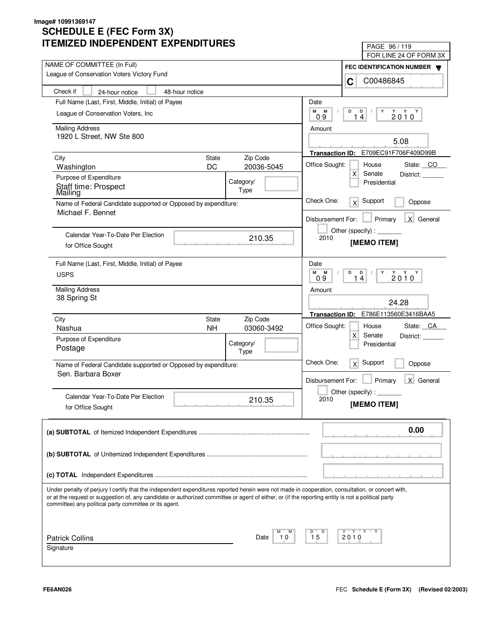| LIVILLU INDLFLNDLNI LAFLNDII UNLJ                                                                                                                                                                                                                                                                                                                                 | PAGE 96/119                                                                 |
|-------------------------------------------------------------------------------------------------------------------------------------------------------------------------------------------------------------------------------------------------------------------------------------------------------------------------------------------------------------------|-----------------------------------------------------------------------------|
| NAME OF COMMITTEE (In Full)                                                                                                                                                                                                                                                                                                                                       | FOR LINE 24 OF FORM 3X                                                      |
| League of Conservation Voters Victory Fund                                                                                                                                                                                                                                                                                                                        | FEC IDENTIFICATION NUMBER                                                   |
|                                                                                                                                                                                                                                                                                                                                                                   | C00486845<br>C                                                              |
| Check if<br>24-hour notice<br>48-hour notice                                                                                                                                                                                                                                                                                                                      |                                                                             |
| Full Name (Last, First, Middle, Initial) of Payee                                                                                                                                                                                                                                                                                                                 | Date                                                                        |
| League of Conservation Voters, Inc.                                                                                                                                                                                                                                                                                                                               | М<br>M<br>D<br>D<br>Y<br>$2010^Y$<br>14<br>09                               |
| <b>Mailing Address</b>                                                                                                                                                                                                                                                                                                                                            | Amount                                                                      |
| 1920 L Street, NW Ste 800                                                                                                                                                                                                                                                                                                                                         | 5.08                                                                        |
|                                                                                                                                                                                                                                                                                                                                                                   | E709EC91F706F409D99B<br><b>Transaction ID:</b>                              |
| Zip Code<br>City<br><b>State</b>                                                                                                                                                                                                                                                                                                                                  |                                                                             |
| DC<br>20036-5045<br>Washington                                                                                                                                                                                                                                                                                                                                    | Office Sought:<br>House<br>State: CO<br>$\mathsf{X}$<br>Senate<br>District: |
| Purpose of Expenditure<br>Category/                                                                                                                                                                                                                                                                                                                               | Presidential                                                                |
| Staff time: Prospect<br>Type<br>Mailing                                                                                                                                                                                                                                                                                                                           |                                                                             |
| Name of Federal Candidate supported or Opposed by expenditure:                                                                                                                                                                                                                                                                                                    | Check One:<br>Support<br>$\times$<br>Oppose                                 |
| Michael F. Bennet                                                                                                                                                                                                                                                                                                                                                 | X General<br>Disbursement For:<br>Primary                                   |
|                                                                                                                                                                                                                                                                                                                                                                   | Other (specify) : $\sqrt{\frac{1}{2} \sum_{r=1}^{r} (r - r)^2}$             |
| Calendar Year-To-Date Per Election<br>210.35                                                                                                                                                                                                                                                                                                                      | 2010<br>[MEMO ITEM]                                                         |
| for Office Sought                                                                                                                                                                                                                                                                                                                                                 |                                                                             |
| Full Name (Last, First, Middle, Initial) of Payee                                                                                                                                                                                                                                                                                                                 | Date                                                                        |
| <b>USPS</b>                                                                                                                                                                                                                                                                                                                                                       | M<br>M<br>D<br>D<br>Υ<br>$2010^{\gamma}$<br>14<br>0.9                       |
| <b>Mailing Address</b>                                                                                                                                                                                                                                                                                                                                            |                                                                             |
| 38 Spring St                                                                                                                                                                                                                                                                                                                                                      | Amount                                                                      |
|                                                                                                                                                                                                                                                                                                                                                                   | 24.28                                                                       |
| Zip Code<br>City<br><b>State</b>                                                                                                                                                                                                                                                                                                                                  | E786E113560E3416BAA5<br><b>Transaction ID:</b>                              |
| <b>NH</b><br>Nashua<br>03060-3492                                                                                                                                                                                                                                                                                                                                 | Office Sought:<br>State: CA<br>House                                        |
| Purpose of Expenditure<br>Category/                                                                                                                                                                                                                                                                                                                               | $\mathsf{X}$<br>Senate<br>District:<br>Presidential                         |
| Postage<br>Type                                                                                                                                                                                                                                                                                                                                                   |                                                                             |
| Name of Federal Candidate supported or Opposed by expenditure:                                                                                                                                                                                                                                                                                                    | Check One:<br>Support<br>x<br>Oppose                                        |
| Sen. Barbara Boxer                                                                                                                                                                                                                                                                                                                                                |                                                                             |
|                                                                                                                                                                                                                                                                                                                                                                   | Primary<br>X General<br>Disbursement For:                                   |
| Calendar Year-To-Date Per Election                                                                                                                                                                                                                                                                                                                                | Other (specify) : $\overline{\phantom{a}}$<br>2010                          |
| 210.35<br>for Office Sought                                                                                                                                                                                                                                                                                                                                       | [MEMO ITEM]                                                                 |
|                                                                                                                                                                                                                                                                                                                                                                   |                                                                             |
|                                                                                                                                                                                                                                                                                                                                                                   | 0.00                                                                        |
|                                                                                                                                                                                                                                                                                                                                                                   |                                                                             |
|                                                                                                                                                                                                                                                                                                                                                                   |                                                                             |
|                                                                                                                                                                                                                                                                                                                                                                   |                                                                             |
|                                                                                                                                                                                                                                                                                                                                                                   |                                                                             |
| Under penalty of perjury I certify that the independent expenditures reported herein were not made in cooperation, consultation, or concert with,<br>or at the request or suggestion of, any candidate or authorized committee or agent of either, or (if the reporting entity is not a political party<br>committee) any political party committee or its agent. |                                                                             |
|                                                                                                                                                                                                                                                                                                                                                                   |                                                                             |
| <b>Patrick Collins</b><br>10<br>Date                                                                                                                                                                                                                                                                                                                              | Y "Y "Y<br>D<br>15<br>2010                                                  |
| Signature                                                                                                                                                                                                                                                                                                                                                         |                                                                             |
|                                                                                                                                                                                                                                                                                                                                                                   |                                                                             |
|                                                                                                                                                                                                                                                                                                                                                                   |                                                                             |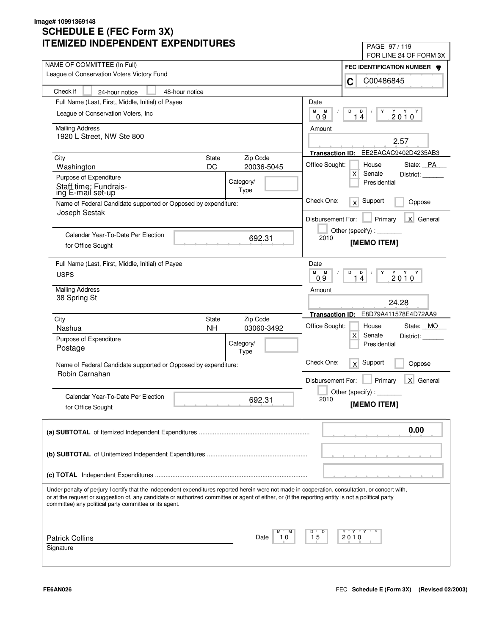| LIVILLU INDLFLINDLNI LAFLINDII UNLJ                                                                                                                                                                                                                                                                                                                               | PAGE 97/119                                    |  |
|-------------------------------------------------------------------------------------------------------------------------------------------------------------------------------------------------------------------------------------------------------------------------------------------------------------------------------------------------------------------|------------------------------------------------|--|
| NAME OF COMMITTEE (In Full)                                                                                                                                                                                                                                                                                                                                       | FOR LINE 24 OF FORM 3X                         |  |
| League of Conservation Voters Victory Fund                                                                                                                                                                                                                                                                                                                        | FEC IDENTIFICATION NUMBER                      |  |
|                                                                                                                                                                                                                                                                                                                                                                   | C00486845<br>C                                 |  |
| Check if<br>48-hour notice<br>24-hour notice                                                                                                                                                                                                                                                                                                                      |                                                |  |
| Full Name (Last, First, Middle, Initial) of Payee                                                                                                                                                                                                                                                                                                                 | Date                                           |  |
| League of Conservation Voters, Inc.                                                                                                                                                                                                                                                                                                                               | M<br>M<br>D<br>D<br>Y<br>$2010^Y$              |  |
|                                                                                                                                                                                                                                                                                                                                                                   | 14<br>09                                       |  |
| <b>Mailing Address</b><br>1920 L Street, NW Ste 800                                                                                                                                                                                                                                                                                                               | Amount                                         |  |
|                                                                                                                                                                                                                                                                                                                                                                   | 2.57                                           |  |
|                                                                                                                                                                                                                                                                                                                                                                   | EE2EACAC9402D4235AB3<br><b>Transaction ID:</b> |  |
| Zip Code<br>City<br><b>State</b><br>DC<br>20036-5045                                                                                                                                                                                                                                                                                                              | Office Sought:<br>House<br>State: PA           |  |
| Washington                                                                                                                                                                                                                                                                                                                                                        | $\mathsf{X}$<br>Senate<br>District:            |  |
| Purpose of Expenditure<br>Category/<br>Staff time: Fundrais-                                                                                                                                                                                                                                                                                                      | Presidential                                   |  |
| Type<br>ing E-mail set-up                                                                                                                                                                                                                                                                                                                                         |                                                |  |
| Name of Federal Candidate supported or Opposed by expenditure:                                                                                                                                                                                                                                                                                                    | Check One:<br>Support<br>x<br>Oppose           |  |
| Joseph Sestak                                                                                                                                                                                                                                                                                                                                                     | X General<br>Disbursement For:<br>Primary      |  |
|                                                                                                                                                                                                                                                                                                                                                                   | Other (specify):                               |  |
| Calendar Year-To-Date Per Election<br>692.31                                                                                                                                                                                                                                                                                                                      | 2010<br>[MEMO ITEM]                            |  |
| for Office Sought                                                                                                                                                                                                                                                                                                                                                 |                                                |  |
| Full Name (Last, First, Middle, Initial) of Payee                                                                                                                                                                                                                                                                                                                 | Date                                           |  |
| <b>USPS</b>                                                                                                                                                                                                                                                                                                                                                       | м<br>M<br>D<br>D<br>Y<br>$2010^{\gamma}$       |  |
|                                                                                                                                                                                                                                                                                                                                                                   | 09<br>4<br>1                                   |  |
| <b>Mailing Address</b>                                                                                                                                                                                                                                                                                                                                            | Amount                                         |  |
| 38 Spring St                                                                                                                                                                                                                                                                                                                                                      | 24.28                                          |  |
|                                                                                                                                                                                                                                                                                                                                                                   | E8D79A411578E4D72AA9<br><b>Transaction ID:</b> |  |
| Zip Code<br>City<br><b>State</b><br><b>NH</b><br>Nashua<br>03060-3492                                                                                                                                                                                                                                                                                             | Office Sought:<br>State: MO<br>House           |  |
| Purpose of Expenditure                                                                                                                                                                                                                                                                                                                                            | $\mathsf{X}$<br>Senate<br>District:            |  |
| Category/<br>Postage                                                                                                                                                                                                                                                                                                                                              | Presidential                                   |  |
| Type                                                                                                                                                                                                                                                                                                                                                              |                                                |  |
| Name of Federal Candidate supported or Opposed by expenditure:                                                                                                                                                                                                                                                                                                    | Check One:<br>Support<br>x<br>Oppose           |  |
| Robin Carnahan                                                                                                                                                                                                                                                                                                                                                    | Primary<br>X General<br>Disbursement For:      |  |
|                                                                                                                                                                                                                                                                                                                                                                   |                                                |  |
| Calendar Year-To-Date Per Election<br>692.31                                                                                                                                                                                                                                                                                                                      | Other (specify):<br>2010                       |  |
| for Office Sought                                                                                                                                                                                                                                                                                                                                                 | [MEMO ITEM]                                    |  |
|                                                                                                                                                                                                                                                                                                                                                                   |                                                |  |
|                                                                                                                                                                                                                                                                                                                                                                   | 0.00                                           |  |
|                                                                                                                                                                                                                                                                                                                                                                   |                                                |  |
|                                                                                                                                                                                                                                                                                                                                                                   |                                                |  |
|                                                                                                                                                                                                                                                                                                                                                                   |                                                |  |
|                                                                                                                                                                                                                                                                                                                                                                   |                                                |  |
| Under penalty of perjury I certify that the independent expenditures reported herein were not made in cooperation, consultation, or concert with,<br>or at the request or suggestion of, any candidate or authorized committee or agent of either, or (if the reporting entity is not a political party<br>committee) any political party committee or its agent. |                                                |  |
|                                                                                                                                                                                                                                                                                                                                                                   |                                                |  |
|                                                                                                                                                                                                                                                                                                                                                                   | Y "Y "Y<br>D                                   |  |
| <b>Patrick Collins</b><br>10<br>Date<br>Signature                                                                                                                                                                                                                                                                                                                 | 15<br>2010                                     |  |
|                                                                                                                                                                                                                                                                                                                                                                   |                                                |  |
|                                                                                                                                                                                                                                                                                                                                                                   |                                                |  |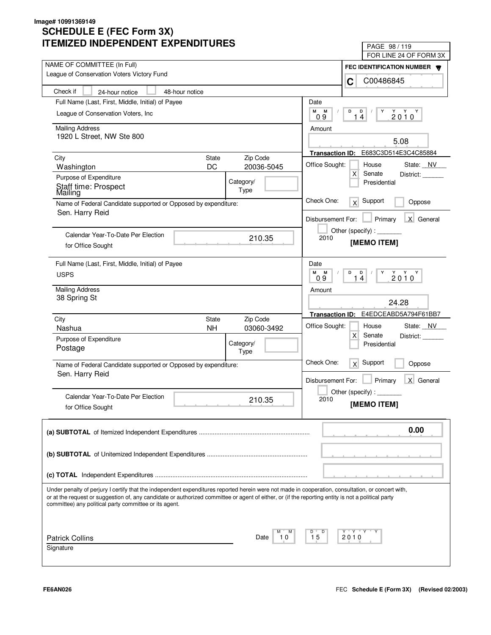| LIVILLU INDLFLNDLNI LAFLNDII UNLJ                                                                                                                                                                                                                                                                                                                                 | PAGE 98 / 119                                                                                                                         |  |
|-------------------------------------------------------------------------------------------------------------------------------------------------------------------------------------------------------------------------------------------------------------------------------------------------------------------------------------------------------------------|---------------------------------------------------------------------------------------------------------------------------------------|--|
| NAME OF COMMITTEE (In Full)                                                                                                                                                                                                                                                                                                                                       | FOR LINE 24 OF FORM 3X                                                                                                                |  |
| League of Conservation Voters Victory Fund                                                                                                                                                                                                                                                                                                                        | FEC IDENTIFICATION NUMBER                                                                                                             |  |
|                                                                                                                                                                                                                                                                                                                                                                   | C00486845<br>C                                                                                                                        |  |
| Check if<br>24-hour notice<br>48-hour notice                                                                                                                                                                                                                                                                                                                      |                                                                                                                                       |  |
| Full Name (Last, First, Middle, Initial) of Payee                                                                                                                                                                                                                                                                                                                 | Date                                                                                                                                  |  |
| League of Conservation Voters, Inc.                                                                                                                                                                                                                                                                                                                               | M<br>M<br>D<br>D<br>Y<br>$2010^Y$<br>14<br>09                                                                                         |  |
| <b>Mailing Address</b>                                                                                                                                                                                                                                                                                                                                            | Amount                                                                                                                                |  |
| 1920 L Street, NW Ste 800                                                                                                                                                                                                                                                                                                                                         | 5.08                                                                                                                                  |  |
|                                                                                                                                                                                                                                                                                                                                                                   | E683C3D514E3C4C85884<br><b>Transaction ID:</b>                                                                                        |  |
| Zip Code<br>City<br><b>State</b>                                                                                                                                                                                                                                                                                                                                  |                                                                                                                                       |  |
| DC<br>20036-5045<br>Washington                                                                                                                                                                                                                                                                                                                                    | Office Sought:<br>House<br>State: NV<br>$\mathsf{X}$<br>Senate<br>District:                                                           |  |
| Purpose of Expenditure<br>Category/                                                                                                                                                                                                                                                                                                                               | Presidential                                                                                                                          |  |
| Staff time: Prospect<br>Type<br>Mailing                                                                                                                                                                                                                                                                                                                           |                                                                                                                                       |  |
| Name of Federal Candidate supported or Opposed by expenditure:<br>Sen. Harry Reid                                                                                                                                                                                                                                                                                 | Check One:<br>Support<br>$\times$<br>Oppose                                                                                           |  |
|                                                                                                                                                                                                                                                                                                                                                                   | X General<br>Disbursement For:<br>Primary                                                                                             |  |
|                                                                                                                                                                                                                                                                                                                                                                   | Other (specify):                                                                                                                      |  |
| Calendar Year-To-Date Per Election<br>210.35                                                                                                                                                                                                                                                                                                                      | 2010<br>[MEMO ITEM]                                                                                                                   |  |
| for Office Sought                                                                                                                                                                                                                                                                                                                                                 |                                                                                                                                       |  |
| Full Name (Last, First, Middle, Initial) of Payee                                                                                                                                                                                                                                                                                                                 | Date                                                                                                                                  |  |
| <b>USPS</b>                                                                                                                                                                                                                                                                                                                                                       | M<br>M<br>D<br>D<br>Y<br>$\begin{array}{c}\n\stackrel{\vee}{2} & \stackrel{\vee}{0} & \stackrel{\vee}{0} \\ \end{array}$<br>14<br>0.9 |  |
| <b>Mailing Address</b>                                                                                                                                                                                                                                                                                                                                            | Amount                                                                                                                                |  |
| 38 Spring St                                                                                                                                                                                                                                                                                                                                                      | 24.28                                                                                                                                 |  |
|                                                                                                                                                                                                                                                                                                                                                                   |                                                                                                                                       |  |
| Zip Code<br>City<br><b>State</b>                                                                                                                                                                                                                                                                                                                                  | E4EDCEABD5A794F61BB7<br><b>Transaction ID:</b>                                                                                        |  |
| <b>NH</b><br>Nashua<br>03060-3492                                                                                                                                                                                                                                                                                                                                 | Office Sought:<br>State: NV<br>House<br>$\mathsf{X}$<br>Senate<br>District:                                                           |  |
| Purpose of Expenditure<br>Category/                                                                                                                                                                                                                                                                                                                               | Presidential                                                                                                                          |  |
| Postage<br>Type                                                                                                                                                                                                                                                                                                                                                   |                                                                                                                                       |  |
| Name of Federal Candidate supported or Opposed by expenditure:                                                                                                                                                                                                                                                                                                    | Check One:<br>Support<br>x<br>Oppose                                                                                                  |  |
| Sen. Harry Reid                                                                                                                                                                                                                                                                                                                                                   | Primary<br>X General<br>Disbursement For:                                                                                             |  |
|                                                                                                                                                                                                                                                                                                                                                                   | Other (specify) : $\overline{\phantom{a}}$                                                                                            |  |
| Calendar Year-To-Date Per Election<br>210.35                                                                                                                                                                                                                                                                                                                      | 2010                                                                                                                                  |  |
| for Office Sought                                                                                                                                                                                                                                                                                                                                                 | [MEMO ITEM]                                                                                                                           |  |
|                                                                                                                                                                                                                                                                                                                                                                   |                                                                                                                                       |  |
|                                                                                                                                                                                                                                                                                                                                                                   | 0.00                                                                                                                                  |  |
|                                                                                                                                                                                                                                                                                                                                                                   |                                                                                                                                       |  |
|                                                                                                                                                                                                                                                                                                                                                                   |                                                                                                                                       |  |
|                                                                                                                                                                                                                                                                                                                                                                   |                                                                                                                                       |  |
|                                                                                                                                                                                                                                                                                                                                                                   |                                                                                                                                       |  |
| Under penalty of perjury I certify that the independent expenditures reported herein were not made in cooperation, consultation, or concert with,<br>or at the request or suggestion of, any candidate or authorized committee or agent of either, or (if the reporting entity is not a political party<br>committee) any political party committee or its agent. |                                                                                                                                       |  |
|                                                                                                                                                                                                                                                                                                                                                                   |                                                                                                                                       |  |
| <b>Patrick Collins</b><br>10<br>Date                                                                                                                                                                                                                                                                                                                              | Y "Y "Y<br>D<br>15<br>2010                                                                                                            |  |
| Signature                                                                                                                                                                                                                                                                                                                                                         |                                                                                                                                       |  |
|                                                                                                                                                                                                                                                                                                                                                                   |                                                                                                                                       |  |
|                                                                                                                                                                                                                                                                                                                                                                   |                                                                                                                                       |  |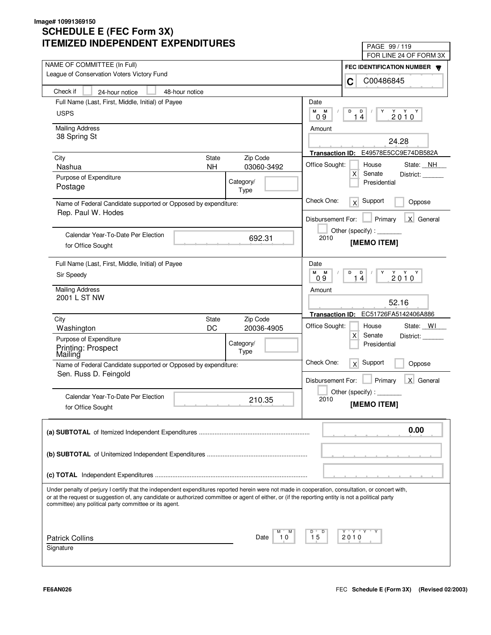| LIVILLU INDLFLNDLNI LAFLNDII UNLJ                                                                                                                                                                                                                                                                                                                                 | PAGE 99 / 119                                                                                                                                                                                                                                                                                                                                                                                                                               |
|-------------------------------------------------------------------------------------------------------------------------------------------------------------------------------------------------------------------------------------------------------------------------------------------------------------------------------------------------------------------|---------------------------------------------------------------------------------------------------------------------------------------------------------------------------------------------------------------------------------------------------------------------------------------------------------------------------------------------------------------------------------------------------------------------------------------------|
| NAME OF COMMITTEE (In Full)                                                                                                                                                                                                                                                                                                                                       | FOR LINE 24 OF FORM 3X                                                                                                                                                                                                                                                                                                                                                                                                                      |
| League of Conservation Voters Victory Fund                                                                                                                                                                                                                                                                                                                        | FEC IDENTIFICATION NUMBER                                                                                                                                                                                                                                                                                                                                                                                                                   |
|                                                                                                                                                                                                                                                                                                                                                                   | C00486845<br>C                                                                                                                                                                                                                                                                                                                                                                                                                              |
| Check if<br>48-hour notice<br>24-hour notice                                                                                                                                                                                                                                                                                                                      |                                                                                                                                                                                                                                                                                                                                                                                                                                             |
| Full Name (Last, First, Middle, Initial) of Payee                                                                                                                                                                                                                                                                                                                 | Date                                                                                                                                                                                                                                                                                                                                                                                                                                        |
| <b>USPS</b>                                                                                                                                                                                                                                                                                                                                                       | М<br>М<br>D<br>D<br>Y<br>$2010^Y$<br>14<br>09                                                                                                                                                                                                                                                                                                                                                                                               |
| <b>Mailing Address</b>                                                                                                                                                                                                                                                                                                                                            | Amount                                                                                                                                                                                                                                                                                                                                                                                                                                      |
| 38 Spring St                                                                                                                                                                                                                                                                                                                                                      | 24.28                                                                                                                                                                                                                                                                                                                                                                                                                                       |
|                                                                                                                                                                                                                                                                                                                                                                   | Transaction ID: E49578E5CC9E74DB582A                                                                                                                                                                                                                                                                                                                                                                                                        |
| <b>State</b><br>Zip Code<br>City                                                                                                                                                                                                                                                                                                                                  |                                                                                                                                                                                                                                                                                                                                                                                                                                             |
| 03060-3492<br>Nashua<br><b>NH</b>                                                                                                                                                                                                                                                                                                                                 | Office Sought:<br>House<br>State: NH<br>X<br>Senate<br>District:                                                                                                                                                                                                                                                                                                                                                                            |
| Purpose of Expenditure<br>Category/                                                                                                                                                                                                                                                                                                                               | Presidential                                                                                                                                                                                                                                                                                                                                                                                                                                |
| Postage<br>Type                                                                                                                                                                                                                                                                                                                                                   |                                                                                                                                                                                                                                                                                                                                                                                                                                             |
| Name of Federal Candidate supported or Opposed by expenditure:                                                                                                                                                                                                                                                                                                    | Check One:<br>Support<br>x<br>Oppose                                                                                                                                                                                                                                                                                                                                                                                                        |
| Rep. Paul W. Hodes                                                                                                                                                                                                                                                                                                                                                | X General<br>Disbursement For:<br>Primary                                                                                                                                                                                                                                                                                                                                                                                                   |
|                                                                                                                                                                                                                                                                                                                                                                   | Other (specify) : $\sqrt{\frac{1}{2} \cdot \frac{1}{2} \cdot \frac{1}{2} \cdot \frac{1}{2} \cdot \frac{1}{2} \cdot \frac{1}{2} \cdot \frac{1}{2} \cdot \frac{1}{2} \cdot \frac{1}{2} \cdot \frac{1}{2} \cdot \frac{1}{2} \cdot \frac{1}{2} \cdot \frac{1}{2} \cdot \frac{1}{2} \cdot \frac{1}{2} \cdot \frac{1}{2} \cdot \frac{1}{2} \cdot \frac{1}{2} \cdot \frac{1}{2} \cdot \frac{1}{2} \cdot \frac{1}{2} \cdot \frac{1}{2} \cdot \frac$ |
| Calendar Year-To-Date Per Election<br>692.31                                                                                                                                                                                                                                                                                                                      | 2010<br>[MEMO ITEM]                                                                                                                                                                                                                                                                                                                                                                                                                         |
| for Office Sought                                                                                                                                                                                                                                                                                                                                                 |                                                                                                                                                                                                                                                                                                                                                                                                                                             |
| Full Name (Last, First, Middle, Initial) of Payee                                                                                                                                                                                                                                                                                                                 | Date                                                                                                                                                                                                                                                                                                                                                                                                                                        |
| Sir Speedy                                                                                                                                                                                                                                                                                                                                                        | M<br>M<br>D<br>D<br>Y<br>$\begin{array}{c}\n\stackrel{\vee}{2} & \stackrel{\vee}{0} & \stackrel{\vee}{0} \\ \end{array}$<br>14<br>0.9                                                                                                                                                                                                                                                                                                       |
| <b>Mailing Address</b>                                                                                                                                                                                                                                                                                                                                            | Amount                                                                                                                                                                                                                                                                                                                                                                                                                                      |
| 2001 L ST NW                                                                                                                                                                                                                                                                                                                                                      | 52.16                                                                                                                                                                                                                                                                                                                                                                                                                                       |
|                                                                                                                                                                                                                                                                                                                                                                   | Transaction ID: EC51726FA5142406A886                                                                                                                                                                                                                                                                                                                                                                                                        |
| Zip Code<br>City<br>State                                                                                                                                                                                                                                                                                                                                         | Office Sought:<br>State: WI<br>House                                                                                                                                                                                                                                                                                                                                                                                                        |
| DC<br>20036-4905<br>Washington                                                                                                                                                                                                                                                                                                                                    | X<br>Senate<br>District:                                                                                                                                                                                                                                                                                                                                                                                                                    |
| Purpose of Expenditure<br>Category/                                                                                                                                                                                                                                                                                                                               | Presidential                                                                                                                                                                                                                                                                                                                                                                                                                                |
| Printing: Prospect<br>Mailing<br>Type                                                                                                                                                                                                                                                                                                                             |                                                                                                                                                                                                                                                                                                                                                                                                                                             |
| Name of Federal Candidate supported or Opposed by expenditure:                                                                                                                                                                                                                                                                                                    | Check One:<br>Support<br>x<br>Oppose                                                                                                                                                                                                                                                                                                                                                                                                        |
| Sen. Russ D. Feingold                                                                                                                                                                                                                                                                                                                                             | Primary<br>X General<br>Disbursement For:                                                                                                                                                                                                                                                                                                                                                                                                   |
|                                                                                                                                                                                                                                                                                                                                                                   | Other (specify) : $\_$                                                                                                                                                                                                                                                                                                                                                                                                                      |
| Calendar Year-To-Date Per Election<br>210.35                                                                                                                                                                                                                                                                                                                      | 2010                                                                                                                                                                                                                                                                                                                                                                                                                                        |
| for Office Sought                                                                                                                                                                                                                                                                                                                                                 | [MEMO ITEM]                                                                                                                                                                                                                                                                                                                                                                                                                                 |
|                                                                                                                                                                                                                                                                                                                                                                   | 0.00                                                                                                                                                                                                                                                                                                                                                                                                                                        |
|                                                                                                                                                                                                                                                                                                                                                                   |                                                                                                                                                                                                                                                                                                                                                                                                                                             |
|                                                                                                                                                                                                                                                                                                                                                                   |                                                                                                                                                                                                                                                                                                                                                                                                                                             |
|                                                                                                                                                                                                                                                                                                                                                                   |                                                                                                                                                                                                                                                                                                                                                                                                                                             |
|                                                                                                                                                                                                                                                                                                                                                                   |                                                                                                                                                                                                                                                                                                                                                                                                                                             |
|                                                                                                                                                                                                                                                                                                                                                                   |                                                                                                                                                                                                                                                                                                                                                                                                                                             |
| Under penalty of perjury I certify that the independent expenditures reported herein were not made in cooperation, consultation, or concert with,<br>or at the request or suggestion of, any candidate or authorized committee or agent of either, or (if the reporting entity is not a political party<br>committee) any political party committee or its agent. |                                                                                                                                                                                                                                                                                                                                                                                                                                             |
|                                                                                                                                                                                                                                                                                                                                                                   |                                                                                                                                                                                                                                                                                                                                                                                                                                             |
| <b>Patrick Collins</b><br>Date<br>10                                                                                                                                                                                                                                                                                                                              | Y "Y "Y "<br>D<br>15<br>2010                                                                                                                                                                                                                                                                                                                                                                                                                |
| Signature                                                                                                                                                                                                                                                                                                                                                         |                                                                                                                                                                                                                                                                                                                                                                                                                                             |
|                                                                                                                                                                                                                                                                                                                                                                   |                                                                                                                                                                                                                                                                                                                                                                                                                                             |
|                                                                                                                                                                                                                                                                                                                                                                   |                                                                                                                                                                                                                                                                                                                                                                                                                                             |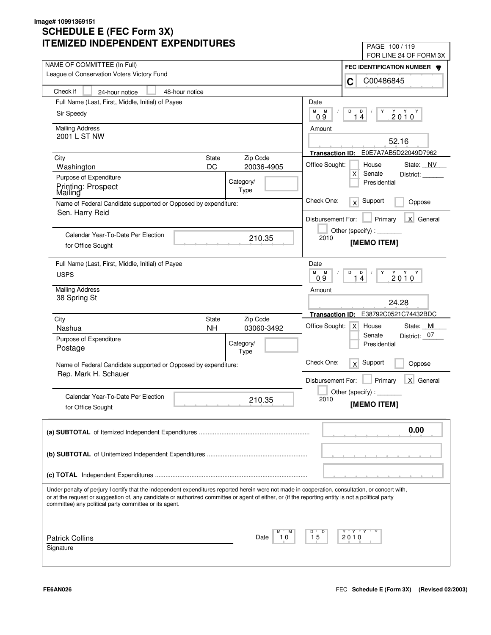| II LIVIILLU INDLFLNDLINI LAFLNDII UNLJ                                                                                                             | PAGE 100/119                                                                |  |
|----------------------------------------------------------------------------------------------------------------------------------------------------|-----------------------------------------------------------------------------|--|
| NAME OF COMMITTEE (In Full)                                                                                                                        | FOR LINE 24 OF FORM 3X                                                      |  |
| League of Conservation Voters Victory Fund                                                                                                         | FEC IDENTIFICATION NUMBER                                                   |  |
|                                                                                                                                                    | C00486845<br>C                                                              |  |
| Check if<br>48-hour notice<br>24-hour notice                                                                                                       |                                                                             |  |
| Full Name (Last, First, Middle, Initial) of Payee                                                                                                  | Date                                                                        |  |
| Sir Speedy                                                                                                                                         | М<br>М<br>D<br>D<br>Y<br>$2010^Y$<br>09<br>14                               |  |
| <b>Mailing Address</b>                                                                                                                             | Amount                                                                      |  |
| 2001 L ST NW                                                                                                                                       | 52.16                                                                       |  |
|                                                                                                                                                    | E0E7A7AB5D22049D7962<br><b>Transaction ID:</b>                              |  |
| State<br>Zip Code<br>City                                                                                                                          |                                                                             |  |
| DC<br>20036-4905<br>Washington                                                                                                                     | Office Sought:<br>House<br>State: NV<br>$\mathsf{X}$<br>Senate<br>District: |  |
| Purpose of Expenditure<br>Category/                                                                                                                | Presidential                                                                |  |
| Printing: Prospect<br>Type<br>Mailing                                                                                                              |                                                                             |  |
| Name of Federal Candidate supported or Opposed by expenditure:                                                                                     | Check One:<br>Support<br>x<br>Oppose                                        |  |
| Sen. Harry Reid                                                                                                                                    | X General<br>Disbursement For:<br>Primary                                   |  |
|                                                                                                                                                    | Other (specify):                                                            |  |
| Calendar Year-To-Date Per Election<br>210.35                                                                                                       | 2010<br>[MEMO ITEM]                                                         |  |
| for Office Sought                                                                                                                                  |                                                                             |  |
| Full Name (Last, First, Middle, Initial) of Payee                                                                                                  | Date                                                                        |  |
| <b>USPS</b>                                                                                                                                        | M<br>M<br>D<br>D<br>Y<br>$2010^{\gamma}$<br>$\overline{4}$<br>1             |  |
|                                                                                                                                                    | 09                                                                          |  |
| <b>Mailing Address</b><br>38 Spring St                                                                                                             | Amount                                                                      |  |
|                                                                                                                                                    | 24.28                                                                       |  |
| City<br>Zip Code<br>State                                                                                                                          | E38792C0521C74432BDC<br><b>Transaction ID:</b>                              |  |
| <b>NH</b><br>Nashua<br>03060-3492                                                                                                                  | Office Sought:<br>State: MI<br>$\mathsf{X}$<br>House                        |  |
| Purpose of Expenditure                                                                                                                             | District: 07<br>Senate                                                      |  |
| Category/<br>Postage<br>Type                                                                                                                       | Presidential                                                                |  |
| Name of Federal Candidate supported or Opposed by expenditure:                                                                                     | Check One:<br>Support<br>x<br>Oppose                                        |  |
| Rep. Mark H. Schauer                                                                                                                               |                                                                             |  |
|                                                                                                                                                    | Primary<br>X General<br>Disbursement For:                                   |  |
| Calendar Year-To-Date Per Election                                                                                                                 | Other (specify) : $\overline{\phantom{a}}$                                  |  |
| 210.35<br>for Office Sought                                                                                                                        | 2010<br>[MEMO ITEM]                                                         |  |
|                                                                                                                                                    |                                                                             |  |
|                                                                                                                                                    | 0.00                                                                        |  |
|                                                                                                                                                    |                                                                             |  |
|                                                                                                                                                    |                                                                             |  |
|                                                                                                                                                    |                                                                             |  |
|                                                                                                                                                    |                                                                             |  |
| Under penalty of perjury I certify that the independent expenditures reported herein were not made in cooperation, consultation, or concert with,  |                                                                             |  |
| or at the request or suggestion of, any candidate or authorized committee or agent of either, or (if the reporting entity is not a political party |                                                                             |  |
| committee) any political party committee or its agent.                                                                                             |                                                                             |  |
|                                                                                                                                                    |                                                                             |  |
| М                                                                                                                                                  | Y Y "<br>Y<br>D                                                             |  |
| <b>Patrick Collins</b><br>10<br>Date                                                                                                               | 15<br>2010                                                                  |  |
| Signature                                                                                                                                          |                                                                             |  |
|                                                                                                                                                    |                                                                             |  |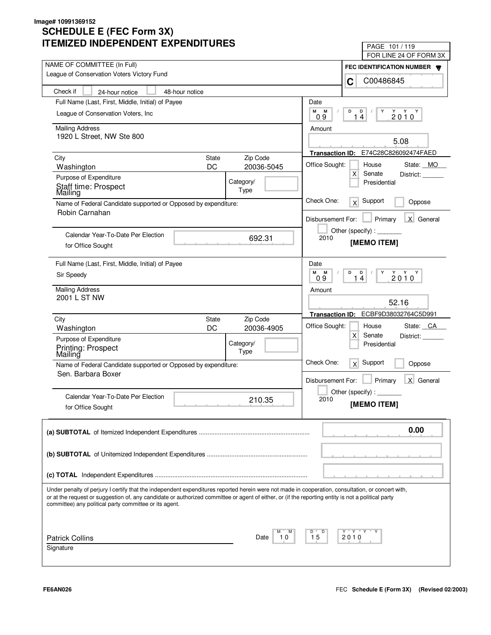| IMILLU INDLFLNDLNT LAFLNDITUNLJ                                                                                                                                                                                                                                                                                                                                   | PAGE 101 / 119                                                  |
|-------------------------------------------------------------------------------------------------------------------------------------------------------------------------------------------------------------------------------------------------------------------------------------------------------------------------------------------------------------------|-----------------------------------------------------------------|
| NAME OF COMMITTEE (In Full)                                                                                                                                                                                                                                                                                                                                       | FOR LINE 24 OF FORM 3X                                          |
| League of Conservation Voters Victory Fund                                                                                                                                                                                                                                                                                                                        | FEC IDENTIFICATION NUMBER                                       |
|                                                                                                                                                                                                                                                                                                                                                                   | C00486845<br>C                                                  |
| Check if<br>48-hour notice<br>24-hour notice                                                                                                                                                                                                                                                                                                                      |                                                                 |
| Full Name (Last, First, Middle, Initial) of Payee                                                                                                                                                                                                                                                                                                                 | Date                                                            |
| League of Conservation Voters, Inc.                                                                                                                                                                                                                                                                                                                               | М<br>M<br>D<br>D<br>Y<br>$2010^Y$<br>14<br>09                   |
| <b>Mailing Address</b>                                                                                                                                                                                                                                                                                                                                            | Amount                                                          |
| 1920 L Street, NW Ste 800                                                                                                                                                                                                                                                                                                                                         |                                                                 |
|                                                                                                                                                                                                                                                                                                                                                                   | 5.08                                                            |
| Zip Code<br>City<br><b>State</b>                                                                                                                                                                                                                                                                                                                                  | E74C28C826092474FAED<br><b>Transaction ID:</b>                  |
| DC<br>20036-5045<br>Washington                                                                                                                                                                                                                                                                                                                                    | Office Sought:<br>House<br>State: MO                            |
| Purpose of Expenditure<br>Category/                                                                                                                                                                                                                                                                                                                               | $\mathsf{X}$<br>Senate<br>District:<br>Presidential             |
| Staff time: Prospect<br>Type<br>Mailing                                                                                                                                                                                                                                                                                                                           |                                                                 |
| Name of Federal Candidate supported or Opposed by expenditure:                                                                                                                                                                                                                                                                                                    | Check One:<br>Support<br>x<br>Oppose                            |
| Robin Carnahan                                                                                                                                                                                                                                                                                                                                                    |                                                                 |
|                                                                                                                                                                                                                                                                                                                                                                   | X General<br>Disbursement For:<br>Primary                       |
| Calendar Year-To-Date Per Election                                                                                                                                                                                                                                                                                                                                | Other (specify) : $\sqrt{\frac{1}{2} \sum_{r=1}^{r} (r - r)^2}$ |
| 692.31<br>for Office Sought                                                                                                                                                                                                                                                                                                                                       | 2010<br>[MEMO ITEM]                                             |
|                                                                                                                                                                                                                                                                                                                                                                   |                                                                 |
| Full Name (Last, First, Middle, Initial) of Payee                                                                                                                                                                                                                                                                                                                 | Date                                                            |
| Sir Speedy                                                                                                                                                                                                                                                                                                                                                        | M<br>M<br>D<br>D<br>Y<br>$2010^{\gamma}$<br>14<br>09            |
| <b>Mailing Address</b>                                                                                                                                                                                                                                                                                                                                            | Amount                                                          |
| 2001 L ST NW                                                                                                                                                                                                                                                                                                                                                      |                                                                 |
|                                                                                                                                                                                                                                                                                                                                                                   | 52.16                                                           |
| Zip Code<br>City<br><b>State</b>                                                                                                                                                                                                                                                                                                                                  | ECBF9D38032764C5D991<br><b>Transaction ID:</b>                  |
| DC<br>20036-4905<br>Washington                                                                                                                                                                                                                                                                                                                                    | Office Sought:<br>State: CA<br>House                            |
| Purpose of Expenditure<br>Category/                                                                                                                                                                                                                                                                                                                               | $\mathsf{X}$<br>Senate<br>District:                             |
| Printing: Prospect<br>Mailing<br>Type                                                                                                                                                                                                                                                                                                                             | Presidential                                                    |
| Name of Federal Candidate supported or Opposed by expenditure:                                                                                                                                                                                                                                                                                                    | Check One:<br>Support<br>x<br>Oppose                            |
| Sen. Barbara Boxer                                                                                                                                                                                                                                                                                                                                                |                                                                 |
|                                                                                                                                                                                                                                                                                                                                                                   | Primary<br>X General<br>Disbursement For:                       |
| Calendar Year-To-Date Per Election                                                                                                                                                                                                                                                                                                                                | Other (specify):                                                |
| 210.35<br>for Office Sought                                                                                                                                                                                                                                                                                                                                       | 2010<br>[MEMO ITEM]                                             |
|                                                                                                                                                                                                                                                                                                                                                                   |                                                                 |
|                                                                                                                                                                                                                                                                                                                                                                   |                                                                 |
|                                                                                                                                                                                                                                                                                                                                                                   | 0.00                                                            |
|                                                                                                                                                                                                                                                                                                                                                                   |                                                                 |
|                                                                                                                                                                                                                                                                                                                                                                   |                                                                 |
|                                                                                                                                                                                                                                                                                                                                                                   |                                                                 |
|                                                                                                                                                                                                                                                                                                                                                                   |                                                                 |
| Under penalty of perjury I certify that the independent expenditures reported herein were not made in cooperation, consultation, or concert with,<br>or at the request or suggestion of, any candidate or authorized committee or agent of either, or (if the reporting entity is not a political party<br>committee) any political party committee or its agent. |                                                                 |
|                                                                                                                                                                                                                                                                                                                                                                   |                                                                 |
|                                                                                                                                                                                                                                                                                                                                                                   | Y "Y "Y<br>D                                                    |
| <b>Patrick Collins</b><br>10<br>Date                                                                                                                                                                                                                                                                                                                              | 15<br>2010                                                      |
| Signature                                                                                                                                                                                                                                                                                                                                                         |                                                                 |
|                                                                                                                                                                                                                                                                                                                                                                   |                                                                 |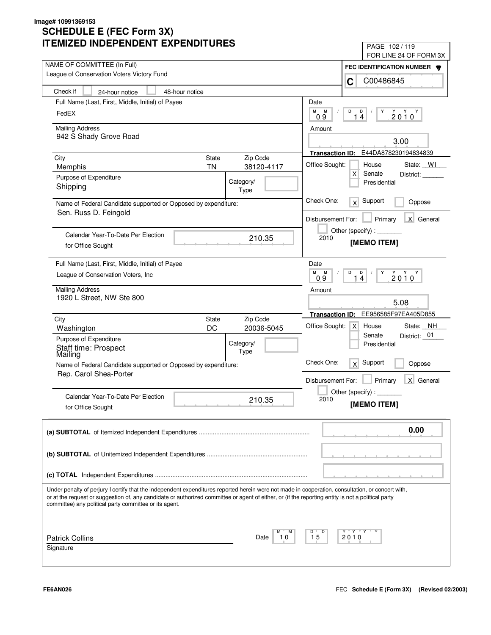| LIVILLU INDLFLNDLNI LAFLNDII UNLS                                                                                                                                                                                                                                                                       | PAGE 102/119                                                                                                                                                                                                                                                                                                                                                                                                                                |
|---------------------------------------------------------------------------------------------------------------------------------------------------------------------------------------------------------------------------------------------------------------------------------------------------------|---------------------------------------------------------------------------------------------------------------------------------------------------------------------------------------------------------------------------------------------------------------------------------------------------------------------------------------------------------------------------------------------------------------------------------------------|
| NAME OF COMMITTEE (In Full)                                                                                                                                                                                                                                                                             | FOR LINE 24 OF FORM 3X                                                                                                                                                                                                                                                                                                                                                                                                                      |
| League of Conservation Voters Victory Fund                                                                                                                                                                                                                                                              | FEC IDENTIFICATION NUMBER                                                                                                                                                                                                                                                                                                                                                                                                                   |
|                                                                                                                                                                                                                                                                                                         | C00486845<br>C                                                                                                                                                                                                                                                                                                                                                                                                                              |
| Check if<br>48-hour notice<br>24-hour notice                                                                                                                                                                                                                                                            |                                                                                                                                                                                                                                                                                                                                                                                                                                             |
| Full Name (Last, First, Middle, Initial) of Payee                                                                                                                                                                                                                                                       | Date                                                                                                                                                                                                                                                                                                                                                                                                                                        |
| FedEX                                                                                                                                                                                                                                                                                                   | М<br>М<br>D<br>D<br>Y<br>$2010^Y$<br>14<br>09                                                                                                                                                                                                                                                                                                                                                                                               |
| <b>Mailing Address</b>                                                                                                                                                                                                                                                                                  | Amount                                                                                                                                                                                                                                                                                                                                                                                                                                      |
| 942 S Shady Grove Road                                                                                                                                                                                                                                                                                  |                                                                                                                                                                                                                                                                                                                                                                                                                                             |
|                                                                                                                                                                                                                                                                                                         | 3.00                                                                                                                                                                                                                                                                                                                                                                                                                                        |
| City<br>State<br>Zip Code                                                                                                                                                                                                                                                                               | E44DA878230194834839<br><b>Transaction ID:</b>                                                                                                                                                                                                                                                                                                                                                                                              |
| <b>TN</b><br>38120-4117<br>Memphis                                                                                                                                                                                                                                                                      | Office Sought:<br>House<br>State: WI                                                                                                                                                                                                                                                                                                                                                                                                        |
| Purpose of Expenditure<br>Category/                                                                                                                                                                                                                                                                     | $\mathsf{X}$<br>Senate<br>District:<br>Presidential                                                                                                                                                                                                                                                                                                                                                                                         |
| Shipping<br>Type                                                                                                                                                                                                                                                                                        |                                                                                                                                                                                                                                                                                                                                                                                                                                             |
| Name of Federal Candidate supported or Opposed by expenditure:                                                                                                                                                                                                                                          | Check One:<br>Support<br>x<br>Oppose                                                                                                                                                                                                                                                                                                                                                                                                        |
| Sen. Russ D. Feingold                                                                                                                                                                                                                                                                                   |                                                                                                                                                                                                                                                                                                                                                                                                                                             |
|                                                                                                                                                                                                                                                                                                         | X General<br>Disbursement For:<br>Primary                                                                                                                                                                                                                                                                                                                                                                                                   |
| Calendar Year-To-Date Per Election                                                                                                                                                                                                                                                                      | Other (specify) : $\sqrt{\frac{1}{2} \cdot \frac{1}{2} \cdot \frac{1}{2} \cdot \frac{1}{2} \cdot \frac{1}{2} \cdot \frac{1}{2} \cdot \frac{1}{2} \cdot \frac{1}{2} \cdot \frac{1}{2} \cdot \frac{1}{2} \cdot \frac{1}{2} \cdot \frac{1}{2} \cdot \frac{1}{2} \cdot \frac{1}{2} \cdot \frac{1}{2} \cdot \frac{1}{2} \cdot \frac{1}{2} \cdot \frac{1}{2} \cdot \frac{1}{2} \cdot \frac{1}{2} \cdot \frac{1}{2} \cdot \frac{1}{2} \cdot \frac$ |
| 210.35<br>for Office Sought                                                                                                                                                                                                                                                                             | 2010<br>[MEMO ITEM]                                                                                                                                                                                                                                                                                                                                                                                                                         |
|                                                                                                                                                                                                                                                                                                         |                                                                                                                                                                                                                                                                                                                                                                                                                                             |
| Full Name (Last, First, Middle, Initial) of Payee                                                                                                                                                                                                                                                       | Date                                                                                                                                                                                                                                                                                                                                                                                                                                        |
| League of Conservation Voters, Inc.                                                                                                                                                                                                                                                                     | М<br>M<br>D<br>D<br>Y<br>$2010^Y$<br>$\overline{4}$<br>09<br>1                                                                                                                                                                                                                                                                                                                                                                              |
| <b>Mailing Address</b>                                                                                                                                                                                                                                                                                  | Amount                                                                                                                                                                                                                                                                                                                                                                                                                                      |
| 1920 L Street, NW Ste 800                                                                                                                                                                                                                                                                               |                                                                                                                                                                                                                                                                                                                                                                                                                                             |
|                                                                                                                                                                                                                                                                                                         | 5.08                                                                                                                                                                                                                                                                                                                                                                                                                                        |
| Zip Code<br>City<br>State                                                                                                                                                                                                                                                                               | EE956585F97EA405D855<br><b>Transaction ID:</b>                                                                                                                                                                                                                                                                                                                                                                                              |
| DC<br>20036-5045<br>Washington                                                                                                                                                                                                                                                                          | Office Sought:<br>State: NH<br>$\mathsf{X}$<br>House                                                                                                                                                                                                                                                                                                                                                                                        |
| Purpose of Expenditure<br>Category/                                                                                                                                                                                                                                                                     | District: 01<br>Senate<br>Presidential                                                                                                                                                                                                                                                                                                                                                                                                      |
| Staff time: Prospect<br>Mailing<br>Type                                                                                                                                                                                                                                                                 |                                                                                                                                                                                                                                                                                                                                                                                                                                             |
| Name of Federal Candidate supported or Opposed by expenditure:                                                                                                                                                                                                                                          | Check One:<br>Support<br>x<br>Oppose                                                                                                                                                                                                                                                                                                                                                                                                        |
| Rep. Carol Shea-Porter                                                                                                                                                                                                                                                                                  |                                                                                                                                                                                                                                                                                                                                                                                                                                             |
|                                                                                                                                                                                                                                                                                                         | Primary<br>X General<br>Disbursement For:                                                                                                                                                                                                                                                                                                                                                                                                   |
| Calendar Year-To-Date Per Election<br>210.35                                                                                                                                                                                                                                                            | Other (specify) : $\Box$                                                                                                                                                                                                                                                                                                                                                                                                                    |
| for Office Sought                                                                                                                                                                                                                                                                                       | 2010<br>[MEMO ITEM]                                                                                                                                                                                                                                                                                                                                                                                                                         |
|                                                                                                                                                                                                                                                                                                         |                                                                                                                                                                                                                                                                                                                                                                                                                                             |
|                                                                                                                                                                                                                                                                                                         | 0.00                                                                                                                                                                                                                                                                                                                                                                                                                                        |
|                                                                                                                                                                                                                                                                                                         |                                                                                                                                                                                                                                                                                                                                                                                                                                             |
|                                                                                                                                                                                                                                                                                                         |                                                                                                                                                                                                                                                                                                                                                                                                                                             |
|                                                                                                                                                                                                                                                                                                         |                                                                                                                                                                                                                                                                                                                                                                                                                                             |
|                                                                                                                                                                                                                                                                                                         |                                                                                                                                                                                                                                                                                                                                                                                                                                             |
|                                                                                                                                                                                                                                                                                                         |                                                                                                                                                                                                                                                                                                                                                                                                                                             |
| Under penalty of perjury I certify that the independent expenditures reported herein were not made in cooperation, consultation, or concert with,<br>or at the request or suggestion of, any candidate or authorized committee or agent of either, or (if the reporting entity is not a political party |                                                                                                                                                                                                                                                                                                                                                                                                                                             |
| committee) any political party committee or its agent.                                                                                                                                                                                                                                                  |                                                                                                                                                                                                                                                                                                                                                                                                                                             |
|                                                                                                                                                                                                                                                                                                         |                                                                                                                                                                                                                                                                                                                                                                                                                                             |
|                                                                                                                                                                                                                                                                                                         |                                                                                                                                                                                                                                                                                                                                                                                                                                             |
| М<br><b>Patrick Collins</b><br>Date<br>10                                                                                                                                                                                                                                                               | Y Y "<br>D<br>15<br>2010                                                                                                                                                                                                                                                                                                                                                                                                                    |
| Signature                                                                                                                                                                                                                                                                                               |                                                                                                                                                                                                                                                                                                                                                                                                                                             |
|                                                                                                                                                                                                                                                                                                         |                                                                                                                                                                                                                                                                                                                                                                                                                                             |
|                                                                                                                                                                                                                                                                                                         |                                                                                                                                                                                                                                                                                                                                                                                                                                             |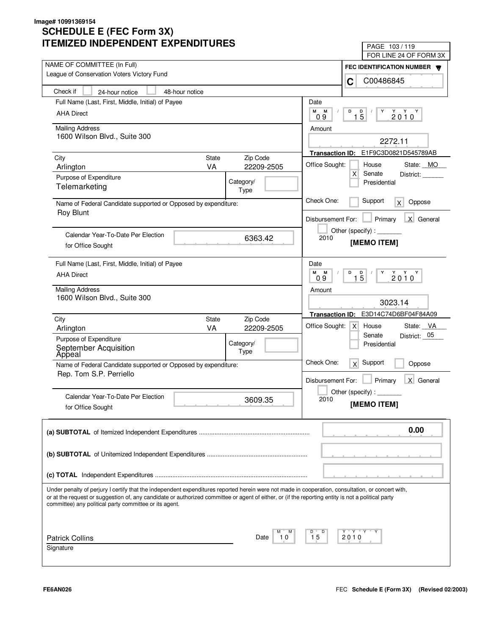| II LIVIILLU INDLFLNDLINI LAFLNDII UNLJ                                                                                                                                                                                                                                                                                                                            | PAGE 103/119                                                                                                                                                                                                                                                                                                                                                                                                                                |
|-------------------------------------------------------------------------------------------------------------------------------------------------------------------------------------------------------------------------------------------------------------------------------------------------------------------------------------------------------------------|---------------------------------------------------------------------------------------------------------------------------------------------------------------------------------------------------------------------------------------------------------------------------------------------------------------------------------------------------------------------------------------------------------------------------------------------|
| NAME OF COMMITTEE (In Full)                                                                                                                                                                                                                                                                                                                                       | FOR LINE 24 OF FORM 3X                                                                                                                                                                                                                                                                                                                                                                                                                      |
| League of Conservation Voters Victory Fund                                                                                                                                                                                                                                                                                                                        | FEC IDENTIFICATION NUMBER<br>C00486845                                                                                                                                                                                                                                                                                                                                                                                                      |
| Check if<br>48-hour notice<br>24-hour notice                                                                                                                                                                                                                                                                                                                      | C                                                                                                                                                                                                                                                                                                                                                                                                                                           |
| Full Name (Last, First, Middle, Initial) of Payee                                                                                                                                                                                                                                                                                                                 | Date                                                                                                                                                                                                                                                                                                                                                                                                                                        |
| <b>AHA Direct</b>                                                                                                                                                                                                                                                                                                                                                 | М<br>M<br>D<br>D<br>Y<br>$2010^Y$                                                                                                                                                                                                                                                                                                                                                                                                           |
|                                                                                                                                                                                                                                                                                                                                                                   | $1\bar{5}$<br>09                                                                                                                                                                                                                                                                                                                                                                                                                            |
| <b>Mailing Address</b>                                                                                                                                                                                                                                                                                                                                            | Amount                                                                                                                                                                                                                                                                                                                                                                                                                                      |
| 1600 Wilson Blvd., Suite 300                                                                                                                                                                                                                                                                                                                                      | 2272.11                                                                                                                                                                                                                                                                                                                                                                                                                                     |
|                                                                                                                                                                                                                                                                                                                                                                   | Transaction ID: E1F9C3D0821D545789AB                                                                                                                                                                                                                                                                                                                                                                                                        |
| State<br>Zip Code<br>City<br><b>VA</b><br>22209-2505<br>Arlington                                                                                                                                                                                                                                                                                                 | Office Sought:<br>House<br>State: MO                                                                                                                                                                                                                                                                                                                                                                                                        |
| Purpose of Expenditure                                                                                                                                                                                                                                                                                                                                            | $\mathsf{X}$<br>Senate<br>District:                                                                                                                                                                                                                                                                                                                                                                                                         |
| Category/<br>Telemarketing<br>Type                                                                                                                                                                                                                                                                                                                                | Presidential                                                                                                                                                                                                                                                                                                                                                                                                                                |
| Name of Federal Candidate supported or Opposed by expenditure:<br><b>Roy Blunt</b>                                                                                                                                                                                                                                                                                | Check One:<br>Support<br>Oppose<br>$\mathsf{X}$                                                                                                                                                                                                                                                                                                                                                                                             |
|                                                                                                                                                                                                                                                                                                                                                                   | X General<br>Disbursement For:<br>Primary                                                                                                                                                                                                                                                                                                                                                                                                   |
| Calendar Year-To-Date Per Election                                                                                                                                                                                                                                                                                                                                | Other (specify) : $\sqrt{\frac{1}{2} \cdot \frac{1}{2} \cdot \frac{1}{2} \cdot \frac{1}{2} \cdot \frac{1}{2} \cdot \frac{1}{2} \cdot \frac{1}{2} \cdot \frac{1}{2} \cdot \frac{1}{2} \cdot \frac{1}{2} \cdot \frac{1}{2} \cdot \frac{1}{2} \cdot \frac{1}{2} \cdot \frac{1}{2} \cdot \frac{1}{2} \cdot \frac{1}{2} \cdot \frac{1}{2} \cdot \frac{1}{2} \cdot \frac{1}{2} \cdot \frac{1}{2} \cdot \frac{1}{2} \cdot \frac{1}{2} \cdot \frac$ |
| 6363.42<br>for Office Sought                                                                                                                                                                                                                                                                                                                                      | 2010<br>[MEMO ITEM]                                                                                                                                                                                                                                                                                                                                                                                                                         |
| Full Name (Last, First, Middle, Initial) of Payee                                                                                                                                                                                                                                                                                                                 | Date                                                                                                                                                                                                                                                                                                                                                                                                                                        |
| <b>AHA Direct</b>                                                                                                                                                                                                                                                                                                                                                 | M<br>M<br>D<br>Y<br>$2010^Y$<br>$1\overline{5}$<br>09                                                                                                                                                                                                                                                                                                                                                                                       |
| <b>Mailing Address</b>                                                                                                                                                                                                                                                                                                                                            | Amount                                                                                                                                                                                                                                                                                                                                                                                                                                      |
| 1600 Wilson Blvd., Suite 300                                                                                                                                                                                                                                                                                                                                      | 3023.14                                                                                                                                                                                                                                                                                                                                                                                                                                     |
| Zip Code<br>City<br>State                                                                                                                                                                                                                                                                                                                                         | E3D14C74D6BF04F84A09<br><b>Transaction ID:</b>                                                                                                                                                                                                                                                                                                                                                                                              |
| VA<br>Arlington<br>22209-2505                                                                                                                                                                                                                                                                                                                                     | Office Sought:<br>State: VA<br>$\mathsf{X}$<br>House                                                                                                                                                                                                                                                                                                                                                                                        |
| Purpose of Expenditure                                                                                                                                                                                                                                                                                                                                            | District: 05<br>Senate                                                                                                                                                                                                                                                                                                                                                                                                                      |
| Category/<br>September Acquisition<br>Appeal<br>Type                                                                                                                                                                                                                                                                                                              | Presidential                                                                                                                                                                                                                                                                                                                                                                                                                                |
| Name of Federal Candidate supported or Opposed by expenditure:                                                                                                                                                                                                                                                                                                    | Check One:<br>Support<br>x<br>Oppose                                                                                                                                                                                                                                                                                                                                                                                                        |
| Rep. Tom S.P. Perriello                                                                                                                                                                                                                                                                                                                                           | Primary<br>X General<br>Disbursement For:                                                                                                                                                                                                                                                                                                                                                                                                   |
|                                                                                                                                                                                                                                                                                                                                                                   |                                                                                                                                                                                                                                                                                                                                                                                                                                             |
| Calendar Year-To-Date Per Election<br>3609.35                                                                                                                                                                                                                                                                                                                     | Other (specify) : $\overline{\phantom{a}}$<br>2010                                                                                                                                                                                                                                                                                                                                                                                          |
| for Office Sought                                                                                                                                                                                                                                                                                                                                                 | [MEMO ITEM]                                                                                                                                                                                                                                                                                                                                                                                                                                 |
|                                                                                                                                                                                                                                                                                                                                                                   | 0.00                                                                                                                                                                                                                                                                                                                                                                                                                                        |
|                                                                                                                                                                                                                                                                                                                                                                   |                                                                                                                                                                                                                                                                                                                                                                                                                                             |
|                                                                                                                                                                                                                                                                                                                                                                   |                                                                                                                                                                                                                                                                                                                                                                                                                                             |
|                                                                                                                                                                                                                                                                                                                                                                   |                                                                                                                                                                                                                                                                                                                                                                                                                                             |
| Under penalty of perjury I certify that the independent expenditures reported herein were not made in cooperation, consultation, or concert with,<br>or at the request or suggestion of, any candidate or authorized committee or agent of either, or (if the reporting entity is not a political party<br>committee) any political party committee or its agent. |                                                                                                                                                                                                                                                                                                                                                                                                                                             |
|                                                                                                                                                                                                                                                                                                                                                                   |                                                                                                                                                                                                                                                                                                                                                                                                                                             |
| М<br><b>Patrick Collins</b><br>Date<br>10                                                                                                                                                                                                                                                                                                                         | Y Y "<br>D<br>15<br>2010                                                                                                                                                                                                                                                                                                                                                                                                                    |
| Signature                                                                                                                                                                                                                                                                                                                                                         |                                                                                                                                                                                                                                                                                                                                                                                                                                             |
|                                                                                                                                                                                                                                                                                                                                                                   |                                                                                                                                                                                                                                                                                                                                                                                                                                             |
|                                                                                                                                                                                                                                                                                                                                                                   |                                                                                                                                                                                                                                                                                                                                                                                                                                             |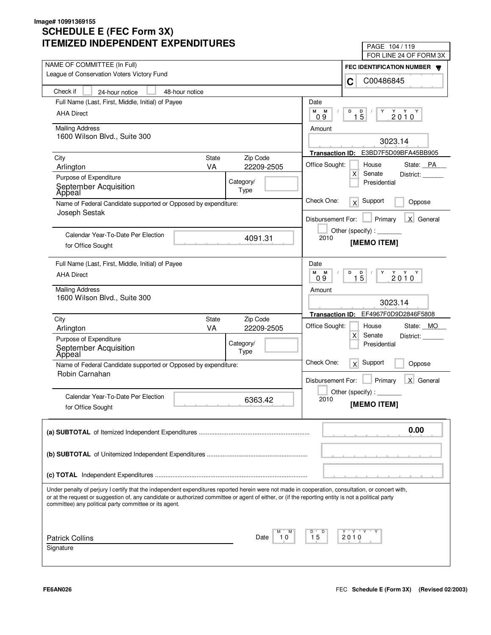| LIVILLU INDLFLNDLNI LAFLNDII UNLJ                                                                                                                                                                                                                                                                       | PAGE 104/119<br>FOR LINE 24 OF FORM 3X                     |  |
|---------------------------------------------------------------------------------------------------------------------------------------------------------------------------------------------------------------------------------------------------------------------------------------------------------|------------------------------------------------------------|--|
| NAME OF COMMITTEE (In Full)                                                                                                                                                                                                                                                                             |                                                            |  |
| League of Conservation Voters Victory Fund                                                                                                                                                                                                                                                              | FEC IDENTIFICATION NUMBER W                                |  |
|                                                                                                                                                                                                                                                                                                         | C00486845<br>C                                             |  |
| Check if<br>48-hour notice<br>24-hour notice                                                                                                                                                                                                                                                            |                                                            |  |
| Full Name (Last, First, Middle, Initial) of Payee                                                                                                                                                                                                                                                       | Date                                                       |  |
| <b>AHA Direct</b>                                                                                                                                                                                                                                                                                       | М<br>М<br>D<br>D<br>Y<br>$2010^Y$<br>$1\overline{5}$<br>09 |  |
| <b>Mailing Address</b>                                                                                                                                                                                                                                                                                  | Amount                                                     |  |
| 1600 Wilson Blvd., Suite 300                                                                                                                                                                                                                                                                            | 3023.14                                                    |  |
|                                                                                                                                                                                                                                                                                                         | E3BD7F5D09BFA45BB905<br><b>Transaction ID:</b>             |  |
| <b>State</b><br>Zip Code<br>City                                                                                                                                                                                                                                                                        | Office Sought:<br>House                                    |  |
| <b>VA</b><br>22209-2505<br>Arlington                                                                                                                                                                                                                                                                    | State: PA<br>X<br>Senate<br>District:                      |  |
| Purpose of Expenditure<br>Category/                                                                                                                                                                                                                                                                     | Presidential                                               |  |
| September Acquisition<br>Type<br>Apþeal                                                                                                                                                                                                                                                                 |                                                            |  |
| Name of Federal Candidate supported or Opposed by expenditure:                                                                                                                                                                                                                                          | Check One:<br>Support<br>$\times$<br>Oppose                |  |
| Joseph Sestak                                                                                                                                                                                                                                                                                           | X General<br>Disbursement For:<br>Primary                  |  |
|                                                                                                                                                                                                                                                                                                         |                                                            |  |
| Calendar Year-To-Date Per Election<br>4091.31                                                                                                                                                                                                                                                           | Other (specify):<br>2010                                   |  |
| for Office Sought                                                                                                                                                                                                                                                                                       | [MEMO ITEM]                                                |  |
| Full Name (Last, First, Middle, Initial) of Payee                                                                                                                                                                                                                                                       | Date                                                       |  |
| <b>AHA Direct</b>                                                                                                                                                                                                                                                                                       | M<br>M<br>D<br>Y                                           |  |
|                                                                                                                                                                                                                                                                                                         | $2010^Y$<br>$1\overline{5}$<br>0.9                         |  |
| <b>Mailing Address</b>                                                                                                                                                                                                                                                                                  | Amount                                                     |  |
| 1600 Wilson Blvd., Suite 300                                                                                                                                                                                                                                                                            | 3023.14                                                    |  |
|                                                                                                                                                                                                                                                                                                         | EF4967F0D9D2846F5808<br><b>Transaction ID:</b>             |  |
| Zip Code<br>City<br>State<br>VA<br>Arlington<br>22209-2505                                                                                                                                                                                                                                              | Office Sought:<br>State: MO<br>House                       |  |
| Purpose of Expenditure                                                                                                                                                                                                                                                                                  | X<br>Senate<br>District:                                   |  |
| Category/<br>September Acquisition<br>Appeal<br>Type                                                                                                                                                                                                                                                    | Presidential                                               |  |
|                                                                                                                                                                                                                                                                                                         | Check One:<br>Support                                      |  |
| Name of Federal Candidate supported or Opposed by expenditure:<br>Robin Carnahan                                                                                                                                                                                                                        | x<br>Oppose                                                |  |
|                                                                                                                                                                                                                                                                                                         | Primary<br>X General<br>Disbursement For:                  |  |
|                                                                                                                                                                                                                                                                                                         | Other (specify) : $\overline{\phantom{a}}$                 |  |
| Calendar Year-To-Date Per Election<br>6363.42                                                                                                                                                                                                                                                           | 2010<br>[MEMO ITEM]                                        |  |
| for Office Sought                                                                                                                                                                                                                                                                                       |                                                            |  |
|                                                                                                                                                                                                                                                                                                         | 0.00                                                       |  |
|                                                                                                                                                                                                                                                                                                         |                                                            |  |
|                                                                                                                                                                                                                                                                                                         |                                                            |  |
|                                                                                                                                                                                                                                                                                                         |                                                            |  |
|                                                                                                                                                                                                                                                                                                         |                                                            |  |
|                                                                                                                                                                                                                                                                                                         |                                                            |  |
| Under penalty of perjury I certify that the independent expenditures reported herein were not made in cooperation, consultation, or concert with,<br>or at the request or suggestion of, any candidate or authorized committee or agent of either, or (if the reporting entity is not a political party |                                                            |  |
| committee) any political party committee or its agent.                                                                                                                                                                                                                                                  |                                                            |  |
|                                                                                                                                                                                                                                                                                                         |                                                            |  |
|                                                                                                                                                                                                                                                                                                         | Y "Y "Y "<br>D                                             |  |
| <b>Patrick Collins</b><br>Date<br>10                                                                                                                                                                                                                                                                    | 15<br>2010                                                 |  |
| Signature                                                                                                                                                                                                                                                                                               |                                                            |  |
|                                                                                                                                                                                                                                                                                                         |                                                            |  |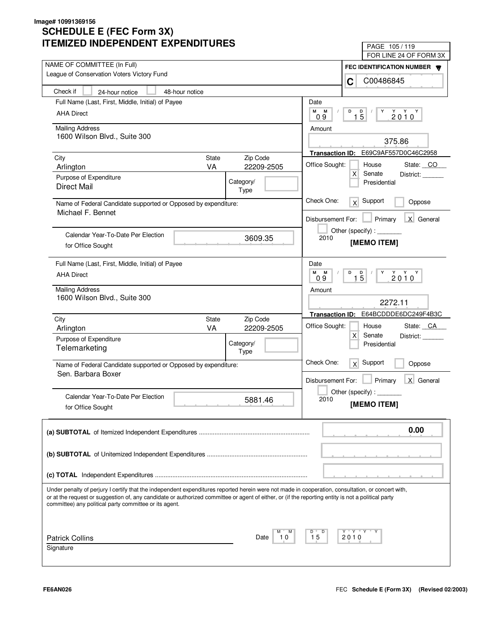| IILMILLU INDLFLNDLNI LAFLNDII UNLJ                                                                                                                                                                                                                                                                      |                   |                        | PAGE 105/119                          |
|---------------------------------------------------------------------------------------------------------------------------------------------------------------------------------------------------------------------------------------------------------------------------------------------------------|-------------------|------------------------|---------------------------------------|
|                                                                                                                                                                                                                                                                                                         |                   |                        | FOR LINE 24 OF FORM 3X                |
| NAME OF COMMITTEE (In Full)<br>League of Conservation Voters Victory Fund                                                                                                                                                                                                                               |                   |                        | FEC IDENTIFICATION NUMBER             |
|                                                                                                                                                                                                                                                                                                         |                   |                        | C00486845<br>C                        |
| Check if<br>48-hour notice<br>24-hour notice                                                                                                                                                                                                                                                            |                   |                        |                                       |
| Full Name (Last, First, Middle, Initial) of Payee                                                                                                                                                                                                                                                       |                   | Date                   |                                       |
| <b>AHA Direct</b>                                                                                                                                                                                                                                                                                       |                   | M<br>M<br>09           | D<br>$1\overline{5}$<br>Y<br>$2010^Y$ |
| <b>Mailing Address</b>                                                                                                                                                                                                                                                                                  |                   |                        |                                       |
| 1600 Wilson Blvd., Suite 300                                                                                                                                                                                                                                                                            |                   | Amount                 |                                       |
|                                                                                                                                                                                                                                                                                                         |                   |                        | 375.86                                |
| State<br>City                                                                                                                                                                                                                                                                                           | Zip Code          |                        | Transaction ID: E69C9AF557D0C46C2958  |
| <b>VA</b><br>Arlington                                                                                                                                                                                                                                                                                  | 22209-2505        | Office Sought:         | House<br>State: CO                    |
| Purpose of Expenditure                                                                                                                                                                                                                                                                                  |                   |                        | $\mathsf{X}$<br>Senate<br>District:   |
| <b>Direct Mail</b>                                                                                                                                                                                                                                                                                      | Category/<br>Type |                        | Presidential                          |
|                                                                                                                                                                                                                                                                                                         |                   | Check One:             | Support                               |
| Name of Federal Candidate supported or Opposed by expenditure:<br>Michael F. Bennet                                                                                                                                                                                                                     |                   |                        | x<br>Oppose                           |
|                                                                                                                                                                                                                                                                                                         |                   | Disbursement For:      | X General<br>Primary                  |
|                                                                                                                                                                                                                                                                                                         |                   |                        | Other (specify) : ________            |
| Calendar Year-To-Date Per Election                                                                                                                                                                                                                                                                      | 3609.35           | 2010                   | [MEMO ITEM]                           |
| for Office Sought                                                                                                                                                                                                                                                                                       |                   |                        |                                       |
| Full Name (Last, First, Middle, Initial) of Payee                                                                                                                                                                                                                                                       |                   | Date                   |                                       |
| <b>AHA Direct</b>                                                                                                                                                                                                                                                                                       |                   | M<br>M                 | D<br>Y                                |
|                                                                                                                                                                                                                                                                                                         |                   | 09                     | $2010^{\gamma}$<br>$1\overline{5}$    |
| <b>Mailing Address</b>                                                                                                                                                                                                                                                                                  |                   | Amount                 |                                       |
| 1600 Wilson Blvd., Suite 300                                                                                                                                                                                                                                                                            |                   |                        | 2272.11                               |
|                                                                                                                                                                                                                                                                                                         |                   | <b>Transaction ID:</b> | E64BCDDDE6DC249F4B3C                  |
| City<br>State<br>VA                                                                                                                                                                                                                                                                                     | Zip Code          | Office Sought:         | House<br>State: CA                    |
| Arlington                                                                                                                                                                                                                                                                                               | 22209-2505        |                        | $\times$<br>Senate<br>District:       |
| Purpose of Expenditure<br>Telemarketing                                                                                                                                                                                                                                                                 | Category/         |                        | Presidential                          |
|                                                                                                                                                                                                                                                                                                         | Type              |                        |                                       |
| Name of Federal Candidate supported or Opposed by expenditure:                                                                                                                                                                                                                                          |                   | Check One:             | Support<br>x<br>Oppose                |
| Sen. Barbara Boxer                                                                                                                                                                                                                                                                                      |                   | Disbursement For:      | Primary<br>X General                  |
|                                                                                                                                                                                                                                                                                                         |                   |                        |                                       |
| Calendar Year-To-Date Per Election                                                                                                                                                                                                                                                                      | 5881.46           | 2010                   | Other (specify) : _                   |
| for Office Sought                                                                                                                                                                                                                                                                                       |                   |                        | [MEMO ITEM]                           |
|                                                                                                                                                                                                                                                                                                         |                   |                        |                                       |
|                                                                                                                                                                                                                                                                                                         |                   |                        | 0.00                                  |
|                                                                                                                                                                                                                                                                                                         |                   |                        |                                       |
|                                                                                                                                                                                                                                                                                                         |                   |                        |                                       |
|                                                                                                                                                                                                                                                                                                         |                   |                        |                                       |
|                                                                                                                                                                                                                                                                                                         |                   |                        |                                       |
|                                                                                                                                                                                                                                                                                                         |                   |                        |                                       |
| Under penalty of perjury I certify that the independent expenditures reported herein were not made in cooperation, consultation, or concert with,<br>or at the request or suggestion of, any candidate or authorized committee or agent of either, or (if the reporting entity is not a political party |                   |                        |                                       |
| committee) any political party committee or its agent.                                                                                                                                                                                                                                                  |                   |                        |                                       |
|                                                                                                                                                                                                                                                                                                         |                   |                        |                                       |
|                                                                                                                                                                                                                                                                                                         |                   |                        |                                       |
| <b>Patrick Collins</b>                                                                                                                                                                                                                                                                                  | М<br>Date<br>10   | D<br>15                | Y Y "<br>2010                         |
| Signature                                                                                                                                                                                                                                                                                               |                   |                        |                                       |
|                                                                                                                                                                                                                                                                                                         |                   |                        |                                       |
|                                                                                                                                                                                                                                                                                                         |                   |                        |                                       |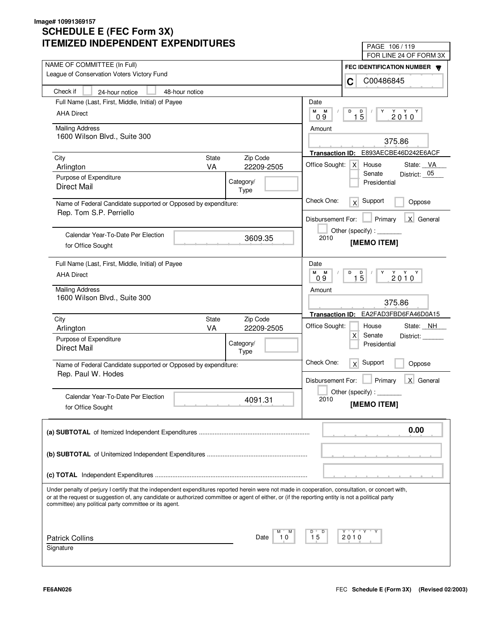| IILMILLU INDLFLNDLNI LAFLNDII UNLJ                                                                                                                                                                                                                                                                                                                                | PAGE 106/119                                          |
|-------------------------------------------------------------------------------------------------------------------------------------------------------------------------------------------------------------------------------------------------------------------------------------------------------------------------------------------------------------------|-------------------------------------------------------|
| NAME OF COMMITTEE (In Full)                                                                                                                                                                                                                                                                                                                                       | FOR LINE 24 OF FORM 3X                                |
| League of Conservation Voters Victory Fund                                                                                                                                                                                                                                                                                                                        | FEC IDENTIFICATION NUMBER<br>C00486845<br>C           |
| Check if<br>48-hour notice<br>24-hour notice                                                                                                                                                                                                                                                                                                                      |                                                       |
| Full Name (Last, First, Middle, Initial) of Payee                                                                                                                                                                                                                                                                                                                 | Date                                                  |
| <b>AHA Direct</b>                                                                                                                                                                                                                                                                                                                                                 | M<br>M<br>D<br>D<br>Y                                 |
|                                                                                                                                                                                                                                                                                                                                                                   | $2010^Y$<br>$1\bar{5}$<br>09                          |
| <b>Mailing Address</b>                                                                                                                                                                                                                                                                                                                                            | Amount                                                |
| 1600 Wilson Blvd., Suite 300                                                                                                                                                                                                                                                                                                                                      | 375.86                                                |
|                                                                                                                                                                                                                                                                                                                                                                   | E893AECBE46D242E6ACF<br><b>Transaction ID:</b>        |
| State<br>Zip Code<br>City<br><b>VA</b><br>22209-2505<br>Arlington                                                                                                                                                                                                                                                                                                 | Office Sought:<br>House<br>State: VA<br> X            |
| Purpose of Expenditure                                                                                                                                                                                                                                                                                                                                            | District: 05<br>Senate                                |
| Category/<br><b>Direct Mail</b><br>Type                                                                                                                                                                                                                                                                                                                           | Presidential                                          |
| Name of Federal Candidate supported or Opposed by expenditure:<br>Rep. Tom S.P. Perriello                                                                                                                                                                                                                                                                         | Check One:<br>Support<br>x<br>Oppose                  |
|                                                                                                                                                                                                                                                                                                                                                                   | X General<br>Disbursement For:<br>Primary             |
|                                                                                                                                                                                                                                                                                                                                                                   | Other (specify):                                      |
| Calendar Year-To-Date Per Election<br>3609.35<br>for Office Sought                                                                                                                                                                                                                                                                                                | 2010<br>[MEMO ITEM]                                   |
|                                                                                                                                                                                                                                                                                                                                                                   |                                                       |
| Full Name (Last, First, Middle, Initial) of Payee                                                                                                                                                                                                                                                                                                                 | Date                                                  |
| <b>AHA Direct</b>                                                                                                                                                                                                                                                                                                                                                 | М<br>M<br>D<br>Y<br>$2010^Y$<br>$1\overline{5}$<br>09 |
| <b>Mailing Address</b>                                                                                                                                                                                                                                                                                                                                            | Amount                                                |
| 1600 Wilson Blvd., Suite 300                                                                                                                                                                                                                                                                                                                                      | 375.86                                                |
| Zip Code<br>City<br>State                                                                                                                                                                                                                                                                                                                                         | EA2FAD3FBD6FA46D0A15<br><b>Transaction ID:</b>        |
| VA<br>Arlington<br>22209-2505                                                                                                                                                                                                                                                                                                                                     | Office Sought:<br>State: NH<br>House                  |
| Purpose of Expenditure<br>Category/                                                                                                                                                                                                                                                                                                                               | $\times$<br>Senate<br>District:<br>Presidential       |
| <b>Direct Mail</b><br>Type                                                                                                                                                                                                                                                                                                                                        |                                                       |
| Name of Federal Candidate supported or Opposed by expenditure:                                                                                                                                                                                                                                                                                                    | Check One:<br>Support<br>x<br>Oppose                  |
| Rep. Paul W. Hodes                                                                                                                                                                                                                                                                                                                                                |                                                       |
|                                                                                                                                                                                                                                                                                                                                                                   | Primary<br>X General<br>Disbursement For:             |
| Calendar Year-To-Date Per Election                                                                                                                                                                                                                                                                                                                                | Other (specify) : $\Box$                              |
| 4091.31<br>for Office Sought                                                                                                                                                                                                                                                                                                                                      | 2010<br>[MEMO ITEM]                                   |
|                                                                                                                                                                                                                                                                                                                                                                   | 0.00                                                  |
|                                                                                                                                                                                                                                                                                                                                                                   |                                                       |
|                                                                                                                                                                                                                                                                                                                                                                   |                                                       |
|                                                                                                                                                                                                                                                                                                                                                                   |                                                       |
| Under penalty of perjury I certify that the independent expenditures reported herein were not made in cooperation, consultation, or concert with,<br>or at the request or suggestion of, any candidate or authorized committee or agent of either, or (if the reporting entity is not a political party<br>committee) any political party committee or its agent. |                                                       |
| М                                                                                                                                                                                                                                                                                                                                                                 | Y Y "<br>D                                            |
| <b>Patrick Collins</b><br>Date<br>10                                                                                                                                                                                                                                                                                                                              | 15<br>2010                                            |
| Signature                                                                                                                                                                                                                                                                                                                                                         |                                                       |
|                                                                                                                                                                                                                                                                                                                                                                   |                                                       |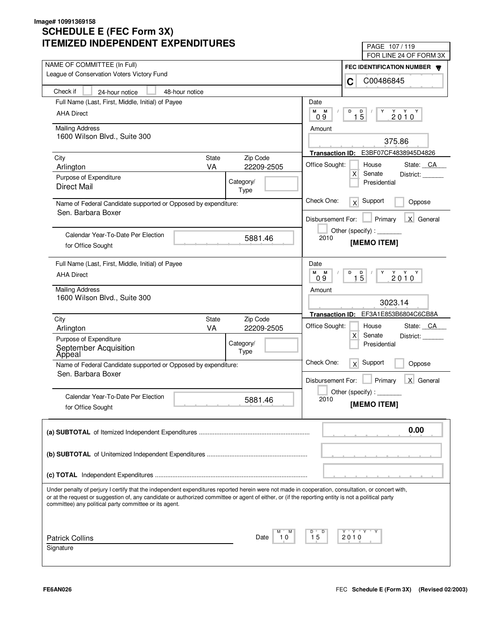| IILMILLU INDLFLNDLNI LAFLNDII UNLJ                                                                                                                                                                                                                                                                                                                                | PAGE 107/119                                                                                                                                                                                                                                                                                                                                                                                                                                |
|-------------------------------------------------------------------------------------------------------------------------------------------------------------------------------------------------------------------------------------------------------------------------------------------------------------------------------------------------------------------|---------------------------------------------------------------------------------------------------------------------------------------------------------------------------------------------------------------------------------------------------------------------------------------------------------------------------------------------------------------------------------------------------------------------------------------------|
| NAME OF COMMITTEE (In Full)                                                                                                                                                                                                                                                                                                                                       | FOR LINE 24 OF FORM 3X                                                                                                                                                                                                                                                                                                                                                                                                                      |
| League of Conservation Voters Victory Fund                                                                                                                                                                                                                                                                                                                        | FEC IDENTIFICATION NUMBER                                                                                                                                                                                                                                                                                                                                                                                                                   |
| Check if<br>48-hour notice                                                                                                                                                                                                                                                                                                                                        | C00486845<br>C                                                                                                                                                                                                                                                                                                                                                                                                                              |
| 24-hour notice                                                                                                                                                                                                                                                                                                                                                    |                                                                                                                                                                                                                                                                                                                                                                                                                                             |
| Full Name (Last, First, Middle, Initial) of Payee                                                                                                                                                                                                                                                                                                                 | Date<br>M<br>М<br>D<br>D<br>Y                                                                                                                                                                                                                                                                                                                                                                                                               |
| <b>AHA Direct</b>                                                                                                                                                                                                                                                                                                                                                 | $2010^Y$<br>$1\bar{5}$<br>09                                                                                                                                                                                                                                                                                                                                                                                                                |
| <b>Mailing Address</b>                                                                                                                                                                                                                                                                                                                                            | Amount                                                                                                                                                                                                                                                                                                                                                                                                                                      |
| 1600 Wilson Blvd., Suite 300                                                                                                                                                                                                                                                                                                                                      | 375.86                                                                                                                                                                                                                                                                                                                                                                                                                                      |
|                                                                                                                                                                                                                                                                                                                                                                   | E3BF07CF4838945D4826<br><b>Transaction ID:</b>                                                                                                                                                                                                                                                                                                                                                                                              |
| State<br>Zip Code<br>City<br><b>VA</b><br>22209-2505<br>Arlington                                                                                                                                                                                                                                                                                                 | Office Sought:<br>House<br>State: CA                                                                                                                                                                                                                                                                                                                                                                                                        |
| Purpose of Expenditure                                                                                                                                                                                                                                                                                                                                            | $\mathsf{X}$<br>Senate<br>District:                                                                                                                                                                                                                                                                                                                                                                                                         |
| Category/<br><b>Direct Mail</b><br>Type                                                                                                                                                                                                                                                                                                                           | Presidential                                                                                                                                                                                                                                                                                                                                                                                                                                |
| Name of Federal Candidate supported or Opposed by expenditure:<br>Sen. Barbara Boxer                                                                                                                                                                                                                                                                              | Check One:<br>Support<br>x<br>Oppose                                                                                                                                                                                                                                                                                                                                                                                                        |
|                                                                                                                                                                                                                                                                                                                                                                   | X General<br>Disbursement For:<br>Primary                                                                                                                                                                                                                                                                                                                                                                                                   |
| Calendar Year-To-Date Per Election                                                                                                                                                                                                                                                                                                                                | Other (specify) : $\sqrt{\frac{1}{2} \cdot \frac{1}{2} \cdot \frac{1}{2} \cdot \frac{1}{2} \cdot \frac{1}{2} \cdot \frac{1}{2} \cdot \frac{1}{2} \cdot \frac{1}{2} \cdot \frac{1}{2} \cdot \frac{1}{2} \cdot \frac{1}{2} \cdot \frac{1}{2} \cdot \frac{1}{2} \cdot \frac{1}{2} \cdot \frac{1}{2} \cdot \frac{1}{2} \cdot \frac{1}{2} \cdot \frac{1}{2} \cdot \frac{1}{2} \cdot \frac{1}{2} \cdot \frac{1}{2} \cdot \frac{1}{2} \cdot \frac$ |
| 5881.46<br>for Office Sought                                                                                                                                                                                                                                                                                                                                      | 2010<br>[MEMO ITEM]                                                                                                                                                                                                                                                                                                                                                                                                                         |
| Full Name (Last, First, Middle, Initial) of Payee                                                                                                                                                                                                                                                                                                                 | Date                                                                                                                                                                                                                                                                                                                                                                                                                                        |
| <b>AHA Direct</b>                                                                                                                                                                                                                                                                                                                                                 | M<br>M<br>D<br>Y<br>$2010^Y$<br>$1\overline{5}$<br>09                                                                                                                                                                                                                                                                                                                                                                                       |
| <b>Mailing Address</b>                                                                                                                                                                                                                                                                                                                                            | Amount                                                                                                                                                                                                                                                                                                                                                                                                                                      |
| 1600 Wilson Blvd., Suite 300                                                                                                                                                                                                                                                                                                                                      | 3023.14                                                                                                                                                                                                                                                                                                                                                                                                                                     |
| Zip Code<br>City<br>State                                                                                                                                                                                                                                                                                                                                         | Transaction ID: EF3A1E853B6804C6CB8A                                                                                                                                                                                                                                                                                                                                                                                                        |
| VA<br>Arlington<br>22209-2505                                                                                                                                                                                                                                                                                                                                     | Office Sought:<br>State: CA<br>House<br>$\times$<br>Senate<br>District:                                                                                                                                                                                                                                                                                                                                                                     |
| Purpose of Expenditure<br>Category/                                                                                                                                                                                                                                                                                                                               | Presidential                                                                                                                                                                                                                                                                                                                                                                                                                                |
| September Acquisition<br>Appeal<br>Type                                                                                                                                                                                                                                                                                                                           |                                                                                                                                                                                                                                                                                                                                                                                                                                             |
| Name of Federal Candidate supported or Opposed by expenditure:                                                                                                                                                                                                                                                                                                    | Check One:<br>Support<br>x<br>Oppose                                                                                                                                                                                                                                                                                                                                                                                                        |
| Sen. Barbara Boxer                                                                                                                                                                                                                                                                                                                                                | Primary<br>X General<br>Disbursement For:                                                                                                                                                                                                                                                                                                                                                                                                   |
|                                                                                                                                                                                                                                                                                                                                                                   | Other (specify) : $\overline{\phantom{a}}$                                                                                                                                                                                                                                                                                                                                                                                                  |
| Calendar Year-To-Date Per Election<br>5881.46                                                                                                                                                                                                                                                                                                                     | 2010                                                                                                                                                                                                                                                                                                                                                                                                                                        |
| for Office Sought                                                                                                                                                                                                                                                                                                                                                 | [MEMO ITEM]                                                                                                                                                                                                                                                                                                                                                                                                                                 |
|                                                                                                                                                                                                                                                                                                                                                                   | 0.00                                                                                                                                                                                                                                                                                                                                                                                                                                        |
|                                                                                                                                                                                                                                                                                                                                                                   |                                                                                                                                                                                                                                                                                                                                                                                                                                             |
|                                                                                                                                                                                                                                                                                                                                                                   |                                                                                                                                                                                                                                                                                                                                                                                                                                             |
|                                                                                                                                                                                                                                                                                                                                                                   |                                                                                                                                                                                                                                                                                                                                                                                                                                             |
| Under penalty of perjury I certify that the independent expenditures reported herein were not made in cooperation, consultation, or concert with,<br>or at the request or suggestion of, any candidate or authorized committee or agent of either, or (if the reporting entity is not a political party<br>committee) any political party committee or its agent. |                                                                                                                                                                                                                                                                                                                                                                                                                                             |
|                                                                                                                                                                                                                                                                                                                                                                   |                                                                                                                                                                                                                                                                                                                                                                                                                                             |
| М<br><b>Patrick Collins</b><br>Date<br>10                                                                                                                                                                                                                                                                                                                         | Y Y "<br>D<br>15<br>2010                                                                                                                                                                                                                                                                                                                                                                                                                    |
| Signature                                                                                                                                                                                                                                                                                                                                                         |                                                                                                                                                                                                                                                                                                                                                                                                                                             |
|                                                                                                                                                                                                                                                                                                                                                                   |                                                                                                                                                                                                                                                                                                                                                                                                                                             |
|                                                                                                                                                                                                                                                                                                                                                                   |                                                                                                                                                                                                                                                                                                                                                                                                                                             |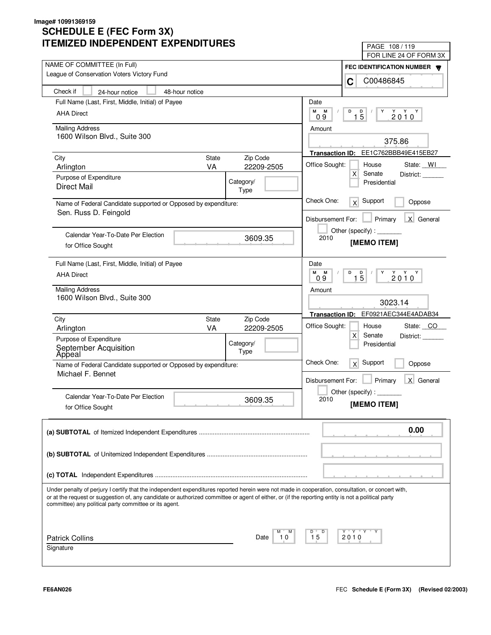| II LIVIILLU INDLFLNDLINI LAFLNDII UNLJ                                                                                                                                                                                                                                                                                                                            | PAGE 108/119                                          |  |
|-------------------------------------------------------------------------------------------------------------------------------------------------------------------------------------------------------------------------------------------------------------------------------------------------------------------------------------------------------------------|-------------------------------------------------------|--|
| NAME OF COMMITTEE (In Full)                                                                                                                                                                                                                                                                                                                                       | FOR LINE 24 OF FORM 3X                                |  |
| League of Conservation Voters Victory Fund                                                                                                                                                                                                                                                                                                                        | FEC IDENTIFICATION NUMBER                             |  |
|                                                                                                                                                                                                                                                                                                                                                                   | C00486845<br>C                                        |  |
| Check if<br>48-hour notice<br>24-hour notice                                                                                                                                                                                                                                                                                                                      |                                                       |  |
| Full Name (Last, First, Middle, Initial) of Payee                                                                                                                                                                                                                                                                                                                 | Date                                                  |  |
| <b>AHA Direct</b>                                                                                                                                                                                                                                                                                                                                                 | M<br>M<br>D<br>D<br>Y<br>$2010^Y$<br>$1\bar{5}$<br>09 |  |
| <b>Mailing Address</b>                                                                                                                                                                                                                                                                                                                                            | Amount                                                |  |
| 1600 Wilson Blvd., Suite 300                                                                                                                                                                                                                                                                                                                                      | 375.86                                                |  |
|                                                                                                                                                                                                                                                                                                                                                                   | Transaction ID: EE1C762BBB49E415EB27                  |  |
| State<br>Zip Code<br>City                                                                                                                                                                                                                                                                                                                                         | Office Sought:<br>House<br>State: WI                  |  |
| <b>VA</b><br>22209-2505<br>Arlington                                                                                                                                                                                                                                                                                                                              | $\mathsf{X}$<br>Senate<br>District:                   |  |
| Purpose of Expenditure<br>Category/<br><b>Direct Mail</b>                                                                                                                                                                                                                                                                                                         | Presidential                                          |  |
| Type                                                                                                                                                                                                                                                                                                                                                              |                                                       |  |
| Name of Federal Candidate supported or Opposed by expenditure:<br>Sen. Russ D. Feingold                                                                                                                                                                                                                                                                           | Check One:<br>Support<br>x<br>Oppose                  |  |
|                                                                                                                                                                                                                                                                                                                                                                   | X General<br>Disbursement For:<br>Primary             |  |
| Calendar Year-To-Date Per Election                                                                                                                                                                                                                                                                                                                                | Other (specify):                                      |  |
| 3609.35<br>for Office Sought                                                                                                                                                                                                                                                                                                                                      | 2010<br>[MEMO ITEM]                                   |  |
|                                                                                                                                                                                                                                                                                                                                                                   |                                                       |  |
| Full Name (Last, First, Middle, Initial) of Payee                                                                                                                                                                                                                                                                                                                 | Date                                                  |  |
| <b>AHA Direct</b>                                                                                                                                                                                                                                                                                                                                                 | М<br>M<br>D<br>Y<br>$2010^Y$<br>$1\overline{5}$<br>09 |  |
| <b>Mailing Address</b>                                                                                                                                                                                                                                                                                                                                            | Amount                                                |  |
| 1600 Wilson Blvd., Suite 300                                                                                                                                                                                                                                                                                                                                      | 3023.14                                               |  |
|                                                                                                                                                                                                                                                                                                                                                                   | EF0921AEC344E4ADAB34<br><b>Transaction ID:</b>        |  |
| Zip Code<br>City<br>State<br>VA                                                                                                                                                                                                                                                                                                                                   | Office Sought:<br>State: CO<br>House                  |  |
| Arlington<br>22209-2505<br>Purpose of Expenditure                                                                                                                                                                                                                                                                                                                 | $\times$<br>Senate<br>District:                       |  |
| Category/                                                                                                                                                                                                                                                                                                                                                         | Presidential                                          |  |
| September Acquisition<br>Appeal<br>Type                                                                                                                                                                                                                                                                                                                           | Check One:                                            |  |
| Name of Federal Candidate supported or Opposed by expenditure:                                                                                                                                                                                                                                                                                                    | Support<br>x<br>Oppose                                |  |
| Michael F. Bennet                                                                                                                                                                                                                                                                                                                                                 | Primary<br>X General<br>Disbursement For:             |  |
|                                                                                                                                                                                                                                                                                                                                                                   | Other (specify) : $\overline{\phantom{a}}$            |  |
| Calendar Year-To-Date Per Election<br>3609.35                                                                                                                                                                                                                                                                                                                     | 2010<br>[MEMO ITEM]                                   |  |
| for Office Sought                                                                                                                                                                                                                                                                                                                                                 |                                                       |  |
|                                                                                                                                                                                                                                                                                                                                                                   | 0.00                                                  |  |
|                                                                                                                                                                                                                                                                                                                                                                   |                                                       |  |
|                                                                                                                                                                                                                                                                                                                                                                   |                                                       |  |
|                                                                                                                                                                                                                                                                                                                                                                   |                                                       |  |
|                                                                                                                                                                                                                                                                                                                                                                   |                                                       |  |
|                                                                                                                                                                                                                                                                                                                                                                   |                                                       |  |
| Under penalty of perjury I certify that the independent expenditures reported herein were not made in cooperation, consultation, or concert with,<br>or at the request or suggestion of, any candidate or authorized committee or agent of either, or (if the reporting entity is not a political party<br>committee) any political party committee or its agent. |                                                       |  |
|                                                                                                                                                                                                                                                                                                                                                                   |                                                       |  |
|                                                                                                                                                                                                                                                                                                                                                                   |                                                       |  |
| м<br><b>Patrick Collins</b><br>Date<br>10                                                                                                                                                                                                                                                                                                                         | Y Y "<br>Y<br>D<br>15<br>2010                         |  |
| Signature                                                                                                                                                                                                                                                                                                                                                         |                                                       |  |
|                                                                                                                                                                                                                                                                                                                                                                   |                                                       |  |
|                                                                                                                                                                                                                                                                                                                                                                   |                                                       |  |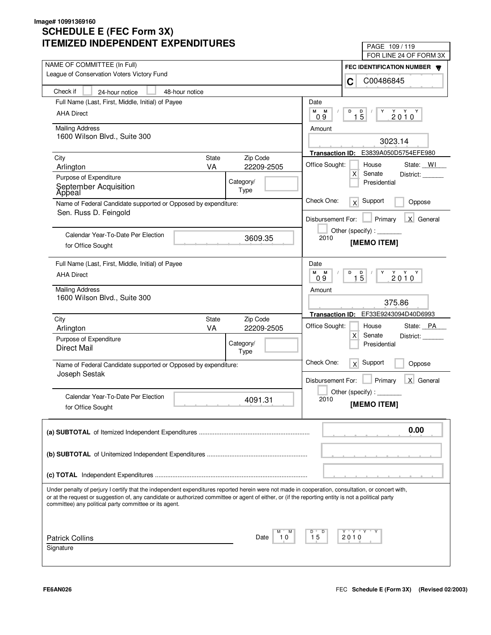| IMILLU INDLFLINDLINI LAFLINDII UNLJ                                                                                                                                                                                                                                                                                                                               | PAGE 109/119<br>FOR LINE 24 OF FORM 3X                                                                                                                                                                                                                                                                                                                                                                                                      |  |
|-------------------------------------------------------------------------------------------------------------------------------------------------------------------------------------------------------------------------------------------------------------------------------------------------------------------------------------------------------------------|---------------------------------------------------------------------------------------------------------------------------------------------------------------------------------------------------------------------------------------------------------------------------------------------------------------------------------------------------------------------------------------------------------------------------------------------|--|
| NAME OF COMMITTEE (In Full)                                                                                                                                                                                                                                                                                                                                       |                                                                                                                                                                                                                                                                                                                                                                                                                                             |  |
| League of Conservation Voters Victory Fund                                                                                                                                                                                                                                                                                                                        | FEC IDENTIFICATION NUMBER<br>C00486845<br>C                                                                                                                                                                                                                                                                                                                                                                                                 |  |
| Check if<br>24-hour notice<br>48-hour notice                                                                                                                                                                                                                                                                                                                      |                                                                                                                                                                                                                                                                                                                                                                                                                                             |  |
| Full Name (Last, First, Middle, Initial) of Payee                                                                                                                                                                                                                                                                                                                 | Date                                                                                                                                                                                                                                                                                                                                                                                                                                        |  |
| <b>AHA Direct</b>                                                                                                                                                                                                                                                                                                                                                 | М<br>М<br>D<br>D<br>Y                                                                                                                                                                                                                                                                                                                                                                                                                       |  |
|                                                                                                                                                                                                                                                                                                                                                                   | $2010^Y$<br>$1\overline{5}$<br>09                                                                                                                                                                                                                                                                                                                                                                                                           |  |
| <b>Mailing Address</b>                                                                                                                                                                                                                                                                                                                                            | Amount                                                                                                                                                                                                                                                                                                                                                                                                                                      |  |
| 1600 Wilson Blvd., Suite 300                                                                                                                                                                                                                                                                                                                                      | 3023.14                                                                                                                                                                                                                                                                                                                                                                                                                                     |  |
|                                                                                                                                                                                                                                                                                                                                                                   | Transaction ID: E3839A050D5754EFE980                                                                                                                                                                                                                                                                                                                                                                                                        |  |
| <b>State</b><br>Zip Code<br>City<br><b>VA</b><br>22209-2505<br>Arlington                                                                                                                                                                                                                                                                                          | Office Sought:<br>House<br>State: WI                                                                                                                                                                                                                                                                                                                                                                                                        |  |
| Purpose of Expenditure                                                                                                                                                                                                                                                                                                                                            | X<br>Senate<br>District:                                                                                                                                                                                                                                                                                                                                                                                                                    |  |
| Category/<br>September Acquisition                                                                                                                                                                                                                                                                                                                                | Presidential                                                                                                                                                                                                                                                                                                                                                                                                                                |  |
| Type<br>Apþeal                                                                                                                                                                                                                                                                                                                                                    |                                                                                                                                                                                                                                                                                                                                                                                                                                             |  |
| Name of Federal Candidate supported or Opposed by expenditure:<br>Sen. Russ D. Feingold                                                                                                                                                                                                                                                                           | Check One:<br>Support<br>$\times$<br>Oppose                                                                                                                                                                                                                                                                                                                                                                                                 |  |
|                                                                                                                                                                                                                                                                                                                                                                   | X General<br>Disbursement For:<br>Primary                                                                                                                                                                                                                                                                                                                                                                                                   |  |
| Calendar Year-To-Date Per Election                                                                                                                                                                                                                                                                                                                                | Other (specify) : $\sqrt{\frac{1}{2} \cdot \frac{1}{2} \cdot \frac{1}{2} \cdot \frac{1}{2} \cdot \frac{1}{2} \cdot \frac{1}{2} \cdot \frac{1}{2} \cdot \frac{1}{2} \cdot \frac{1}{2} \cdot \frac{1}{2} \cdot \frac{1}{2} \cdot \frac{1}{2} \cdot \frac{1}{2} \cdot \frac{1}{2} \cdot \frac{1}{2} \cdot \frac{1}{2} \cdot \frac{1}{2} \cdot \frac{1}{2} \cdot \frac{1}{2} \cdot \frac{1}{2} \cdot \frac{1}{2} \cdot \frac{1}{2} \cdot \frac$ |  |
| 3609.35<br>for Office Sought                                                                                                                                                                                                                                                                                                                                      | 2010<br>[MEMO ITEM]                                                                                                                                                                                                                                                                                                                                                                                                                         |  |
|                                                                                                                                                                                                                                                                                                                                                                   |                                                                                                                                                                                                                                                                                                                                                                                                                                             |  |
| Full Name (Last, First, Middle, Initial) of Payee                                                                                                                                                                                                                                                                                                                 | Date                                                                                                                                                                                                                                                                                                                                                                                                                                        |  |
| <b>AHA Direct</b>                                                                                                                                                                                                                                                                                                                                                 | M<br>M<br>D<br>$2010^Y$<br>$1\overline{5}$<br>Y<br>0.9                                                                                                                                                                                                                                                                                                                                                                                      |  |
| <b>Mailing Address</b>                                                                                                                                                                                                                                                                                                                                            | Amount                                                                                                                                                                                                                                                                                                                                                                                                                                      |  |
| 1600 Wilson Blvd., Suite 300                                                                                                                                                                                                                                                                                                                                      | 375.86                                                                                                                                                                                                                                                                                                                                                                                                                                      |  |
|                                                                                                                                                                                                                                                                                                                                                                   | Transaction ID: EF33E9243094D40D6993                                                                                                                                                                                                                                                                                                                                                                                                        |  |
| Zip Code<br>City<br>State                                                                                                                                                                                                                                                                                                                                         |                                                                                                                                                                                                                                                                                                                                                                                                                                             |  |
| VA<br>Arlington<br>22209-2505                                                                                                                                                                                                                                                                                                                                     | Office Sought:<br>State: PA<br>House<br>X<br>Senate<br>District:                                                                                                                                                                                                                                                                                                                                                                            |  |
| Purpose of Expenditure<br>Category/                                                                                                                                                                                                                                                                                                                               | Presidential                                                                                                                                                                                                                                                                                                                                                                                                                                |  |
| <b>Direct Mail</b><br>Type                                                                                                                                                                                                                                                                                                                                        |                                                                                                                                                                                                                                                                                                                                                                                                                                             |  |
| Name of Federal Candidate supported or Opposed by expenditure:                                                                                                                                                                                                                                                                                                    | Check One:<br>Support<br>x<br>Oppose                                                                                                                                                                                                                                                                                                                                                                                                        |  |
| Joseph Sestak                                                                                                                                                                                                                                                                                                                                                     |                                                                                                                                                                                                                                                                                                                                                                                                                                             |  |
|                                                                                                                                                                                                                                                                                                                                                                   | Primary<br>X General<br>Disbursement For:                                                                                                                                                                                                                                                                                                                                                                                                   |  |
| Calendar Year-To-Date Per Election<br>4091.31                                                                                                                                                                                                                                                                                                                     | Other (specify) : $\overline{\phantom{a}}$<br>2010                                                                                                                                                                                                                                                                                                                                                                                          |  |
| for Office Sought                                                                                                                                                                                                                                                                                                                                                 | [MEMO ITEM]                                                                                                                                                                                                                                                                                                                                                                                                                                 |  |
|                                                                                                                                                                                                                                                                                                                                                                   | 0.00                                                                                                                                                                                                                                                                                                                                                                                                                                        |  |
|                                                                                                                                                                                                                                                                                                                                                                   |                                                                                                                                                                                                                                                                                                                                                                                                                                             |  |
|                                                                                                                                                                                                                                                                                                                                                                   |                                                                                                                                                                                                                                                                                                                                                                                                                                             |  |
|                                                                                                                                                                                                                                                                                                                                                                   |                                                                                                                                                                                                                                                                                                                                                                                                                                             |  |
|                                                                                                                                                                                                                                                                                                                                                                   |                                                                                                                                                                                                                                                                                                                                                                                                                                             |  |
| Under penalty of perjury I certify that the independent expenditures reported herein were not made in cooperation, consultation, or concert with,<br>or at the request or suggestion of, any candidate or authorized committee or agent of either, or (if the reporting entity is not a political party<br>committee) any political party committee or its agent. |                                                                                                                                                                                                                                                                                                                                                                                                                                             |  |
|                                                                                                                                                                                                                                                                                                                                                                   |                                                                                                                                                                                                                                                                                                                                                                                                                                             |  |
|                                                                                                                                                                                                                                                                                                                                                                   | Y "Y "Y "<br>D<br>15                                                                                                                                                                                                                                                                                                                                                                                                                        |  |
| <b>Patrick Collins</b><br>Date<br>10<br>Signature                                                                                                                                                                                                                                                                                                                 | 2010                                                                                                                                                                                                                                                                                                                                                                                                                                        |  |
|                                                                                                                                                                                                                                                                                                                                                                   |                                                                                                                                                                                                                                                                                                                                                                                                                                             |  |
|                                                                                                                                                                                                                                                                                                                                                                   |                                                                                                                                                                                                                                                                                                                                                                                                                                             |  |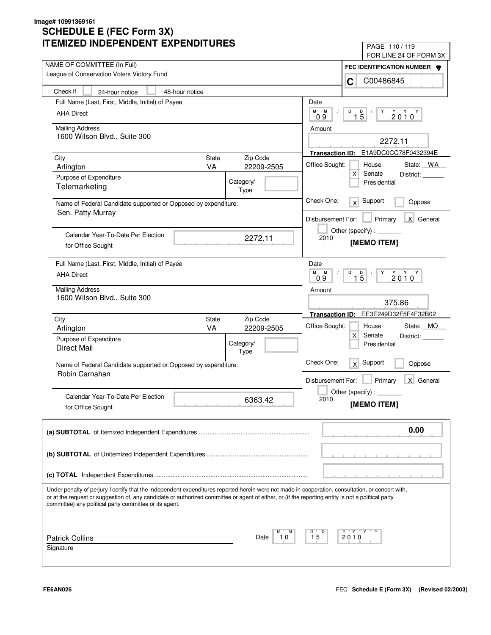| ITEMIZED INDEPENDENT EXPENDITURES                                                                                                                                                                                                                                                                                                                                 |                                              | PAGE 110/119<br>FOR LINE 24 OF FORM 3X              |
|-------------------------------------------------------------------------------------------------------------------------------------------------------------------------------------------------------------------------------------------------------------------------------------------------------------------------------------------------------------------|----------------------------------------------|-----------------------------------------------------|
| NAME OF COMMITTEE (In Full)                                                                                                                                                                                                                                                                                                                                       |                                              | FEC IDENTIFICATION NUMBER                           |
| League of Conservation Voters Victory Fund                                                                                                                                                                                                                                                                                                                        |                                              | C00486845<br>C                                      |
| Check if<br>48-hour notice<br>24-hour notice                                                                                                                                                                                                                                                                                                                      |                                              |                                                     |
| Full Name (Last, First, Middle, Initial) of Payee                                                                                                                                                                                                                                                                                                                 |                                              | Date                                                |
| <b>AHA Direct</b>                                                                                                                                                                                                                                                                                                                                                 |                                              | M M<br>D<br>Y<br>$1\overline{5}$<br>$2010^Y$<br>0.9 |
| <b>Mailing Address</b><br>1600 Wilson Blvd., Suite 300                                                                                                                                                                                                                                                                                                            |                                              | Amount                                              |
|                                                                                                                                                                                                                                                                                                                                                                   |                                              | 2272.11                                             |
| City                                                                                                                                                                                                                                                                                                                                                              | State<br>Zip Code                            | Transaction ID: E1A9DC0CC78F0432394E                |
| Arlington                                                                                                                                                                                                                                                                                                                                                         | <b>VA</b><br>22209-2505                      | Office Sought:<br>State: WA<br>House                |
| Purpose of Expenditure                                                                                                                                                                                                                                                                                                                                            | Category/                                    | x<br>Senate<br>District:<br>Presidential            |
| Telemarketing                                                                                                                                                                                                                                                                                                                                                     | Type                                         |                                                     |
| Name of Federal Candidate supported or Opposed by expenditure:                                                                                                                                                                                                                                                                                                    |                                              | Check One:<br>$x$ Support<br>Oppose                 |
| Sen. Patty Murray                                                                                                                                                                                                                                                                                                                                                 |                                              | $\Box$ Primary<br>X General<br>Disbursement For:    |
|                                                                                                                                                                                                                                                                                                                                                                   |                                              | Other (specify) : ________                          |
| Calendar Year-To-Date Per Election<br>for Office Sought                                                                                                                                                                                                                                                                                                           | 2272.11                                      | 2010<br>[MEMO ITEM]                                 |
|                                                                                                                                                                                                                                                                                                                                                                   |                                              |                                                     |
| Full Name (Last, First, Middle, Initial) of Payee                                                                                                                                                                                                                                                                                                                 |                                              | Date                                                |
| <b>AHA Direct</b>                                                                                                                                                                                                                                                                                                                                                 |                                              | M M<br>D<br>$2010^Y$<br>$1\overline{5}$<br>09       |
| <b>Mailing Address</b>                                                                                                                                                                                                                                                                                                                                            |                                              | Amount                                              |
| 1600 Wilson Blvd., Suite 300                                                                                                                                                                                                                                                                                                                                      |                                              | 375.86                                              |
|                                                                                                                                                                                                                                                                                                                                                                   |                                              | Transaction ID: EE3E249D32F5F4F32B02                |
| City<br>Arlington                                                                                                                                                                                                                                                                                                                                                 | Zip Code<br>State<br><b>VA</b><br>22209-2505 | Office Sought:<br>State: MO<br>House                |
| Purpose of Expenditure                                                                                                                                                                                                                                                                                                                                            |                                              | $\mathsf{X}$<br>Senate<br>District:                 |
| <b>Direct Mail</b>                                                                                                                                                                                                                                                                                                                                                | Category/<br>Type                            | Presidential                                        |
|                                                                                                                                                                                                                                                                                                                                                                   |                                              | Check One:<br>$\overline{X}$ Support<br>Oppose      |
| Name of Federal Candidate supported or Opposed by expenditure:<br>Robin Carnahan                                                                                                                                                                                                                                                                                  |                                              |                                                     |
|                                                                                                                                                                                                                                                                                                                                                                   |                                              | Primary<br>X General<br>Disbursement For:           |
| Calendar Year-To-Date Per Election                                                                                                                                                                                                                                                                                                                                | 6363.42                                      | Other (specify) : $\sqrt{ }$<br>2010                |
| for Office Sought                                                                                                                                                                                                                                                                                                                                                 |                                              | [MEMO ITEM]                                         |
|                                                                                                                                                                                                                                                                                                                                                                   |                                              | 0.00                                                |
|                                                                                                                                                                                                                                                                                                                                                                   |                                              |                                                     |
|                                                                                                                                                                                                                                                                                                                                                                   |                                              |                                                     |
|                                                                                                                                                                                                                                                                                                                                                                   |                                              |                                                     |
|                                                                                                                                                                                                                                                                                                                                                                   |                                              |                                                     |
| Under penalty of perjury I certify that the independent expenditures reported herein were not made in cooperation, consultation, or concert with,<br>or at the request or suggestion of, any candidate or authorized committee or agent of either, or (if the reporting entity is not a political party<br>committee) any political party committee or its agent. |                                              |                                                     |
|                                                                                                                                                                                                                                                                                                                                                                   |                                              |                                                     |
| <b>Patrick Collins</b>                                                                                                                                                                                                                                                                                                                                            | м<br>Date<br>10                              | D<br>Y Y<br>D<br>15<br>2010                         |
| Signature                                                                                                                                                                                                                                                                                                                                                         |                                              |                                                     |
|                                                                                                                                                                                                                                                                                                                                                                   |                                              |                                                     |
|                                                                                                                                                                                                                                                                                                                                                                   |                                              |                                                     |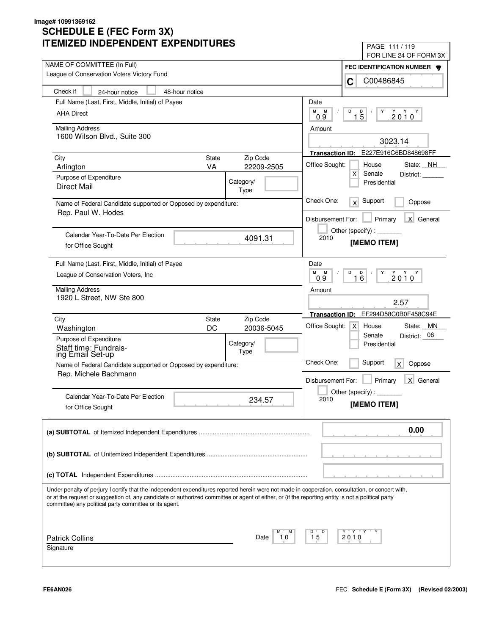| ITEMIZED INDEPENDENT EXPENDITURES                                                                                                                                                                                                                                                                                                                                 |                                       | PAGE 111/119<br>FOR LINE 24 OF FORM 3X                                   |
|-------------------------------------------------------------------------------------------------------------------------------------------------------------------------------------------------------------------------------------------------------------------------------------------------------------------------------------------------------------------|---------------------------------------|--------------------------------------------------------------------------|
| NAME OF COMMITTEE (In Full)                                                                                                                                                                                                                                                                                                                                       |                                       | <b>FEC IDENTIFICATION NUMBER</b>                                         |
| League of Conservation Voters Victory Fund                                                                                                                                                                                                                                                                                                                        |                                       | C00486845<br>C                                                           |
| Check if<br>24-hour notice                                                                                                                                                                                                                                                                                                                                        | 48-hour notice                        |                                                                          |
| Full Name (Last, First, Middle, Initial) of Payee                                                                                                                                                                                                                                                                                                                 |                                       | Date                                                                     |
| <b>AHA Direct</b>                                                                                                                                                                                                                                                                                                                                                 |                                       | м<br>D<br>M<br>D<br>Y<br>$2010^Y$<br>$\sqrt{2}$<br>$1\overline{5}$<br>09 |
| <b>Mailing Address</b>                                                                                                                                                                                                                                                                                                                                            |                                       | Amount                                                                   |
| 1600 Wilson Blvd., Suite 300                                                                                                                                                                                                                                                                                                                                      |                                       | 3023.14                                                                  |
| City                                                                                                                                                                                                                                                                                                                                                              | State<br>Zip Code                     | Transaction ID: E227E916C6BD848698FF                                     |
| Arlington                                                                                                                                                                                                                                                                                                                                                         | <b>VA</b><br>22209-2505               | Office Sought:<br>State: NH<br>House                                     |
| Purpose of Expenditure                                                                                                                                                                                                                                                                                                                                            | Category/                             | $\mathsf{X}$<br>Senate<br>District:                                      |
| <b>Direct Mail</b>                                                                                                                                                                                                                                                                                                                                                | Type                                  | Presidential                                                             |
| Name of Federal Candidate supported or Opposed by expenditure:                                                                                                                                                                                                                                                                                                    |                                       | Check One:<br>Support<br>x<br>Oppose                                     |
| Rep. Paul W. Hodes                                                                                                                                                                                                                                                                                                                                                |                                       | Primary<br>X General<br>Disbursement For:                                |
| Calendar Year-To-Date Per Election                                                                                                                                                                                                                                                                                                                                |                                       | Other (specify) : ________                                               |
| for Office Sought                                                                                                                                                                                                                                                                                                                                                 | 4091.31                               | 2010<br>[MEMO ITEM]                                                      |
| Full Name (Last, First, Middle, Initial) of Payee                                                                                                                                                                                                                                                                                                                 |                                       | Date                                                                     |
| League of Conservation Voters, Inc.                                                                                                                                                                                                                                                                                                                               |                                       | M M<br>D<br>D<br>$2010^Y$<br>$1\overline{6}$<br>09                       |
| <b>Mailing Address</b>                                                                                                                                                                                                                                                                                                                                            |                                       | Amount                                                                   |
| 1920 L Street, NW Ste 800                                                                                                                                                                                                                                                                                                                                         |                                       | 2.57                                                                     |
|                                                                                                                                                                                                                                                                                                                                                                   |                                       | Transaction ID: EF294D58C0B0F458C94E                                     |
| City<br>Washington                                                                                                                                                                                                                                                                                                                                                | Zip Code<br>State<br>DC<br>20036-5045 | Office Sought:<br>House<br>State: MN<br>$X \mid$                         |
| Purpose of Expenditure                                                                                                                                                                                                                                                                                                                                            |                                       | District: 06<br>Senate                                                   |
| Staff time: Fundrais-<br>ing Email Set-up                                                                                                                                                                                                                                                                                                                         | Category/<br>Type                     | Presidential                                                             |
| Name of Federal Candidate supported or Opposed by expenditure:                                                                                                                                                                                                                                                                                                    |                                       | Check One:<br>Support<br>$\mathsf{x}$<br>Oppose                          |
| Rep. Michele Bachmann                                                                                                                                                                                                                                                                                                                                             |                                       |                                                                          |
|                                                                                                                                                                                                                                                                                                                                                                   |                                       | Disbursement For:<br>Primary<br>X General                                |
| Calendar Year-To-Date Per Election                                                                                                                                                                                                                                                                                                                                | 234.57                                | Other (specify) : $\sqrt{ }$<br>2010                                     |
| for Office Sought                                                                                                                                                                                                                                                                                                                                                 |                                       | [MEMO ITEM]                                                              |
|                                                                                                                                                                                                                                                                                                                                                                   |                                       | 0.00                                                                     |
|                                                                                                                                                                                                                                                                                                                                                                   |                                       |                                                                          |
|                                                                                                                                                                                                                                                                                                                                                                   |                                       |                                                                          |
|                                                                                                                                                                                                                                                                                                                                                                   |                                       |                                                                          |
|                                                                                                                                                                                                                                                                                                                                                                   |                                       |                                                                          |
| Under penalty of perjury I certify that the independent expenditures reported herein were not made in cooperation, consultation, or concert with,<br>or at the request or suggestion of, any candidate or authorized committee or agent of either, or (if the reporting entity is not a political party<br>committee) any political party committee or its agent. |                                       |                                                                          |
|                                                                                                                                                                                                                                                                                                                                                                   |                                       |                                                                          |
|                                                                                                                                                                                                                                                                                                                                                                   | м<br>Date<br>10                       | D<br>Y "Y "Y<br>D<br>15<br>2010                                          |
| <b>Patrick Collins</b><br>Signature                                                                                                                                                                                                                                                                                                                               |                                       |                                                                          |
|                                                                                                                                                                                                                                                                                                                                                                   |                                       |                                                                          |
|                                                                                                                                                                                                                                                                                                                                                                   |                                       |                                                                          |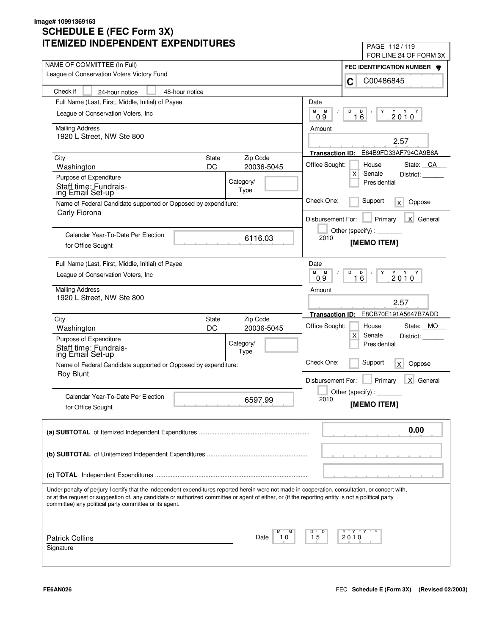| LIVILLU INDLFLINDLNI LAFLINDII UNLJ                                                                                                                                                                                                                                                                                                                               | PAGE 112/119                                             |
|-------------------------------------------------------------------------------------------------------------------------------------------------------------------------------------------------------------------------------------------------------------------------------------------------------------------------------------------------------------------|----------------------------------------------------------|
| NAME OF COMMITTEE (In Full)                                                                                                                                                                                                                                                                                                                                       | FOR LINE 24 OF FORM 3X                                   |
| League of Conservation Voters Victory Fund                                                                                                                                                                                                                                                                                                                        | FEC IDENTIFICATION NUMBER                                |
|                                                                                                                                                                                                                                                                                                                                                                   | C00486845<br>C                                           |
| Check if<br>48-hour notice<br>24-hour notice                                                                                                                                                                                                                                                                                                                      |                                                          |
| Full Name (Last, First, Middle, Initial) of Payee                                                                                                                                                                                                                                                                                                                 | Date                                                     |
| League of Conservation Voters, Inc.                                                                                                                                                                                                                                                                                                                               | М<br>M<br>D<br>D<br>Y<br>$2010^Y$<br>16<br>09            |
| <b>Mailing Address</b>                                                                                                                                                                                                                                                                                                                                            | Amount                                                   |
| 1920 L Street, NW Ste 800                                                                                                                                                                                                                                                                                                                                         |                                                          |
|                                                                                                                                                                                                                                                                                                                                                                   | 2.57                                                     |
| Zip Code<br>City<br><b>State</b>                                                                                                                                                                                                                                                                                                                                  | E64B9FD33AF794CA9B8A<br><b>Transaction ID:</b>           |
| DC<br>20036-5045<br>Washington                                                                                                                                                                                                                                                                                                                                    | Office Sought:<br>House<br>State: CA                     |
| Purpose of Expenditure<br>Category/                                                                                                                                                                                                                                                                                                                               | X<br>Senate<br>District:<br>Presidential                 |
| Staff time: Fundrais-<br>Type<br>ing Email Set-up                                                                                                                                                                                                                                                                                                                 |                                                          |
| Name of Federal Candidate supported or Opposed by expenditure:                                                                                                                                                                                                                                                                                                    | Check One:<br>Support<br>Oppose<br>X                     |
| Carly Fiorona                                                                                                                                                                                                                                                                                                                                                     |                                                          |
|                                                                                                                                                                                                                                                                                                                                                                   | X General<br>Primary<br>Disbursement For:                |
| Calendar Year-To-Date Per Election                                                                                                                                                                                                                                                                                                                                | Other (specify):<br>2010                                 |
| 6116.03<br>for Office Sought                                                                                                                                                                                                                                                                                                                                      | [MEMO ITEM]                                              |
|                                                                                                                                                                                                                                                                                                                                                                   |                                                          |
| Full Name (Last, First, Middle, Initial) of Payee                                                                                                                                                                                                                                                                                                                 | Date                                                     |
| League of Conservation Voters, Inc.                                                                                                                                                                                                                                                                                                                               | M<br>M<br>D<br>Υ<br>$2010^{\gamma}$<br>D<br>6<br>09<br>1 |
| <b>Mailing Address</b>                                                                                                                                                                                                                                                                                                                                            | Amount                                                   |
| 1920 L Street, NW Ste 800                                                                                                                                                                                                                                                                                                                                         | 2.57                                                     |
|                                                                                                                                                                                                                                                                                                                                                                   | E8CB70E191A5647B7ADD<br><b>Transaction ID:</b>           |
| Zip Code<br>City<br>State                                                                                                                                                                                                                                                                                                                                         | Office Sought:<br>State: MO<br>House                     |
| DC<br>20036-5045<br>Washington                                                                                                                                                                                                                                                                                                                                    | X<br>Senate<br>District:                                 |
| Purpose of Expenditure<br>Category/                                                                                                                                                                                                                                                                                                                               | Presidential                                             |
| Staff time: Fundrais-<br>ing Email Set-up<br>Type                                                                                                                                                                                                                                                                                                                 |                                                          |
| Name of Federal Candidate supported or Opposed by expenditure:                                                                                                                                                                                                                                                                                                    | Check One:<br>Support<br>Oppose<br>$\mathsf{X}$          |
| <b>Roy Blunt</b>                                                                                                                                                                                                                                                                                                                                                  | Primary<br>Disbursement For:<br>X General                |
|                                                                                                                                                                                                                                                                                                                                                                   | Other (specify) : $\overline{\phantom{a}}$               |
| Calendar Year-To-Date Per Election<br>6597.99                                                                                                                                                                                                                                                                                                                     | 2010                                                     |
| for Office Sought                                                                                                                                                                                                                                                                                                                                                 | [MEMO ITEM]                                              |
|                                                                                                                                                                                                                                                                                                                                                                   | 0.00                                                     |
|                                                                                                                                                                                                                                                                                                                                                                   |                                                          |
|                                                                                                                                                                                                                                                                                                                                                                   |                                                          |
|                                                                                                                                                                                                                                                                                                                                                                   |                                                          |
| Under penalty of perjury I certify that the independent expenditures reported herein were not made in cooperation, consultation, or concert with,<br>or at the request or suggestion of, any candidate or authorized committee or agent of either, or (if the reporting entity is not a political party<br>committee) any political party committee or its agent. |                                                          |
|                                                                                                                                                                                                                                                                                                                                                                   |                                                          |
| <b>Patrick Collins</b><br>10<br>Date                                                                                                                                                                                                                                                                                                                              | Y "Y "Y<br>D<br>15<br>2010                               |
| Signature                                                                                                                                                                                                                                                                                                                                                         |                                                          |
|                                                                                                                                                                                                                                                                                                                                                                   |                                                          |
|                                                                                                                                                                                                                                                                                                                                                                   |                                                          |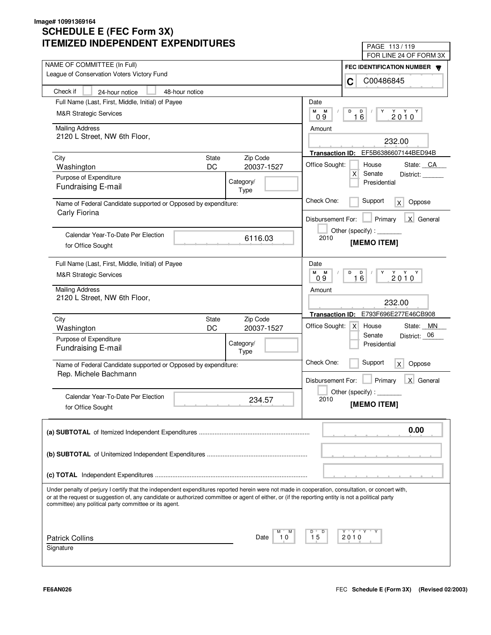| LIVILLU INDLFLNDLNI LAFLNDII UNLJ                                                                                                                                                                                                                                                                       | PAGE 113/119                                                    |
|---------------------------------------------------------------------------------------------------------------------------------------------------------------------------------------------------------------------------------------------------------------------------------------------------------|-----------------------------------------------------------------|
| NAME OF COMMITTEE (In Full)                                                                                                                                                                                                                                                                             | FOR LINE 24 OF FORM 3X                                          |
| League of Conservation Voters Victory Fund                                                                                                                                                                                                                                                              | FEC IDENTIFICATION NUMBER                                       |
|                                                                                                                                                                                                                                                                                                         | C00486845<br>C                                                  |
| Check if<br>24-hour notice<br>48-hour notice                                                                                                                                                                                                                                                            |                                                                 |
| Full Name (Last, First, Middle, Initial) of Payee                                                                                                                                                                                                                                                       | Date                                                            |
| <b>M&amp;R Strategic Services</b>                                                                                                                                                                                                                                                                       | M<br>M<br>D<br>D<br>Y<br>$2010^Y$<br>16<br>09                   |
| <b>Mailing Address</b>                                                                                                                                                                                                                                                                                  |                                                                 |
| 2120 L Street, NW 6th Floor,                                                                                                                                                                                                                                                                            | Amount                                                          |
|                                                                                                                                                                                                                                                                                                         | 232.00                                                          |
| Zip Code<br>City<br><b>State</b>                                                                                                                                                                                                                                                                        | Transaction ID: EF5B6386607144BED94B                            |
| DC<br>20037-1527<br>Washington                                                                                                                                                                                                                                                                          | Office Sought:<br>House<br>State: CA                            |
| Purpose of Expenditure                                                                                                                                                                                                                                                                                  | $\mathsf{X}$<br>Senate<br>District:                             |
| Category/<br><b>Fundraising E-mail</b><br>Type                                                                                                                                                                                                                                                          | Presidential                                                    |
|                                                                                                                                                                                                                                                                                                         | Check One:<br>Support                                           |
| Name of Federal Candidate supported or Opposed by expenditure:<br>Carly Fiorina                                                                                                                                                                                                                         | Oppose<br>$\mathsf{X}$                                          |
|                                                                                                                                                                                                                                                                                                         | Primary<br>X General<br>Disbursement For:                       |
|                                                                                                                                                                                                                                                                                                         | Other (specify) : $\sqrt{\frac{1}{2} \sum_{r=1}^{r} (r - r)^2}$ |
| Calendar Year-To-Date Per Election<br>6116.03                                                                                                                                                                                                                                                           | 2010<br>[MEMO ITEM]                                             |
| for Office Sought                                                                                                                                                                                                                                                                                       |                                                                 |
| Full Name (Last, First, Middle, Initial) of Payee                                                                                                                                                                                                                                                       | Date                                                            |
| <b>M&amp;R Strategic Services</b>                                                                                                                                                                                                                                                                       | M<br>M<br>D<br>$\overline{D}$<br>Y<br>$2010^Y$                  |
|                                                                                                                                                                                                                                                                                                         | 16<br>0.9                                                       |
| <b>Mailing Address</b>                                                                                                                                                                                                                                                                                  | Amount                                                          |
| 2120 L Street, NW 6th Floor,                                                                                                                                                                                                                                                                            | 232.00                                                          |
|                                                                                                                                                                                                                                                                                                         | E793F696E277E46CB908<br><b>Transaction ID:</b>                  |
| Zip Code<br>City<br>State<br>DC<br>20037-1527<br>Washington                                                                                                                                                                                                                                             | Office Sought:<br>State: MN<br>$\mathsf{X}$<br>House            |
| Purpose of Expenditure                                                                                                                                                                                                                                                                                  | Senate<br>District: 06                                          |
| Category/<br>Fundraising E-mail                                                                                                                                                                                                                                                                         | Presidential                                                    |
| Type                                                                                                                                                                                                                                                                                                    |                                                                 |
| Name of Federal Candidate supported or Opposed by expenditure:                                                                                                                                                                                                                                          | Check One:<br>Support<br>Oppose<br>$\mathsf{X}$                 |
| Rep. Michele Bachmann                                                                                                                                                                                                                                                                                   | Disbursement For:<br>Primary<br>X General                       |
|                                                                                                                                                                                                                                                                                                         | Other (specify) : $\Box$                                        |
| Calendar Year-To-Date Per Election<br>234.57                                                                                                                                                                                                                                                            | 2010                                                            |
| for Office Sought                                                                                                                                                                                                                                                                                       | [MEMO ITEM]                                                     |
|                                                                                                                                                                                                                                                                                                         |                                                                 |
|                                                                                                                                                                                                                                                                                                         | 0.00                                                            |
|                                                                                                                                                                                                                                                                                                         |                                                                 |
|                                                                                                                                                                                                                                                                                                         |                                                                 |
|                                                                                                                                                                                                                                                                                                         |                                                                 |
|                                                                                                                                                                                                                                                                                                         |                                                                 |
|                                                                                                                                                                                                                                                                                                         |                                                                 |
| Under penalty of perjury I certify that the independent expenditures reported herein were not made in cooperation, consultation, or concert with,<br>or at the request or suggestion of, any candidate or authorized committee or agent of either, or (if the reporting entity is not a political party |                                                                 |
| committee) any political party committee or its agent.                                                                                                                                                                                                                                                  |                                                                 |
|                                                                                                                                                                                                                                                                                                         |                                                                 |
|                                                                                                                                                                                                                                                                                                         |                                                                 |
| <b>Patrick Collins</b><br>10<br>Date                                                                                                                                                                                                                                                                    | Y "Y "Y<br>D<br>15<br>2010                                      |
| Signature                                                                                                                                                                                                                                                                                               |                                                                 |
|                                                                                                                                                                                                                                                                                                         |                                                                 |
|                                                                                                                                                                                                                                                                                                         |                                                                 |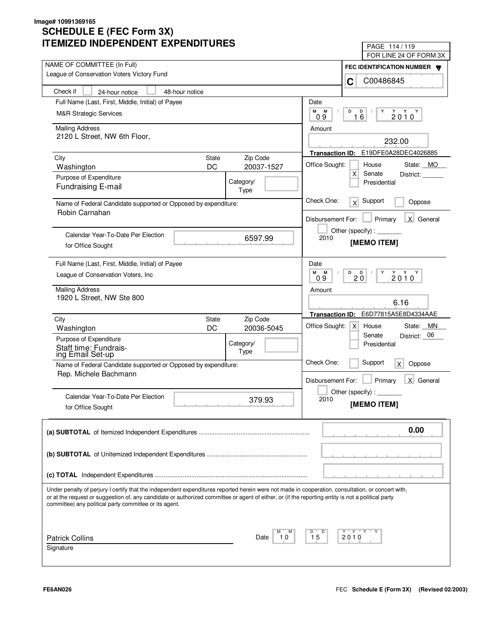| LIVILLU INDLFLNDLNI LAFLNDII UNLJ                                                                                                                                                                                                                                                                                                                                 | PAGE 114/119                                                      |
|-------------------------------------------------------------------------------------------------------------------------------------------------------------------------------------------------------------------------------------------------------------------------------------------------------------------------------------------------------------------|-------------------------------------------------------------------|
| NAME OF COMMITTEE (In Full)                                                                                                                                                                                                                                                                                                                                       | FOR LINE 24 OF FORM 3X                                            |
| League of Conservation Voters Victory Fund                                                                                                                                                                                                                                                                                                                        | FEC IDENTIFICATION NUMBER                                         |
|                                                                                                                                                                                                                                                                                                                                                                   | C00486845<br>C                                                    |
| Check if<br>48-hour notice<br>24-hour notice                                                                                                                                                                                                                                                                                                                      |                                                                   |
| Full Name (Last, First, Middle, Initial) of Payee                                                                                                                                                                                                                                                                                                                 | Date                                                              |
| <b>M&amp;R Strategic Services</b>                                                                                                                                                                                                                                                                                                                                 | М<br>M<br>D<br>D<br>Y<br>$2010^Y$<br>16<br>09                     |
| <b>Mailing Address</b>                                                                                                                                                                                                                                                                                                                                            | Amount                                                            |
| 2120 L Street, NW 6th Floor,                                                                                                                                                                                                                                                                                                                                      |                                                                   |
|                                                                                                                                                                                                                                                                                                                                                                   | 232.00                                                            |
| Zip Code<br>City<br><b>State</b>                                                                                                                                                                                                                                                                                                                                  | Transaction ID: E19DFE0A28DEC4026885                              |
| DC<br>20037-1527<br>Washington                                                                                                                                                                                                                                                                                                                                    | Office Sought:<br>House<br>State: MO                              |
| Purpose of Expenditure<br>Category/                                                                                                                                                                                                                                                                                                                               | $\mathsf{X}$<br>Senate<br>District:<br>Presidential               |
| Fundraising E-mail<br>Type                                                                                                                                                                                                                                                                                                                                        |                                                                   |
| Name of Federal Candidate supported or Opposed by expenditure:                                                                                                                                                                                                                                                                                                    | Check One:<br>Support<br>x<br>Oppose                              |
| Robin Carnahan                                                                                                                                                                                                                                                                                                                                                    | X General<br>Disbursement For:<br>Primary                         |
|                                                                                                                                                                                                                                                                                                                                                                   | Other (specify):                                                  |
| Calendar Year-To-Date Per Election<br>6597.99                                                                                                                                                                                                                                                                                                                     | 2010                                                              |
| for Office Sought                                                                                                                                                                                                                                                                                                                                                 | [MEMO ITEM]                                                       |
| Full Name (Last, First, Middle, Initial) of Payee                                                                                                                                                                                                                                                                                                                 | Date                                                              |
| League of Conservation Voters, Inc.                                                                                                                                                                                                                                                                                                                               | м<br>M<br>D<br>$2010^{\gamma}$<br>$\blacksquare$<br>Y<br>20<br>09 |
|                                                                                                                                                                                                                                                                                                                                                                   |                                                                   |
| <b>Mailing Address</b><br>1920 L Street, NW Ste 800                                                                                                                                                                                                                                                                                                               | Amount                                                            |
|                                                                                                                                                                                                                                                                                                                                                                   | 6.16                                                              |
| Zip Code<br>City<br>State                                                                                                                                                                                                                                                                                                                                         | E6D77815A5E8D4334AAE<br><b>Transaction ID:</b>                    |
| DC<br>20036-5045<br>Washington                                                                                                                                                                                                                                                                                                                                    | Office Sought:<br>State: MN<br>$\times$<br>House                  |
| Purpose of Expenditure<br>Category/                                                                                                                                                                                                                                                                                                                               | District: 06<br>Senate<br>Presidential                            |
| Staff time: Fundrais-<br>ing Email Set-up<br>Type                                                                                                                                                                                                                                                                                                                 |                                                                   |
| Name of Federal Candidate supported or Opposed by expenditure:                                                                                                                                                                                                                                                                                                    | Check One:<br>Support<br>Oppose<br>X                              |
| Rep. Michele Bachmann                                                                                                                                                                                                                                                                                                                                             |                                                                   |
|                                                                                                                                                                                                                                                                                                                                                                   | Primary<br>Disbursement For:<br>X General                         |
| Calendar Year-To-Date Per Election                                                                                                                                                                                                                                                                                                                                | Other (specify) : $\Box$<br>2010                                  |
| 379.93<br>for Office Sought                                                                                                                                                                                                                                                                                                                                       | [MEMO ITEM]                                                       |
|                                                                                                                                                                                                                                                                                                                                                                   |                                                                   |
|                                                                                                                                                                                                                                                                                                                                                                   | 0.00                                                              |
|                                                                                                                                                                                                                                                                                                                                                                   |                                                                   |
|                                                                                                                                                                                                                                                                                                                                                                   |                                                                   |
|                                                                                                                                                                                                                                                                                                                                                                   |                                                                   |
|                                                                                                                                                                                                                                                                                                                                                                   |                                                                   |
| Under penalty of perjury I certify that the independent expenditures reported herein were not made in cooperation, consultation, or concert with,<br>or at the request or suggestion of, any candidate or authorized committee or agent of either, or (if the reporting entity is not a political party<br>committee) any political party committee or its agent. |                                                                   |
|                                                                                                                                                                                                                                                                                                                                                                   |                                                                   |
| <b>Patrick Collins</b><br>10<br>Date                                                                                                                                                                                                                                                                                                                              | Y "Y "Y<br>D<br>15<br>2010                                        |
| Signature                                                                                                                                                                                                                                                                                                                                                         |                                                                   |
|                                                                                                                                                                                                                                                                                                                                                                   |                                                                   |
|                                                                                                                                                                                                                                                                                                                                                                   |                                                                   |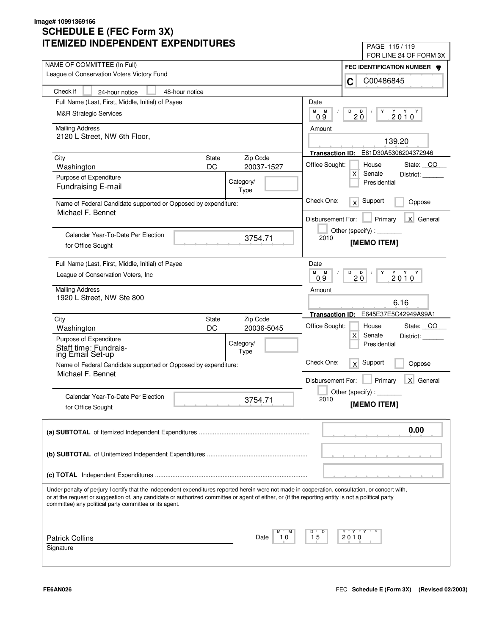| LIVILLU INDLFLNDLNI LAFLNDII UNLJ                                                                                                                                                                                                                                                                       | PAGE 115/119                                                    |
|---------------------------------------------------------------------------------------------------------------------------------------------------------------------------------------------------------------------------------------------------------------------------------------------------------|-----------------------------------------------------------------|
| NAME OF COMMITTEE (In Full)                                                                                                                                                                                                                                                                             | FOR LINE 24 OF FORM 3X                                          |
| League of Conservation Voters Victory Fund                                                                                                                                                                                                                                                              | FEC IDENTIFICATION NUMBER                                       |
|                                                                                                                                                                                                                                                                                                         | C00486845<br>C                                                  |
| Check if<br>48-hour notice<br>24-hour notice                                                                                                                                                                                                                                                            |                                                                 |
| Full Name (Last, First, Middle, Initial) of Payee                                                                                                                                                                                                                                                       | Date                                                            |
| <b>M&amp;R Strategic Services</b>                                                                                                                                                                                                                                                                       | М<br>M<br>D<br>D<br>Y<br>$2010^Y$<br>$2\overline{0}$<br>09      |
| <b>Mailing Address</b>                                                                                                                                                                                                                                                                                  | Amount                                                          |
| 2120 L Street, NW 6th Floor,                                                                                                                                                                                                                                                                            |                                                                 |
|                                                                                                                                                                                                                                                                                                         | 139.20                                                          |
| Zip Code<br>City<br><b>State</b>                                                                                                                                                                                                                                                                        | Transaction ID: E81D30A5306204372946                            |
| DC<br>20037-1527<br>Washington                                                                                                                                                                                                                                                                          | Office Sought:<br>State: CO<br>House                            |
| Purpose of Expenditure<br>Category/                                                                                                                                                                                                                                                                     | $\mathsf{X}$<br>Senate<br>District:<br>Presidential             |
| Fundraising E-mail<br>Type                                                                                                                                                                                                                                                                              |                                                                 |
| Name of Federal Candidate supported or Opposed by expenditure:                                                                                                                                                                                                                                          | Check One:<br>Support<br>x<br>Oppose                            |
| Michael F. Bennet                                                                                                                                                                                                                                                                                       |                                                                 |
|                                                                                                                                                                                                                                                                                                         | X General<br>Disbursement For:<br>Primary                       |
| Calendar Year-To-Date Per Election                                                                                                                                                                                                                                                                      | Other (specify) : $\sqrt{\frac{1}{2} \sum_{r=1}^{r} (r - r)^2}$ |
| 3754.71<br>for Office Sought                                                                                                                                                                                                                                                                            | 2010<br>[MEMO ITEM]                                             |
|                                                                                                                                                                                                                                                                                                         |                                                                 |
| Full Name (Last, First, Middle, Initial) of Payee                                                                                                                                                                                                                                                       | Date                                                            |
| League of Conservation Voters, Inc.                                                                                                                                                                                                                                                                     | M<br>M<br>D<br>Υ<br>$2010^Y$<br>$\blacksquare$<br>20<br>09      |
| <b>Mailing Address</b>                                                                                                                                                                                                                                                                                  | Amount                                                          |
| 1920 L Street, NW Ste 800                                                                                                                                                                                                                                                                               |                                                                 |
|                                                                                                                                                                                                                                                                                                         | 6.16                                                            |
| Zip Code<br>City<br>State                                                                                                                                                                                                                                                                               | E645E37E5C42949A99A1<br><b>Transaction ID:</b>                  |
| DC<br>20036-5045<br>Washington                                                                                                                                                                                                                                                                          | Office Sought:<br>State: CO<br>House                            |
| Purpose of Expenditure<br>Category/                                                                                                                                                                                                                                                                     | $\mathsf{X}$<br>Senate<br>District:<br>Presidential             |
| Staff time: Fundrais-<br>ing Email Set-up<br>Type                                                                                                                                                                                                                                                       |                                                                 |
| Name of Federal Candidate supported or Opposed by expenditure:                                                                                                                                                                                                                                          | Check One:<br>Support<br>x<br>Oppose                            |
| Michael F. Bennet                                                                                                                                                                                                                                                                                       |                                                                 |
|                                                                                                                                                                                                                                                                                                         | Primary<br>X General<br>Disbursement For:                       |
| Calendar Year-To-Date Per Election                                                                                                                                                                                                                                                                      | Other (specify) : $\overline{\phantom{a}}$                      |
| 3754.71<br>for Office Sought                                                                                                                                                                                                                                                                            | 2010<br>[MEMO ITEM]                                             |
|                                                                                                                                                                                                                                                                                                         |                                                                 |
|                                                                                                                                                                                                                                                                                                         | 0.00                                                            |
|                                                                                                                                                                                                                                                                                                         |                                                                 |
|                                                                                                                                                                                                                                                                                                         |                                                                 |
|                                                                                                                                                                                                                                                                                                         |                                                                 |
|                                                                                                                                                                                                                                                                                                         |                                                                 |
|                                                                                                                                                                                                                                                                                                         |                                                                 |
| Under penalty of perjury I certify that the independent expenditures reported herein were not made in cooperation, consultation, or concert with,<br>or at the request or suggestion of, any candidate or authorized committee or agent of either, or (if the reporting entity is not a political party |                                                                 |
| committee) any political party committee or its agent.                                                                                                                                                                                                                                                  |                                                                 |
|                                                                                                                                                                                                                                                                                                         |                                                                 |
|                                                                                                                                                                                                                                                                                                         | Y "Y "Y<br>D                                                    |
| <b>Patrick Collins</b><br>10<br>Date                                                                                                                                                                                                                                                                    | 15<br>2010                                                      |
| Signature                                                                                                                                                                                                                                                                                               |                                                                 |
|                                                                                                                                                                                                                                                                                                         |                                                                 |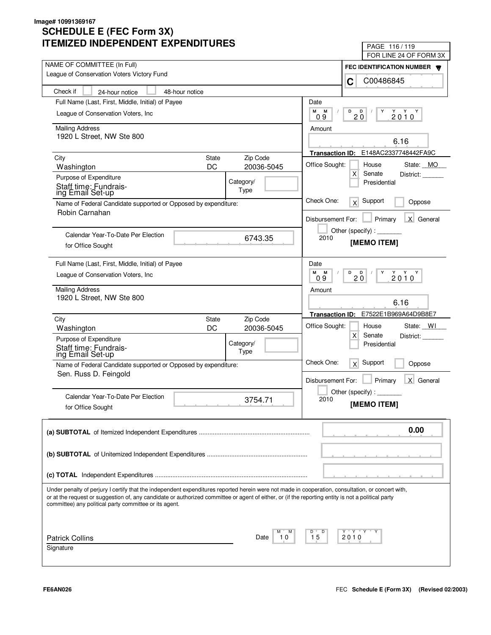| LIVILLU INDLFLNDLNI LAFLNDII UNLJ                                                                                                                  | PAGE 116/119                                                            |  |
|----------------------------------------------------------------------------------------------------------------------------------------------------|-------------------------------------------------------------------------|--|
| NAME OF COMMITTEE (In Full)                                                                                                                        | FOR LINE 24 OF FORM 3X                                                  |  |
| League of Conservation Voters Victory Fund                                                                                                         | FEC IDENTIFICATION NUMBER                                               |  |
|                                                                                                                                                    | C00486845<br>C                                                          |  |
| Check if<br>48-hour notice<br>24-hour notice                                                                                                       |                                                                         |  |
| Full Name (Last, First, Middle, Initial) of Payee                                                                                                  | Date                                                                    |  |
| League of Conservation Voters, Inc.                                                                                                                | М<br>М<br>D<br>D<br>Y<br>$2010^Y$<br>20<br>09                           |  |
| <b>Mailing Address</b>                                                                                                                             | Amount                                                                  |  |
| 1920 L Street, NW Ste 800                                                                                                                          |                                                                         |  |
|                                                                                                                                                    | 6.16                                                                    |  |
| Zip Code<br>City<br><b>State</b>                                                                                                                   | E148AC2337748442FA9C<br><b>Transaction ID:</b>                          |  |
| DC<br>20036-5045<br>Washington                                                                                                                     | Office Sought:<br>House<br>State: MO                                    |  |
| Purpose of Expenditure<br>Category/                                                                                                                | $\mathsf{X}$<br>Senate<br>District:<br>Presidential                     |  |
| Staff time: Fundrais-<br>Type<br>ing Email Set-up                                                                                                  |                                                                         |  |
| Name of Federal Candidate supported or Opposed by expenditure:                                                                                     | Check One:<br>Support<br>x<br>Oppose                                    |  |
| Robin Carnahan                                                                                                                                     |                                                                         |  |
|                                                                                                                                                    | Primary<br>X General<br>Disbursement For:                               |  |
| Calendar Year-To-Date Per Election<br>6743.35                                                                                                      | Other (specify) : $\sqrt{\frac{1}{2} \sum_{r=1}^{r} (r - r)^2}$<br>2010 |  |
| for Office Sought                                                                                                                                  | [MEMO ITEM]                                                             |  |
|                                                                                                                                                    |                                                                         |  |
| Full Name (Last, First, Middle, Initial) of Payee                                                                                                  | Date                                                                    |  |
| League of Conservation Voters, Inc.                                                                                                                | M<br>M<br>D<br>$2010^{\gamma}$<br><b>D</b><br>Y<br>20<br>09             |  |
| <b>Mailing Address</b>                                                                                                                             | Amount                                                                  |  |
| 1920 L Street, NW Ste 800                                                                                                                          | 6.16                                                                    |  |
|                                                                                                                                                    | E7522E1B969A64D9B8E7<br><b>Transaction ID:</b>                          |  |
| Zip Code<br>City<br>State                                                                                                                          | Office Sought:<br>State: WI<br>House                                    |  |
| DC<br>20036-5045<br>Washington                                                                                                                     | X<br>Senate<br>District:                                                |  |
| Purpose of Expenditure<br>Category/                                                                                                                | Presidential                                                            |  |
| Staff time: Fundrais-<br>ing Email Set-up<br>Type                                                                                                  |                                                                         |  |
| Name of Federal Candidate supported or Opposed by expenditure:                                                                                     | Check One:<br>Support<br>x<br>Oppose                                    |  |
| Sen. Russ D. Feingold                                                                                                                              | Primary<br>X General<br>Disbursement For:                               |  |
|                                                                                                                                                    | Other (specify):                                                        |  |
| Calendar Year-To-Date Per Election<br>3754.71                                                                                                      | 2010                                                                    |  |
| for Office Sought                                                                                                                                  | [MEMO ITEM]                                                             |  |
|                                                                                                                                                    |                                                                         |  |
|                                                                                                                                                    | 0.00                                                                    |  |
|                                                                                                                                                    |                                                                         |  |
|                                                                                                                                                    |                                                                         |  |
|                                                                                                                                                    |                                                                         |  |
|                                                                                                                                                    |                                                                         |  |
| Under penalty of perjury I certify that the independent expenditures reported herein were not made in cooperation, consultation, or concert with,  |                                                                         |  |
| or at the request or suggestion of, any candidate or authorized committee or agent of either, or (if the reporting entity is not a political party |                                                                         |  |
| committee) any political party committee or its agent.                                                                                             |                                                                         |  |
|                                                                                                                                                    |                                                                         |  |
|                                                                                                                                                    | Y "Y "Y<br>D                                                            |  |
| <b>Patrick Collins</b><br>10<br>Date                                                                                                               | 15<br>2010                                                              |  |
| Signature                                                                                                                                          |                                                                         |  |
|                                                                                                                                                    |                                                                         |  |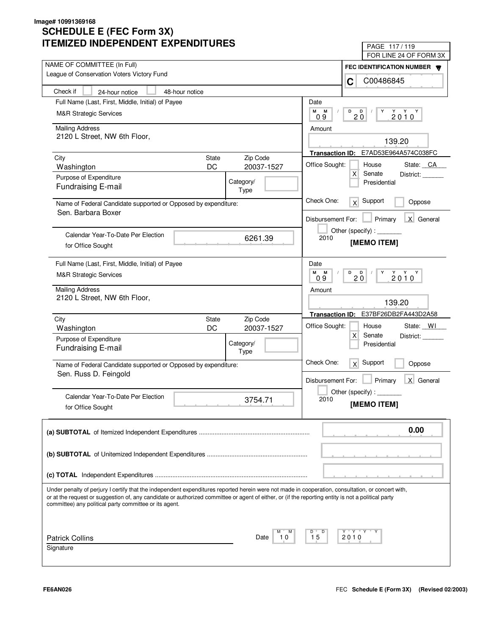| IMILLU INDLFLINDLINI LAFLINDII UNLJ                                                                                                                                                                                                                                                                                                                               | PAGE 117/119                                              |
|-------------------------------------------------------------------------------------------------------------------------------------------------------------------------------------------------------------------------------------------------------------------------------------------------------------------------------------------------------------------|-----------------------------------------------------------|
| NAME OF COMMITTEE (In Full)                                                                                                                                                                                                                                                                                                                                       | FOR LINE 24 OF FORM 3X                                    |
| League of Conservation Voters Victory Fund                                                                                                                                                                                                                                                                                                                        | FEC IDENTIFICATION NUMBER                                 |
|                                                                                                                                                                                                                                                                                                                                                                   | C00486845<br>C                                            |
| Check if<br>48-hour notice<br>24-hour notice                                                                                                                                                                                                                                                                                                                      |                                                           |
| Full Name (Last, First, Middle, Initial) of Payee                                                                                                                                                                                                                                                                                                                 | Date                                                      |
| <b>M&amp;R Strategic Services</b>                                                                                                                                                                                                                                                                                                                                 | М<br>M<br>D<br>D<br>Y<br>$2010^Y$<br>20<br>09             |
| <b>Mailing Address</b>                                                                                                                                                                                                                                                                                                                                            | Amount                                                    |
| 2120 L Street, NW 6th Floor,                                                                                                                                                                                                                                                                                                                                      |                                                           |
|                                                                                                                                                                                                                                                                                                                                                                   | 139.20                                                    |
| Zip Code<br>City<br><b>State</b>                                                                                                                                                                                                                                                                                                                                  | Transaction ID: E7AD53E964A574C038FC                      |
| DC<br>20037-1527<br>Washington                                                                                                                                                                                                                                                                                                                                    | Office Sought:<br>House<br>State: CA                      |
| Purpose of Expenditure<br>Category/                                                                                                                                                                                                                                                                                                                               | $\mathsf{X}$<br>Senate<br>District:<br>Presidential       |
| <b>Fundraising E-mail</b><br>Type                                                                                                                                                                                                                                                                                                                                 |                                                           |
| Name of Federal Candidate supported or Opposed by expenditure:                                                                                                                                                                                                                                                                                                    | Check One:<br>Support<br>$\times$<br>Oppose               |
| Sen. Barbara Boxer                                                                                                                                                                                                                                                                                                                                                |                                                           |
|                                                                                                                                                                                                                                                                                                                                                                   | X General<br>Disbursement For:<br>Primary                 |
| Calendar Year-To-Date Per Election                                                                                                                                                                                                                                                                                                                                | Other (specify) : _________<br>2010                       |
| 6261.39<br>for Office Sought                                                                                                                                                                                                                                                                                                                                      | [MEMO ITEM]                                               |
|                                                                                                                                                                                                                                                                                                                                                                   |                                                           |
| Full Name (Last, First, Middle, Initial) of Payee                                                                                                                                                                                                                                                                                                                 | Date                                                      |
| <b>M&amp;R Strategic Services</b>                                                                                                                                                                                                                                                                                                                                 | M<br>M<br>D<br>Υ<br>$2010^Y$<br>$\mathbf{D}$<br>20<br>0.9 |
| <b>Mailing Address</b>                                                                                                                                                                                                                                                                                                                                            | Amount                                                    |
| 2120 L Street, NW 6th Floor,                                                                                                                                                                                                                                                                                                                                      | 139.20                                                    |
|                                                                                                                                                                                                                                                                                                                                                                   | Transaction ID: E37BF26DB2FA443D2A58                      |
| Zip Code<br>City<br>State                                                                                                                                                                                                                                                                                                                                         | Office Sought:<br>State: WI<br>House                      |
| DC<br>20037-1527<br>Washington                                                                                                                                                                                                                                                                                                                                    | $\mathsf{X}$<br>Senate<br>District:                       |
| Purpose of Expenditure<br>Category/<br>Fundraising E-mail                                                                                                                                                                                                                                                                                                         | Presidential                                              |
| Type                                                                                                                                                                                                                                                                                                                                                              |                                                           |
| Name of Federal Candidate supported or Opposed by expenditure:                                                                                                                                                                                                                                                                                                    | Check One:<br>Support<br>x<br>Oppose                      |
| Sen. Russ D. Feingold                                                                                                                                                                                                                                                                                                                                             | Primary<br>X General<br>Disbursement For:                 |
|                                                                                                                                                                                                                                                                                                                                                                   | Other (specify) : $\overline{\phantom{a}}$                |
| Calendar Year-To-Date Per Election<br>3754.71                                                                                                                                                                                                                                                                                                                     | 2010                                                      |
| for Office Sought                                                                                                                                                                                                                                                                                                                                                 | [MEMO ITEM]                                               |
|                                                                                                                                                                                                                                                                                                                                                                   |                                                           |
|                                                                                                                                                                                                                                                                                                                                                                   | 0.00                                                      |
|                                                                                                                                                                                                                                                                                                                                                                   |                                                           |
|                                                                                                                                                                                                                                                                                                                                                                   |                                                           |
|                                                                                                                                                                                                                                                                                                                                                                   |                                                           |
|                                                                                                                                                                                                                                                                                                                                                                   |                                                           |
| Under penalty of perjury I certify that the independent expenditures reported herein were not made in cooperation, consultation, or concert with,<br>or at the request or suggestion of, any candidate or authorized committee or agent of either, or (if the reporting entity is not a political party<br>committee) any political party committee or its agent. |                                                           |
|                                                                                                                                                                                                                                                                                                                                                                   |                                                           |
| 10                                                                                                                                                                                                                                                                                                                                                                | Y "Y "Y<br>D<br>15                                        |
| <b>Patrick Collins</b><br>Date<br>Signature                                                                                                                                                                                                                                                                                                                       | 2010                                                      |
|                                                                                                                                                                                                                                                                                                                                                                   |                                                           |
|                                                                                                                                                                                                                                                                                                                                                                   |                                                           |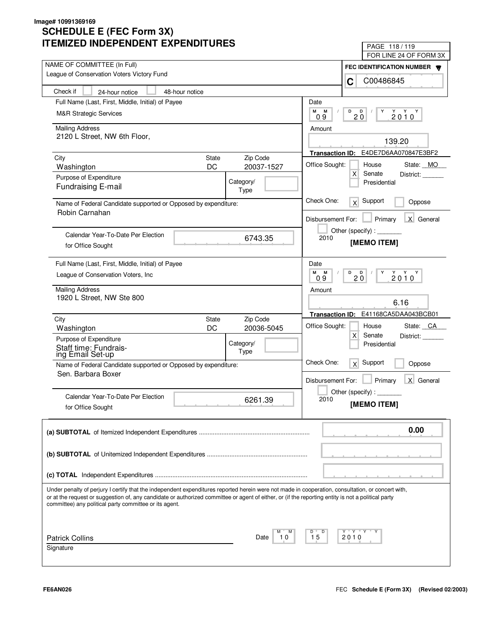| LIVILLU INDLFLNDLNI LAFLNDII UNLJ                                                                                                                                                                                                                                                                       | PAGE 118/119                                               |
|---------------------------------------------------------------------------------------------------------------------------------------------------------------------------------------------------------------------------------------------------------------------------------------------------------|------------------------------------------------------------|
| NAME OF COMMITTEE (In Full)                                                                                                                                                                                                                                                                             | FOR LINE 24 OF FORM 3X                                     |
| League of Conservation Voters Victory Fund                                                                                                                                                                                                                                                              | FEC IDENTIFICATION NUMBER                                  |
|                                                                                                                                                                                                                                                                                                         | C00486845<br>C                                             |
| Check if<br>48-hour notice<br>24-hour notice                                                                                                                                                                                                                                                            |                                                            |
| Full Name (Last, First, Middle, Initial) of Payee                                                                                                                                                                                                                                                       | Date                                                       |
| <b>M&amp;R Strategic Services</b>                                                                                                                                                                                                                                                                       | М<br>M<br>D<br>D<br>Y<br>$2010^Y$<br>$2\overline{0}$<br>09 |
| <b>Mailing Address</b>                                                                                                                                                                                                                                                                                  | Amount                                                     |
| 2120 L Street, NW 6th Floor,                                                                                                                                                                                                                                                                            |                                                            |
|                                                                                                                                                                                                                                                                                                         | 139.20                                                     |
| Zip Code<br>City<br><b>State</b>                                                                                                                                                                                                                                                                        | Transaction ID: E4DE7D6AA070847E3BF2                       |
| DC<br>20037-1527<br>Washington                                                                                                                                                                                                                                                                          | Office Sought:<br>House<br>State: MO                       |
| Purpose of Expenditure<br>Category/                                                                                                                                                                                                                                                                     | $\mathsf{X}$<br>Senate<br>District:<br>Presidential        |
| Fundraising E-mail<br>Type                                                                                                                                                                                                                                                                              |                                                            |
| Name of Federal Candidate supported or Opposed by expenditure:                                                                                                                                                                                                                                          | Check One:<br>Support<br>x<br>Oppose                       |
| Robin Carnahan                                                                                                                                                                                                                                                                                          |                                                            |
|                                                                                                                                                                                                                                                                                                         | X General<br>Disbursement For:<br>Primary                  |
| Calendar Year-To-Date Per Election                                                                                                                                                                                                                                                                      | Other (specify):                                           |
| 6743.35<br>for Office Sought                                                                                                                                                                                                                                                                            | 2010<br>[MEMO ITEM]                                        |
|                                                                                                                                                                                                                                                                                                         |                                                            |
| Full Name (Last, First, Middle, Initial) of Payee                                                                                                                                                                                                                                                       | Date                                                       |
| League of Conservation Voters, Inc.                                                                                                                                                                                                                                                                     | M<br>M<br>D<br>Υ<br>$2010^Y$<br>$\blacksquare$<br>20<br>09 |
| <b>Mailing Address</b>                                                                                                                                                                                                                                                                                  | Amount                                                     |
| 1920 L Street, NW Ste 800                                                                                                                                                                                                                                                                               |                                                            |
|                                                                                                                                                                                                                                                                                                         | 6.16                                                       |
| Zip Code<br>City<br>State                                                                                                                                                                                                                                                                               | E41168CA5DAA043BCB01<br><b>Transaction ID:</b>             |
| DC<br>20036-5045<br>Washington                                                                                                                                                                                                                                                                          | Office Sought:<br>State: CA<br>House                       |
| Purpose of Expenditure<br>Category/                                                                                                                                                                                                                                                                     | $\mathsf{X}$<br>Senate<br>District:<br>Presidential        |
| Staff time: Fundrais-<br>ing Email Set-up<br>Type                                                                                                                                                                                                                                                       |                                                            |
| Name of Federal Candidate supported or Opposed by expenditure:                                                                                                                                                                                                                                          | Check One:<br>Support<br>x<br>Oppose                       |
| Sen. Barbara Boxer                                                                                                                                                                                                                                                                                      |                                                            |
|                                                                                                                                                                                                                                                                                                         | Primary<br>X General<br>Disbursement For:                  |
| Calendar Year-To-Date Per Election                                                                                                                                                                                                                                                                      | Other (specify) : $\overline{\phantom{a}}$                 |
| 6261.39<br>for Office Sought                                                                                                                                                                                                                                                                            | 2010<br>[MEMO ITEM]                                        |
|                                                                                                                                                                                                                                                                                                         |                                                            |
|                                                                                                                                                                                                                                                                                                         | 0.00                                                       |
|                                                                                                                                                                                                                                                                                                         |                                                            |
|                                                                                                                                                                                                                                                                                                         |                                                            |
|                                                                                                                                                                                                                                                                                                         |                                                            |
|                                                                                                                                                                                                                                                                                                         |                                                            |
|                                                                                                                                                                                                                                                                                                         |                                                            |
| Under penalty of perjury I certify that the independent expenditures reported herein were not made in cooperation, consultation, or concert with,<br>or at the request or suggestion of, any candidate or authorized committee or agent of either, or (if the reporting entity is not a political party |                                                            |
| committee) any political party committee or its agent.                                                                                                                                                                                                                                                  |                                                            |
|                                                                                                                                                                                                                                                                                                         |                                                            |
|                                                                                                                                                                                                                                                                                                         | Y "Y "Y<br>D                                               |
| <b>Patrick Collins</b><br>10<br>Date                                                                                                                                                                                                                                                                    | 15<br>2010                                                 |
| Signature                                                                                                                                                                                                                                                                                               |                                                            |
|                                                                                                                                                                                                                                                                                                         |                                                            |